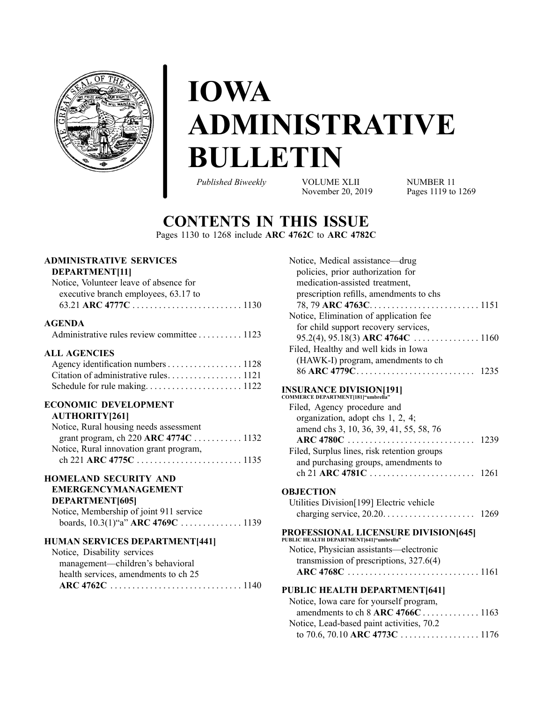# **IOWA ADMINISTRATIVE BULLETIN**

*Published Biweekly* VOLUME XLII

November 20, 2019

NUMBER 11 Pages 1119 to [1269](#page-150-0)

# **CONTENTS IN THIS ISSUE**

Pages [1130](#page-11-0) to [1268](#page-149-0) include **ARC 4762C** to **ARC 4782C**

# **ADMINISTRATIVE SERVICES**

### **DEPARTMENT[11]**

| Notice, Volunteer leave of absence for |  |
|----------------------------------------|--|
| executive branch employees, 63.17 to   |  |
|                                        |  |

### **AGENDA**

| Administrative rules review committee 1123 |  |
|--------------------------------------------|--|
|                                            |  |

### **ALL AGENCIES**

| Agency identification numbers 1128 |  |
|------------------------------------|--|
|                                    |  |
|                                    |  |

# **ECONOMIC DEVELOPMENT**

| Notice, Rural housing needs assessment  |  |
|-----------------------------------------|--|
|                                         |  |
| Notice, Rural innovation grant program, |  |
|                                         |  |
|                                         |  |

#### **HOMELAND SECURITY AND EMERGENCYMANAGEMENT**

### **DEPARTMENT[605]**

| . |                                         |  |
|---|-----------------------------------------|--|
|   | Notice, Membership of joint 911 service |  |
|   |                                         |  |

### **HUMAN SERVICES DEPARTMENT[441]**

| Notice, Disability services          |
|--------------------------------------|
| management—children's behavioral     |
| health services, amendments to ch 25 |
|                                      |

| Notice, Medical assistance—drug                                      |  |
|----------------------------------------------------------------------|--|
| policies, prior authorization for                                    |  |
| medication-assisted treatment,                                       |  |
| prescription refills, amendments to chs                              |  |
|                                                                      |  |
| Notice, Elimination of application fee                               |  |
| for child support recovery services,                                 |  |
|                                                                      |  |
| Filed, Healthy and well kids in Iowa                                 |  |
| (HAWK-I) program, amendments to ch                                   |  |
| 86 ARC 4779C<br>1235                                                 |  |
| <b>INSURANCE DIVISION[191]</b><br>commerce department[181]"umbrella" |  |
| Filed, Agency procedure and                                          |  |
| organization, adopt chs 1, 2, 4;                                     |  |
| amend chs 3, 10, 36, 39, 41, 55, 58, 76                              |  |
|                                                                      |  |

## **ARC 4780C** . . . . . . . . . . . . . . . . . . . . . . . . . . . . . [1239](#page-120-0) Filed, Surplus lines, risk retention groups and purchasing groups, amendments to ch 21 **ARC 4781C** . . . . . . . . . . . . . . . . . . . . . . . . [1261](#page-142-0)

#### **OBJECTION**

Utilities Division[199] Electric vehicle charging service, 20.20. . . . . . . . . . . . . . . . . . . . . [1269](#page-150-0)

# **PROFESSIONAL LICENSURE DIVISION[645] PUBLIC HEALTH DEPARTMENT[641]"umbrella"**

| $DLLC$ HERETH DETRICING (1971) university |  |
|-------------------------------------------|--|
| Notice, Physician assistants—electronic   |  |
| transmission of prescriptions, $327.6(4)$ |  |
|                                           |  |

### **PUBLIC HEALTH DEPARTMENT[641]**

| Notice, Iowa care for yourself program,   |  |
|-------------------------------------------|--|
| amendments to ch $8$ ARC 4766C 1163       |  |
| Notice, Lead-based paint activities, 70.2 |  |
| to 70.6, 70.10 ARC 4773C 1176             |  |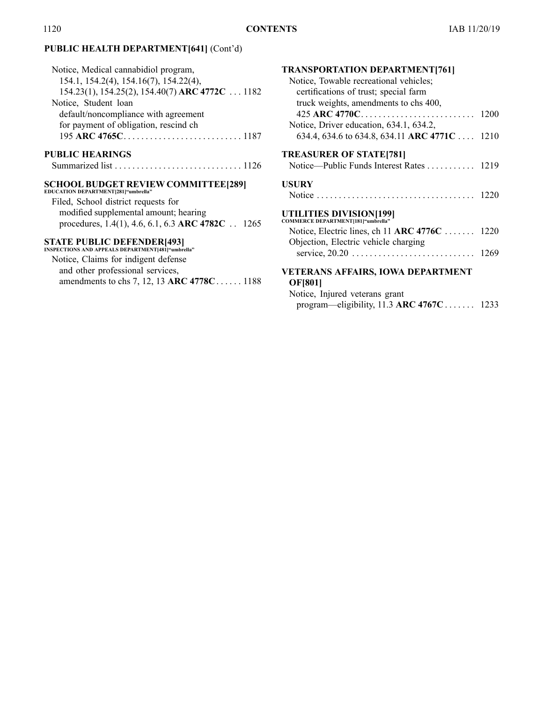# **PUBLIC HEALTH DEPARTMENT[641]** (Cont'd)

| Notice, Medical cannabidiol program,            |
|-------------------------------------------------|
| 154.1, 154.2(4), 154.16(7), 154.22(4),          |
| 154.23(1), 154.25(2), 154.40(7) ARC 4772C  1182 |
| Notice, Student loan                            |
| default/noncompliance with agreement            |
| for payment of obligation, rescind ch           |
|                                                 |
|                                                 |

# **PUBLIC HEARINGS**

# **SCHOOL BUDGET REVIEW COMMITTEE[289] EDUCATION DEPARTMENT[281]"umbrella"**

| Filed, School district requests for                       |  |
|-----------------------------------------------------------|--|
| modified supplemental amount; hearing                     |  |
| procedures, 1.4(1), 4.6, 6.1, 6.3 ARC 4782C $\ldots$ 1265 |  |

# **STATE PUBLIC DEFENDER[493] INSPECTIONS AND APPEALS DEPARTMENT[481]"umbrella"**

| Notice, Claims for indigent defense        |  |
|--------------------------------------------|--|
| and other professional services,           |  |
| amendments to chs 7, 12, 13 ARC 4778C 1188 |  |

| <b>TRANSPORTATION DEPARTMENT[761]</b>                         |      |
|---------------------------------------------------------------|------|
| Notice, Towable recreational vehicles;                        |      |
| certifications of trust; special farm                         |      |
| truck weights, amendments to chs 400,                         |      |
| 425 ARC 4770C                                                 | 1200 |
| Notice, Driver education, 634.1, 634.2,                       |      |
| 634.4, 634.6 to 634.8, 634.11 ARC 4771C  1210                 |      |
| <b>TREASURER OF STATE[781]</b>                                |      |
|                                                               |      |
| <b>USURY</b>                                                  |      |
|                                                               | 1220 |
| UTILITIES DIVISION[199]<br>COMMERCE DEPARTMENT[181]"umbrella" |      |
| Notice, Electric lines, ch 11 ARC $4776C$                     | 1220 |
| Objection, Electric vehicle charging                          |      |
|                                                               | 1269 |

### **VETERANS AFFAIRS, IOWA DEPARTMENT OF[801]**

| Notice, Injured veterans grant             |  |
|--------------------------------------------|--|
| program—eligibility, 11.3 ARC $4767C$ 1233 |  |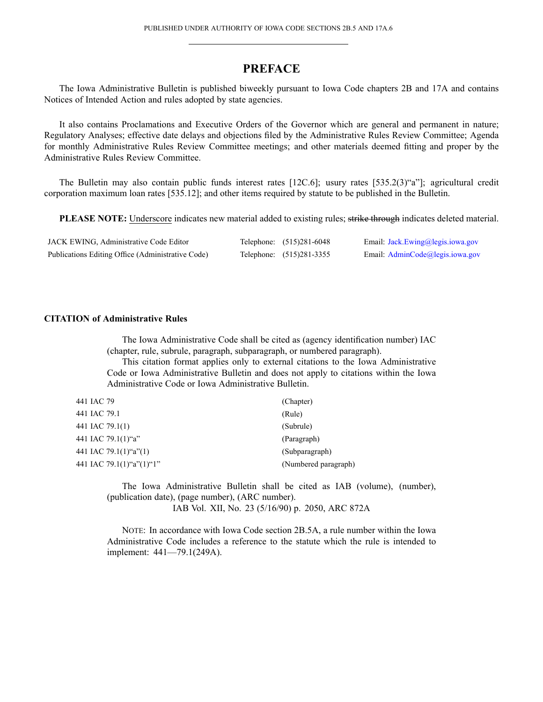# **PREFACE**

<span id="page-2-0"></span>The Iowa Administrative Bulletin is published biweekly pursuan<sup>t</sup> to Iowa Code chapters 2B and 17A and contains Notices of Intended Action and rules adopted by state agencies.

It also contains Proclamations and Executive Orders of the Governor which are general and permanen<sup>t</sup> in nature; Regulatory Analyses; effective date delays and objections filed by the Administrative Rules Review Committee; Agenda for monthly Administrative Rules Review Committee meetings; and other materials deemed fitting and proper by the Administrative Rules Review Committee.

The Bulletin may also contain public funds interest rates [12C.6]; usury rates [535.2(3)"a"]; agricultural credit corporation maximum loan rates [535.12]; and other items required by statute to be published in the Bulletin.

**PLEASE NOTE:** Underscore indicates new material added to existing rules; strike through indicates deleted material.

| JACK EWING, Administrative Code Editor            | Telephone: (515)281-6048 | Email: Jack.Ewing@legis.iowa.gov |
|---------------------------------------------------|--------------------------|----------------------------------|
| Publications Editing Office (Administrative Code) | Telephone: (515)281-3355 | Email: AdminCode@legis.iowa.gov  |

#### **CITATION of Administrative Rules**

The Iowa Administrative Code shall be cited as (agency identification number) IAC (chapter, rule, subrule, paragraph, subparagraph, or numbered paragraph).

This citation format applies only to external citations to the Iowa Administrative Code or Iowa Administrative Bulletin and does not apply to citations within the Iowa Administrative Code or Iowa Administrative Bulletin.

| 441 IAC 79               | (Chapter)            |
|--------------------------|----------------------|
| 441 IAC 79.1             | (Rule)               |
| 441 IAC 79.1(1)          | (Subrule)            |
| 441 IAC 79.1(1)"a"       | (Paragraph)          |
| 441 IAC 79.1(1)"a"(1)    | (Subparagraph)       |
| 441 IAC 79.1(1)"a"(1)"1" | (Numbered paragraph) |

The Iowa Administrative Bulletin shall be cited as IAB (volume), (number), (publication date), (page number), (ARC number). IAB Vol. XII, No. 23 (5/16/90) p. 2050, ARC 872A

NOTE: In accordance with Iowa Code section 2B.5A, <sup>a</sup> rule number within the Iowa Administrative Code includes <sup>a</sup> reference to the statute which the rule is intended to implement: 441—79.1(249A).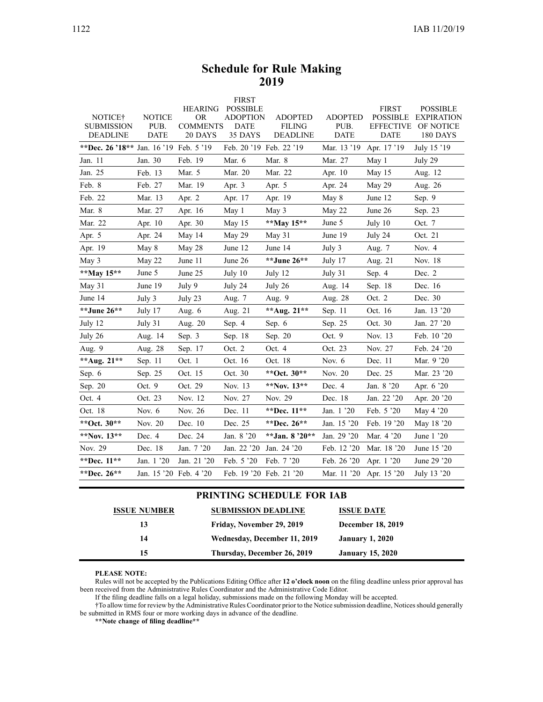### **Schedule for Rule Making 2019**

<span id="page-3-0"></span>

| NOTICE <sup>†</sup><br><b>SUBMISSION</b> | <b>NOTICE</b><br>PUB.  | <b>HEARING</b><br><b>OR</b><br><b>COMMENTS</b> | <b>FIRST</b><br><b>POSSIBLE</b><br><b>ADOPTION</b><br><b>DATE</b> | <b>ADOPTED</b><br><b>FILING</b> | <b>ADOPTED</b><br>PUB. | <b>FIRST</b><br><b>POSSIBLE</b><br><b>EFFECTIVE</b> | <b>POSSIBLE</b><br><b>EXPIRATION</b><br>OF NOTICE |
|------------------------------------------|------------------------|------------------------------------------------|-------------------------------------------------------------------|---------------------------------|------------------------|-----------------------------------------------------|---------------------------------------------------|
| <b>DEADLINE</b>                          | <b>DATE</b>            | 20 DAYS                                        | 35 DAYS                                                           | <b>DEADLINE</b>                 | <b>DATE</b>            | <b>DATE</b>                                         | 180 DAYS                                          |
| **Dec. 26 '18** Jan. 16 '19 Feb. 5 '19   |                        |                                                | Feb. 20 '19 Feb. 22 '19                                           |                                 | Mar. 13 '19            | Apr. 17 '19                                         | July 15 '19                                       |
| Jan. 11                                  | Jan. 30                | Feb. 19                                        | Mar. 6                                                            | Mar. 8                          | Mar. 27                | May 1                                               | July 29                                           |
| Jan. 25                                  | Feb. 13                | Mar. 5                                         | Mar. 20                                                           | Mar. 22                         | Apr. 10                | May 15                                              | Aug. 12                                           |
| Feb. 8                                   | Feb. 27                | Mar. 19                                        | Apr. $3$                                                          | Apr. 5                          | Apr. 24                | May 29                                              | Aug. 26                                           |
| Feb. 22                                  | Mar. 13                | Apr. 2                                         | Apr. 17                                                           | Apr. 19                         | May 8                  | June 12                                             | Sep. 9                                            |
| Mar. 8                                   | Mar. 27                | Apr. 16                                        | May 1                                                             | May 3                           | May 22                 | June 26                                             | Sep. 23                                           |
| Mar. 22                                  | Apr. 10                | Apr. 30                                        | May 15                                                            | **May 15**                      | June 5                 | July 10                                             | Oct. 7                                            |
| Apr. 5                                   | Apr. 24                | May 14                                         | May 29                                                            | May 31                          | June 19                | July 24                                             | Oct. 21                                           |
| Apr. 19                                  | May 8                  | May 28                                         | June 12                                                           | June 14                         | July 3                 | Aug. 7                                              | Nov. 4                                            |
| May 3                                    | May 22                 | June 11                                        | June 26                                                           | **June 26**                     | July 17                | Aug. 21                                             | Nov. 18                                           |
| **May 15**                               | June 5                 | June 25                                        | July 10                                                           | July 12                         | July 31                | Sep. $4$                                            | Dec. 2                                            |
| May 31                                   | June 19                | July 9                                         | July 24                                                           | July 26                         | Aug. 14                | Sep. 18                                             | Dec. 16                                           |
| June 14                                  | July 3                 | July 23                                        | Aug. 7                                                            | Aug. 9                          | Aug. 28                | Oct. 2                                              | Dec. 30                                           |
| **June 26**                              | July 17                | Aug. $6$                                       | Aug. 21                                                           | **Aug. 21**                     | Sep. 11                | Oct. 16                                             | Jan. 13 '20                                       |
| July 12                                  | July 31                | Aug. 20                                        | Sep. 4                                                            | Sep. 6                          | Sep. 25                | Oct. 30                                             | Jan. 27 '20                                       |
| July 26                                  | Aug. 14                | Sep. 3                                         | Sep. 18                                                           | Sep. 20                         | Oct. 9                 | Nov. 13                                             | Feb. 10 '20                                       |
| Aug. 9                                   | Aug. 28                | Sep. 17                                        | Oct. 2                                                            | Oct. 4                          | Oct. 23                | Nov. 27                                             | Feb. 24 '20                                       |
| **Aug. $21**$                            | Sep. 11                | Oct. 1                                         | Oct. 16                                                           | Oct. 18                         | Nov. $6$               | Dec. 11                                             | Mar. 9 '20                                        |
| Sep. 6                                   | Sep. 25                | Oct. 15                                        | Oct. 30                                                           | **Oct. 30**                     | Nov. 20                | Dec. 25                                             | Mar. 23 '20                                       |
| Sep. 20                                  | Oct. 9                 | Oct. 29                                        | Nov. 13                                                           | **Nov. $13**$                   | Dec. 4                 | Jan. 8 '20                                          | Apr. 6 '20                                        |
| Oct. 4                                   | Oct. 23                | Nov. 12                                        | Nov. 27                                                           | Nov. 29                         | Dec. 18                | Jan. 22 '20                                         | Apr. 20 '20                                       |
| Oct. 18                                  | Nov. $6$               | Nov. 26                                        | Dec. 11                                                           | **Dec. 11**                     | Jan. 1 '20             | Feb. 5 '20                                          | May $4'20$                                        |
| **Oct. 30**                              | Nov. 20                | Dec. 10                                        | Dec. 25                                                           | **Dec. $26**$                   | Jan. 15 '20            | Feb. 19 '20                                         | May 18 '20                                        |
| **Nov. $13**$                            | Dec. 4                 | Dec. 24                                        | Jan. 8 '20                                                        | **Jan. $8'20**$                 | Jan. 29 '20            | Mar. 4 '20                                          | June 1 '20                                        |
| Nov. 29                                  | Dec. 18                | Jan. 7 '20                                     | Jan. 22 '20                                                       | Jan. 24 '20                     | Feb. 12 '20            | Mar. 18 '20                                         | June 15 '20                                       |
| **Dec. 11**                              | Jan. 1 '20             | Jan. 21 '20                                    | Feb. 5 '20                                                        | Feb. 7 '20                      | Feb. 26 '20            | Apr. 1 '20                                          | June 29 '20                                       |
| **Dec. 26**                              | Jan. 15 '20 Feb. 4 '20 |                                                | Feb. 19 '20 Feb. 21 '20                                           |                                 | Mar. 11 '20            | Apr. 15 '20                                         | July 13 '20                                       |

#### **PRINTING SCHEDULE FOR IAB**

| <b>ISSUE NUMBER</b> | <b>SUBMISSION DEADLINE</b>   | <b>ISSUE DATE</b>        |
|---------------------|------------------------------|--------------------------|
| 13                  | Friday, November 29, 2019    | <b>December 18, 2019</b> |
| 14                  | Wednesday, December 11, 2019 | <b>January 1, 2020</b>   |
| 15                  | Thursday, December 26, 2019  | <b>January 15, 2020</b>  |

**PLEASE NOTE:**

Rules will not be accepted by the Publications Editing Office after **12 <sup>o</sup>'clock noon** on the filing deadline unless prior approval has been received from the Administrative Rules Coordinator and the Administrative Code Editor.

If the filing deadline falls on <sup>a</sup> legal holiday, submissions made on the following Monday will be accepted.

†To allow time for review by the Administrative Rules Coordinator prior to the Notice submission deadline, Noticesshould generally be submitted in RMS four or more working days in advance of the deadline.

**\*\*Note change of filing deadline\*\***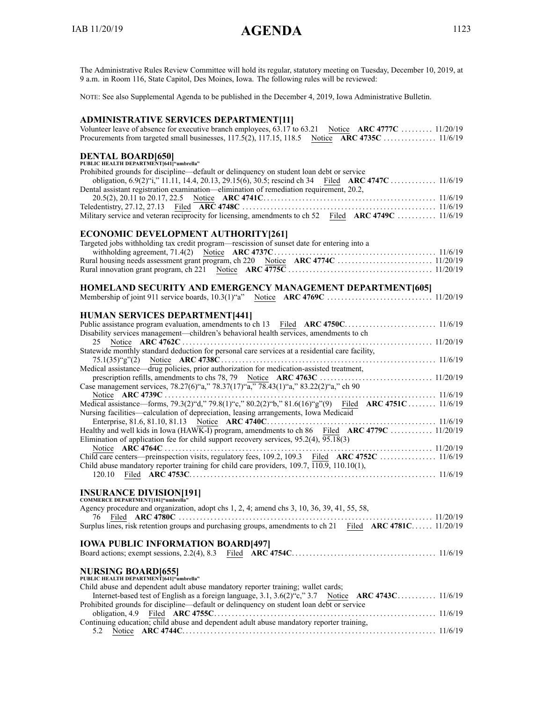<span id="page-4-0"></span>The Administrative Rules Review Committee will hold its regular, statutory meeting on Tuesday, December 10, 2019, at 9 a.m. in Room 116, State Capitol, Des Moines, Iowa. The following rules will be reviewed:

NOTE: See also Supplemental Agenda to be published in the December 4, 2019, Iowa Administrative Bulletin.

| <b>ADMINISTRATIVE SERVICES DEPARTMENT[11]</b>                                                                  |
|----------------------------------------------------------------------------------------------------------------|
| Volunteer leave of absence for executive branch employees, 63.17 to 63.21 Notice ARC 4777C  11/20/19           |
|                                                                                                                |
| <b>DENTAL BOARD[650]</b>                                                                                       |
| PUBLIC HEALTH DEPARTMENT[641]"umbrella"                                                                        |
| Prohibited grounds for discipline—default or delinquency on student loan debt or service                       |
|                                                                                                                |
| Dental assistant registration examination—elimination of remediation requirement, 20.2,                        |
|                                                                                                                |
| Military service and veteran reciprocity for licensing, amendments to ch 52 Filed ARC 4749C  11/6/19           |
|                                                                                                                |
| <b>ECONOMIC DEVELOPMENT AUTHORITY[261]</b>                                                                     |
| Targeted jobs withholding tax credit program-rescission of sunset date for entering into a                     |
|                                                                                                                |
|                                                                                                                |
|                                                                                                                |
|                                                                                                                |
|                                                                                                                |
| HOMELAND SECURITY AND EMERGENCY MANAGEMENT DEPARTMENT[605]                                                     |
|                                                                                                                |
| <b>HUMAN SERVICES DEPARTMENT[441]</b>                                                                          |
|                                                                                                                |
| Disability services management—children's behavioral health services, amendments to ch                         |
|                                                                                                                |
| Statewide monthly standard deduction for personal care services at a residential care facility,                |
|                                                                                                                |
| Medical assistance—drug policies, prior authorization for medication-assisted treatment,                       |
|                                                                                                                |
| Case management services, 78.27(6)"a," 78.37(17)"a," 78.43(1)"a," 83.22(2)"a," ch 90                           |
|                                                                                                                |
| Medical assistance—forms, 79.3(2)"d," 79.8(1)"c," 80.2(2)"b," 81.6(16)"g"(9) Filed ARC 4751C  11/6/19          |
| Nursing facilities—calculation of depreciation, leasing arrangements, Iowa Medicaid                            |
|                                                                                                                |
| Healthy and well kids in Iowa (HAWK-I) program, amendments to ch 86 Filed ARC 4779C  11/20/19                  |
| Elimination of application fee for child support recovery services, $95.2(4)$ , $\overline{95.18}(3)$          |
| Child care centers—preinspection visits, regulatory fees, 109.2, 109.3 Filed ARC 4752C  11/6/19                |
| Child abuse mandatory reporter training for child care providers, $109.7$ , $\overline{110.9}$ , $110.10(1)$ , |
| 120.10                                                                                                         |

# **INSURANCE DIVISION[191] COMMERCE DEPARTMENT[181]"umbrella"**

| Agency procedure and organization, adopt chs 1, 2, 4; amend chs 3, 10, 36, 39, 41, 55, 58,               |
|----------------------------------------------------------------------------------------------------------|
| Surplus lines, risk retention groups and purchasing groups, amendments to ch 21 Filed ARC 4781C 11/20/19 |
| <b>IOWA PUBLIC INFORMATION BOARD[497]</b>                                                                |
|                                                                                                          |
| NURSING BOARD[655]<br>PUBLIC HEALTH DEPARTMENT[641]"umbrella"                                            |
|                                                                                                          |
| Child abuse and dependent adult abuse mandatory reporter training; wallet cards;                         |
| Internet-based test of English as a foreign language, $3.1, 3.6(2)$ "c," $3.7$ Notice ARC 4743C 11/6/19  |
| Prohibited grounds for discipline—default or delinquency on student loan debt or service                 |
|                                                                                                          |
| Continuing education; child abuse and dependent adult abuse mandatory reporter training,                 |
|                                                                                                          |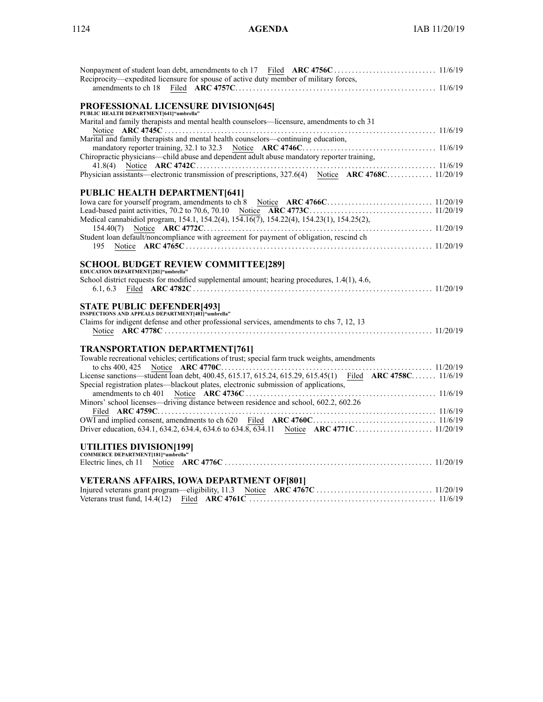| Reciprocity—expedited licensure for spouse of active duty member of military forces,                   |  |
|--------------------------------------------------------------------------------------------------------|--|
|                                                                                                        |  |
|                                                                                                        |  |
| PROFESSIONAL LICENSURE DIVISION[645]                                                                   |  |
| PUBLIC HEALTH DEPARTMENT[641] "umbrella"                                                               |  |
| Marital and family therapists and mental health counselors—licensure, amendments to ch 31              |  |
|                                                                                                        |  |
| Marital and family therapists and mental health counselors—continuing education,                       |  |
|                                                                                                        |  |
| Chiropractic physicians—child abuse and dependent adult abuse mandatory reporter training,             |  |
|                                                                                                        |  |
| Physician assistants—electronic transmission of prescriptions, 327.6(4) Notice ARC 4768C 11/20/19      |  |
|                                                                                                        |  |
|                                                                                                        |  |
| <b>PUBLIC HEALTH DEPARTMENT[641]</b>                                                                   |  |
|                                                                                                        |  |
|                                                                                                        |  |
| Medical cannabidiol program, 154.1, 154.2(4), 154.16(7), 154.22(4), 154.23(1), 154.25(2),              |  |
|                                                                                                        |  |
| Student loan default/noncompliance with agreement for payment of obligation, rescind ch                |  |
| 195                                                                                                    |  |
|                                                                                                        |  |
| <b>SCHOOL BUDGET REVIEW COMMITTEE[289]</b>                                                             |  |
| EDUCATION DEPARTMENT[281] "umbrella"                                                                   |  |
| School district requests for modified supplemental amount; hearing procedures, 1.4(1), 4.6,            |  |
|                                                                                                        |  |
|                                                                                                        |  |
| STATE PUBLIC DEFENDER[493]<br>INSPECTIONS AND APPEALS DEPARTMENT[481]"umbrella"                        |  |
|                                                                                                        |  |
| Claims for indigent defense and other professional services, amendments to chs 7, 12, 13               |  |
|                                                                                                        |  |
|                                                                                                        |  |
| <b>TRANSPORTATION DEPARTMENT[761]</b>                                                                  |  |
| Towable recreational vehicles; certifications of trust; special farm truck weights, amendments         |  |
|                                                                                                        |  |
| License sanctions—student loan debt, 400.45, 615.17, 615.24, 615.29, 615.45(1) Filed ARC 4758C 11/6/19 |  |
| Special registration plates—blackout plates, electronic submission of applications,                    |  |
|                                                                                                        |  |
| Minors' school licenses—driving distance between residence and school, 602.2, 602.26                   |  |
|                                                                                                        |  |
|                                                                                                        |  |
|                                                                                                        |  |
|                                                                                                        |  |
|                                                                                                        |  |
| UTILITIES DIVISION[199]<br>COMMERCE DEPARTMENT[181]"umbrella"                                          |  |
|                                                                                                        |  |
|                                                                                                        |  |
|                                                                                                        |  |
| <b>VETERANS AFFAIRS, IOWA DEPARTMENT OF [801]</b>                                                      |  |
|                                                                                                        |  |
|                                                                                                        |  |
|                                                                                                        |  |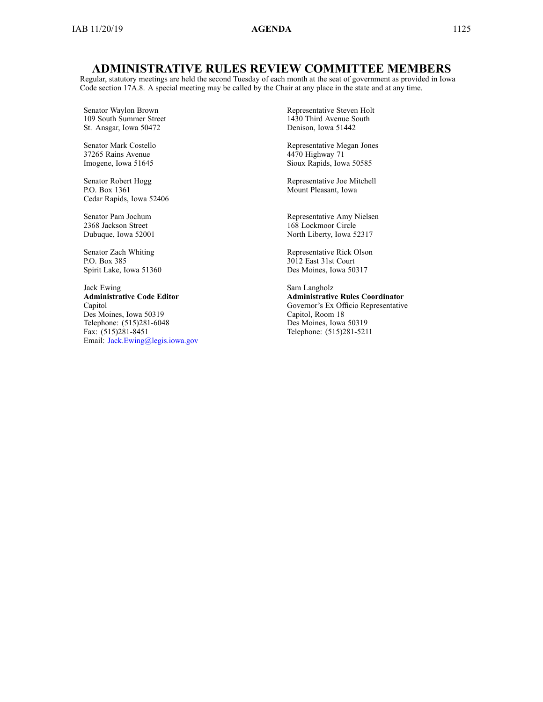# **ADMINISTRATIVE RULES REVIEW COMMITTEE MEMBERS**

Regular, statutory meetings are held the second Tuesday of each month at the seat of governmen<sup>t</sup> as provided in Iowa Code section [17A.8](https://www.legis.iowa.gov/docs/ico/section/17A.8.pdf). A special meeting may be called by the Chair at any place in the state and at any time.

Senator Waylon Brown 109 South Summer Street St. Ansgar, Iowa 50472

Senator Mark Costello 37265 Rains Avenue Imogene, Iowa 51645

Senator Robert Hogg P.O. Box 1361 Cedar Rapids, Iowa 52406

Senator Pam Jochum 2368 Jackson Street Dubuque, Iowa 52001

Senator Zach Whiting P.O. Box 385 Spirit Lake, Iowa 51360

Jack Ewing **Administrative Code Editor** Capitol Des Moines, Iowa 50319 Telephone: (515)281-6048 Fax: (515)281-8451 Email: [Jack.Ewing@legis.iowa.gov](mailto:Jack.Ewing@legis.iowa.gov) Representative Steven Holt 1430 Third Avenue South Denison, Iowa 51442

Representative Megan Jones 4470 Highway 71 Sioux Rapids, Iowa 50585

Representative Joe Mitchell Mount Pleasant, Iowa

Representative Amy Nielsen 168 Lockmoor Circle North Liberty, Iowa 52317

Representative Rick Olson 3012 East 31st Court Des Moines, Iowa 50317

Sam Langholz **Administrative Rules Coordinator** Governor's Ex Officio Representative Capitol, Room 18 Des Moines, Iowa 50319 Telephone: (515)281-5211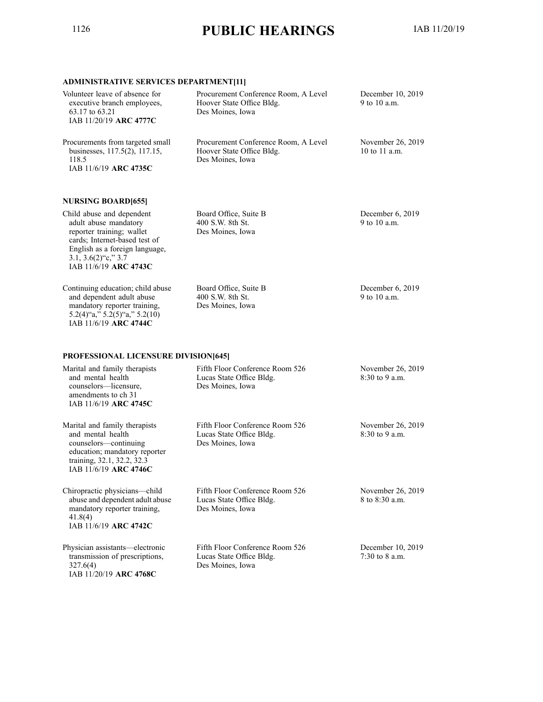# <span id="page-7-0"></span><sup>1126</sup> **PUBLIC HEARINGS** IAB 11/20/19

# **ADMINISTRATIVE SERVICES DEPARTMENT[11]**

| <b>INDIANITYL SERVICES DETAINTMENT[II]</b>                                                                                                                                                              |                                                                                       |                                       |
|---------------------------------------------------------------------------------------------------------------------------------------------------------------------------------------------------------|---------------------------------------------------------------------------------------|---------------------------------------|
| Volunteer leave of absence for<br>executive branch employees,<br>63.17 to 63.21<br>IAB 11/20/19 ARC 4777C                                                                                               | Procurement Conference Room, A Level<br>Hoover State Office Bldg.<br>Des Moines, Iowa | December 10, 2019<br>9 to 10 a.m.     |
| Procurements from targeted small<br>businesses, 117.5(2), 117.15,<br>118.5<br>IAB 11/6/19 ARC 4735C                                                                                                     | Procurement Conference Room, A Level<br>Hoover State Office Bldg.<br>Des Moines, Iowa | November 26, 2019<br>10 to 11 a.m.    |
| <b>NURSING BOARD[655]</b>                                                                                                                                                                               |                                                                                       |                                       |
| Child abuse and dependent<br>adult abuse mandatory<br>reporter training; wallet<br>cards; Internet-based test of<br>English as a foreign language,<br>$3.1, 3.6(2)$ "c," $3.7$<br>IAB 11/6/19 ARC 4743C | Board Office, Suite B<br>400 S.W. 8th St.<br>Des Moines, Iowa                         | December 6, 2019<br>9 to 10 a.m.      |
| Continuing education; child abuse<br>and dependent adult abuse<br>mandatory reporter training,<br>$5.2(4)$ "a," $5.2(5)$ "a," $5.2(10)$<br>IAB 11/6/19 ARC 4744C                                        | Board Office, Suite B<br>400 S.W. 8th St.<br>Des Moines, Iowa                         | December 6, 2019<br>9 to 10 a.m.      |
| <b>PROFESSIONAL LICENSURE DIVISION[645]</b>                                                                                                                                                             |                                                                                       |                                       |
| Marital and family therapists<br>and mental health<br>counselors-licensure,<br>amendments to ch 31<br>IAB 11/6/19 ARC 4745C                                                                             | Fifth Floor Conference Room 526<br>Lucas State Office Bldg.<br>Des Moines, Iowa       | November 26, 2019<br>$8:30$ to 9 a.m. |
| Marital and family therapists<br>and mental health<br>counselors-continuing<br>education; mandatory reporter<br>training, 32.1, 32.2, 32.3<br>IAB 11/6/19 ARC 4746C                                     | Fifth Floor Conference Room 526<br>Lucas State Office Bldg.<br>Des Moines, Iowa       | November 26, 2019<br>8:30 to 9 a.m.   |
| Chiropractic physicians-child<br>abuse and dependent adult abuse<br>mandatory reporter training,<br>41.8(4)<br>IAB 11/6/19 ARC 4742C                                                                    | Fifth Floor Conference Room 526<br>Lucas State Office Bldg.<br>Des Moines, Iowa       | November 26, 2019<br>8 to 8:30 a.m.   |
| Physician assistants—electronic<br>transmission of prescriptions,<br>327.6(4)<br>IAB 11/20/19 ARC 4768C                                                                                                 | Fifth Floor Conference Room 526<br>Lucas State Office Bldg.<br>Des Moines, Iowa       | December 10, 2019<br>$7:30$ to 8 a.m. |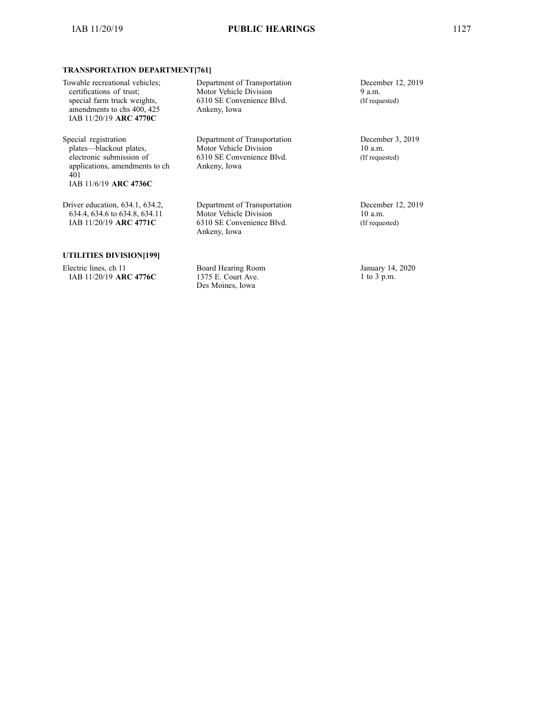Department of Transportation Motor Vehicle Division 6310 SE Convenience Blvd.

Department of Transportation Motor Vehicle Division 6310 SE Convenience Blvd.

Department of Transportation Motor Vehicle Division 6310 SE Convenience Blvd.

Ankeny, Iowa

Ankeny, Iowa

Ankeny, Iowa

#### **TRANSPORTATION DEPARTMENT[761]**

Special registration plates—blackout plates, electronic submission of applications, amendments to ch 401 IAB 11/6/19 **ARC 4736C**

Driver education, 634.1, 634.2, 634.4, 634.6 to 634.8, 634.11 IAB 11/20/19 **ARC 4771C**

#### **UTILITIES DIVISION[199]**

Electric lines, ch 11 IAB 11/20/19 **ARC 4776C** Board Hearing Room 1375 E. Court Ave. Des Moines, Iowa

December 12, 2019 9 a.m. (If requested)

December 3, 2019 10 a.m. (If requested)

December 12, 2019 10 a.m. (If requested)

January 14, 2020 1 to 3 p.m.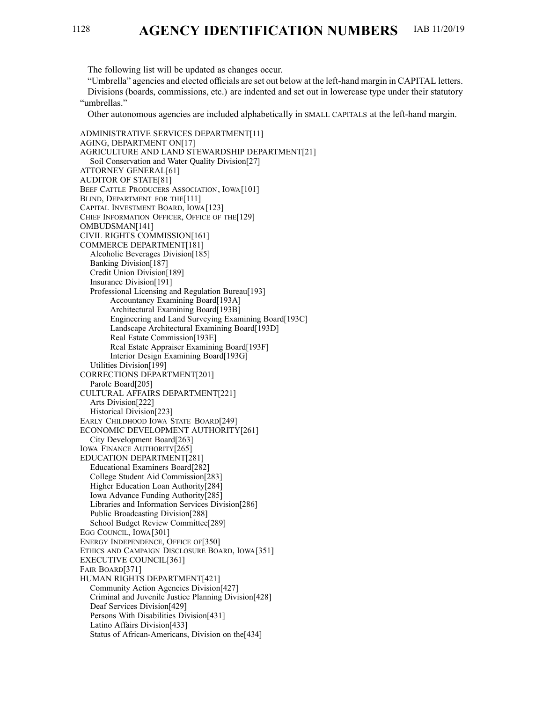<span id="page-9-0"></span>The following list will be updated as changes occur.

"Umbrella" agencies and elected officials are set out below at the left-hand margin in CAPITAL letters. Divisions (boards, commissions, etc.) are indented and set out in lowercase type under their statutory "umbrellas."

Other autonomous agencies are included alphabetically in SMALL CAPITALS at the left-hand margin.

ADMINISTRATIVE SERVICES DEPARTMENT[11] AGING, DEPARTMENT ON[17] AGRICULTURE AND LAND STEWARDSHIP DEPARTMENT[21] Soil Conservation and Water Quality Division[27] ATTORNEY GENERAL[61] AUDITOR OF STATE[81] BEEF CATTLE PRODUCERS ASSOCIATION, IOWA[101] BLIND, DEPARTMENT FOR THE<sup>[111]</sup> CAPITAL INVESTMENT BOARD, IOWA[123] CHIEF INFORMATION OFFICER, OFFICE OF THE[129] OMBUDSMAN[141] CIVIL RIGHTS COMMISSION[161] COMMERCE DEPARTMENT[181] Alcoholic Beverages Division[185] Banking Division[187] Credit Union Division[189] Insurance Division[191] Professional Licensing and Regulation Bureau[193] Accountancy Examining Board[193A] Architectural Examining Board[193B] Engineering and Land Surveying Examining Board[193C] Landscape Architectural Examining Board[193D] Real Estate Commission[193E] Real Estate Appraiser Examining Board[193F] Interior Design Examining Board[193G] Utilities Division[199] CORRECTIONS DEPARTMENT[201] Parole Board[205] CULTURAL AFFAIRS DEPARTMENT[221] Arts Division[222] Historical Division[223] EARLY CHILDHOOD IOWA STATE BOARD[249] ECONOMIC DEVELOPMENT AUTHORITY[261] City Development Board[263] IOWA FINANCE AUTHORITY[265] EDUCATION DEPARTMENT[281] Educational Examiners Board[282] College Student Aid Commission[283] Higher Education Loan Authority[284] Iowa Advance Funding Authority[285] Libraries and Information Services Division[286] Public Broadcasting Division[288] School Budget Review Committee[289] EGG COUNCIL, IOWA[301] ENERGY INDEPENDENCE, OFFICE OF[350] ETHICS AND CAMPAIGN DISCLOSURE BOARD, IOWA[351] EXECUTIVE COUNCIL[361] FAIR BOARD[371] HUMAN RIGHTS DEPARTMENT[421] Community Action Agencies Division[427] Criminal and Juvenile Justice Planning Division[428] Deaf Services Division[429] Persons With Disabilities Division[431] Latino Affairs Division[433] Status of African-Americans, Division on the[434]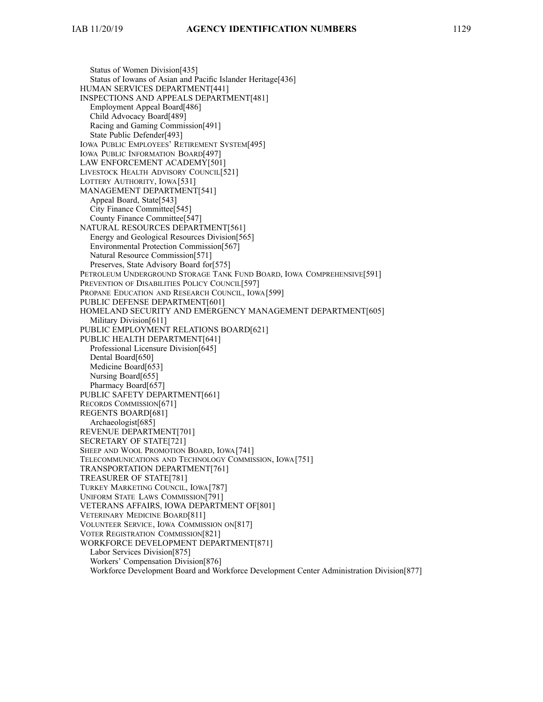Status of Women Division[435] Status of Iowans of Asian and Pacific Islander Heritage<sup>[436]</sup> HUMAN SERVICES DEPARTMENT[441] INSPECTIONS AND APPEALS DEPARTMENT[481] Employment Appeal Board[486] Child Advocacy Board[489] Racing and Gaming Commission[491] State Public Defender[493] IOWA PUBLIC EMPLOYEES' RETIREMENT SYSTEM[495] IOWA PUBLIC INFORMATION BOARD[497] LAW ENFORCEMENT ACADEMY[501] LIVESTOCK HEALTH ADVISORY COUNCIL[521] LOTTERY AUTHORITY, IOWA[531] MANAGEMENT DEPARTMENT[541] Appeal Board, State[543] City Finance Committee[545] County Finance Committee[547] NATURAL RESOURCES DEPARTMENT[561] Energy and Geological Resources Division[565] Environmental Protection Commission[567] Natural Resource Commission[571] Preserves, State Advisory Board for[575] PETROLEUM UNDERGROUND STORAGE TANK FUND BOARD, IOWA COMPREHENSIVE[591] PREVENTION OF DISABILITIES POLICY COUNCIL[597] PROPANE EDUCATION AND RESEARCH COUNCIL, IOWA[599] PUBLIC DEFENSE DEPARTMENT[601] HOMELAND SECURITY AND EMERGENCY MANAGEMENT DEPARTMENT[605] Military Division[611] PUBLIC EMPLOYMENT RELATIONS BOARD[621] PUBLIC HEALTH DEPARTMENT[641] Professional Licensure Division[645] Dental Board[650] Medicine Board[653] Nursing Board[655] Pharmacy Board[657] PUBLIC SAFETY DEPARTMENT[661] RECORDS COMMISSION[671] REGENTS BOARD[681] Archaeologist[685] REVENUE DEPARTMENT[701] SECRETARY OF STATE[721] SHEEP AND WOOL PROMOTION BOARD, IOWA[741] TELECOMMUNICATIONS AND TECHNOLOGY COMMISSION, IOWA[751] TRANSPORTATION DEPARTMENT[761] TREASURER OF STATE[781] TURKEY MARKETING COUNCIL, IOWA[787] UNIFORM STATE LAWS COMMISSION[791] VETERANS AFFAIRS, IOWA DEPARTMENT OF[801] VETERINARY MEDICINE BOARD[811] VOLUNTEER SERVICE, IOWA COMMISSION ON[817] VOTER REGISTRATION COMMISSION[821] WORKFORCE DEVELOPMENT DEPARTMENT[871] Labor Services Division[875] Workers' Compensation Division[876] Workforce Development Board and Workforce Development Center Administration Division[877]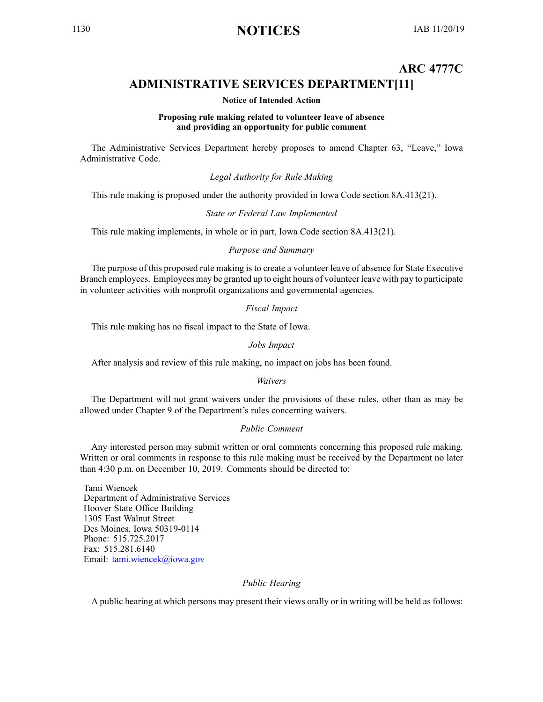# <span id="page-11-0"></span><sup>1130</sup> **NOTICES** IAB 11/20/19

# **ARC 4777C ADMINISTRATIVE SERVICES DEPARTMENT[11]**

#### **Notice of Intended Action**

#### **Proposing rule making related to volunteer leave of absence and providing an opportunity for public comment**

The Administrative Services Department hereby proposes to amend Chapter 63, "Leave," Iowa Administrative Code.

*Legal Authority for Rule Making*

This rule making is proposed under the authority provided in Iowa Code section 8A.413(21).

#### *State or Federal Law Implemented*

This rule making implements, in whole or in part, Iowa Code section 8A.413(21).

### *Purpose and Summary*

The purpose of this proposed rule making is to create <sup>a</sup> volunteer leave of absence for State Executive Branch employees. Employees may be granted up to eight hours of volunteer leave with pay to participate in volunteer activities with nonprofit organizations and governmental agencies.

#### *Fiscal Impact*

This rule making has no fiscal impact to the State of Iowa.

#### *Jobs Impact*

After analysis and review of this rule making, no impact on jobs has been found.

#### *Waivers*

The Department will not gran<sup>t</sup> waivers under the provisions of these rules, other than as may be allowed under Chapter 9 of the Department's rules concerning waivers.

#### *Public Comment*

Any interested person may submit written or oral comments concerning this proposed rule making. Written or oral comments in response to this rule making must be received by the Department no later than 4:30 p.m. on December 10, 2019. Comments should be directed to:

Tami Wiencek Department of Administrative Services Hoover State Office Building 1305 East Walnut Street Des Moines, Iowa 50319-0114 Phone: 515.725.2017 Fax: 515.281.6140 Email: [tami.wiencek@iowa.gov](mailto:tami.wiencek@iowa.gov)

#### *Public Hearing*

A public hearing at which persons may presen<sup>t</sup> their views orally or in writing will be held as follows: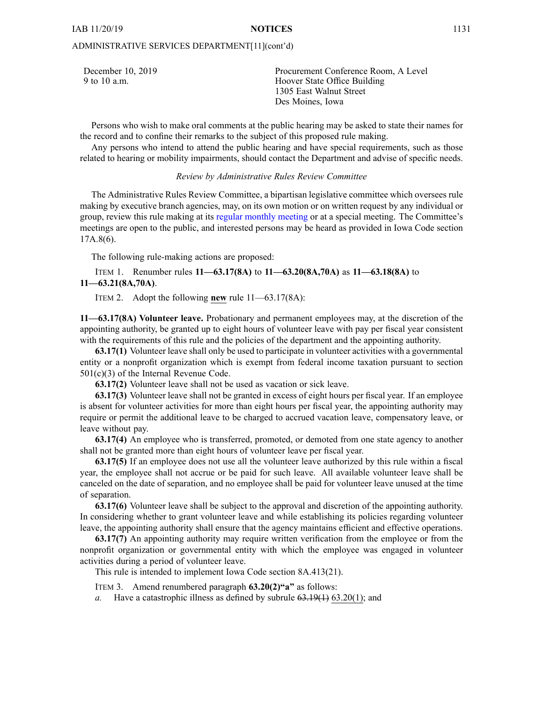#### ADMINISTRATIVE SERVICES DEPARTMENT[11](cont'd)

| December 10, 2019<br>9 to 10 a.m. | Procurement Conference Room, A Level<br>Hoover State Office Building |
|-----------------------------------|----------------------------------------------------------------------|
|                                   | 1305 East Walnut Street                                              |
|                                   | Des Moines, Iowa                                                     |

Persons who wish to make oral comments at the public hearing may be asked to state their names for the record and to confine their remarks to the subject of this proposed rule making.

Any persons who intend to attend the public hearing and have special requirements, such as those related to hearing or mobility impairments, should contact the Department and advise of specific needs.

#### *Review by Administrative Rules Review Committee*

The Administrative Rules Review Committee, <sup>a</sup> bipartisan legislative committee which oversees rule making by executive branch agencies, may, on its own motion or on written reques<sup>t</sup> by any individual or group, review this rule making at its regular [monthly](https://www.legis.iowa.gov/committees/meetings/meetingsListComm?groupID=705&ga=88) meeting or at <sup>a</sup> special meeting. The Committee's meetings are open to the public, and interested persons may be heard as provided in Iowa Code section 17A.8(6).

The following rule-making actions are proposed:

ITEM 1. Renumber rules **11—63.17(8A)** to **11—63.20(8A,70A)** as **11—63.18(8A)** to **11—63.21(8A,70A)**.

ITEM 2. Adopt the following **new** rule 11—63.17(8A):

**11—63.17(8A) Volunteer leave.** Probationary and permanen<sup>t</sup> employees may, at the discretion of the appointing authority, be granted up to eight hours of volunteer leave with pay per fiscal year consistent with the requirements of this rule and the policies of the department and the appointing authority.

**63.17(1)** Volunteer leave shall only be used to participate in volunteer activities with <sup>a</sup> governmental entity or <sup>a</sup> nonprofit organization which is exemp<sup>t</sup> from federal income taxation pursuan<sup>t</sup> to section 501(c)(3) of the Internal Revenue Code.

**63.17(2)** Volunteer leave shall not be used as vacation or sick leave.

**63.17(3)** Volunteer leave shall not be granted in excess of eight hours per fiscal year. If an employee is absent for volunteer activities for more than eight hours per fiscal year, the appointing authority may require or permit the additional leave to be charged to accrued vacation leave, compensatory leave, or leave without pay.

**63.17(4)** An employee who is transferred, promoted, or demoted from one state agency to another shall not be granted more than eight hours of volunteer leave per fiscal year.

**63.17(5)** If an employee does not use all the volunteer leave authorized by this rule within <sup>a</sup> fiscal year, the employee shall not accrue or be paid for such leave. All available volunteer leave shall be canceled on the date of separation, and no employee shall be paid for volunteer leave unused at the time of separation.

**63.17(6)** Volunteer leave shall be subject to the approval and discretion of the appointing authority. In considering whether to gran<sup>t</sup> volunteer leave and while establishing its policies regarding volunteer leave, the appointing authority shall ensure that the agency maintains efficient and effective operations.

**63.17(7)** An appointing authority may require written verification from the employee or from the nonprofit organization or governmental entity with which the employee was engaged in volunteer activities during <sup>a</sup> period of volunteer leave.

This rule is intended to implement Iowa Code section [8A.413\(21\)](https://www.legis.iowa.gov/docs/ico/section/8A.413.pdf).

ITEM 3. Amend renumbered paragraph **63.20(2)"a"** as follows:

*a.* Have <sup>a</sup> catastrophic illness as defined by subrule 63.19(1) 63.20(1); and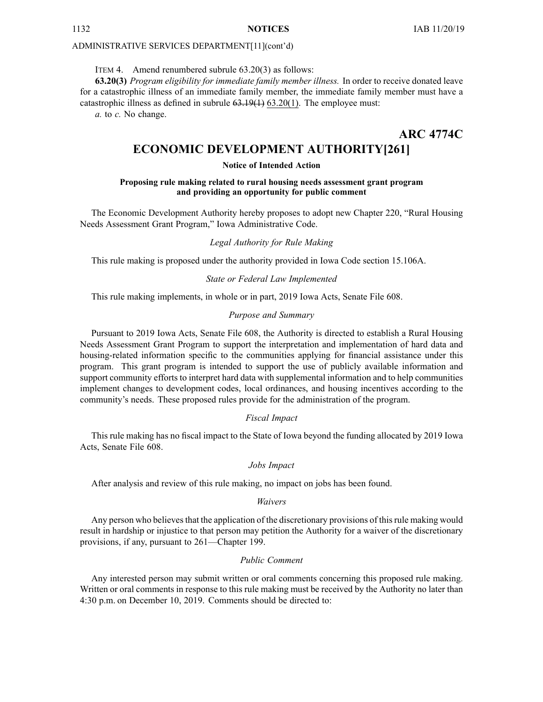#### <span id="page-13-0"></span>ADMINISTRATIVE SERVICES DEPARTMENT[11](cont'd)

#### ITEM 4. Amend renumbered subrule 63.20(3) as follows:

**63.20(3)** *Program eligibility for immediate family member illness.* In order to receive donated leave for <sup>a</sup> catastrophic illness of an immediate family member, the immediate family member must have <sup>a</sup> catastrophic illness as defined in subrule  $63.19(1)$  63.20(1). The employee must:

*a.* to *c.* No change.

**ARC 4774C**

# **ECONOMIC DEVELOPMENT AUTHORITY[261]**

#### **Notice of Intended Action**

#### **Proposing rule making related to rural housing needs assessment grant program and providing an opportunity for public comment**

The Economic Development Authority hereby proposes to adopt new Chapter 220, "Rural Housing Needs Assessment Grant Program," Iowa Administrative Code.

#### *Legal Authority for Rule Making*

This rule making is proposed under the authority provided in Iowa Code section 15.106A.

#### *State or Federal Law Implemented*

This rule making implements, in whole or in part, 2019 Iowa Acts, Senate File 608.

#### *Purpose and Summary*

Pursuant to 2019 Iowa Acts, Senate File 608, the Authority is directed to establish <sup>a</sup> Rural Housing Needs Assessment Grant Program to suppor<sup>t</sup> the interpretation and implementation of hard data and housing-related information specific to the communities applying for financial assistance under this program. This gran<sup>t</sup> program is intended to suppor<sup>t</sup> the use of publicly available information and suppor<sup>t</sup> community efforts to interpret hard data with supplemental information and to help communities implement changes to development codes, local ordinances, and housing incentives according to the community's needs. These proposed rules provide for the administration of the program.

#### *Fiscal Impact*

This rule making has no fiscal impact to the State of Iowa beyond the funding allocated by 2019 Iowa Acts, Senate File 608.

#### *Jobs Impact*

After analysis and review of this rule making, no impact on jobs has been found.

#### *Waivers*

Any person who believes that the application of the discretionary provisions of this rule making would result in hardship or injustice to that person may petition the Authority for <sup>a</sup> waiver of the discretionary provisions, if any, pursuan<sup>t</sup> to 261—Chapter 199.

#### *Public Comment*

Any interested person may submit written or oral comments concerning this proposed rule making. Written or oral comments in response to this rule making must be received by the Authority no later than 4:30 p.m. on December 10, 2019. Comments should be directed to: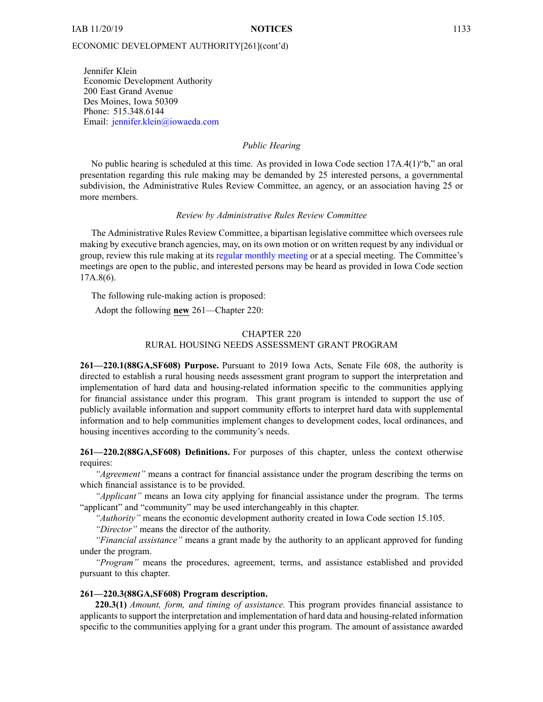Jennifer Klein Economic Development Authority 200 East Grand Avenue Des Moines, Iowa 50309 Phone: 515.348.6144 Email: [jennifer.klein@iowaeda.com](mailto:jennifer.klein@iowaeda.com)

#### *Public Hearing*

No public hearing is scheduled at this time. As provided in Iowa Code section 17A.4(1)"b," an oral presentation regarding this rule making may be demanded by 25 interested persons, <sup>a</sup> governmental subdivision, the Administrative Rules Review Committee, an agency, or an association having 25 or more members.

#### *Review by Administrative Rules Review Committee*

The Administrative Rules Review Committee, <sup>a</sup> bipartisan legislative committee which oversees rule making by executive branch agencies, may, on its own motion or on written reques<sup>t</sup> by any individual or group, review this rule making at its regular [monthly](https://www.legis.iowa.gov/committees/meetings/meetingsListComm?groupID=705&ga=88) meeting or at <sup>a</sup> special meeting. The Committee's meetings are open to the public, and interested persons may be heard as provided in Iowa Code section 17A.8(6).

The following rule-making action is proposed:

Adopt the following **new** 261—Chapter 220:

#### CHAPTER 220

#### RURAL HOUSING NEEDS ASSESSMENT GRANT PROGRAM

**261—220.1(88GA,SF608) Purpose.** Pursuant to 2019 Iowa Acts, Senate File 608, the authority is directed to establish <sup>a</sup> rural housing needs assessment gran<sup>t</sup> program to suppor<sup>t</sup> the interpretation and implementation of hard data and housing-related information specific to the communities applying for financial assistance under this program. This gran<sup>t</sup> program is intended to suppor<sup>t</sup> the use of publicly available information and suppor<sup>t</sup> community efforts to interpret hard data with supplemental information and to help communities implement changes to development codes, local ordinances, and housing incentives according to the community's needs.

**261—220.2(88GA,SF608) Definitions.** For purposes of this chapter, unless the context otherwise requires:

*"Agreement"* means <sup>a</sup> contract for financial assistance under the program describing the terms on which financial assistance is to be provided.

*"Applicant"* means an Iowa city applying for financial assistance under the program. The terms "applicant" and "community" may be used interchangeably in this chapter.

*"Authority"* means the economic development authority created in Iowa Code section [15.105](https://www.legis.iowa.gov/docs/ico/section/15.105.pdf).

*"Director"* means the director of the authority.

*"Financial assistance"* means <sup>a</sup> gran<sup>t</sup> made by the authority to an applicant approved for funding under the program.

*"Program"* means the procedures, agreement, terms, and assistance established and provided pursuan<sup>t</sup> to this chapter.

#### **261—220.3(88GA,SF608) Program description.**

**220.3(1)** *Amount, form, and timing of assistance.* This program provides financial assistance to applicants to suppor<sup>t</sup> the interpretation and implementation of hard data and housing-related information specific to the communities applying for <sup>a</sup> gran<sup>t</sup> under this program. The amount of assistance awarded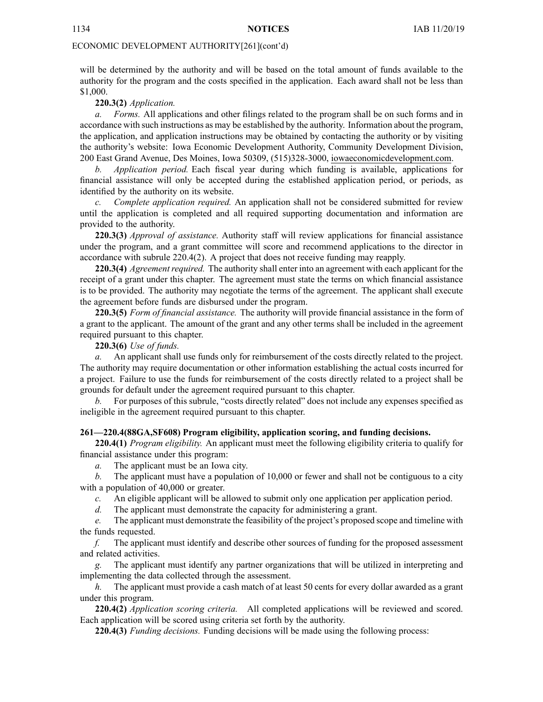will be determined by the authority and will be based on the total amount of funds available to the authority for the program and the costs specified in the application. Each award shall not be less than \$1,000.

**220.3(2)** *Application.*

*a. Forms.* All applications and other filings related to the program shall be on such forms and in accordance with such instructions as may be established by the authority. Information about the program, the application, and application instructions may be obtained by contacting the authority or by visiting the authority's website: Iowa Economic Development Authority, Community Development Division, 200 East Grand Avenue, Des Moines, Iowa 50309, (515)328-3000, [iowaeconomicdevelopment.com](http://iowaeconomicdevelopment.com).

*b. Application period.* Each fiscal year during which funding is available, applications for financial assistance will only be accepted during the established application period, or periods, as identified by the authority on its website.

*c. Complete application required.* An application shall not be considered submitted for review until the application is completed and all required supporting documentation and information are provided to the authority.

**220.3(3)** *Approval of assistance.* Authority staff will review applications for financial assistance under the program, and <sup>a</sup> gran<sup>t</sup> committee will score and recommend applications to the director in accordance with subrule 220.4(2). A project that does not receive funding may reapply.

**220.3(4)** *Agreement required.* The authority shall enter into an agreement with each applicant for the receipt of <sup>a</sup> gran<sup>t</sup> under this chapter. The agreemen<sup>t</sup> must state the terms on which financial assistance is to be provided. The authority may negotiate the terms of the agreement. The applicant shall execute the agreemen<sup>t</sup> before funds are disbursed under the program.

**220.3(5)** *Form of financial assistance.* The authority will provide financial assistance in the form of <sup>a</sup> gran<sup>t</sup> to the applicant. The amount of the gran<sup>t</sup> and any other terms shall be included in the agreemen<sup>t</sup> required pursuan<sup>t</sup> to this chapter.

**220.3(6)** *Use of funds.*

*a.* An applicant shall use funds only for reimbursement of the costs directly related to the project. The authority may require documentation or other information establishing the actual costs incurred for <sup>a</sup> project. Failure to use the funds for reimbursement of the costs directly related to <sup>a</sup> project shall be grounds for default under the agreemen<sup>t</sup> required pursuan<sup>t</sup> to this chapter.

*b.* For purposes of this subrule, "costs directly related" does not include any expenses specified as ineligible in the agreemen<sup>t</sup> required pursuan<sup>t</sup> to this chapter.

#### **261—220.4(88GA,SF608) Program eligibility, application scoring, and funding decisions.**

**220.4(1)** *Program eligibility.* An applicant must meet the following eligibility criteria to qualify for financial assistance under this program:

*a.* The applicant must be an Iowa city.

*b.* The applicant must have <sup>a</sup> population of 10,000 or fewer and shall not be contiguous to <sup>a</sup> city with <sup>a</sup> population of 40,000 or greater.

*c.* An eligible applicant will be allowed to submit only one application per application period.

*d.* The applicant must demonstrate the capacity for administering <sup>a</sup> grant.

*e.* The applicant must demonstrate the feasibility of the project's proposed scope and timeline with the funds requested.

*f.* The applicant must identify and describe other sources of funding for the proposed assessment and related activities.

*g.* The applicant must identify any partner organizations that will be utilized in interpreting and implementing the data collected through the assessment.

*h.* The applicant must provide <sup>a</sup> cash match of at least 50 cents for every dollar awarded as <sup>a</sup> gran<sup>t</sup> under this program.

**220.4(2)** *Application scoring criteria.* All completed applications will be reviewed and scored. Each application will be scored using criteria set forth by the authority.

**220.4(3)** *Funding decisions.* Funding decisions will be made using the following process: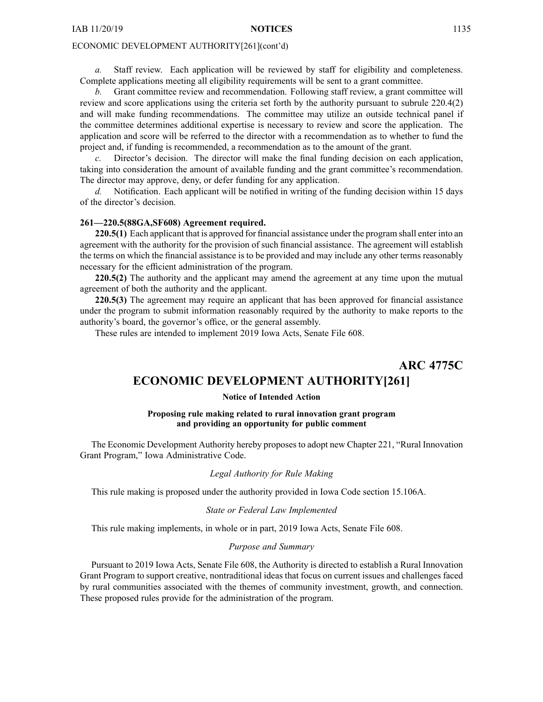<span id="page-16-0"></span>*a.* Staff review. Each application will be reviewed by staff for eligibility and completeness. Complete applications meeting all eligibility requirements will be sent to <sup>a</sup> gran<sup>t</sup> committee.

*b.* Grant committee review and recommendation. Following staff review, <sup>a</sup> gran<sup>t</sup> committee will review and score applications using the criteria set forth by the authority pursuan<sup>t</sup> to subrule 220.4(2) and will make funding recommendations. The committee may utilize an outside technical panel if the committee determines additional expertise is necessary to review and score the application. The application and score will be referred to the director with <sup>a</sup> recommendation as to whether to fund the project and, if funding is recommended, <sup>a</sup> recommendation as to the amount of the grant.

*c.* Director's decision. The director will make the final funding decision on each application, taking into consideration the amount of available funding and the gran<sup>t</sup> committee's recommendation. The director may approve, deny, or defer funding for any application.

*d.* Notification. Each applicant will be notified in writing of the funding decision within 15 days of the director's decision.

#### **261—220.5(88GA,SF608) Agreement required.**

**220.5(1)** Each applicant that is approved for financial assistance under the program shall enter into an agreemen<sup>t</sup> with the authority for the provision of such financial assistance. The agreemen<sup>t</sup> will establish the terms on which the financial assistance is to be provided and may include any other terms reasonably necessary for the efficient administration of the program.

**220.5(2)** The authority and the applicant may amend the agreemen<sup>t</sup> at any time upon the mutual agreemen<sup>t</sup> of both the authority and the applicant.

**220.5(3)** The agreemen<sup>t</sup> may require an applicant that has been approved for financial assistance under the program to submit information reasonably required by the authority to make reports to the authority's board, the governor's office, or the general assembly.

These rules are intended to implement 2019 Iowa Acts, Senate File 608.

**ARC 4775C**

# **ECONOMIC DEVELOPMENT AUTHORITY[261]**

#### **Notice of Intended Action**

#### **Proposing rule making related to rural innovation grant program and providing an opportunity for public comment**

The Economic Development Authority hereby proposesto adopt new Chapter 221, "Rural Innovation Grant Program," Iowa Administrative Code.

#### *Legal Authority for Rule Making*

This rule making is proposed under the authority provided in Iowa Code section 15.106A.

#### *State or Federal Law Implemented*

This rule making implements, in whole or in part, 2019 Iowa Acts, Senate File 608.

#### *Purpose and Summary*

Pursuant to 2019 Iowa Acts, Senate File 608, the Authority is directed to establish <sup>a</sup> Rural Innovation Grant Program to suppor<sup>t</sup> creative, nontraditional ideas that focus on current issues and challenges faced by rural communities associated with the themes of community investment, growth, and connection. These proposed rules provide for the administration of the program.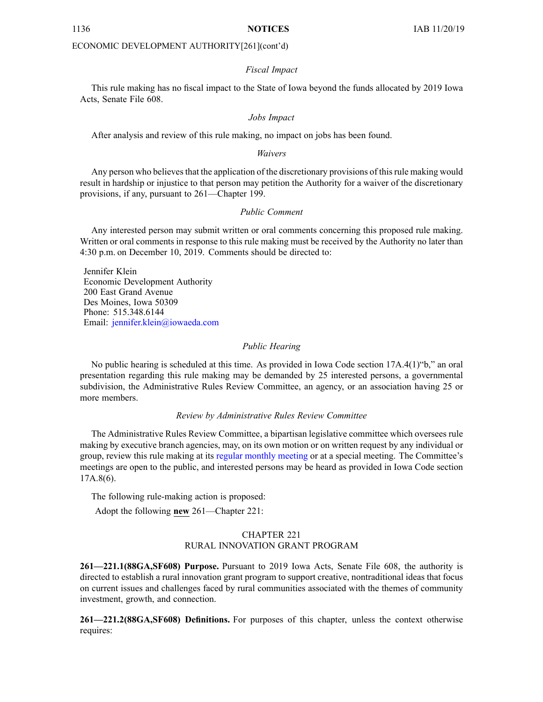#### *Fiscal Impact*

This rule making has no fiscal impact to the State of Iowa beyond the funds allocated by 2019 Iowa Acts, Senate File 608.

#### *Jobs Impact*

After analysis and review of this rule making, no impact on jobs has been found.

#### *Waivers*

Any person who believes that the application of the discretionary provisions of this rule making would result in hardship or injustice to that person may petition the Authority for <sup>a</sup> waiver of the discretionary provisions, if any, pursuan<sup>t</sup> to 261—Chapter 199.

#### *Public Comment*

Any interested person may submit written or oral comments concerning this proposed rule making. Written or oral comments in response to this rule making must be received by the Authority no later than 4:30 p.m. on December 10, 2019. Comments should be directed to:

Jennifer Klein Economic Development Authority 200 East Grand Avenue Des Moines, Iowa 50309 Phone: 515.348.6144 Email: [jennifer.klein@iowaeda.com](mailto:jennifer.klein@iowaeda.com)

#### *Public Hearing*

No public hearing is scheduled at this time. As provided in Iowa Code section 17A.4(1)"b," an oral presentation regarding this rule making may be demanded by 25 interested persons, <sup>a</sup> governmental subdivision, the Administrative Rules Review Committee, an agency, or an association having 25 or more members.

#### *Review by Administrative Rules Review Committee*

The Administrative Rules Review Committee, <sup>a</sup> bipartisan legislative committee which oversees rule making by executive branch agencies, may, on its own motion or on written reques<sup>t</sup> by any individual or group, review this rule making at its regular [monthly](https://www.legis.iowa.gov/committees/meetings/meetingsListComm?groupID=705&ga=88) meeting or at <sup>a</sup> special meeting. The Committee's meetings are open to the public, and interested persons may be heard as provided in Iowa Code section 17A.8(6).

The following rule-making action is proposed:

Adopt the following **new** 261—Chapter 221:

#### CHAPTER 221 RURAL INNOVATION GRANT PROGRAM

**261—221.1(88GA,SF608) Purpose.** Pursuant to 2019 Iowa Acts, Senate File 608, the authority is directed to establish <sup>a</sup> rural innovation gran<sup>t</sup> program to suppor<sup>t</sup> creative, nontraditional ideas that focus on current issues and challenges faced by rural communities associated with the themes of community investment, growth, and connection.

**261—221.2(88GA,SF608) Definitions.** For purposes of this chapter, unless the context otherwise requires: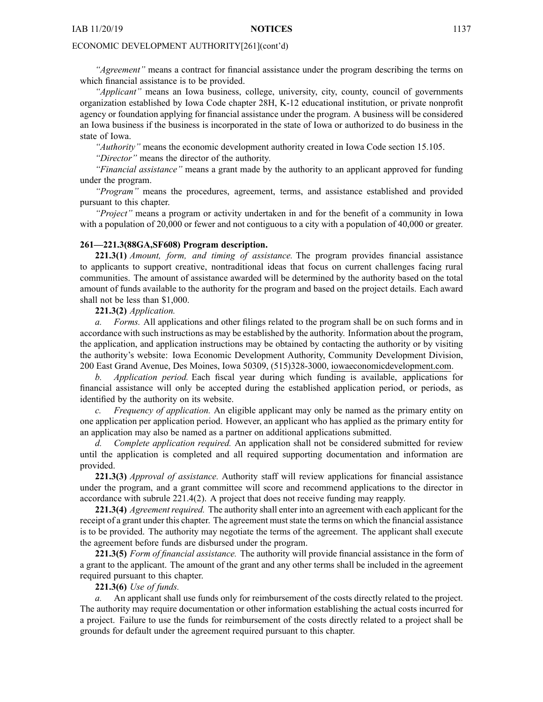*"Agreement"* means <sup>a</sup> contract for financial assistance under the program describing the terms on which financial assistance is to be provided.

*"Applicant"* means an Iowa business, college, university, city, county, council of governments organization established by Iowa Code chapter [28H](https://www.legis.iowa.gov/docs/ico/chapter/28H.pdf), K-12 educational institution, or private nonprofit agency or foundation applying for financial assistance under the program. A business will be considered an Iowa business if the business is incorporated in the state of Iowa or authorized to do business in the state of Iowa.

*"Authority"* means the economic development authority created in Iowa Code section [15.105](https://www.legis.iowa.gov/docs/ico/section/15.105.pdf).

*"Director"* means the director of the authority.

*"Financial assistance"* means <sup>a</sup> gran<sup>t</sup> made by the authority to an applicant approved for funding under the program.

*"Program"* means the procedures, agreement, terms, and assistance established and provided pursuan<sup>t</sup> to this chapter.

*"Project"* means <sup>a</sup> program or activity undertaken in and for the benefit of <sup>a</sup> community in Iowa with <sup>a</sup> population of 20,000 or fewer and not contiguous to <sup>a</sup> city with <sup>a</sup> population of 40,000 or greater.

#### **261—221.3(88GA,SF608) Program description.**

**221.3(1)** *Amount, form, and timing of assistance.* The program provides financial assistance to applicants to suppor<sup>t</sup> creative, nontraditional ideas that focus on current challenges facing rural communities. The amount of assistance awarded will be determined by the authority based on the total amount of funds available to the authority for the program and based on the project details. Each award shall not be less than \$1,000.

**221.3(2)** *Application.*

*a. Forms.* All applications and other filings related to the program shall be on such forms and in accordance with such instructions as may be established by the authority. Information about the program, the application, and application instructions may be obtained by contacting the authority or by visiting the authority's website: Iowa Economic Development Authority, Community Development Division, 200 East Grand Avenue, Des Moines, Iowa 50309, (515)328-3000, [iowaeconomicdevelopment.com](http://iowaeconomicdevelopment.com).

*b. Application period.* Each fiscal year during which funding is available, applications for financial assistance will only be accepted during the established application period, or periods, as identified by the authority on its website.

*c. Frequency of application.* An eligible applicant may only be named as the primary entity on one application per application period. However, an applicant who has applied as the primary entity for an application may also be named as <sup>a</sup> partner on additional applications submitted.

*d. Complete application required.* An application shall not be considered submitted for review until the application is completed and all required supporting documentation and information are provided.

**221.3(3)** *Approval of assistance.* Authority staff will review applications for financial assistance under the program, and <sup>a</sup> gran<sup>t</sup> committee will score and recommend applications to the director in accordance with subrule 221.4(2). A project that does not receive funding may reapply.

**221.3(4)** *Agreement required.* The authority shall enter into an agreement with each applicant for the receipt of <sup>a</sup> gran<sup>t</sup> under this chapter. The agreemen<sup>t</sup> muststate the terms on which the financial assistance is to be provided. The authority may negotiate the terms of the agreement. The applicant shall execute the agreemen<sup>t</sup> before funds are disbursed under the program.

**221.3(5)** *Form of financial assistance.* The authority will provide financial assistance in the form of <sup>a</sup> gran<sup>t</sup> to the applicant. The amount of the gran<sup>t</sup> and any other terms shall be included in the agreemen<sup>t</sup> required pursuan<sup>t</sup> to this chapter.

#### **221.3(6)** *Use of funds.*

*a.* An applicant shall use funds only for reimbursement of the costs directly related to the project. The authority may require documentation or other information establishing the actual costs incurred for <sup>a</sup> project. Failure to use the funds for reimbursement of the costs directly related to <sup>a</sup> project shall be grounds for default under the agreemen<sup>t</sup> required pursuan<sup>t</sup> to this chapter.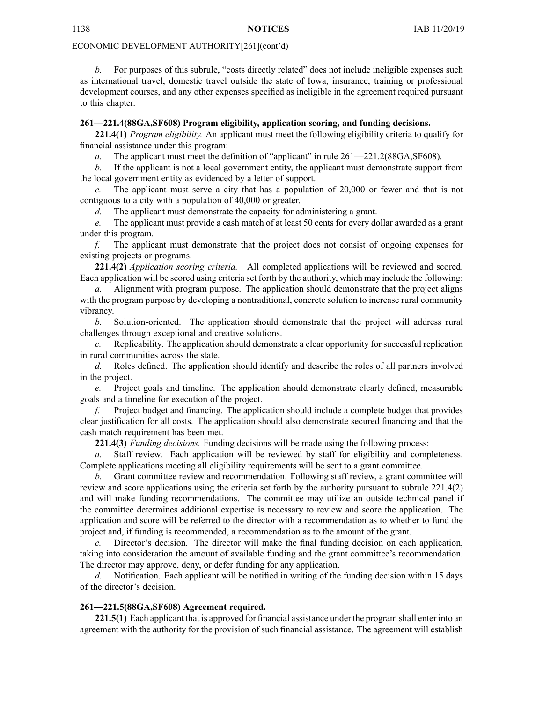*b.* For purposes of this subrule, "costs directly related" does not include ineligible expenses such as international travel, domestic travel outside the state of Iowa, insurance, training or professional development courses, and any other expenses specified as ineligible in the agreemen<sup>t</sup> required pursuan<sup>t</sup> to this chapter.

#### **261—221.4(88GA,SF608) Program eligibility, application scoring, and funding decisions.**

**221.4(1)** *Program eligibility.* An applicant must meet the following eligibility criteria to qualify for financial assistance under this program:

*a.* The applicant must meet the definition of "applicant" in rule 261—221.2(88GA,SF608).

*b.* If the applicant is not <sup>a</sup> local governmen<sup>t</sup> entity, the applicant must demonstrate suppor<sup>t</sup> from the local governmen<sup>t</sup> entity as evidenced by <sup>a</sup> letter of support.

*c.* The applicant must serve <sup>a</sup> city that has <sup>a</sup> population of 20,000 or fewer and that is not contiguous to <sup>a</sup> city with <sup>a</sup> population of 40,000 or greater.

*d.* The applicant must demonstrate the capacity for administering <sup>a</sup> grant.

*e.* The applicant must provide <sup>a</sup> cash match of at least 50 cents for every dollar awarded as <sup>a</sup> gran<sup>t</sup> under this program.

*f.* The applicant must demonstrate that the project does not consist of ongoing expenses for existing projects or programs.

**221.4(2)** *Application scoring criteria.* All completed applications will be reviewed and scored. Each application will be scored using criteria set forth by the authority, which may include the following:

*a.* Alignment with program purpose. The application should demonstrate that the project aligns with the program purpose by developing a nontraditional, concrete solution to increase rural community vibrancy.

*b.* Solution-oriented. The application should demonstrate that the project will address rural challenges through exceptional and creative solutions.

*c.* Replicability. The application should demonstrate <sup>a</sup> clear opportunity for successful replication in rural communities across the state.

*d.* Roles defined. The application should identify and describe the roles of all partners involved in the project.

*e.* Project goals and timeline. The application should demonstrate clearly defined, measurable goals and <sup>a</sup> timeline for execution of the project.

*f.* Project budget and financing. The application should include <sup>a</sup> complete budget that provides clear justification for all costs. The application should also demonstrate secured financing and that the cash match requirement has been met.

**221.4(3)** *Funding decisions.* Funding decisions will be made using the following process:

*a.* Staff review. Each application will be reviewed by staff for eligibility and completeness. Complete applications meeting all eligibility requirements will be sent to <sup>a</sup> gran<sup>t</sup> committee.

*b.* Grant committee review and recommendation. Following staff review, <sup>a</sup> gran<sup>t</sup> committee will review and score applications using the criteria set forth by the authority pursuan<sup>t</sup> to subrule 221.4(2) and will make funding recommendations. The committee may utilize an outside technical panel if the committee determines additional expertise is necessary to review and score the application. The application and score will be referred to the director with <sup>a</sup> recommendation as to whether to fund the project and, if funding is recommended, <sup>a</sup> recommendation as to the amount of the grant.

*c.* Director's decision. The director will make the final funding decision on each application, taking into consideration the amount of available funding and the gran<sup>t</sup> committee's recommendation. The director may approve, deny, or defer funding for any application.

*d.* Notification. Each applicant will be notified in writing of the funding decision within 15 days of the director's decision.

#### **261—221.5(88GA,SF608) Agreement required.**

**221.5(1)** Each applicant that is approved for financial assistance under the program shall enter into an agreemen<sup>t</sup> with the authority for the provision of such financial assistance. The agreemen<sup>t</sup> will establish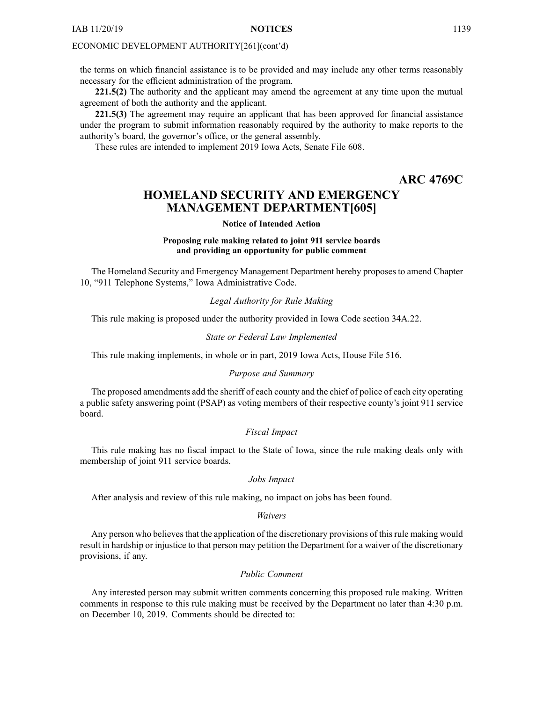<span id="page-20-0"></span>the terms on which financial assistance is to be provided and may include any other terms reasonably necessary for the efficient administration of the program.

**221.5(2)** The authority and the applicant may amend the agreemen<sup>t</sup> at any time upon the mutual agreemen<sup>t</sup> of both the authority and the applicant.

**221.5(3)** The agreemen<sup>t</sup> may require an applicant that has been approved for financial assistance under the program to submit information reasonably required by the authority to make reports to the authority's board, the governor's office, or the general assembly.

These rules are intended to implement 2019 Iowa Acts, Senate File 608.

# **ARC 4769C**

# **HOMELAND SECURITY AND EMERGENCY MANAGEMENT DEPARTMENT[605]**

#### **Notice of Intended Action**

#### **Proposing rule making related to joint 911 service boards and providing an opportunity for public comment**

The Homeland Security and Emergency Management Department hereby proposes to amend Chapter 10, "911 Telephone Systems," Iowa Administrative Code.

#### *Legal Authority for Rule Making*

This rule making is proposed under the authority provided in Iowa Code section 34A.22.

#### *State or Federal Law Implemented*

This rule making implements, in whole or in part, 2019 Iowa Acts, House File 516.

#### *Purpose and Summary*

The proposed amendments add the sheriff of each county and the chief of police of each city operating <sup>a</sup> public safety answering point (PSAP) as voting members of their respective county's joint 911 service board.

#### *Fiscal Impact*

This rule making has no fiscal impact to the State of Iowa, since the rule making deals only with membership of joint 911 service boards.

#### *Jobs Impact*

After analysis and review of this rule making, no impact on jobs has been found.

#### *Waivers*

Any person who believes that the application of the discretionary provisions of this rule making would result in hardship or injustice to that person may petition the Department for <sup>a</sup> waiver of the discretionary provisions, if any.

#### *Public Comment*

Any interested person may submit written comments concerning this proposed rule making. Written comments in response to this rule making must be received by the Department no later than 4:30 p.m. on December 10, 2019. Comments should be directed to: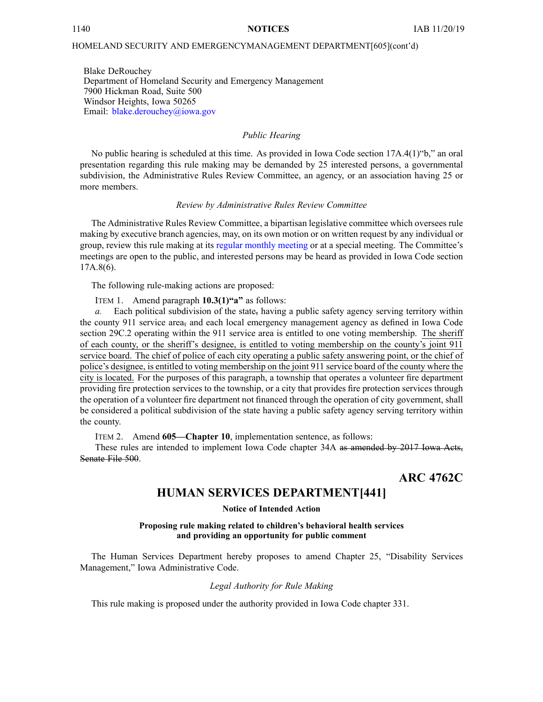#### <span id="page-21-0"></span>HOMELAND SECURITY AND EMERGENCYMANAGEMENT DEPARTMENT[605](cont'd)

Blake DeRouchey Department of Homeland Security and Emergency Management 7900 Hickman Road, Suite 500 Windsor Heights, Iowa 50265 Email: [blake.derouchey@iowa.gov](mailto:blake.derouchey@iowa.gov)

#### *Public Hearing*

No public hearing is scheduled at this time. As provided in Iowa Code section 17A.4(1)"b," an oral presentation regarding this rule making may be demanded by 25 interested persons, <sup>a</sup> governmental subdivision, the Administrative Rules Review Committee, an agency, or an association having 25 or more members.

#### *Review by Administrative Rules Review Committee*

The Administrative Rules Review Committee, <sup>a</sup> bipartisan legislative committee which oversees rule making by executive branch agencies, may, on its own motion or on written reques<sup>t</sup> by any individual or group, review this rule making at its regular [monthly](https://www.legis.iowa.gov/committees/meetings/meetingsListComm?groupID=705&ga=88) meeting or at <sup>a</sup> special meeting. The Committee's meetings are open to the public, and interested persons may be heard as provided in Iowa Code section 17A.8(6).

The following rule-making actions are proposed:

ITEM 1. Amend paragraph **10.3(1)"a"** as follows:

*a.* Each political subdivision of the state, having <sup>a</sup> public safety agency serving territory within the county 911 service area<sub>r</sub> and each local emergency management agency as defined in Iowa Code section [29C.2](https://www.legis.iowa.gov/docs/ico/section/2017/29C.2.pdf) operating within the 911 service area is entitled to one voting membership. The sheriff of each county, or the sheriff's designee, is entitled to voting membership on the county's joint 911 service board. The chief of police of each city operating <sup>a</sup> public safety answering point, or the chief of police's designee, is entitled to voting membership on the joint 911 service board of the county where the city is located. For the purposes of this paragraph, <sup>a</sup> township that operates <sup>a</sup> volunteer fire department providing fire protection services to the township, or <sup>a</sup> city that provides fire protection services through the operation of <sup>a</sup> volunteer fire department not financed through the operation of city government, shall be considered <sup>a</sup> political subdivision of the state having <sup>a</sup> public safety agency serving territory within the county.

ITEM 2. Amend **605—Chapter 10**, implementation sentence, as follows:

These rules are intended to implement Iowa Code chapter [34A](https://www.legis.iowa.gov/docs/ico/chapter/2017/34A.pdf) as amended by 2017 Iowa Acts, Senate File 500.

**ARC 4762C**

# **HUMAN SERVICES DEPARTMENT[441]**

**Notice of Intended Action**

#### **Proposing rule making related to children's behavioral health services and providing an opportunity for public comment**

The Human Services Department hereby proposes to amend Chapter 25, "Disability Services Management," Iowa Administrative Code.

#### *Legal Authority for Rule Making*

This rule making is proposed under the authority provided in Iowa Code chapter 331.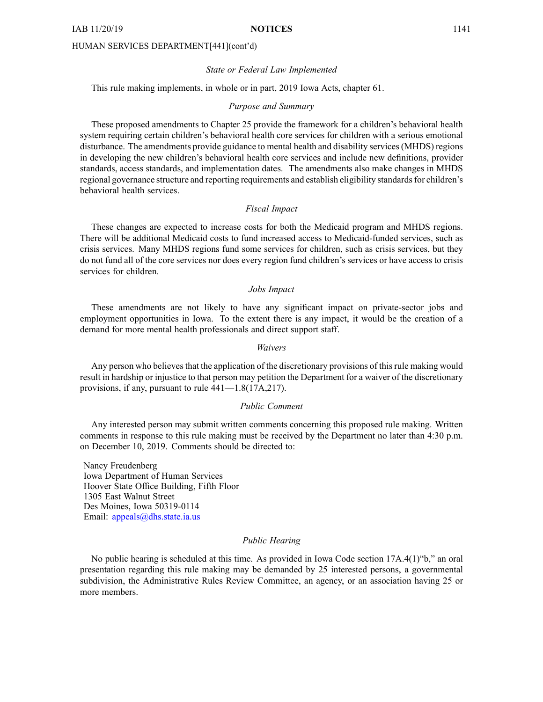#### *State or Federal Law Implemented*

This rule making implements, in whole or in part, 2019 Iowa Acts, chapter 61.

#### *Purpose and Summary*

These proposed amendments to Chapter 25 provide the framework for <sup>a</sup> children's behavioral health system requiring certain children's behavioral health core services for children with <sup>a</sup> serious emotional disturbance. The amendments provide guidance to mental health and disability services(MHDS) regions in developing the new children's behavioral health core services and include new definitions, provider standards, access standards, and implementation dates. The amendments also make changes in MHDS regional governance structure and reporting requirements and establish eligibility standards for children's behavioral health services.

#### *Fiscal Impact*

These changes are expected to increase costs for both the Medicaid program and MHDS regions. There will be additional Medicaid costs to fund increased access to Medicaid-funded services, such as crisis services. Many MHDS regions fund some services for children, such as crisis services, but they do not fund all of the core services nor does every region fund children's services or have access to crisis services for children.

#### *Jobs Impact*

These amendments are not likely to have any significant impact on private-sector jobs and employment opportunities in Iowa. To the extent there is any impact, it would be the creation of <sup>a</sup> demand for more mental health professionals and direct suppor<sup>t</sup> staff.

#### *Waivers*

Any person who believes that the application of the discretionary provisions of this rule making would result in hardship or injustice to that person may petition the Department for <sup>a</sup> waiver of the discretionary provisions, if any, pursuan<sup>t</sup> to rule 441—1.8(17A,217).

#### *Public Comment*

Any interested person may submit written comments concerning this proposed rule making. Written comments in response to this rule making must be received by the Department no later than 4:30 p.m. on December 10, 2019. Comments should be directed to:

Nancy Freudenberg Iowa Department of Human Services Hoover State Office Building, Fifth Floor 1305 East Walnut Street Des Moines, Iowa 50319-0114 Email: appea[ls@dhs.state.ia.us](mailto:appeals@dhs.state.ia.us)

#### *Public Hearing*

No public hearing is scheduled at this time. As provided in Iowa Code section 17A.4(1)"b," an oral presentation regarding this rule making may be demanded by 25 interested persons, <sup>a</sup> governmental subdivision, the Administrative Rules Review Committee, an agency, or an association having 25 or more members.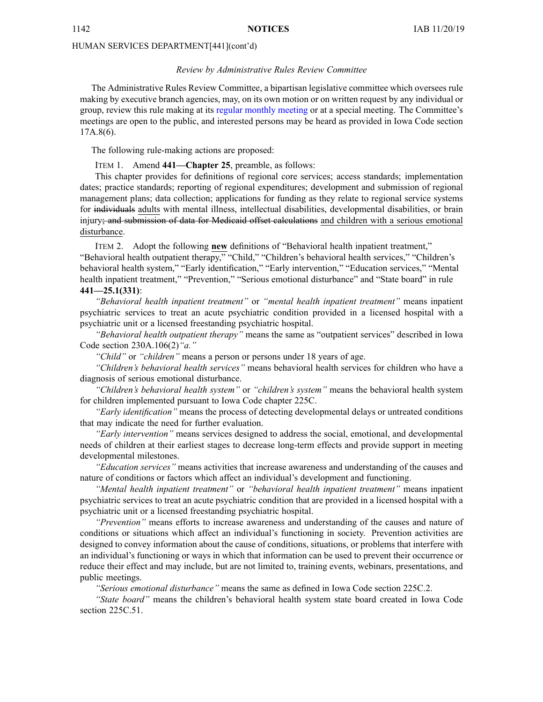#### *Review by Administrative Rules Review Committee*

The Administrative Rules Review Committee, <sup>a</sup> bipartisan legislative committee which oversees rule making by executive branch agencies, may, on its own motion or on written reques<sup>t</sup> by any individual or group, review this rule making at its regular [monthly](https://www.legis.iowa.gov/committees/meetings/meetingsListComm?groupID=705&ga=88) meeting or at <sup>a</sup> special meeting. The Committee's meetings are open to the public, and interested persons may be heard as provided in Iowa Code section 17A.8(6).

The following rule-making actions are proposed:

#### ITEM 1. Amend **441—Chapter 25**, preamble, as follows:

This chapter provides for definitions of regional core services; access standards; implementation dates; practice standards; reporting of regional expenditures; development and submission of regional managemen<sup>t</sup> plans; data collection; applications for funding as they relate to regional service systems for individuals adults with mental illness, intellectual disabilities, developmental disabilities, or brain injury; and submission of data for Medicaid offset calculations and children with a serious emotional disturbance.

ITEM 2. Adopt the following **new** definitions of "Behavioral health inpatient treatment," "Behavioral health outpatient therapy," "Child," "Children's behavioral health services," "Children's behavioral health system," "Early identification," "Early intervention," "Education services," "Mental health inpatient treatment," "Prevention," "Serious emotional disturbance" and "State board" in rule **441—25.1(331)**:

*"Behavioral health inpatient treatment"* or *"mental health inpatient treatment"* means inpatient psychiatric services to treat an acute psychiatric condition provided in <sup>a</sup> licensed hospital with <sup>a</sup> psychiatric unit or <sup>a</sup> licensed freestanding psychiatric hospital.

*"Behavioral health outpatient therapy"* means the same as "outpatient services" described in Iowa Code section [230A.106\(2\)](https://www.legis.iowa.gov/docs/ico/section/230A.106.pdf)*"a."*

*"Child"* or *"children"* means <sup>a</sup> person or persons under 18 years of age.

*"Children's behavioral health services"* means behavioral health services for children who have <sup>a</sup> diagnosis of serious emotional disturbance.

*"Children's behavioral health system"* or *"children's system"* means the behavioral health system for children implemented pursuan<sup>t</sup> to Iowa Code chapter [225C](https://www.legis.iowa.gov/docs/ico/chapter/225C.pdf).

*"Early identification"* means the process of detecting developmental delays or untreated conditions that may indicate the need for further evaluation.

*"Early intervention"* means services designed to address the social, emotional, and developmental needs of children at their earliest stages to decrease long-term effects and provide suppor<sup>t</sup> in meeting developmental milestones.

*"Education services"* means activities that increase awareness and understanding of the causes and nature of conditions or factors which affect an individual's development and functioning.

*"Mental health inpatient treatment"* or *"behavioral health inpatient treatment"* means inpatient psychiatric services to treat an acute psychiatric condition that are provided in <sup>a</sup> licensed hospital with <sup>a</sup> psychiatric unit or <sup>a</sup> licensed freestanding psychiatric hospital.

*"Prevention"* means efforts to increase awareness and understanding of the causes and nature of conditions or situations which affect an individual's functioning in society. Prevention activities are designed to convey information about the cause of conditions, situations, or problems that interfere with an individual's functioning or ways in which that information can be used to preven<sup>t</sup> their occurrence or reduce their effect and may include, but are not limited to, training events, webinars, presentations, and public meetings.

*"Serious emotional disturbance"* means the same as defined in Iowa Code section [225C.2](https://www.legis.iowa.gov/docs/ico/section/225C.2.pdf).

*"State board"* means the children's behavioral health system state board created in Iowa Code section [225C.51](https://www.legis.iowa.gov/docs/ico/section/225C.51.pdf).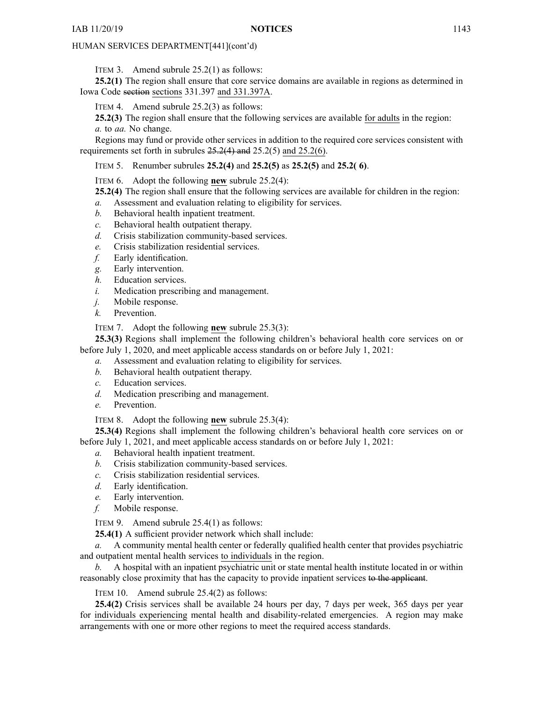ITEM 3. Amend subrule 25.2(1) as follows:

**25.2(1)** The region shall ensure that core service domains are available in regions as determined in Iowa Code section sections [331.397](https://www.legis.iowa.gov/docs/ico/section/331.397.pdf) and 331.397A.

ITEM 4. Amend subrule 25.2(3) as follows:

**25.2(3)** The region shall ensure that the following services are available for adults in the region: *a.* to *aa.* No change.

Regions may fund or provide other services in addition to the required core services consistent with requirements set forth in subrules 25.2(4) and 25.2(5) and 25.2(6).

ITEM 5. Renumber subrules **25.2(4)** and **25.2(5)** as **25.2(5)** and **25.2( 6)**.

ITEM 6. Adopt the following **new** subrule 25.2(4):

**25.2(4)** The region shall ensure that the following services are available for children in the region:

- *a.* Assessment and evaluation relating to eligibility for services.
- *b.* Behavioral health inpatient treatment.
- *c.* Behavioral health outpatient therapy.
- *d.* Crisis stabilization community-based services.
- *e.* Crisis stabilization residential services.
- *f.* Early identification.
- *g.* Early intervention.
- *h.* Education services.
- *i.* Medication prescribing and management.
- *j.* Mobile response.
- *k.* Prevention.

ITEM 7. Adopt the following **new** subrule 25.3(3):

**25.3(3)** Regions shall implement the following children's behavioral health core services on or before July 1, 2020, and meet applicable access standards on or before July 1, 2021:

- *a.* Assessment and evaluation relating to eligibility for services.
- *b.* Behavioral health outpatient therapy.
- *c.* Education services.
- *d.* Medication prescribing and management.
- *e.* Prevention.

ITEM 8. Adopt the following **new** subrule 25.3(4):

**25.3(4)** Regions shall implement the following children's behavioral health core services on or before July 1, 2021, and meet applicable access standards on or before July 1, 2021:

- *a.* Behavioral health inpatient treatment.
- *b.* Crisis stabilization community-based services.
- *c.* Crisis stabilization residential services.
- *d.* Early identification.
- *e.* Early intervention.
- *f.* Mobile response.

ITEM 9. Amend subrule 25.4(1) as follows:

**25.4(1)** A sufficient provider network which shall include:

*a.* A community mental health center or federally qualified health center that provides psychiatric and outpatient mental health services to individuals in the region.

*b.* A hospital with an inpatient psychiatric unit or state mental health institute located in or within reasonably close proximity that has the capacity to provide inpatient services to the applicant.

ITEM 10. Amend subrule 25.4(2) as follows:

**25.4(2)** Crisis services shall be available 24 hours per day, 7 days per week, 365 days per year for individuals experiencing mental health and disability-related emergencies. A region may make arrangements with one or more other regions to meet the required access standards.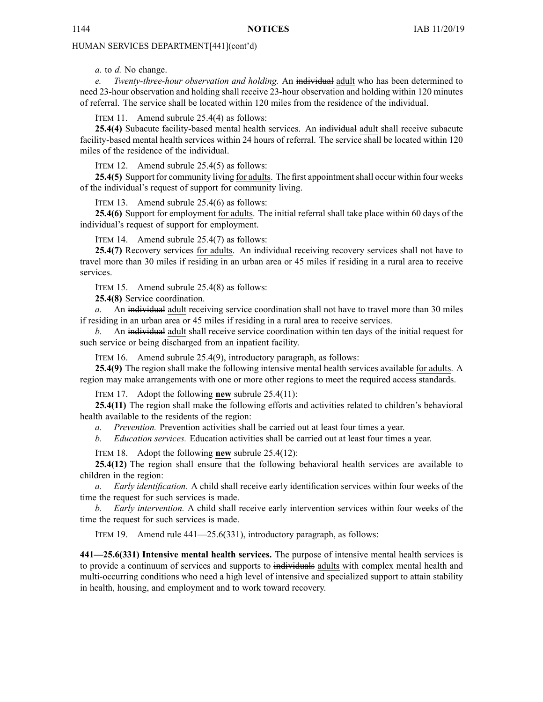*a.* to *d.* No change.

*e. Twenty-three-hour observation and holding.* An individual adult who has been determined to need 23-hour observation and holding shall receive 23-hour observation and holding within 120 minutes of referral. The service shall be located within 120 miles from the residence of the individual.

ITEM 11. Amend subrule 25.4(4) as follows:

**25.4(4)** Subacute facility-based mental health services. An individual adult shall receive subacute facility-based mental health services within 24 hours of referral. The service shall be located within 120 miles of the residence of the individual.

ITEM 12. Amend subrule 25.4(5) as follows:

25.4(5) Support for community living for adults. The first appointment shall occur within four weeks of the individual's reques<sup>t</sup> of suppor<sup>t</sup> for community living.

ITEM 13. Amend subrule 25.4(6) as follows:

**25.4(6)** Support for employment for adults. The initial referral shall take place within 60 days of the individual's reques<sup>t</sup> of suppor<sup>t</sup> for employment.

ITEM 14. Amend subrule 25.4(7) as follows:

**25.4(7)** Recovery services for adults. An individual receiving recovery services shall not have to travel more than 30 miles if residing in an urban area or 45 miles if residing in <sup>a</sup> rural area to receive services.

ITEM 15. Amend subrule 25.4(8) as follows:

**25.4(8)** Service coordination.

*a.* An individual adult receiving service coordination shall not have to travel more than 30 miles if residing in an urban area or 45 miles if residing in <sup>a</sup> rural area to receive services.

*b.* An individual adult shall receive service coordination within ten days of the initial reques<sup>t</sup> for such service or being discharged from an inpatient facility.

ITEM 16. Amend subrule 25.4(9), introductory paragraph, as follows:

**25.4(9)** The region shall make the following intensive mental health services available for adults. A region may make arrangements with one or more other regions to meet the required access standards.

ITEM 17. Adopt the following **new** subrule 25.4(11):

**25.4(11)** The region shall make the following efforts and activities related to children's behavioral health available to the residents of the region:

*a. Prevention.* Prevention activities shall be carried out at least four times <sup>a</sup> year.

*b. Education services.* Education activities shall be carried out at least four times <sup>a</sup> year.

ITEM 18. Adopt the following **new** subrule 25.4(12):

**25.4(12)** The region shall ensure that the following behavioral health services are available to children in the region:

*a. Early identification.* A child shall receive early identification services within four weeks of the time the reques<sup>t</sup> for such services is made.

*b. Early intervention.* A child shall receive early intervention services within four weeks of the time the reques<sup>t</sup> for such services is made.

ITEM 19. Amend rule 441—25.6(331), introductory paragraph, as follows:

**441—25.6(331) Intensive mental health services.** The purpose of intensive mental health services is to provide a continuum of services and supports to individuals adults with complex mental health and multi-occurring conditions who need <sup>a</sup> high level of intensive and specialized suppor<sup>t</sup> to attain stability in health, housing, and employment and to work toward recovery.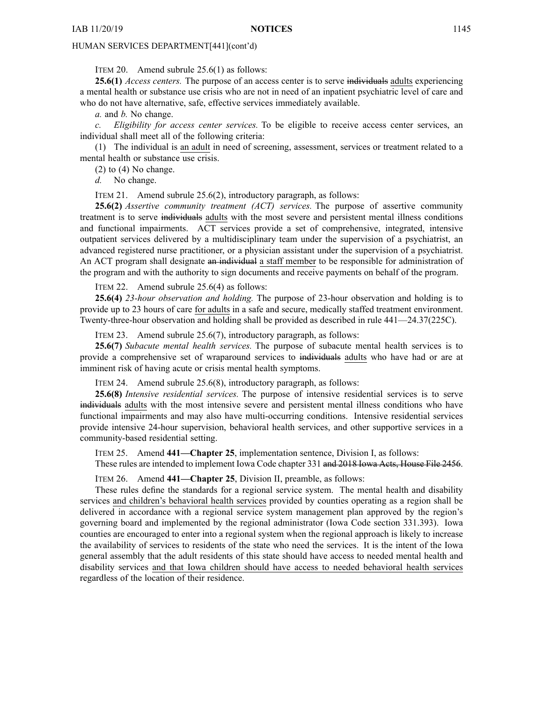ITEM 20. Amend subrule 25.6(1) as follows:

**25.6(1)** *Access centers.* The purpose of an access center is to serve individuals adults experiencing <sup>a</sup> mental health or substance use crisis who are not in need of an inpatient psychiatric level of care and who do not have alternative, safe, effective services immediately available.

*a.* and *b.* No change.

*c. Eligibility for access center services.* To be eligible to receive access center services, an individual shall meet all of the following criteria:

(1) The individual is an adult in need of screening, assessment, services or treatment related to <sup>a</sup> mental health or substance use crisis.

(2) to (4) No change.

*d.* No change.

ITEM 21. Amend subrule 25.6(2), introductory paragraph, as follows:

**25.6(2)** *Assertive community treatment (ACT) services.* The purpose of assertive community treatment is to serve individuals adults with the most severe and persistent mental illness conditions and functional impairments. ACT services provide <sup>a</sup> set of comprehensive, integrated, intensive outpatient services delivered by <sup>a</sup> multidisciplinary team under the supervision of <sup>a</sup> psychiatrist, an advanced registered nurse practitioner, or <sup>a</sup> physician assistant under the supervision of <sup>a</sup> psychiatrist. An ACT program shall designate an individual <sup>a</sup> staff member to be responsible for administration of the program and with the authority to sign documents and receive payments on behalf of the program.

ITEM 22. Amend subrule 25.6(4) as follows:

**25.6(4)** *23-hour observation and holding.* The purpose of 23-hour observation and holding is to provide up to 23 hours of care for adults in <sup>a</sup> safe and secure, medically staffed treatment environment. Twenty-three-hour observation and holding shall be provided as described in rule 441—24.37(225C).

ITEM 23. Amend subrule 25.6(7), introductory paragraph, as follows:

**25.6(7)** *Subacute mental health services.* The purpose of subacute mental health services is to provide <sup>a</sup> comprehensive set of wraparound services to individuals adults who have had or are at imminent risk of having acute or crisis mental health symptoms.

ITEM 24. Amend subrule 25.6(8), introductory paragraph, as follows:

**25.6(8)** *Intensive residential services.* The purpose of intensive residential services is to serve individuals adults with the most intensive severe and persistent mental illness conditions who have functional impairments and may also have multi-occurring conditions. Intensive residential services provide intensive 24-hour supervision, behavioral health services, and other supportive services in <sup>a</sup> community-based residential setting.

ITEM 25. Amend **441—Chapter 25**, implementation sentence, Division I, as follows:

These rules are intended to implement Iowa Code chapter [331](https://www.legis.iowa.gov/docs/ico/chapter/331.pdf) and 2018 Iowa Acts, House File 2456.

ITEM 26. Amend **441—Chapter 25**, Division II, preamble, as follows:

These rules define the standards for <sup>a</sup> regional service system. The mental health and disability services and children's behavioral health services provided by counties operating as <sup>a</sup> region shall be delivered in accordance with <sup>a</sup> regional service system managemen<sup>t</sup> plan approved by the region's governing board and implemented by the regional administrator (Iowa Code section [331.393](https://www.legis.iowa.gov/docs/ico/section/331.393.pdf)). Iowa counties are encouraged to enter into <sup>a</sup> regional system when the regional approach is likely to increase the availability of services to residents of the state who need the services. It is the intent of the Iowa general assembly that the adult residents of this state should have access to needed mental health and disability services and that Iowa children should have access to needed behavioral health services regardless of the location of their residence.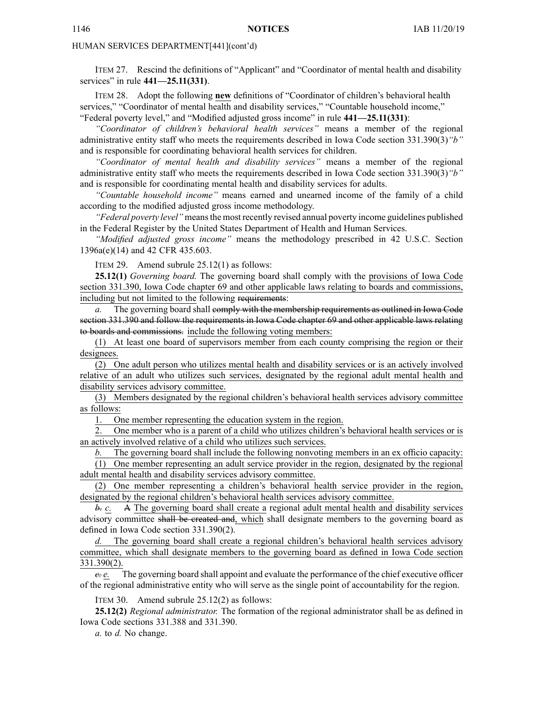ITEM 27. Rescind the definitions of "Applicant" and "Coordinator of mental health and disability services" in rule **441—25.11(331)**.

ITEM 28. Adopt the following **new** definitions of "Coordinator of children's behavioral health services," "Coordinator of mental health and disability services," "Countable household income," "Federal poverty level," and "Modified adjusted gross income" in rule **441—25.11(331)**:

*"Coordinator of children's behavioral health services"* means <sup>a</sup> member of the regional administrative entity staff who meets the requirements described in Iowa Code section [331.390\(3\)](https://www.legis.iowa.gov/docs/ico/section/331.390.pdf)*"b"* and is responsible for coordinating behavioral health services for children.

*"Coordinator of mental health and disability services"* means <sup>a</sup> member of the regional administrative entity staff who meets the requirements described in Iowa Code section [331.390\(3\)](https://www.legis.iowa.gov/docs/ico/section/331.390.pdf)*"b"* and is responsible for coordinating mental health and disability services for adults.

*"Countable household income"* means earned and unearned income of the family of <sup>a</sup> child according to the modified adjusted gross income methodology.

*"Federal poverty level"* meansthe most recently revised annual poverty income guidelines published in the Federal Register by the United States Department of Health and Human Services.

*"Modified adjusted gross income"* means the methodology prescribed in 42 U.S.C. Section 1396a(e)(14) and 42 CFR 435.603.

ITEM 29. Amend subrule 25.12(1) as follows:

**25.12(1)** *Governing board.* The governing board shall comply with the provisions of Iowa Code section [331.390](https://www.legis.iowa.gov/docs/ico/section/331.390.pdf), Iowa Code chapter [69](https://www.legis.iowa.gov/docs/ico/chapter/69.pdf) and other applicable laws relating to boards and commissions, including but not limited to the following requirements:

*a.* The governing board shall comply with the membership requirements as outlined in Iowa Code section [331.390](https://www.legis.iowa.gov/docs/ico/section/331.390.pdf) and follow the requirements in Iowa Code chapter [69](https://www.legis.iowa.gov/docs/ico/chapter/69.pdf) and other applicable laws relating to boards and commissions. include the following voting members:

(1) At least one board of supervisors member from each county comprising the region or their designees.

(2) One adult person who utilizes mental health and disability services or is an actively involved relative of an adult who utilizes such services, designated by the regional adult mental health and disability services advisory committee.

(3) Members designated by the regional children's behavioral health services advisory committee as follows:

1. One member representing the education system in the region.

2. One member who is <sup>a</sup> paren<sup>t</sup> of <sup>a</sup> child who utilizes children's behavioral health services or is an actively involved relative of <sup>a</sup> child who utilizes such services.

The governing board shall include the following nonvoting members in an ex officio capacity:

(1) One member representing an adult service provider in the region, designated by the regional adult mental health and disability services advisory committee.

(2) One member representing <sup>a</sup> children's behavioral health service provider in the region, designated by the regional children's behavioral health services advisory committee.

*b. c.* A The governing board shall create <sup>a</sup> regional adult mental health and disability services advisory committee shall be created and, which shall designate members to the governing board as defined in Iowa Code section [331.390\(2\)](https://www.legis.iowa.gov/docs/ico/section/331.390.pdf).

The governing board shall create a regional children's behavioral health services advisory committee, which shall designate members to the governing board as defined in Iowa Code section [331.390\(2\)](https://www.legis.iowa.gov/docs/ico/section/331.390.pdf).

*c. e.* The governing board shall appoint and evaluate the performance of the chief executive officer of the regional administrative entity who will serve as the single point of accountability for the region.

ITEM 30. Amend subrule 25.12(2) as follows:

**25.12(2)** *Regional administrator.* The formation of the regional administrator shall be as defined in Iowa Code sections [331.388](https://www.legis.iowa.gov/docs/ico/section/331.388.pdf) and [331.390](https://www.legis.iowa.gov/docs/ico/section/331.390.pdf).

*a.* to *d.* No change.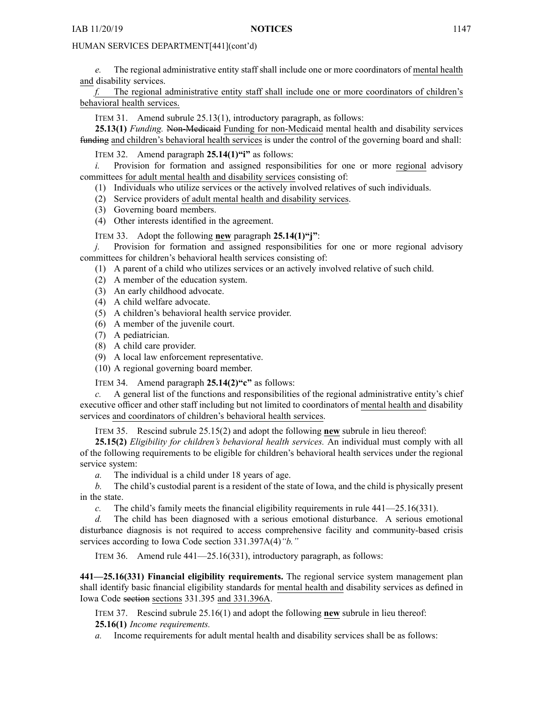*e.* The regional administrative entity staff shall include one or more coordinators of mental health and disability services.

*f.* The regional administrative entity staff shall include one or more coordinators of children's behavioral health services.

ITEM 31. Amend subrule 25.13(1), introductory paragraph, as follows:

**25.13(1)** *Funding.* Non-Medicaid Funding for non-Medicaid mental health and disability services funding and children's behavioral health services is under the control of the governing board and shall:

ITEM 32. Amend paragraph **25.14(1)"i"** as follows:

*i.* Provision for formation and assigned responsibilities for one or more regional advisory committees for adult mental health and disability services consisting of:

- (1) Individuals who utilize services or the actively involved relatives of such individuals.
- (2) Service providers of adult mental health and disability services.
- (3) Governing board members.
- (4) Other interests identified in the agreement.

ITEM 33. Adopt the following **new** paragraph **25.14(1)"j"**:

*j.* Provision for formation and assigned responsibilities for one or more regional advisory committees for children's behavioral health services consisting of:

(1) A paren<sup>t</sup> of <sup>a</sup> child who utilizes services or an actively involved relative of such child.

- (2) A member of the education system.
- (3) An early childhood advocate.
- (4) A child welfare advocate.
- (5) A children's behavioral health service provider.
- (6) A member of the juvenile court.
- (7) A pediatrician.
- (8) A child care provider.
- (9) A local law enforcement representative.
- (10) A regional governing board member.

ITEM 34. Amend paragraph **25.14(2)"c"** as follows:

*c.* A general list of the functions and responsibilities of the regional administrative entity's chief executive officer and other staff including but not limited to coordinators of mental health and disability services and coordinators of children's behavioral health services.

ITEM 35. Rescind subrule 25.15(2) and adopt the following **new** subrule in lieu thereof:

**25.15(2)** *Eligibility for children's behavioral health services.* An individual must comply with all of the following requirements to be eligible for children's behavioral health services under the regional service system:

*a.* The individual is <sup>a</sup> child under 18 years of age.

*b.* The child's custodial paren<sup>t</sup> is <sup>a</sup> resident of the state of Iowa, and the child is physically presen<sup>t</sup> in the state.

*c.* The child's family meets the financial eligibility requirements in rule 441—25.16(331).

*d.* The child has been diagnosed with <sup>a</sup> serious emotional disturbance. A serious emotional disturbance diagnosis is not required to access comprehensive facility and community-based crisis services according to Iowa Code section 331.397A(4)*"b."*

ITEM 36. Amend rule 441—25.16(331), introductory paragraph, as follows:

**441—25.16(331) Financial eligibility requirements.** The regional service system managemen<sup>t</sup> plan shall identify basic financial eligibility standards for mental health and disability services as defined in Iowa Code section sections [331.395](https://www.legis.iowa.gov/docs/ico/section/331.395.pdf) and 331.396A.

ITEM 37. Rescind subrule 25.16(1) and adopt the following **new** subrule in lieu thereof: **25.16(1)** *Income requirements.*

*a.* Income requirements for adult mental health and disability services shall be as follows: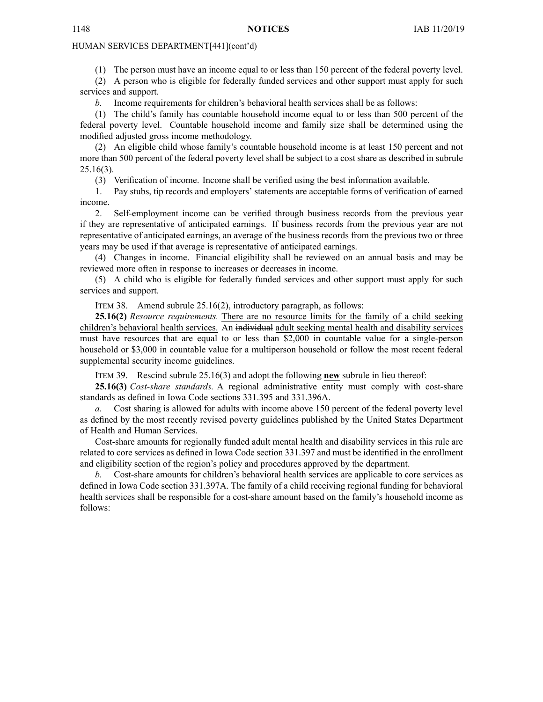(1) The person must have an income equal to or less than 150 percen<sup>t</sup> of the federal poverty level.

(2) A person who is eligible for federally funded services and other suppor<sup>t</sup> must apply for such services and support.

*b.* Income requirements for children's behavioral health services shall be as follows:

(1) The child's family has countable household income equal to or less than 500 percen<sup>t</sup> of the federal poverty level. Countable household income and family size shall be determined using the modified adjusted gross income methodology.

(2) An eligible child whose family's countable household income is at least 150 percen<sup>t</sup> and not more than 500 percen<sup>t</sup> of the federal poverty level shall be subject to <sup>a</sup> cost share as described in subrule 25.16(3).

(3) Verification of income. Income shall be verified using the best information available.

1. Pay stubs, tip records and employers' statements are acceptable forms of verification of earned income.

2. Self-employment income can be verified through business records from the previous year if they are representative of anticipated earnings. If business records from the previous year are not representative of anticipated earnings, an average of the business records from the previous two or three years may be used if that average is representative of anticipated earnings.

(4) Changes in income. Financial eligibility shall be reviewed on an annual basis and may be reviewed more often in response to increases or decreases in income.

(5) A child who is eligible for federally funded services and other suppor<sup>t</sup> must apply for such services and support.

ITEM 38. Amend subrule 25.16(2), introductory paragraph, as follows:

**25.16(2)** *Resource requirements.* There are no resource limits for the family of <sup>a</sup> child seeking children's behavioral health services. An individual adult seeking mental health and disability services must have resources that are equal to or less than \$2,000 in countable value for <sup>a</sup> single-person household or \$3,000 in countable value for <sup>a</sup> multiperson household or follow the most recent federal supplemental security income guidelines.

ITEM 39. Rescind subrule 25.16(3) and adopt the following **new** subrule in lieu thereof:

**25.16(3)** *Cost-share standards.* A regional administrative entity must comply with cost-share standards as defined in Iowa Code sections [331.395](https://www.legis.iowa.gov/docs/ico/section/331.395.pdf) and 331.396A.

*a.* Cost sharing is allowed for adults with income above 150 percen<sup>t</sup> of the federal poverty level as defined by the most recently revised poverty guidelines published by the United States Department of Health and Human Services.

Cost-share amounts for regionally funded adult mental health and disability services in this rule are related to core services as defined in Iowa Code section [331.397](https://www.legis.iowa.gov/docs/ico/section/331.397.pdf) and must be identified in the enrollment and eligibility section of the region's policy and procedures approved by the department.

*b.* Cost-share amounts for children's behavioral health services are applicable to core services as defined in Iowa Code section 331.397A. The family of <sup>a</sup> child receiving regional funding for behavioral health services shall be responsible for <sup>a</sup> cost-share amount based on the family's household income as follows: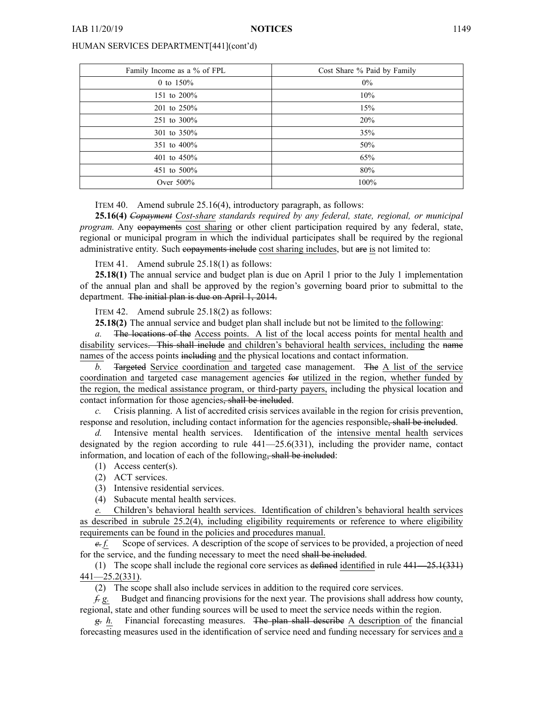| Family Income as a % of FPL | Cost Share % Paid by Family |
|-----------------------------|-----------------------------|
| 0 to $150%$                 | $0\%$                       |
| 151 to 200%                 | 10%                         |
| 201 to 250%                 | 15%                         |
| 251 to 300%                 | 20%                         |
| 301 to 350%                 | 35%                         |
| 351 to 400%                 | 50%                         |
| 401 to 450%                 | 65%                         |
| 451 to 500\%                | 80%                         |
| Over 500%                   | 100%                        |

#### ITEM 40. Amend subrule 25.16(4), introductory paragraph, as follows:

**25.16(4)** *Copayment Cost-share standards required by any federal, state, regional, or municipal program.* Any copayments cost sharing or other client participation required by any federal, state, regional or municipal program in which the individual participates shall be required by the regional administrative entity. Such copayments include cost sharing includes, but are is not limited to:

ITEM 41. Amend subrule 25.18(1) as follows:

**25.18(1)** The annual service and budget plan is due on April 1 prior to the July 1 implementation of the annual plan and shall be approved by the region's governing board prior to submittal to the department. The initial plan is due on April 1, 2014.

ITEM 42. Amend subrule 25.18(2) as follows:

**25.18(2)** The annual service and budget plan shall include but not be limited to the following:

*a.* The locations of the Access points. A list of the local access points for mental health and disability services. This shall include and children's behavioral health services, including the name names of the access points including and the physical locations and contact information.

*b.* Targeted Service coordination and targeted case management. The A list of the service coordination and targeted case managemen<sup>t</sup> agencies for utilized in the region, whether funded by the region, the medical assistance program, or third-party payers, including the physical location and contact information for those agencies, shall be included.

*c.* Crisis planning. A list of accredited crisis services available in the region for crisis prevention, response and resolution, including contact information for the agencies responsible, shall be included.

*d.* Intensive mental health services. Identification of the intensive mental health services designated by the region according to rule  $441-25.6(331)$ , including the provider name, contact information, and location of each of the following, shall be included:

- (1) Access center(s).
- (2) ACT services.
- (3) Intensive residential services.

(4) Subacute mental health services.

*e.* Children's behavioral health services. Identification of children's behavioral health services as described in subrule 25.2(4), including eligibility requirements or reference to where eligibility requirements can be found in the policies and procedures manual.

*e. f.* Scope of services. A description of the scope of services to be provided, <sup>a</sup> projection of need for the service, and the funding necessary to meet the need shall be included.

(1) The scope shall include the regional core services as defined identified in rule 441—25.1(331) 441—25.2(331).

(2) The scope shall also include services in addition to the required core services.

*f. g.* Budget and financing provisions for the next year. The provisions shall address how county, regional, state and other funding sources will be used to meet the service needs within the region.

*g. h.* Financial forecasting measures. The plan shall describe A description of the financial forecasting measures used in the identification of service need and funding necessary for services and <sup>a</sup>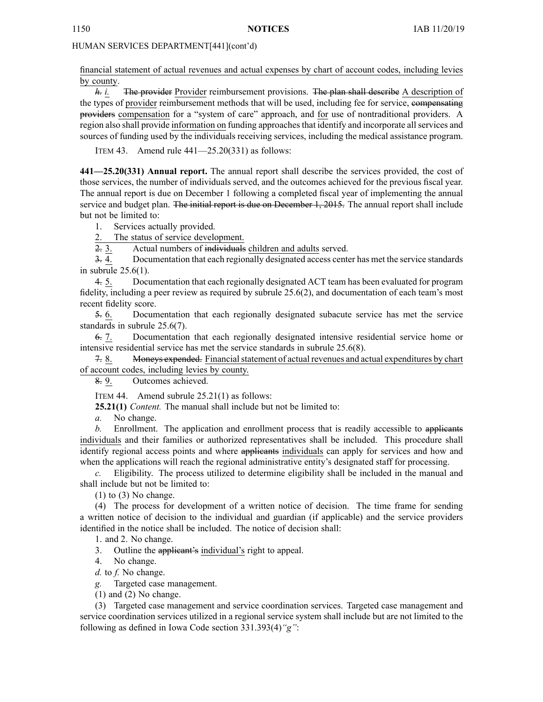financial statement of actual revenues and actual expenses by chart of account codes, including levies by county.

*h. i.* The provider Provider reimbursement provisions. The plan shall describe A description of the types of provider reimbursement methods that will be used, including fee for service, compensating providers compensation for <sup>a</sup> "system of care" approach, and for use of nontraditional providers. A region also shall provide information on funding approaches that identify and incorporate all services and sources of funding used by the individuals receiving services, including the medical assistance program.

ITEM 43. Amend rule 441—25.20(331) as follows:

**441—25.20(331) Annual report.** The annual repor<sup>t</sup> shall describe the services provided, the cost of those services, the number of individuals served, and the outcomes achieved for the previous fiscal year. The annual repor<sup>t</sup> is due on December 1 following <sup>a</sup> completed fiscal year of implementing the annual service and budget plan. The initial report is due on December 1, 2015. The annual report shall include but not be limited to:

1. Services actually provided.

2. The status of service development.

2. 3. Actual numbers of individuals children and adults served.

3. 4. Documentation that each regionally designated access center has met the service standards in subrule 25.6(1).

4. 5. Documentation that each regionally designated ACT team has been evaluated for program fidelity, including <sup>a</sup> peer review as required by subrule 25.6(2), and documentation of each team's most recent fidelity score.

5. 6. Documentation that each regionally designated subacute service has met the service standards in subrule 25.6(7).

6. 7. Documentation that each regionally designated intensive residential service home or intensive residential service has met the service standards in subrule 25.6(8).

7. 8. Moneys expended. Financial statement of actual revenues and actual expenditures by chart of account codes, including levies by county.

8. 9. Outcomes achieved.

ITEM 44. Amend subrule 25.21(1) as follows:

**25.21(1)** *Content.* The manual shall include but not be limited to:

*a.* No change.

*b.* Enrollment. The application and enrollment process that is readily accessible to applicants individuals and their families or authorized representatives shall be included. This procedure shall identify regional access points and where applicants individuals can apply for services and how and when the applications will reach the regional administrative entity's designated staff for processing.

*c.* Eligibility. The process utilized to determine eligibility shall be included in the manual and shall include but not be limited to:

 $(1)$  to  $(3)$  No change.

(4) The process for development of <sup>a</sup> written notice of decision. The time frame for sending <sup>a</sup> written notice of decision to the individual and guardian (if applicable) and the service providers identified in the notice shall be included. The notice of decision shall:

1. and 2. No change.

3. Outline the applicant's individual's right to appeal.

4. No change.

*d.* to *f.* No change.

*g.* Targeted case management.

(1) and (2) No change.

(3) Targeted case managemen<sup>t</sup> and service coordination services. Targeted case managemen<sup>t</sup> and service coordination services utilized in <sup>a</sup> regional service system shall include but are not limited to the following as defined in Iowa Code section [331.393\(4\)](https://www.legis.iowa.gov/docs/ico/section/331.393.pdf)*"g"*: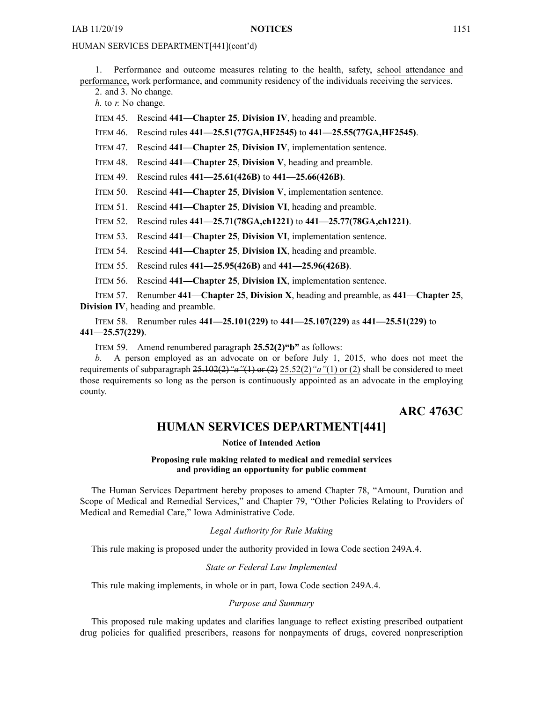<span id="page-32-0"></span>1. Performance and outcome measures relating to the health, safety, school attendance and performance, work performance, and community residency of the individuals receiving the services.

2. and 3. No change.

*h.* to *r.* No change.

ITEM 45. Rescind **441—Chapter 25**, **Division IV**, heading and preamble.

ITEM 46. Rescind rules **441—25.51(77GA,HF2545)** to **441—25.55(77GA,HF2545)**.

ITEM 47. Rescind **441—Chapter 25**, **Division IV**, implementation sentence.

ITEM 48. Rescind **441—Chapter 25**, **Division V**, heading and preamble.

ITEM 49. Rescind rules **441—25.61(426B)** to **441—25.66(426B)**.

ITEM 50. Rescind **441—Chapter 25**, **Division V**, implementation sentence.

ITEM 51. Rescind **441—Chapter 25**, **Division VI**, heading and preamble.

ITEM 52. Rescind rules **441—25.71(78GA,ch1221)** to **441—25.77(78GA,ch1221)**.

ITEM 53. Rescind **441—Chapter 25**, **Division VI**, implementation sentence.

ITEM 54. Rescind **441—Chapter 25**, **Division IX**, heading and preamble.

ITEM 55. Rescind rules **441—25.95(426B)** and **441—25.96(426B)**.

ITEM 56. Rescind **441—Chapter 25**, **Division IX**, implementation sentence.

ITEM 57. Renumber **441—Chapter 25**, **Division X**, heading and preamble, as **441—Chapter 25**, **Division IV**, heading and preamble.

ITEM 58. Renumber rules **441—25.101(229)** to **441—25.107(229)** as **441—25.51(229)** to **441—25.57(229)**.

ITEM 59. Amend renumbered paragraph **25.52(2)"b"** as follows:

*b.* A person employed as an advocate on or before July 1, 2015, who does not meet the requirements of subparagraph 25.102(2)*"a"*(1) or (2) 25.52(2)*"a"*(1) or (2) shall be considered to meet those requirements so long as the person is continuously appointed as an advocate in the employing county.

# **ARC 4763C**

### **HUMAN SERVICES DEPARTMENT[441]**

#### **Notice of Intended Action**

**Proposing rule making related to medical and remedial services and providing an opportunity for public comment**

The Human Services Department hereby proposes to amend Chapter 78, "Amount, Duration and Scope of Medical and Remedial Services," and Chapter 79, "Other Policies Relating to Providers of Medical and Remedial Care," Iowa Administrative Code.

*Legal Authority for Rule Making*

This rule making is proposed under the authority provided in Iowa Code section 249A.4.

#### *State or Federal Law Implemented*

This rule making implements, in whole or in part, Iowa Code section 249A.4.

*Purpose and Summary*

This proposed rule making updates and clarifies language to reflect existing prescribed outpatient drug policies for qualified prescribers, reasons for nonpayments of drugs, covered nonprescription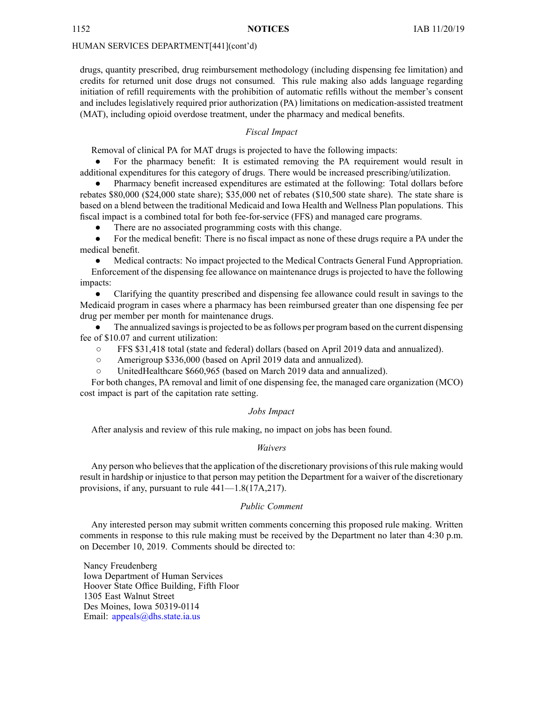drugs, quantity prescribed, drug reimbursement methodology (including dispensing fee limitation) and credits for returned unit dose drugs not consumed. This rule making also adds language regarding initiation of refill requirements with the prohibition of automatic refills without the member's consent and includes legislatively required prior authorization (PA) limitations on medication-assisted treatment (MAT), including opioid overdose treatment, under the pharmacy and medical benefits.

#### *Fiscal Impact*

Removal of clinical PA for MAT drugs is projected to have the following impacts:

● For the pharmacy benefit: It is estimated removing the PA requirement would result in additional expenditures for this category of drugs. There would be increased prescribing/utilization.

● Pharmacy benefit increased expenditures are estimated at the following: Total dollars before rebates \$80,000 (\$24,000 state share); \$35,000 net of rebates (\$10,500 state share). The state share is based on <sup>a</sup> blend between the traditional Medicaid and Iowa Health and Wellness Plan populations. This fiscal impact is <sup>a</sup> combined total for both fee-for-service (FFS) and managed care programs.

●There are no associated programming costs with this change.

● For the medical benefit: There is no fiscal impact as none of these drugs require <sup>a</sup> PA under the medical benefit.

● Medical contracts: No impact projected to the Medical Contracts General Fund Appropriation. Enforcement of the dispensing fee allowance on maintenance drugs is projected to have the following impacts:

 $\bullet$  Clarifying the quantity prescribed and dispensing fee allowance could result in savings to the Medicaid program in cases where <sup>a</sup> pharmacy has been reimbursed greater than one dispensing fee per drug per member per month for maintenance drugs.

●The annualized savings is projected to be as follows per program based on the current dispensing fee of \$10.07 and current utilization:

- $\circ$ FFS \$31,418 total (state and federal) dollars (based on April 2019 data and annualized).
- $\circ$ Amerigroup \$336,000 (based on April 2019 data and annualized).
- $\circ$ UnitedHealthcare \$660,965 (based on March 2019 data and annualized).

For both changes, PA removal and limit of one dispensing fee, the managed care organization (MCO) cost impact is par<sup>t</sup> of the capitation rate setting.

#### *Jobs Impact*

After analysis and review of this rule making, no impact on jobs has been found.

#### *Waivers*

Any person who believes that the application of the discretionary provisions of this rule making would result in hardship or injustice to that person may petition the Department for <sup>a</sup> waiver of the discretionary provisions, if any, pursuan<sup>t</sup> to rule 441—1.8(17A,217).

#### *Public Comment*

Any interested person may submit written comments concerning this proposed rule making. Written comments in response to this rule making must be received by the Department no later than 4:30 p.m. on December 10, 2019. Comments should be directed to:

Nancy Freudenberg Iowa Department of Human Services Hoover State Office Building, Fifth Floor 1305 East Walnut Street Des Moines, Iowa 50319-0114 Email: appea[ls@dhs.state.ia.us](mailto:appeals@dhs.state.ia.us)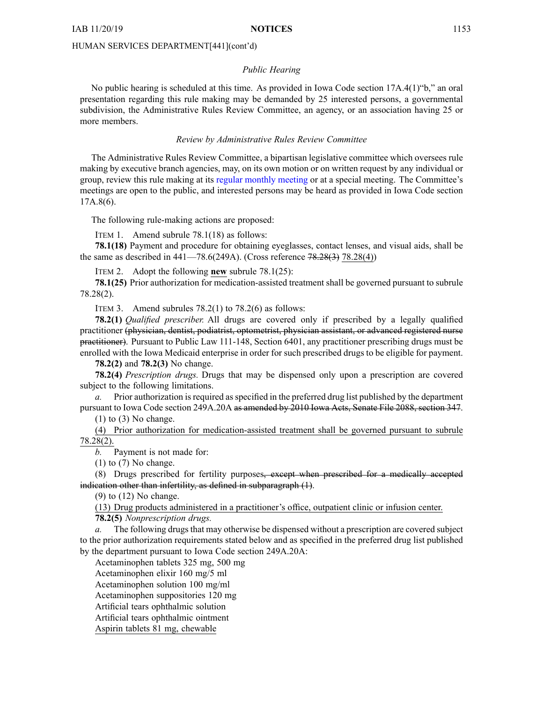#### *Public Hearing*

No public hearing is scheduled at this time. As provided in Iowa Code section 17A.4(1)"b," an oral presentation regarding this rule making may be demanded by 25 interested persons, <sup>a</sup> governmental subdivision, the Administrative Rules Review Committee, an agency, or an association having 25 or more members.

#### *Review by Administrative Rules Review Committee*

The Administrative Rules Review Committee, <sup>a</sup> bipartisan legislative committee which oversees rule making by executive branch agencies, may, on its own motion or on written reques<sup>t</sup> by any individual or group, review this rule making at its regular [monthly](https://www.legis.iowa.gov/committees/meetings/meetingsListComm?groupID=705&ga=88) meeting or at <sup>a</sup> special meeting. The Committee's meetings are open to the public, and interested persons may be heard as provided in Iowa Code section 17A.8(6).

The following rule-making actions are proposed:

ITEM 1. Amend subrule 78.1(18) as follows:

**78.1(18)** Payment and procedure for obtaining eyeglasses, contact lenses, and visual aids, shall be the same as described in  $441-78.6(249A)$ . (Cross reference  $78.28(3)$  78.28(4))

ITEM 2. Adopt the following **new** subrule 78.1(25):

**78.1(25)** Prior authorization for medication-assisted treatment shall be governed pursuan<sup>t</sup> to subrule 78.28(2).

ITEM 3. Amend subrules  $78.2(1)$  to  $78.2(6)$  as follows:

**78.2(1)** *Qualified prescriber.* All drugs are covered only if prescribed by <sup>a</sup> legally qualified practitioner (physician, dentist, podiatrist, optometrist, physician assistant, or advanced registered nurse practitioner). Pursuant to Public Law 111-148, Section 6401, any practitioner prescribing drugs must be enrolled with the Iowa Medicaid enterprise in order for such prescribed drugs to be eligible for payment.

**78.2(2)** and **78.2(3)** No change.

**78.2(4)** *Prescription drugs.* Drugs that may be dispensed only upon <sup>a</sup> prescription are covered subject to the following limitations.

*a.* Prior authorization is required as specified in the preferred drug list published by the department pursuan<sup>t</sup> to Iowa Code section [249A.20A](https://www.legis.iowa.gov/docs/ico/section/249A.20A.pdf) as amended by 2010 Iowa Acts, Senate File 2088, section 347.

 $(1)$  to  $(3)$  No change.

(4) Prior authorization for medication-assisted treatment shall be governed pursuan<sup>t</sup> to subrule 78.28(2).

*b.* Payment is not made for:

 $(1)$  to  $(7)$  No change.

(8) Drugs prescribed for fertility purposes, excep<sup>t</sup> when prescribed for <sup>a</sup> medically accepted indication other than infertility, as defined in subparagraph (1).

(9) to (12) No change.

(13) Drug products administered in <sup>a</sup> practitioner's office, outpatient clinic or infusion center.

**78.2(5)** *Nonprescription drugs.*

*a.* The following drugs that may otherwise be dispensed without a prescription are covered subject to the prior authorization requirements stated below and as specified in the preferred drug list published by the department pursuan<sup>t</sup> to Iowa Code section [249A.20A](https://www.legis.iowa.gov/docs/ico/section/249A.20A.pdf):

Acetaminophen tablets 325 mg, 500 mg

Acetaminophen elixir 160 mg/5 ml Acetaminophen solution 100 mg/ml

Acetaminophen suppositories 120 mg

Artificial tears ophthalmic solution

Artificial tears ophthalmic ointment

Aspirin tablets 81 mg, chewable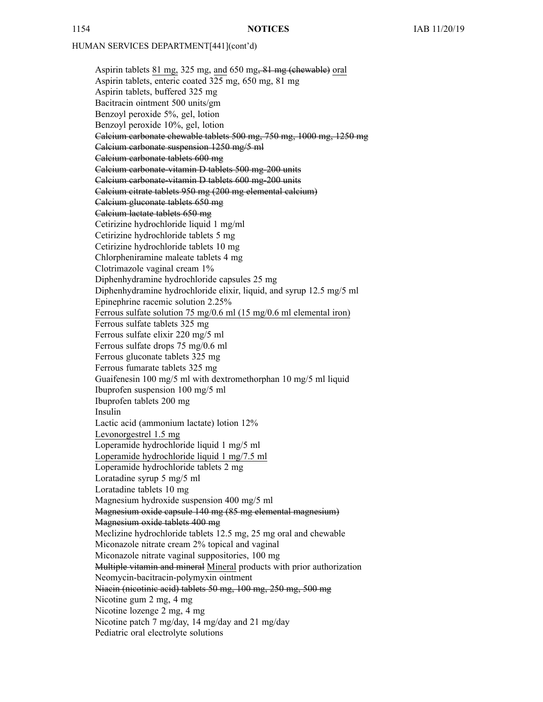Aspirin tablets 81 mg, 325 mg, and 650 mg, 81 mg (chewable) oral Aspirin tablets, enteric coated 325 mg, 650 mg, 81 mg Aspirin tablets, buffered 325 mg Bacitracin ointment 500 units/gm Benzoyl peroxide 5%, gel, lotion Benzoyl peroxide 10%, gel, lotion Calcium carbonate chewable tablets 500 mg, 750 mg, 1000 mg, 1250 mg Calcium carbonate suspension 1250 mg/5 ml Calcium carbonate tablets 600 mg Calcium carbonate-vitamin D tablets 500 mg-200 units Calcium carbonate-vitamin D tablets 600 mg-200 units Calcium citrate tablets 950 mg (200 mg elemental calcium) Calcium gluconate tablets 650 mg Calcium lactate tablets 650 mg Cetirizine hydrochloride liquid 1 mg/ml Cetirizine hydrochloride tablets 5 mg Cetirizine hydrochloride tablets 10 mg Chlorpheniramine maleate tablets 4 mg Clotrimazole vaginal cream 1% Diphenhydramine hydrochloride capsules 25 mg Diphenhydramine hydrochloride elixir, liquid, and syrup 12.5 mg/5 ml Epinephrine racemic solution 2.25% Ferrous sulfate solution 75 mg/0.6 ml (15 mg/0.6 ml elemental iron) Ferrous sulfate tablets 325 mg Ferrous sulfate elixir 220 mg/5 ml Ferrous sulfate drops 75 mg/0.6 ml Ferrous gluconate tablets 325 mg Ferrous fumarate tablets 325 mg Guaifenesin 100 mg/5 ml with dextromethorphan 10 mg/5 ml liquid Ibuprofen suspension 100 mg/5 ml Ibuprofen tablets 200 mg Insulin Lactic acid (ammonium lactate) lotion 12% Levonorgestrel 1.5 mg Loperamide hydrochloride liquid 1 mg/5 ml Loperamide hydrochloride liquid 1 mg/7.5 ml Loperamide hydrochloride tablets 2 mg Loratadine syrup 5 mg/5 ml Loratadine tablets 10 mg Magnesium hydroxide suspension 400 mg/5 ml Magnesium oxide capsule 140 mg (85 mg elemental magnesium) Magnesium oxide tablets 400 mg Meclizine hydrochloride tablets 12.5 mg, 25 mg oral and chewable Miconazole nitrate cream 2% topical and vaginal Miconazole nitrate vaginal suppositories, 100 mg Multiple vitamin and mineral Mineral products with prior authorization Neomycin-bacitracin-polymyxin ointment Niacin (nicotinic acid) tablets 50 mg, 100 mg, 250 mg, 500 mg Nicotine gum 2 mg, 4 mg Nicotine lozenge 2 mg, 4 mg Nicotine patch 7 mg/day, 14 mg/day and 21 mg/day Pediatric oral electrolyte solutions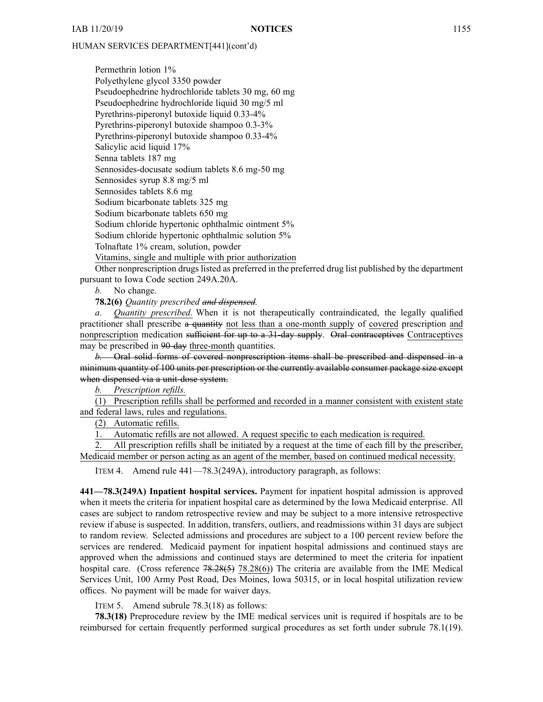Permethrin lotion 1% Polyethylene glycol 3350 powder Pseudoephedrine hydrochloride tablets 30 mg, 60 mg Pseudoephedrine hydrochloride liquid 30 mg/5 ml Pyrethrins-piperonyl butoxide liquid 0.33-4% Pyrethrins-piperonyl butoxide shampoo 0.3-3% Pyrethrins-piperonyl butoxide shampoo 0.33-4% Salicylic acid liquid 17% Senna tablets 187 mg Sennosides-docusate sodium tablets 8.6 mg-50 mg Sennosides syrup 8.8 mg/5 ml Sennosides tablets 8.6 mg Sodium bicarbonate tablets 325 mg Sodium bicarbonate tablets 650 mg Sodium chloride hypertonic ophthalmic ointment 5% Sodium chloride hypertonic ophthalmic solution 5% Tolnaftate 1% cream, solution, powder Vitamins, single and multiple with prior authorization

Other nonprescription drugs listed as preferred in the preferred drug list published by the department pursuan<sup>t</sup> to Iowa Code section [249A.20A](https://www.legis.iowa.gov/docs/ico/section/249A.20A.pdf).

*b.* No change.

**78.2(6)** *Quantity prescribed and dispensed.*

*a. Quantity prescribed.* When it is not therapeutically contraindicated, the legally qualified practitioner shall prescribe <sup>a</sup> quantity not less than <sup>a</sup> one-month supply of covered prescription and nonprescription medication sufficient for up to a 31-day supply. Oral contraceptives Contraceptives may be prescribed in 90-day three-month quantities.

*b.* Oral solid forms of covered nonprescription items shall be prescribed and dispensed in <sup>a</sup> minimum quantity of 100 units per prescription or the currently available consumer package size excep<sup>t</sup> when dispensed via <sup>a</sup> unit-dose system.

*b. Prescription refills.*

(1) Prescription refills shall be performed and recorded in <sup>a</sup> manner consistent with existent state and federal laws, rules and regulations.

(2) Automatic refills.

1. Automatic refills are not allowed. A reques<sup>t</sup> specific to each medication is required.

2. All prescription refills shall be initiated by <sup>a</sup> reques<sup>t</sup> at the time of each fill by the prescriber, Medicaid member or person acting as an agen<sup>t</sup> of the member, based on continued medical necessity.

ITEM 4. Amend rule 441—78.3(249A), introductory paragraph, as follows:

**441—78.3(249A) Inpatient hospital services.** Payment for inpatient hospital admission is approved when it meets the criteria for inpatient hospital care as determined by the Iowa Medicaid enterprise. All cases are subject to random retrospective review and may be subject to <sup>a</sup> more intensive retrospective review if abuse is suspected. In addition, transfers, outliers, and readmissions within 31 days are subject to random review. Selected admissions and procedures are subject to <sup>a</sup> 100 percen<sup>t</sup> review before the services are rendered. Medicaid paymen<sup>t</sup> for inpatient hospital admissions and continued stays are approved when the admissions and continued stays are determined to meet the criteria for inpatient hospital care. (Cross reference 78.28(5) 78.28(6)) The criteria are available from the IME Medical Services Unit, 100 Army Post Road, Des Moines, Iowa 50315, or in local hospital utilization review offices. No paymen<sup>t</sup> will be made for waiver days.

ITEM 5. Amend subrule 78.3(18) as follows:

**78.3(18)** Preprocedure review by the IME medical services unit is required if hospitals are to be reimbursed for certain frequently performed surgical procedures as set forth under subrule 78.1(19).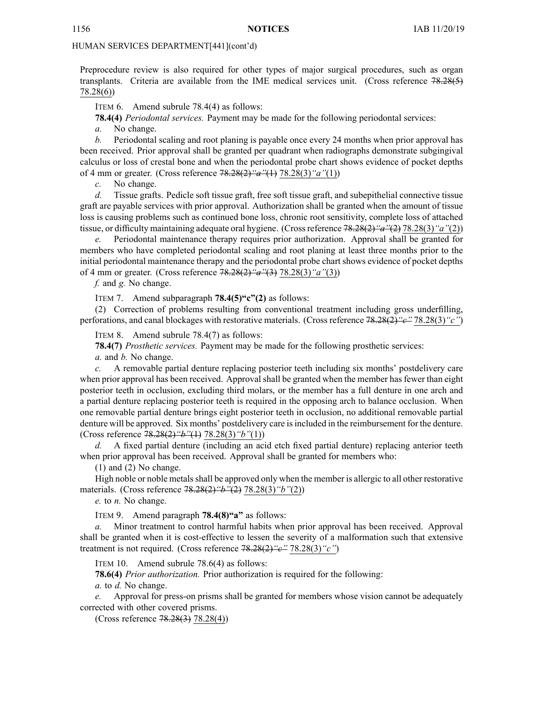Preprocedure review is also required for other types of major surgical procedures, such as organ transplants. Criteria are available from the IME medical services unit. (Cross reference 78.28(5) 78.28(6))

ITEM 6. Amend subrule 78.4(4) as follows:

**78.4(4)** *Periodontal services.* Payment may be made for the following periodontal services:

*a.* No change.

*b.* Periodontal scaling and root planing is payable once every 24 months when prior approval has been received. Prior approval shall be granted per quadrant when radiographs demonstrate subgingival calculus or loss of crestal bone and when the periodontal probe chart shows evidence of pocket depths of 4 mm or greater. (Cross reference 78.28(2)*"a"*(1) 78.28(3)*"a"*(1))

*c.* No change.

*d.* Tissue grafts. Pedicle soft tissue graft, free soft tissue graft, and subepithelial connective tissue graft are payable services with prior approval. Authorization shall be granted when the amount of tissue loss is causing problems such as continued bone loss, chronic root sensitivity, complete loss of attached tissue, or difficulty maintaining adequate oral hygiene. (Crossreference 78.28(2)*"a"*(2) 78.28(3)*"a"*(2))

*e.* Periodontal maintenance therapy requires prior authorization. Approval shall be granted for members who have completed periodontal scaling and root planing at least three months prior to the initial periodontal maintenance therapy and the periodontal probe chart shows evidence of pocket depths of 4 mm or greater. (Cross reference 78.28(2)*"a"*(3) 78.28(3)*"a"*(3))

*f.* and *g.* No change.

ITEM 7. Amend subparagraph **78.4(5)"c"(2)** as follows:

(2) Correction of problems resulting from conventional treatment including gross underfilling, perforations, and canal blockages with restorative materials. (Cross reference 78.28(2)*"c"* 78.28(3)*"c"*)

ITEM 8. Amend subrule 78.4(7) as follows:

**78.4(7)** *Prosthetic services.* Payment may be made for the following prosthetic services:

*a.* and *b.* No change.

*c.* A removable partial denture replacing posterior teeth including six months' postdelivery care when prior approval has been received. Approval shall be granted when the member has fewer than eight posterior teeth in occlusion, excluding third molars, or the member has <sup>a</sup> full denture in one arch and <sup>a</sup> partial denture replacing posterior teeth is required in the opposing arch to balance occlusion. When one removable partial denture brings eight posterior teeth in occlusion, no additional removable partial denture will be approved. Six months' postdelivery care isincluded in the reimbursement for the denture. (Cross reference 78.28(2)*"b"*(1) 78.28(3)*"b"*(1))

*d.* A fixed partial denture (including an acid etch fixed partial denture) replacing anterior teeth when prior approval has been received. Approval shall be granted for members who:

(1) and (2) No change.

High noble or noble metalsshall be approved only when the member is allergic to all other restorative materials. (Cross reference 78.28(2)*"b"*(2) 78.28(3)*"b"*(2))

*e.* to *n.* No change.

ITEM 9. Amend paragraph **78.4(8)"a"** as follows:

*a.* Minor treatment to control harmful habits when prior approval has been received. Approval shall be granted when it is cost-effective to lessen the severity of <sup>a</sup> malformation such that extensive treatment is not required. (Cross reference 78.28(2)*"c"* 78.28(3)*"c"*)

ITEM 10. Amend subrule 78.6(4) as follows:

**78.6(4)** *Prior authorization.* Prior authorization is required for the following:

*a.* to *d.* No change.

*e.* Approval for press-on prisms shall be granted for members whose vision cannot be adequately corrected with other covered prisms.

(Cross reference 78.28(3) 78.28(4))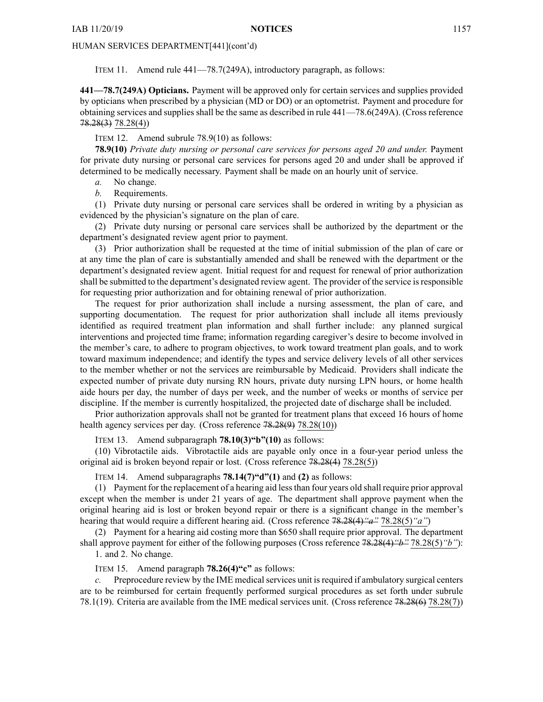ITEM 11. Amend rule 441—78.7(249A), introductory paragraph, as follows:

**441—78.7(249A) Opticians.** Payment will be approved only for certain services and supplies provided by opticians when prescribed by <sup>a</sup> physician (MD or DO) or an optometrist. Payment and procedure for obtaining services and supplies shall be the same as described in rule 441—78.6(249A). (Cross reference 78.28(3) 78.28(4))

ITEM 12. Amend subrule 78.9(10) as follows:

**78.9(10)** *Private duty nursing or personal care services for persons aged 20 and under.* Payment for private duty nursing or personal care services for persons aged 20 and under shall be approved if determined to be medically necessary. Payment shall be made on an hourly unit of service.

*a.* No change.

*b.* Requirements.

(1) Private duty nursing or personal care services shall be ordered in writing by <sup>a</sup> physician as evidenced by the physician's signature on the plan of care.

(2) Private duty nursing or personal care services shall be authorized by the department or the department's designated review agen<sup>t</sup> prior to payment.

(3) Prior authorization shall be requested at the time of initial submission of the plan of care or at any time the plan of care is substantially amended and shall be renewed with the department or the department's designated review agent. Initial reques<sup>t</sup> for and reques<sup>t</sup> for renewal of prior authorization shall be submitted to the department's designated review agent. The provider of the service is responsible for requesting prior authorization and for obtaining renewal of prior authorization.

The reques<sup>t</sup> for prior authorization shall include <sup>a</sup> nursing assessment, the plan of care, and supporting documentation. The reques<sup>t</sup> for prior authorization shall include all items previously identified as required treatment plan information and shall further include: any planned surgical interventions and projected time frame; information regarding caregiver's desire to become involved in the member's care, to adhere to program objectives, to work toward treatment plan goals, and to work toward maximum independence; and identify the types and service delivery levels of all other services to the member whether or not the services are reimbursable by Medicaid. Providers shall indicate the expected number of private duty nursing RN hours, private duty nursing LPN hours, or home health aide hours per day, the number of days per week, and the number of weeks or months of service per discipline. If the member is currently hospitalized, the projected date of discharge shall be included.

Prior authorization approvals shall not be granted for treatment plans that exceed 16 hours of home health agency services per day. (Cross reference  $78.28(9)$  78.28(10))

ITEM 13. Amend subparagraph **78.10(3)"b"(10)** as follows:

(10) Vibrotactile aids. Vibrotactile aids are payable only once in <sup>a</sup> four-year period unless the original aid is broken beyond repair or lost. (Cross reference 78.28(4) 78.28(5))

ITEM 14. Amend subparagraphs **78.14(7)"d"(1)** and **(2)** as follows:

(1) Payment for the replacement of <sup>a</sup> hearing aid lessthan four years old shall require prior approval excep<sup>t</sup> when the member is under 21 years of age. The department shall approve paymen<sup>t</sup> when the original hearing aid is lost or broken beyond repair or there is <sup>a</sup> significant change in the member's hearing that would require <sup>a</sup> different hearing aid. (Cross reference 78.28(4)*"a"* 78.28(5)*"a"*)

(2) Payment for <sup>a</sup> hearing aid costing more than \$650 shall require prior approval. The department shall approve paymen<sup>t</sup> for either of the following purposes (Cross reference 78.28(4)*"b"* 78.28(5)*"b"*):

1. and 2. No change.

ITEM 15. Amend paragraph **78.26(4)"c"** as follows:

*c.* Preprocedure review by the IME medicalservices unit isrequired if ambulatory surgical centers are to be reimbursed for certain frequently performed surgical procedures as set forth under subrule 78.1(19). Criteria are available from the IME medical services unit. (Cross reference 78.28(6) 78.28(7))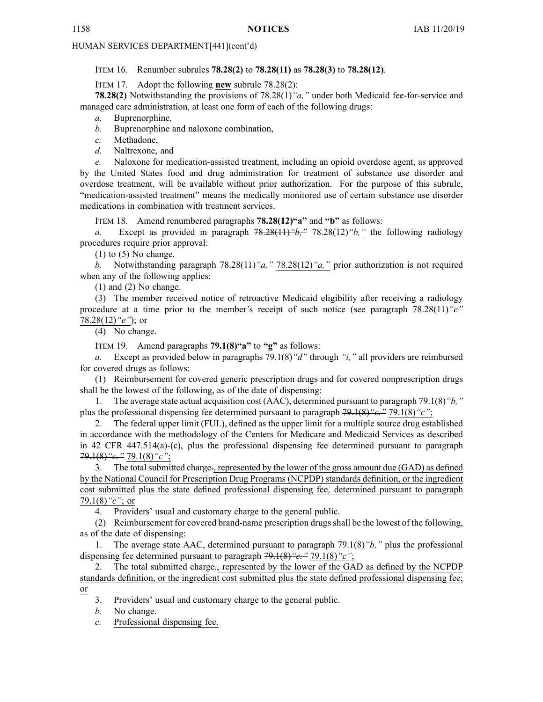ITEM 16. Renumber subrules **78.28(2)** to **78.28(11)** as **78.28(3)** to **78.28(12)**.

ITEM 17. Adopt the following **new** subrule 78.28(2):

**78.28(2)** Notwithstanding the provisions of 78.28(1)*"a,"* under both Medicaid fee-for-service and managed care administration, at least one form of each of the following drugs:

*a.* Buprenorphine,

*b.* Buprenorphine and naloxone combination,

*c.* Methadone,

*d.* Naltrexone, and

*e.* Naloxone for medication-assisted treatment, including an opioid overdose agent, as approved by the United States food and drug administration for treatment of substance use disorder and overdose treatment, will be available without prior authorization. For the purpose of this subrule, "medication-assisted treatment" means the medically monitored use of certain substance use disorder medications in combination with treatment services.

ITEM 18. Amend renumbered paragraphs **78.28(12)"a"** and **"b"** as follows:

*a.* Except as provided in paragraph 78.28(11)*"b,"* 78.28(12)*"b,"* the following radiology procedures require prior approval:

 $(1)$  to  $(5)$  No change.

*b.* Notwithstanding paragraph 78.28(11)*"a,"* 78.28(12)*"a,"* prior authorization is not required when any of the following applies:

(1) and (2) No change.

(3) The member received notice of retroactive Medicaid eligibility after receiving <sup>a</sup> radiology procedure at <sup>a</sup> time prior to the member's receipt of such notice (see paragraph 78.28(11)*"e"* 78.28(12)*"e"*); or

(4) No change.

ITEM 19. Amend paragraphs **79.1(8)"a"** to **"g"** as follows:

*a.* Except as provided below in paragraphs 79.1(8)*"d"* through *"i,"* all providers are reimbursed for covered drugs as follows:

(1) Reimbursement for covered generic prescription drugs and for covered nonprescription drugs shall be the lowest of the following, as of the date of dispensing:

1. The average state actual acquisition cost (AAC), determined pursuan<sup>t</sup> to paragraph 79.1(8)*"b,"* plus the professional dispensing fee determined pursuan<sup>t</sup> to paragraph 79.1(8)*"c."* 79.1(8)*"c"*;

2. The federal upper limit (FUL), defined as the upper limit for <sup>a</sup> multiple source drug established in accordance with the methodology of the Centers for Medicare and Medicaid Services as described in 42 CFR 447.514(a)-(c), plus the professional dispensing fee determined pursuan<sup>t</sup> to paragraph 79.1(8)*"c."* 79.1(8)*"c"*;

The total submitted charge-, represented by the lower of the gross amount due (GAD) as defined by the National Council for Prescription Drug Programs (NCPDP) standards definition, or the ingredient cost submitted plus the state defined professional dispensing fee, determined pursuan<sup>t</sup> to paragraph 79.1(8)*"c"*; or

4. Providers' usual and customary charge to the general public.

(2) Reimbursement for covered brand-name prescription drugs shall be the lowest of the following, as of the date of dispensing:

1. The average state AAC, determined pursuan<sup>t</sup> to paragraph 79.1(8)*"b,"* plus the professional dispensing fee determined pursuan<sup>t</sup> to paragraph 79.1(8)*"c."* 79.1(8)*"c"*;

2. The total submitted charge., represented by the lower of the GAD as defined by the NCPDP standards definition, or the ingredient cost submitted plus the state defined professional dispensing fee; or

3. Providers' usual and customary charge to the general public.

*b.* No change.

*c.* Professional dispensing fee.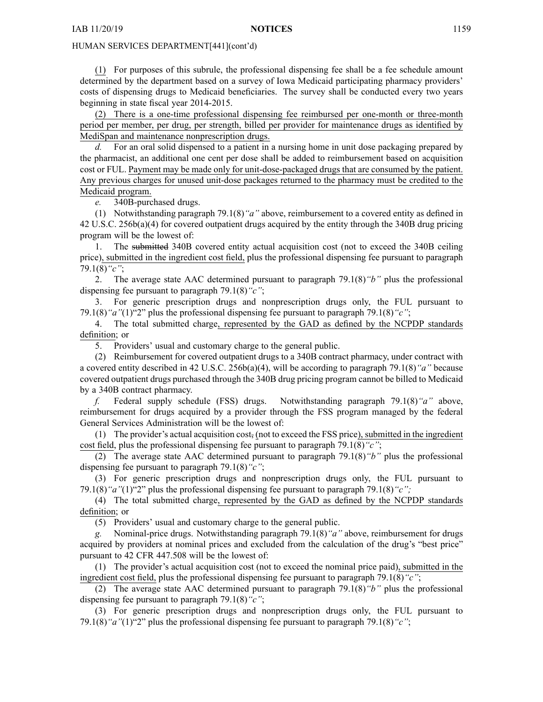(1) For purposes of this subrule, the professional dispensing fee shall be <sup>a</sup> fee schedule amount determined by the department based on <sup>a</sup> survey of Iowa Medicaid participating pharmacy providers' costs of dispensing drugs to Medicaid beneficiaries. The survey shall be conducted every two years beginning in state fiscal year 2014-2015.

(2) There is <sup>a</sup> one-time professional dispensing fee reimbursed per one-month or three-month period per member, per drug, per strength, billed per provider for maintenance drugs as identified by MediSpan and maintenance nonprescription drugs.

For an oral solid dispensed to a patient in a nursing home in unit dose packaging prepared by the pharmacist, an additional one cent per dose shall be added to reimbursement based on acquisition cost or FUL. Payment may be made only for unit-dose-packaged drugs that are consumed by the patient. Any previous charges for unused unit-dose packages returned to the pharmacy must be credited to the Medicaid program.

*e.* 340B-purchased drugs.

(1) Notwithstanding paragraph 79.1(8)*"a"* above, reimbursement to <sup>a</sup> covered entity as defined in 42 U.S.C. 256b(a)(4) for covered outpatient drugs acquired by the entity through the 340B drug pricing program will be the lowest of:

1. The submitted 340B covered entity actual acquisition cost (not to exceed the 340B ceiling price), submitted in the ingredient cost field, plus the professional dispensing fee pursuan<sup>t</sup> to paragraph 79.1(8)*"c"*;

2. The average state AAC determined pursuan<sup>t</sup> to paragraph 79.1(8)*"b"* plus the professional dispensing fee pursuan<sup>t</sup> to paragraph 79.1(8)*"c"*;

3. For generic prescription drugs and nonprescription drugs only, the FUL pursuan<sup>t</sup> to 79.1(8)*"a"*(1)"2" plus the professional dispensing fee pursuan<sup>t</sup> to paragraph 79.1(8)*"c"*;

4. The total submitted charge, represented by the GAD as defined by the NCPDP standards definition; or

5. Providers' usual and customary charge to the general public.

(2) Reimbursement for covered outpatient drugs to <sup>a</sup> 340B contract pharmacy, under contract with <sup>a</sup> covered entity described in 42 U.S.C. 256b(a)(4), will be according to paragraph 79.1(8)*"a"* because covered outpatient drugs purchased through the 340B drug pricing program cannot be billed to Medicaid by <sup>a</sup> 340B contract pharmacy.

*f.* Federal supply schedule (FSS) drugs. Notwithstanding paragraph 79.1(8)*"a"* above, reimbursement for drugs acquired by <sup>a</sup> provider through the FSS program managed by the federal General Services Administration will be the lowest of:

(1) The provider's actual acquisition cost, (not to exceed the FSS price), submitted in the ingredient cost field, plus the professional dispensing fee pursuan<sup>t</sup> to paragraph 79.1(8)*"c"*;

(2) The average state AAC determined pursuan<sup>t</sup> to paragraph 79.1(8)*"b"* plus the professional dispensing fee pursuan<sup>t</sup> to paragraph 79.1(8)*"c"*;

(3) For generic prescription drugs and nonprescription drugs only, the FUL pursuan<sup>t</sup> to 79.1(8)*"a"*(1)"2" plus the professional dispensing fee pursuan<sup>t</sup> to paragraph 79.1(8)*"c";*

(4) The total submitted charge, represented by the GAD as defined by the NCPDP standards definition; or

(5) Providers' usual and customary charge to the general public.

*g.* Nominal-price drugs. Notwithstanding paragraph 79.1(8)*"a"* above, reimbursement for drugs acquired by providers at nominal prices and excluded from the calculation of the drug's "best price" pursuan<sup>t</sup> to 42 CFR [447.508](https://www.law.cornell.edu/cfr/text/42/447.508) will be the lowest of:

(1) The provider's actual acquisition cost (not to exceed the nominal price paid), submitted in the ingredient cost field, plus the professional dispensing fee pursuan<sup>t</sup> to paragraph 79.1(8)*"c"*;

(2) The average state AAC determined pursuan<sup>t</sup> to paragraph 79.1(8)*"b"* plus the professional dispensing fee pursuan<sup>t</sup> to paragraph 79.1(8)*"c"*;

(3) For generic prescription drugs and nonprescription drugs only, the FUL pursuan<sup>t</sup> to 79.1(8)*"a"*(1)"2" plus the professional dispensing fee pursuan<sup>t</sup> to paragraph 79.1(8)*"c"*;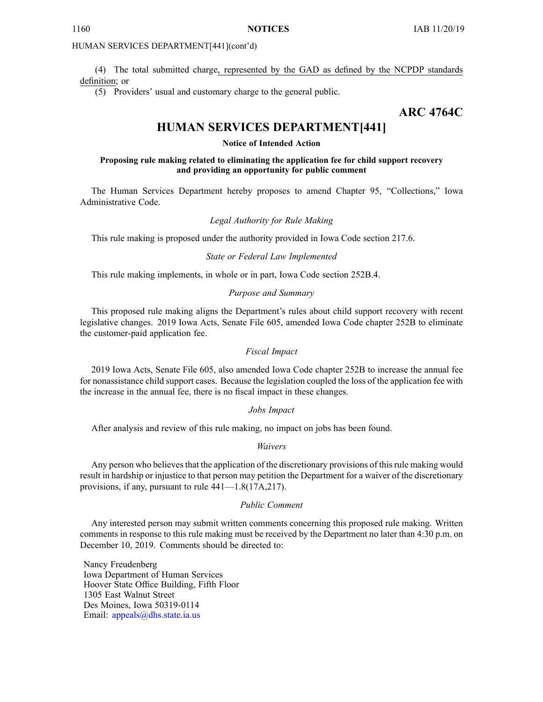(4) The total submitted charge, represented by the GAD as defined by the NCPDP standards definition; or

(5) Providers' usual and customary charge to the general public.

# **ARC 4764C**

# **HUMAN SERVICES DEPARTMENT[441]**

# **Notice of Intended Action**

# **Proposing rule making related to eliminating the application fee for child support recovery and providing an opportunity for public comment**

The Human Services Department hereby proposes to amend Chapter 95, "Collections," Iowa Administrative Code.

# *Legal Authority for Rule Making*

This rule making is proposed under the authority provided in Iowa Code section 217.6.

#### *State or Federal Law Implemented*

This rule making implements, in whole or in part, Iowa Code section 252B.4.

# *Purpose and Summary*

This proposed rule making aligns the Department's rules about child suppor<sup>t</sup> recovery with recent legislative changes. 2019 Iowa Acts, Senate File 605, amended Iowa Code chapter 252B to eliminate the customer-paid application fee.

# *Fiscal Impact*

2019 Iowa Acts, Senate File 605, also amended Iowa Code chapter 252B to increase the annual fee for nonassistance child suppor<sup>t</sup> cases. Because the legislation coupled the loss of the application fee with the increase in the annual fee, there is no fiscal impact in these changes.

# *Jobs Impact*

After analysis and review of this rule making, no impact on jobs has been found.

#### *Waivers*

Any person who believes that the application of the discretionary provisions of this rule making would result in hardship or injustice to that person may petition the Department for <sup>a</sup> waiver of the discretionary provisions, if any, pursuan<sup>t</sup> to rule 441—1.8(17A,217).

#### *Public Comment*

Any interested person may submit written comments concerning this proposed rule making. Written comments in response to this rule making must be received by the Department no later than 4:30 p.m. on December 10, 2019. Comments should be directed to:

Nancy Freudenberg Iowa Department of Human Services Hoover State Office Building, Fifth Floor 1305 East Walnut Street Des Moines, Iowa 50319-0114 Email: appea[ls@dhs.state.ia.us](mailto:appeals@dhs.state.ia.us)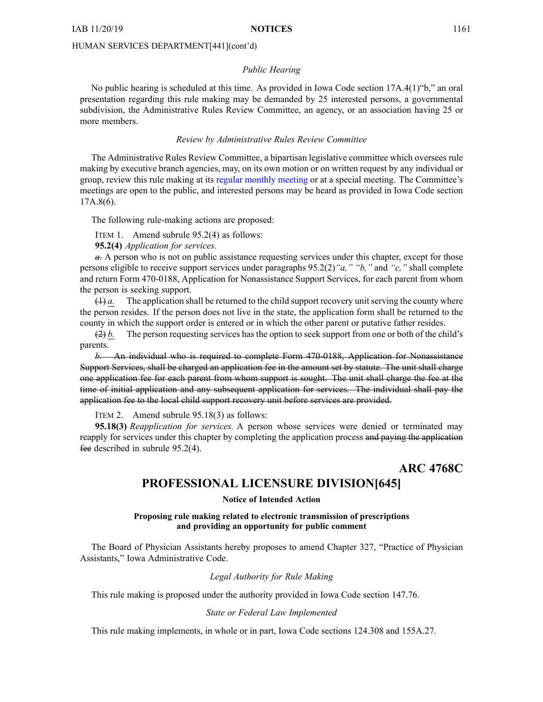# *Public Hearing*

No public hearing is scheduled at this time. As provided in Iowa Code section 17A.4(1)"b," an oral presentation regarding this rule making may be demanded by 25 interested persons, <sup>a</sup> governmental subdivision, the Administrative Rules Review Committee, an agency, or an association having 25 or more members.

#### *Review by Administrative Rules Review Committee*

The Administrative Rules Review Committee, <sup>a</sup> bipartisan legislative committee which oversees rule making by executive branch agencies, may, on its own motion or on written reques<sup>t</sup> by any individual or group, review this rule making at its regular [monthly](https://www.legis.iowa.gov/committees/meetings/meetingsListComm?groupID=705&ga=88) meeting or at <sup>a</sup> special meeting. The Committee's meetings are open to the public, and interested persons may be heard as provided in Iowa Code section 17A.8(6).

The following rule-making actions are proposed:

ITEM 1. Amend subrule 95.2(4) as follows:

**95.2(4)** *Application for services.*

*a.* Aperson who is not on public assistance requesting services under this chapter, excep<sup>t</sup> for those persons eligible to receive suppor<sup>t</sup> services under paragraphs 95.2(2)*"a," "b,"* and *"c,"* shall complete and return Form 470-0188, Application for Nonassistance Support Services, for each paren<sup>t</sup> from whom the person is seeking support.

 $(1)$  *a.* The application shall be returned to the child support recovery unit serving the county where the person resides. If the person does not live in the state, the application form shall be returned to the county in which the suppor<sup>t</sup> order is entered or in which the other paren<sup>t</sup> or putative father resides.

 $(2) b$ . The person requesting services has the option to seek support from one or both of the child's parents.

*b.* An individual who is required to complete Form 470-0188, Application for Nonassistance Support Services, shall be charged an application fee in the amount set by statute. The unit shall charge one application fee for each paren<sup>t</sup> from whom suppor<sup>t</sup> is sought. The unit shall charge the fee at the time of initial application and any subsequent application for services. The individual shall pay the application fee to the local child suppor<sup>t</sup> recovery unit before services are provided.

ITEM 2. Amend subrule 95.18(3) as follows:

**95.18(3)** *Reapplication for services.* A person whose services were denied or terminated may reapply for services under this chapter by completing the application process and paying the application fee described in subrule 95.2(4).

**ARC 4768C**

# **PROFESSIONAL LICENSURE DIVISION[645]**

# **Notice of Intended Action**

# **Proposing rule making related to electronic transmission of prescriptions and providing an opportunity for public comment**

The Board of Physician Assistants hereby proposes to amend Chapter 327, "Practice of Physician Assistants," Iowa Administrative Code.

# *Legal Authority for Rule Making*

This rule making is proposed under the authority provided in Iowa Code section 147.76.

#### *State or Federal Law Implemented*

This rule making implements, in whole or in part, Iowa Code sections 124.308 and 155A.27.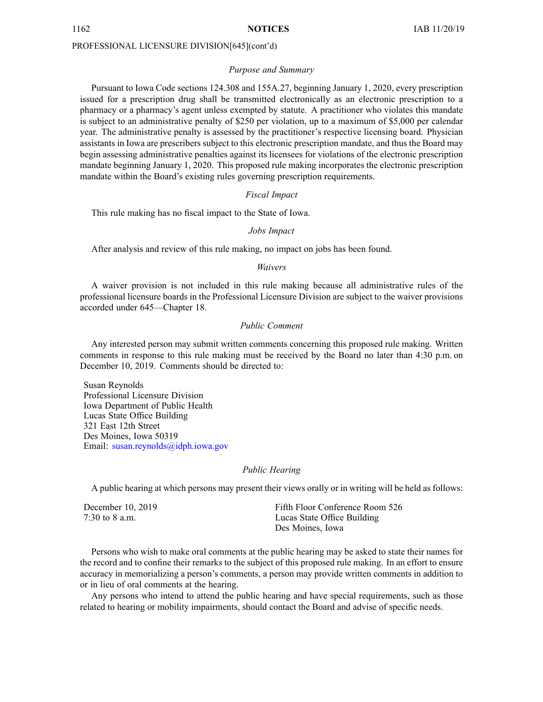# PROFESSIONAL LICENSURE DIVISION[645](cont'd)

#### *Purpose and Summary*

Pursuant to Iowa Code sections 124.308 and 155A.27, beginning January 1, 2020, every prescription issued for <sup>a</sup> prescription drug shall be transmitted electronically as an electronic prescription to <sup>a</sup> pharmacy or <sup>a</sup> pharmacy's agen<sup>t</sup> unless exempted by statute. A practitioner who violates this mandate is subject to an administrative penalty of \$250 per violation, up to <sup>a</sup> maximum of \$5,000 per calendar year. The administrative penalty is assessed by the practitioner's respective licensing board. Physician assistants in Iowa are prescribers subject to this electronic prescription mandate, and thus the Board may begin assessing administrative penalties against its licensees for violations of the electronic prescription mandate beginning January 1, 2020. This proposed rule making incorporates the electronic prescription mandate within the Board's existing rules governing prescription requirements.

# *Fiscal Impact*

This rule making has no fiscal impact to the State of Iowa.

#### *Jobs Impact*

After analysis and review of this rule making, no impact on jobs has been found.

## *Waivers*

A waiver provision is not included in this rule making because all administrative rules of the professional licensure boards in the Professional Licensure Division are subject to the waiver provisions accorded under 645—Chapter 18.

# *Public Comment*

Any interested person may submit written comments concerning this proposed rule making. Written comments in response to this rule making must be received by the Board no later than 4:30 p.m. on December 10, 2019. Comments should be directed to:

Susan Reynolds Professional Licensure Division Iowa Department of Public Health Lucas State Office Building 321 East 12th Street Des Moines, Iowa 50319 Email: susan.reyno[lds@idph.iowa.gov](mailto:susan.reynolds@idph.iowa.gov)

#### *Public Hearing*

A public hearing at which persons may presen<sup>t</sup> their views orally or in writing will be held as follows:

| December 10, 2019 | Fifth Floor Conference Room 526 |
|-------------------|---------------------------------|
| 7:30 to 8 a.m.    | Lucas State Office Building     |
|                   | Des Moines, Iowa                |

Persons who wish to make oral comments at the public hearing may be asked to state their names for the record and to confine their remarks to the subject of this proposed rule making. In an effort to ensure accuracy in memorializing <sup>a</sup> person's comments, <sup>a</sup> person may provide written comments in addition to or in lieu of oral comments at the hearing.

Any persons who intend to attend the public hearing and have special requirements, such as those related to hearing or mobility impairments, should contact the Board and advise of specific needs.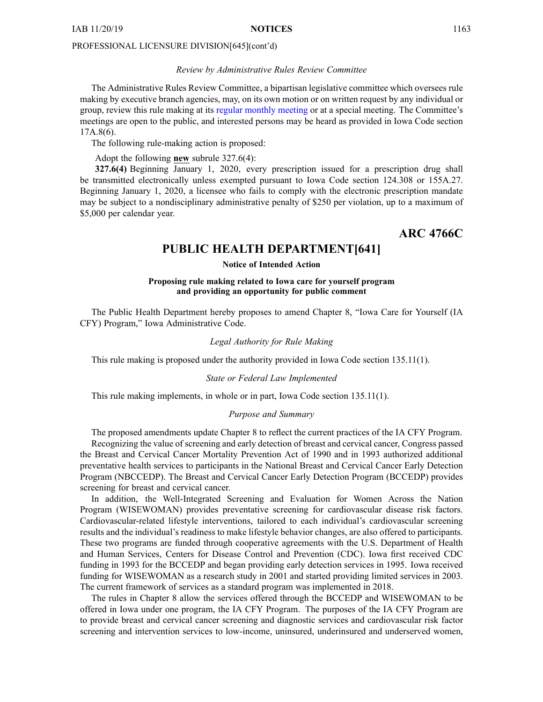# PROFESSIONAL LICENSURE DIVISION[645](cont'd)

# *Review by Administrative Rules Review Committee*

The Administrative Rules Review Committee, <sup>a</sup> bipartisan legislative committee which oversees rule making by executive branch agencies, may, on its own motion or on written reques<sup>t</sup> by any individual or group, review this rule making at its regular [monthly](https://www.legis.iowa.gov/committees/meetings/meetingsListComm?groupID=705&ga=88) meeting or at <sup>a</sup> special meeting. The Committee's meetings are open to the public, and interested persons may be heard as provided in Iowa Code section 17A.8(6).

The following rule-making action is proposed:

Adopt the following **new** subrule 327.6(4):

**327.6(4)** Beginning January 1, 2020, every prescription issued for <sup>a</sup> prescription drug shall be transmitted electronically unless exempted pursuan<sup>t</sup> to Iowa Code section [124.308](https://www.legis.iowa.gov/docs/ico/section/124.308.pdf) or [155A.27](https://www.legis.iowa.gov/docs/ico/section/155A.27.pdf). Beginning January 1, 2020, <sup>a</sup> licensee who fails to comply with the electronic prescription mandate may be subject to <sup>a</sup> nondisciplinary administrative penalty of \$250 per violation, up to <sup>a</sup> maximum of \$5,000 per calendar year.

# **ARC 4766C**

# **PUBLIC HEALTH DEPARTMENT[641]**

# **Notice of Intended Action**

# **Proposing rule making related to Iowa care for yourself program and providing an opportunity for public comment**

The Public Health Department hereby proposes to amend Chapter 8, "Iowa Care for Yourself (IA CFY) Program," Iowa Administrative Code.

# *Legal Authority for Rule Making*

This rule making is proposed under the authority provided in Iowa Code section 135.11(1).

# *State or Federal Law Implemented*

This rule making implements, in whole or in part, Iowa Code section 135.11(1).

# *Purpose and Summary*

The proposed amendments update Chapter 8 to reflect the current practices of the IA CFY Program. Recognizing the value of screening and early detection of breast and cervical cancer, Congress passed the Breast and Cervical Cancer Mortality Prevention Act of 1990 and in 1993 authorized additional preventative health services to participants in the National Breast and Cervical Cancer Early Detection Program (NBCCEDP). The Breast and Cervical Cancer Early Detection Program (BCCEDP) provides screening for breast and cervical cancer.

In addition, the Well-Integrated Screening and Evaluation for Women Across the Nation Program (WISEWOMAN) provides preventative screening for cardiovascular disease risk factors. Cardiovascular-related lifestyle interventions, tailored to each individual's cardiovascular screening results and the individual's readiness to make lifestyle behavior changes, are also offered to participants. These two programs are funded through cooperative agreements with the U.S. Department of Health and Human Services, Centers for Disease Control and Prevention (CDC). Iowa first received CDC funding in 1993 for the BCCEDP and began providing early detection services in 1995. Iowa received funding for WISEWOMAN as <sup>a</sup> research study in 2001 and started providing limited services in 2003. The current framework of services as <sup>a</sup> standard program was implemented in 2018.

The rules in Chapter 8 allow the services offered through the BCCEDP and WISEWOMAN to be offered in Iowa under one program, the IA CFY Program. The purposes of the IA CFY Program are to provide breast and cervical cancer screening and diagnostic services and cardiovascular risk factor screening and intervention services to low-income, uninsured, underinsured and underserved women,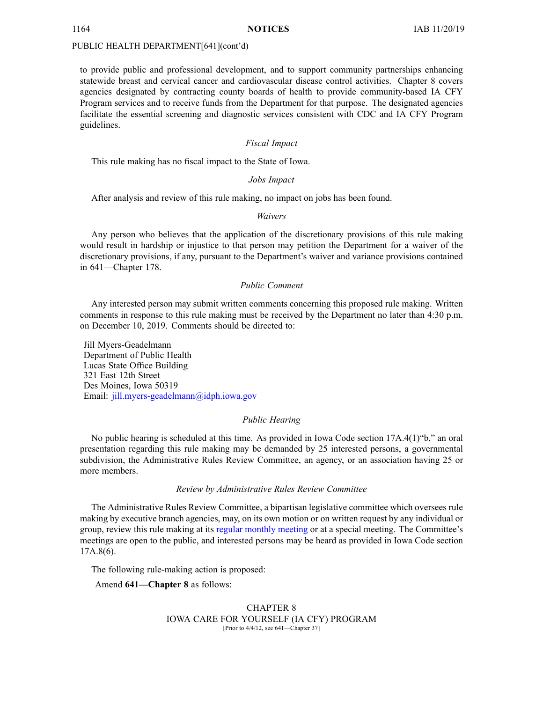to provide public and professional development, and to suppor<sup>t</sup> community partnerships enhancing statewide breast and cervical cancer and cardiovascular disease control activities. Chapter 8 covers agencies designated by contracting county boards of health to provide community-based IA CFY Program services and to receive funds from the Department for that purpose. The designated agencies facilitate the essential screening and diagnostic services consistent with CDC and IA CFY Program guidelines.

# *Fiscal Impact*

This rule making has no fiscal impact to the State of Iowa.

# *Jobs Impact*

After analysis and review of this rule making, no impact on jobs has been found.

#### *Waivers*

Any person who believes that the application of the discretionary provisions of this rule making would result in hardship or injustice to that person may petition the Department for <sup>a</sup> waiver of the discretionary provisions, if any, pursuan<sup>t</sup> to the Department's waiver and variance provisions contained in 641—Chapter 178.

# *Public Comment*

Any interested person may submit written comments concerning this proposed rule making. Written comments in response to this rule making must be received by the Department no later than 4:30 p.m. on December 10, 2019. Comments should be directed to:

Jill Myers-Geadelmann Department of Public Health Lucas State Office Building 321 East 12th Street Des Moines, Iowa 50319 Email: [jill.myers-geadelmann@idph.iowa.gov](mailto:jill.myers-geadelmann@idph.iowa.gov)

# *Public Hearing*

No public hearing is scheduled at this time. As provided in Iowa Code section 17A.4(1)"b," an oral presentation regarding this rule making may be demanded by 25 interested persons, <sup>a</sup> governmental subdivision, the Administrative Rules Review Committee, an agency, or an association having 25 or more members.

#### *Review by Administrative Rules Review Committee*

The Administrative Rules Review Committee, <sup>a</sup> bipartisan legislative committee which oversees rule making by executive branch agencies, may, on its own motion or on written reques<sup>t</sup> by any individual or group, review this rule making at its regular [monthly](https://www.legis.iowa.gov/committees/meetings/meetingsListComm?groupID=705&ga=88) meeting or at <sup>a</sup> special meeting. The Committee's meetings are open to the public, and interested persons may be heard as provided in Iowa Code section 17A.8(6).

The following rule-making action is proposed:

Amend **641—Chapter 8** as follows:

### CHAPTER 8 IOWA CARE FOR YOURSELF (IA CFY) PROGRAM [Prior to 4/4/12, see 641—Chapter 37]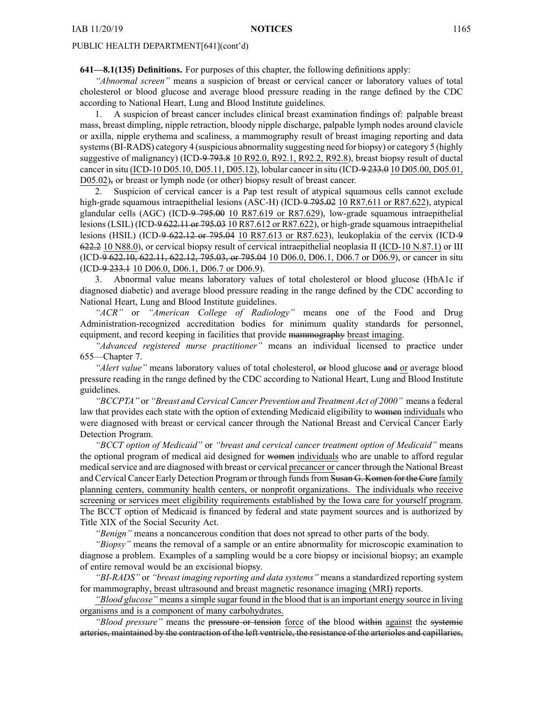**641—8.1(135) Definitions.** For purposes of this chapter, the following definitions apply:

*"Abnormal screen"* means <sup>a</sup> suspicion of breast or cervical cancer or laboratory values of total cholesterol or blood glucose and average blood pressure reading in the range defined by the CDC according to National Heart, Lung and Blood Institute guidelines.

1. A suspicion of breast cancer includes clinical breast examination findings of: palpable breast mass, breast dimpling, nipple retraction, bloody nipple discharge, palpable lymph nodes around clavicle or axilla, nipple erythema and scaliness, <sup>a</sup> mammography result of breast imaging reporting and data systems(BI-RADS) category 4 (suspicious abnormality suggesting need for biopsy) or category 5 (highly suggestive of malignancy) (ICD-9 793.8 10 R92.0, R92.1, R92.2, R92.8), breast biopsy result of ductal cancer in situ (ICD-10 D05.10, D05.11, D05.12), lobular cancer in situ (ICD-9 233.0 10 D05.00, D05.01, D05.02), or breast or lymph node (or other) biopsy result of breast cancer.

2. Suspicion of cervical cancer is <sup>a</sup> Pap test result of atypical squamous cells cannot exclude high-grade squamous intraepithelial lesions (ASC-H) (ICD-9 795.02 10 R87.611 or R87.622), atypical glandular cells (AGC) (ICD-9 795.00 10 R87.619 or R87.629), low-grade squamous intraepithelial lesions (LSIL) (ICD-9 622.11 or 795.03 10 R87.612 or R87.622), or high-grade squamous intraepithelial lesions (HSIL) (ICD-9 622.12 or 795.04 10 R87.613 or R87.623), leukoplakia of the cervix (ICD-9 622.2 10 N88.0), or cervical biopsy result of cervical intraepithelial neoplasia II (ICD-10 N.87.1) or III (ICD-9 622.10, 622.11, 622.12, 795.03, or 795.04 10 D06.0, D06.1, D06.7 or D06.9), or cancer in situ (ICD-9 233.1 10 D06.0, D06.1, D06.7 or D06.9).

3. Abnormal value means laboratory values of total cholesterol or blood glucose (HbA1c if diagnosed diabetic) and average blood pressure reading in the range defined by the CDC according to National Heart, Lung and Blood Institute guidelines.

*"ACR"* or *"American College of Radiology"* means one of the Food and Drug Administration-recognized accreditation bodies for minimum quality standards for personnel, equipment, and record keeping in facilities that provide mammography breast imaging.

*"Advanced registered nurse practitioner"* means an individual licensed to practice under 655—Chapter 7.

*"Alert value"* means laboratory values of total cholesterol, or blood glucose and or average blood pressure reading in the range defined by the CDC according to National Heart, Lung and Blood Institute guidelines.

*"BCCPTA"* or *"Breast and Cervical Cancer Prevention and Treatment Act of 2000"* means <sup>a</sup> federal law that provides each state with the option of extending Medicaid eligibility to women individuals who were diagnosed with breast or cervical cancer through the National Breast and Cervical Cancer Early Detection Program.

*"BCCT option of Medicaid"* or *"breast and cervical cancer treatment option of Medicaid"* means the optional program of medical aid designed for women individuals who are unable to afford regular medicalservice and are diagnosed with breast or cervical precancer or cancer through the National Breast and Cervical Cancer Early Detection Program or through funds from Susan G. Komen for the Cure family planning centers, community health centers, or nonprofit organizations. The individuals who receive screening or services meet eligibility requirements established by the Iowa care for yourself program. The BCCT option of Medicaid is financed by federal and state paymen<sup>t</sup> sources and is authorized by Title XIX of the Social Security Act.

*"Benign"* means <sup>a</sup> noncancerous condition that does not spread to other parts of the body.

*"Biopsy"* means the removal of <sup>a</sup> sample or an entire abnormality for microscopic examination to diagnose <sup>a</sup> problem. Examples of <sup>a</sup> sampling would be <sup>a</sup> core biopsy or incisional biopsy; an example of entire removal would be an excisional biopsy.

*"BI-RADS"* or *"breast imaging reporting and data systems"* means <sup>a</sup> standardized reporting system for mammography, breast ultrasound and breast magnetic resonance imaging (MRI) reports.

*"Blood glucose"* means <sup>a</sup> simple sugar found in the blood that is an important energy source in living organisms and is <sup>a</sup> componen<sup>t</sup> of many carbohydrates.

*"Blood pressure"* means the pressure or tension force of the blood within against the systemic arteries, maintained by the contraction of the left ventricle, the resistance of the arterioles and capillaries,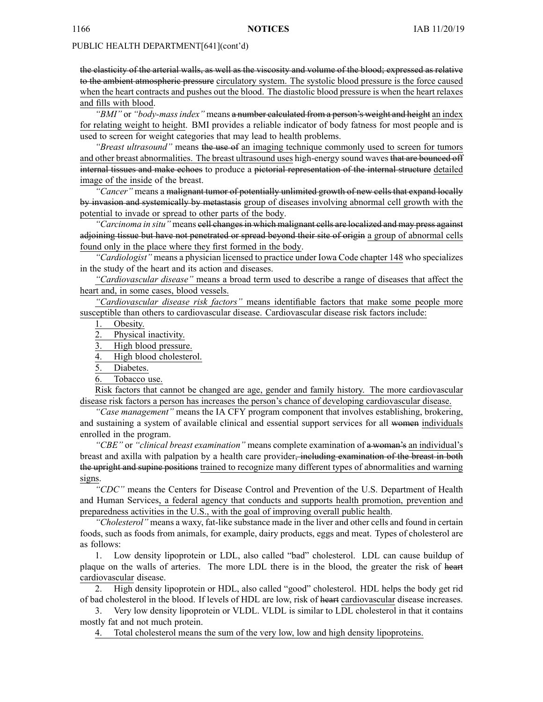the elasticity of the arterial walls, as well as the viscosity and volume of the blood; expressed as relative to the ambient atmospheric pressure circulatory system. The systolic blood pressure is the force caused when the heart contracts and pushes out the blood. The diastolic blood pressure is when the heart relaxes and fills with blood.

*"BMI"* or *"body-massindex"* means <sup>a</sup> number calculated from <sup>a</sup> person's weight and height an index for relating weight to height. BMI provides <sup>a</sup> reliable indicator of body fatness for most people and is used to screen for weight categories that may lead to health problems.

*"Breast ultrasound"* means the use of an imaging technique commonly used to screen for tumors and other breast abnormalities. The breast ultrasound uses high-energy sound waves that are bounced off internal tissues and make echoes to produce <sup>a</sup> pictorial representation of the internal structure detailed image of the inside of the breast.

*"Cancer"* means <sup>a</sup> malignant tumor of potentially unlimited growth of new cells that expand locally by invasion and systemically by metastasis group of diseases involving abnormal cell growth with the potential to invade or spread to other parts of the body.

"Carcinoma in situ" means cell changes in which malignant cells are localized and may press against adjoining tissue but have not penetrated or spread beyond their site of origin <sup>a</sup> group of abnormal cells found only in the place where they first formed in the body.

*"Cardiologist"* means <sup>a</sup> physician licensed to practice under Iowa Code chapter [148](https://www.legis.iowa.gov/docs/ico/chapter/148.pdf) who specializes in the study of the heart and its action and diseases.

*"Cardiovascular disease"* means <sup>a</sup> broad term used to describe <sup>a</sup> range of diseases that affect the heart and, in some cases, blood vessels.

*"Cardiovascular disease risk factors"* means identifiable factors that make some people more susceptible than others to cardiovascular disease. Cardiovascular disease risk factors include:

1. Obesity.

2. Physical inactivity.

3. High blood pressure.

4. High blood cholesterol.

5. Diabetes.

6. Tobacco use.

Risk factors that cannot be changed are age, gender and family history. The more cardiovascular disease risk factors <sup>a</sup> person has increases the person's chance of developing cardiovascular disease.

*"Case management"* means the IA CFY program componen<sup>t</sup> that involves establishing, brokering, and sustaining <sup>a</sup> system of available clinical and essential suppor<sup>t</sup> services for all women individuals enrolled in the program.

*"CBE"* or *"clinical breast examination"* means complete examination of <sup>a</sup> woman's an individual's breast and axilla with palpation by <sup>a</sup> health care provider, including examination of the breast in both the upright and supine positions trained to recognize many different types of abnormalities and warning signs.

*"CDC"* means the Centers for Disease Control and Prevention of the U.S. Department of Health and Human Services, <sup>a</sup> federal agency that conducts and supports health promotion, prevention and preparedness activities in the U.S., with the goal of improving overall public health.

*"Cholesterol"* means <sup>a</sup> waxy, fat-like substance made in the liver and other cells and found in certain foods, such as foods from animals, for example, dairy products, eggs and meat. Types of cholesterol are as follows:

1. Low density lipoprotein or LDL, also called "bad" cholesterol. LDL can cause buildup of plaque on the walls of arteries. The more LDL there is in the blood, the greater the risk of heart cardiovascular disease.

2. High density lipoprotein or HDL, also called "good" cholesterol. HDL helps the body ge<sup>t</sup> rid of bad cholesterol in the blood. If levels of HDL are low, risk of heart cardiovascular disease increases.

3. Very low density lipoprotein or VLDL. VLDL is similar to LDL cholesterol in that it contains mostly fat and not much protein.

4. Total cholesterol means the sum of the very low, low and high density lipoproteins.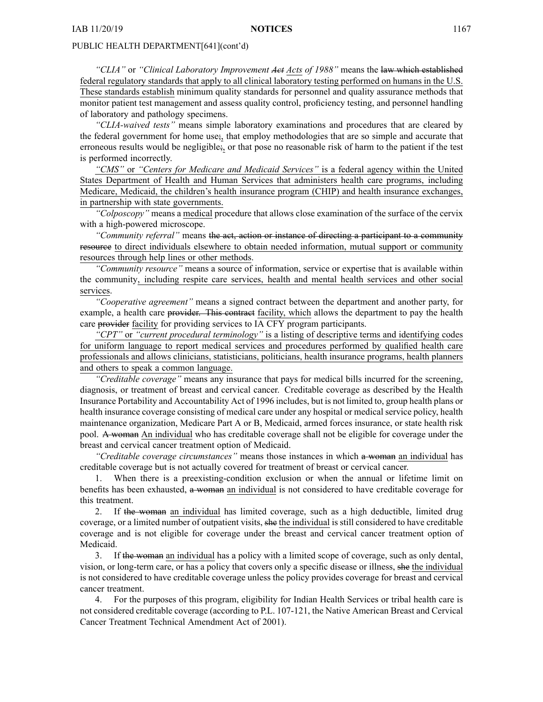*"CLIA"* or *"Clinical Laboratory Improvement Act Acts of 1988"* means the law which established federal regulatory standards that apply to all clinical laboratory testing performed on humans in the U.S. These standards establish minimum quality standards for personnel and quality assurance methods that monitor patient test managemen<sup>t</sup> and assess quality control, proficiency testing, and personnel handling of laboratory and pathology specimens.

*"CLIA-waived tests"* means simple laboratory examinations and procedures that are cleared by the federal governmen<sup>t</sup> for home use;, that employ methodologies that are so simple and accurate that erroneous results would be negligible;, or that pose no reasonable risk of harm to the patient if the test is performed incorrectly.

*"CMS"* or *"Centers for Medicare and Medicaid Services"* is <sup>a</sup> federal agency within the United States Department of Health and Human Services that administers health care programs, including Medicare, Medicaid, the children's health insurance program (CHIP) and health insurance exchanges, in partnership with state governments.

*"Colposcopy"* means <sup>a</sup> medical procedure that allows close examination of the surface of the cervix with <sup>a</sup> high-powered microscope.

*"Community referral"* means the act, action or instance of directing <sup>a</sup> participant to <sup>a</sup> community resource to direct individuals elsewhere to obtain needed information, mutual support or community resources through help lines or other methods.

*"Community resource"* means <sup>a</sup> source of information, service or expertise that is available within the community, including respite care services, health and mental health services and other social services.

*"Cooperative agreement"* means <sup>a</sup> signed contract between the department and another party, for example, a health care provider. This contract facility, which allows the department to pay the health care provider facility for providing services to IA CFY program participants.

*"CPT"* or *"current procedural terminology"* is <sup>a</sup> listing of descriptive terms and identifying codes for uniform language to repor<sup>t</sup> medical services and procedures performed by qualified health care professionals and allows clinicians, statisticians, politicians, health insurance programs, health planners and others to speak <sup>a</sup> common language.

*"Creditable coverage"* means any insurance that pays for medical bills incurred for the screening, diagnosis, or treatment of breast and cervical cancer. Creditable coverage as described by the Health Insurance Portability and Accountability Act of 1996 includes, but is not limited to, group health plans or health insurance coverage consisting of medical care under any hospital or medical service policy, health maintenance organization, Medicare Part A or B, Medicaid, armed forces insurance, or state health risk pool. A woman An individual who has creditable coverage shall not be eligible for coverage under the breast and cervical cancer treatment option of Medicaid.

*"Creditable coverage circumstances"* means those instances in which <sup>a</sup> woman an individual has creditable coverage but is not actually covered for treatment of breast or cervical cancer.

1. When there is <sup>a</sup> preexisting-condition exclusion or when the annual or lifetime limit on benefits has been exhausted, <sup>a</sup> woman an individual is not considered to have creditable coverage for this treatment.

2. If the woman an individual has limited coverage, such as a high deductible, limited drug coverage, or <sup>a</sup> limited number of outpatient visits, she the individual is still considered to have creditable coverage and is not eligible for coverage under the breast and cervical cancer treatment option of Medicaid.

3. If the woman an individual has <sup>a</sup> policy with <sup>a</sup> limited scope of coverage, such as only dental, vision, or long-term care, or has <sup>a</sup> policy that covers only <sup>a</sup> specific disease or illness, she the individual is not considered to have creditable coverage unless the policy provides coverage for breast and cervical cancer treatment.

4. For the purposes of this program, eligibility for Indian Health Services or tribal health care is not considered creditable coverage (according to P.L. 107-121, the Native American Breast and Cervical Cancer Treatment Technical Amendment Act of 2001).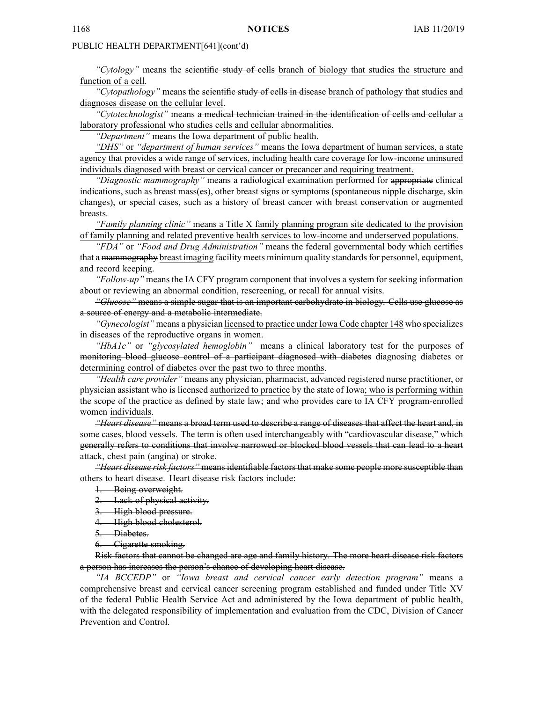*"Cytology"* means the scientific study of cells branch of biology that studies the structure and function of <sup>a</sup> cell.

*"Cytopathology"* means the scientific study of cells in disease branch of pathology that studies and diagnoses disease on the cellular level.

*"Cytotechnologist"* means <sup>a</sup> medical technician trained in the identification of cells and cellular <sup>a</sup> laboratory professional who studies cells and cellular abnormalities.

*"Department"* means the Iowa department of public health.

*"DHS"* or *"department of human services"* means the Iowa department of human services, <sup>a</sup> state agency that provides <sup>a</sup> wide range of services, including health care coverage for low-income uninsured individuals diagnosed with breast or cervical cancer or precancer and requiring treatment.

*"Diagnostic mammography"* means <sup>a</sup> radiological examination performed for appropriate clinical indications, such as breast mass(es), other breast signs or symptoms (spontaneous nipple discharge, skin changes), or special cases, such as <sup>a</sup> history of breast cancer with breast conservation or augmented breasts.

*"Family planning clinic"* means <sup>a</sup> Title X family planning program site dedicated to the provision of family planning and related preventive health services to low-income and underserved populations.

*"FDA"* or *"Food and Drug Administration"* means the federal governmental body which certifies that a mammography breast imaging facility meets minimum quality standards for personnel, equipment, and record keeping.

*"Follow-up"* means the IA CFY program componen<sup>t</sup> that involves <sup>a</sup> system for seeking information about or reviewing an abnormal condition, rescreening, or recall for annual visits.

*"Glucose"* means <sup>a</sup> simple sugar that is an important carbohydrate in biology. Cells use glucose as <sup>a</sup> source of energy and <sup>a</sup> metabolic intermediate.

*"Gynecologist"* means <sup>a</sup> physician licensed to practice under Iowa Code chapter [148](https://www.legis.iowa.gov/docs/ico/chapter/148.pdf) who specializes in diseases of the reproductive organs in women.

*"HbA1c"* or *"glycosylated hemoglobin"* means <sup>a</sup> clinical laboratory test for the purposes of monitoring blood glucose control of <sup>a</sup> participant diagnosed with diabetes diagnosing diabetes or determining control of diabetes over the pas<sup>t</sup> two to three months.

*"Health care provider"* means any physician, pharmacist, advanced registered nurse practitioner, or physician assistant who is licensed authorized to practice by the state of Iowa; who is performing within the scope of the practice as defined by state law; and who provides care to IA CFY program-enrolled women individuals.

*"Heart disease"* means <sup>a</sup> broad term used to describe <sup>a</sup> range of diseases that affect the heart and, in some cases, blood vessels. The term is often used interchangeably with "cardiovascular disease," which generally refers to conditions that involve narrowed or blocked blood vessels that can lead to <sup>a</sup> heart attack, chest pain (angina) or stroke.

*"Heart disease risk factors"* means identifiable factors that make some people more susceptible than others to heart disease. Heart disease risk factors include:

1. Being overweight.

2. Lack of physical activity.

3. High blood pressure.

4. High blood cholesterol.

5. Diabetes.

6. Cigarette smoking.

Risk factors that cannot be changed are age and family history. The more heart disease risk factors <sup>a</sup> person has increases the person's chance of developing heart disease.

*"IA BCCEDP"* or *"Iowa breast and cervical cancer early detection program"* means <sup>a</sup> comprehensive breast and cervical cancer screening program established and funded under Title XV of the federal Public Health Service Act and administered by the Iowa department of public health, with the delegated responsibility of implementation and evaluation from the CDC, Division of Cancer Prevention and Control.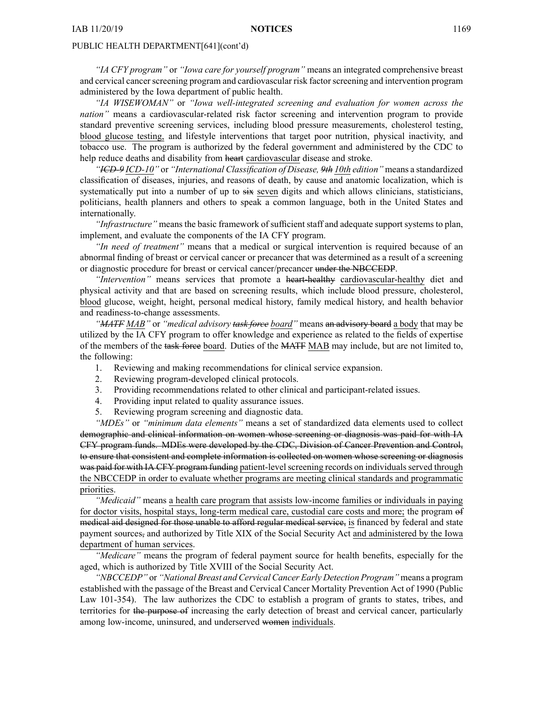*"IA CFY program"* or *"Iowa care for yourself program"* means an integrated comprehensive breast and cervical cancer screening program and cardiovascular risk factor screening and intervention program administered by the Iowa department of public health.

*"IA WISEWOMAN"* or *"Iowa well-integrated screening and evaluation for women across the nation*" means a cardiovascular-related risk factor screening and intervention program to provide standard preventive screening services, including blood pressure measurements, cholesterol testing, blood glucose testing, and lifestyle interventions that target poor nutrition, physical inactivity, and tobacco use. The program is authorized by the federal governmen<sup>t</sup> and administered by the CDC to help reduce deaths and disability from heart cardiovascular disease and stroke.

*"ICD-9 ICD-10"* or *"International Classification of Disease, 9th 10th edition"* means <sup>a</sup> standardized classification of diseases, injuries, and reasons of death, by cause and anatomic localization, which is systematically put into a number of up to six seven digits and which allows clinicians, statisticians, politicians, health planners and others to speak <sup>a</sup> common language, both in the United States and internationally.

*"Infrastructure"* means the basic framework of sufficient staff and adequate suppor<sup>t</sup> systems to plan, implement, and evaluate the components of the IA CFY program.

*"In need of treatment"* means that <sup>a</sup> medical or surgical intervention is required because of an abnormal finding of breast or cervical cancer or precancer that was determined as <sup>a</sup> result of <sup>a</sup> screening or diagnostic procedure for breast or cervical cancer/precancer under the NBCCEDP.

*"Intervention"* means services that promote <sup>a</sup> heart-healthy cardiovascular-healthy diet and physical activity and that are based on screening results, which include blood pressure, cholesterol, blood glucose, weight, height, personal medical history, family medical history, and health behavior and readiness-to-change assessments.

*"MATF MAB"* or *"medical advisory task force board"* means an advisory board <sup>a</sup> body that may be utilized by the IA CFY program to offer knowledge and experience as related to the fields of expertise of the members of the task force board. Duties of the MATF MAB may include, but are not limited to, the following:

- 1. Reviewing and making recommendations for clinical service expansion.
- 2. Reviewing program-developed clinical protocols.
- 3. Providing recommendations related to other clinical and participant-related issues.
- 4. Providing input related to quality assurance issues.
- 5. Reviewing program screening and diagnostic data.

*"MDEs"* or *"minimum data elements"* means <sup>a</sup> set of standardized data elements used to collect demographic and clinical information on women whose screening or diagnosis was paid for with IA CFY program funds. MDEs were developed by the CDC, Division of Cancer Prevention and Control, to ensure that consistent and complete information is collected on women whose screening or diagnosis was paid for with IA CFY program funding patient-level screening records on individuals served through the NBCCEDP in order to evaluate whether programs are meeting clinical standards and programmatic priorities.

*"Medicaid"* means <sup>a</sup> health care program that assists low-income families or individuals in paying for doctor visits, hospital stays, long-term medical care, custodial care costs and more; the program of medical aid designed for those unable to afford regular medical service, is financed by federal and state paymen<sup>t</sup> sources, and authorized by Title XIX of the Social Security Act and administered by the Iowa department of human services.

*"Medicare"* means the program of federal paymen<sup>t</sup> source for health benefits, especially for the aged, which is authorized by Title XVIII of the Social Security Act.

*"NBCCEDP"* or *"National Breast and Cervical Cancer Early Detection Program"* means <sup>a</sup> program established with the passage of the Breast and Cervical Cancer Mortality Prevention Act of 1990 (Public Law 101-354). The law authorizes the CDC to establish <sup>a</sup> program of grants to states, tribes, and territories for the purpose of increasing the early detection of breast and cervical cancer, particularly among low-income, uninsured, and underserved women individuals.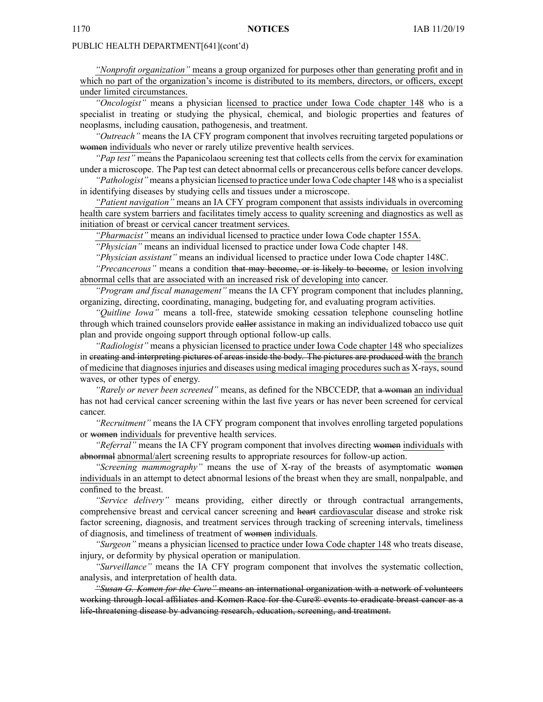*"Nonprofit organization"* means <sup>a</sup> group organized for purposes other than generating profit and in which no par<sup>t</sup> of the organization's income is distributed to its members, directors, or officers, excep<sup>t</sup> under limited circumstances.

*"Oncologist"* means <sup>a</sup> physician licensed to practice under Iowa Code chapter [148](https://www.legis.iowa.gov/docs/ico/chapter/148.pdf) who is <sup>a</sup> specialist in treating or studying the physical, chemical, and biologic properties and features of neoplasms, including causation, pathogenesis, and treatment.

*"Outreach"* means the IA CFY program componen<sup>t</sup> that involves recruiting targeted populations or women individuals who never or rarely utilize preventive health services.

*"Pap test"* means the Papanicolaou screening test that collects cells from the cervix for examination under <sup>a</sup> microscope. The Pap test can detect abnormal cells or precancerous cells before cancer develops.

*"Pathologist"* means <sup>a</sup> physician licensed to practice under Iowa Code chapter [148](https://www.legis.iowa.gov/docs/ico/chapter/148.pdf) who is <sup>a</sup> specialist in identifying diseases by studying cells and tissues under <sup>a</sup> microscope.

*"Patient navigation"* means an IA CFY program componen<sup>t</sup> that assists individuals in overcoming health care system barriers and facilitates timely access to quality screening and diagnostics as well as initiation of breast or cervical cancer treatment services.

*"Pharmacist"* means an individual licensed to practice under Iowa Code chapter [155A](https://www.legis.iowa.gov/docs/ico/chapter/155A.pdf).

*"Physician"* means an individual licensed to practice under Iowa Code chapter [148](https://www.legis.iowa.gov/docs/ico/chapter/148.pdf).

*"Physician assistant"* means an individual licensed to practice under Iowa Code chapter [148C](https://www.legis.iowa.gov/docs/ico/chapter/148C.pdf).

*"Precancerous"* means <sup>a</sup> condition that may become, or is likely to become, or lesion involving abnormal cells that are associated with an increased risk of developing into cancer.

*"Program and fiscal management"* means the IA CFY program componen<sup>t</sup> that includes planning, organizing, directing, coordinating, managing, budgeting for, and evaluating program activities.

*"Quitline Iowa"* means <sup>a</sup> toll-free, statewide smoking cessation telephone counseling hotline through which trained counselors provide caller assistance in making an individualized tobacco use quit plan and provide ongoing suppor<sup>t</sup> through optional follow-up calls.

*"Radiologist"* means <sup>a</sup> physician licensed to practice under Iowa Code chapter [148](https://www.legis.iowa.gov/docs/ico/chapter/148.pdf) who specializes in creating and interpreting pictures of areas inside the body. The pictures are produced with the branch of medicine that diagnosesinjuries and diseases using medical imaging proceduressuch as X-rays, sound waves, or other types of energy.

*"Rarely or never been screened"* means, as defined for the NBCCEDP, that <sup>a</sup> woman an individual has not had cervical cancer screening within the last five years or has never been screened for cervical cancer.

*"Recruitment"* means the IA CFY program componen<sup>t</sup> that involves enrolling targeted populations or women individuals for preventive health services.

*"Referral"* means the IA CFY program componen<sup>t</sup> that involves directing women individuals with abnormal abnormal/alert screening results to appropriate resources for follow-up action.

*"Screening mammography"* means the use of X-ray of the breasts of asymptomatic women individuals in an attempt to detect abnormal lesions of the breast when they are small, nonpalpable, and confined to the breast.

*"Service delivery"* means providing, either directly or through contractual arrangements, comprehensive breast and cervical cancer screening and heart cardiovascular disease and stroke risk factor screening, diagnosis, and treatment services through tracking of screening intervals, timeliness of diagnosis, and timeliness of treatment of women individuals.

*"Surgeon"* means <sup>a</sup> physician licensed to practice under Iowa Code chapter [148](https://www.legis.iowa.gov/docs/ico/chapter/148.pdf) who treats disease, injury, or deformity by physical operation or manipulation.

*"Surveillance"* means the IA CFY program componen<sup>t</sup> that involves the systematic collection, analysis, and interpretation of health data.

*"Susan G. Komen for the Cure"* means an international organization with <sup>a</sup> network of volunteers working through local affiliates and Komen Race for the Cure® events to eradicate breast cancer as <sup>a</sup> life-threatening disease by advancing research, education, screening, and treatment.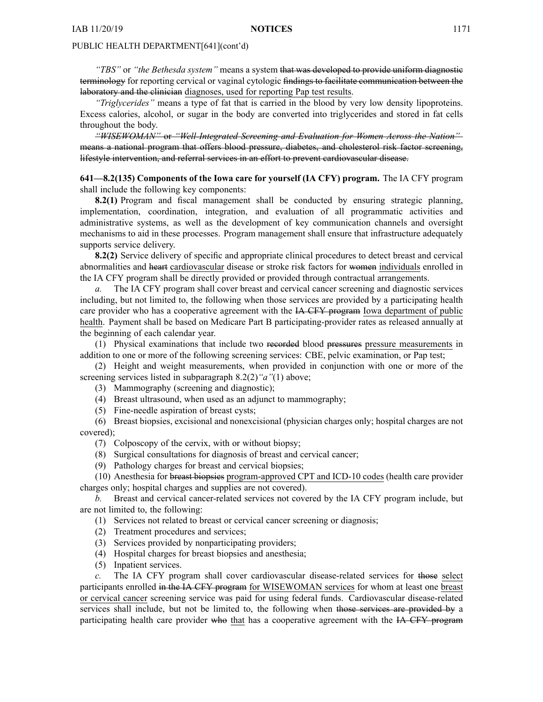*"TBS"* or *"the Bethesda system"* means <sup>a</sup> system that was developed to provide uniform diagnostic terminology for reporting cervical or vaginal cytologic findings to facilitate communication between the laboratory and the clinician diagnoses, used for reporting Pap test results.

*"Triglycerides"* means <sup>a</sup> type of fat that is carried in the blood by very low density lipoproteins. Excess calories, alcohol, or sugar in the body are converted into triglycerides and stored in fat cells throughout the body.

*"WISEWOMAN"* or *"Well-Integrated Screening and Evaluation for Women Across the Nation"* means <sup>a</sup> national program that offers blood pressure, diabetes, and cholesterol risk factor screening, lifestyle intervention, and referral services in an effort to preven<sup>t</sup> cardiovascular disease.

**641—8.2(135) Components of the Iowa care for yourself (IA CFY) program.** The IA CFY program shall include the following key components:

**8.2(1)** Program and fiscal managemen<sup>t</sup> shall be conducted by ensuring strategic planning, implementation, coordination, integration, and evaluation of all programmatic activities and administrative systems, as well as the development of key communication channels and oversight mechanisms to aid in these processes. Program managemen<sup>t</sup> shall ensure that infrastructure adequately supports service delivery.

**8.2(2)** Service delivery of specific and appropriate clinical procedures to detect breast and cervical abnormalities and heart cardiovascular disease or stroke risk factors for women individuals enrolled in the IA CFY program shall be directly provided or provided through contractual arrangements.

The IA CFY program shall cover breast and cervical cancer screening and diagnostic services including, but not limited to, the following when those services are provided by <sup>a</sup> participating health care provider who has a cooperative agreement with the <del>IA CFY program</del> Iowa department of public health. Payment shall be based on Medicare Part B participating-provider rates as released annually at the beginning of each calendar year.

(1) Physical examinations that include two recorded blood pressures pressure measurements in addition to one or more of the following screening services: CBE, pelvic examination, or Pap test;

(2) Height and weight measurements, when provided in conjunction with one or more of the screening services listed in subparagraph 8.2(2)*"a"*(1) above;

(3) Mammography (screening and diagnostic);

(4) Breast ultrasound, when used as an adjunct to mammography;

(5) Fine-needle aspiration of breast cysts;

(6) Breast biopsies, excisional and nonexcisional (physician charges only; hospital charges are not covered);

- (7) Colposcopy of the cervix, with or without biopsy;
- (8) Surgical consultations for diagnosis of breast and cervical cancer;
- (9) Pathology charges for breast and cervical biopsies;

(10) Anesthesia for breast biopsies program-approved CPT and ICD-10 codes (health care provider charges only; hospital charges and supplies are not covered).

*b.* Breast and cervical cancer-related services not covered by the IA CFY program include, but are not limited to, the following:

(1) Services not related to breast or cervical cancer screening or diagnosis;

- (2) Treatment procedures and services;
- (3) Services provided by nonparticipating providers;
- (4) Hospital charges for breast biopsies and anesthesia;
- (5) Inpatient services.

The IA CFY program shall cover cardiovascular disease-related services for those select participants enrolled in the IA CFY program for WISEWOMAN services for whom at least one breast or cervical cancer screening service was paid for using federal funds. Cardiovascular disease-related services shall include, but not be limited to, the following when those services are provided by a participating health care provider who that has <sup>a</sup> cooperative agreemen<sup>t</sup> with the IA CFY program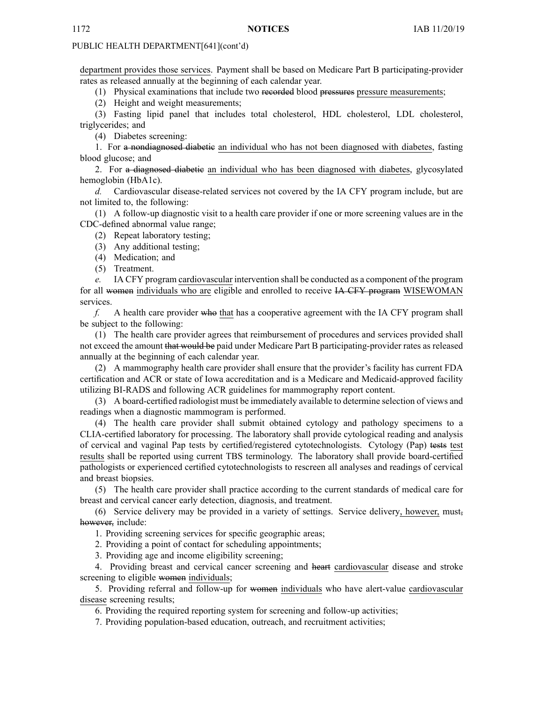department provides those services. Payment shall be based on Medicare Part B participating-provider rates as released annually at the beginning of each calendar year.

(1) Physical examinations that include two recorded blood pressures pressure measurements;

(2) Height and weight measurements;

(3) Fasting lipid panel that includes total cholesterol, HDL cholesterol, LDL cholesterol, triglycerides; and

(4) Diabetes screening:

1. For <sup>a</sup> nondiagnosed diabetic an individual who has not been diagnosed with diabetes, fasting blood glucose; and

2. For <sup>a</sup> diagnosed diabetic an individual who has been diagnosed with diabetes, glycosylated hemoglobin (HbA1c).

*d.* Cardiovascular disease-related services not covered by the IA CFY program include, but are not limited to, the following:

(1) A follow-up diagnostic visit to <sup>a</sup> health care provider if one or more screening values are in the CDC-defined abnormal value range;

(2) Repeat laboratory testing;

(3) Any additional testing;

(4) Medication; and

(5) Treatment.

*e.* IA CFY program cardiovascular intervention shall be conducted as <sup>a</sup> componen<sup>t</sup> of the program for all women individuals who are eligible and enrolled to receive IA CFY program WISEWOMAN services.

*f.* A health care provider who that has <sup>a</sup> cooperative agreemen<sup>t</sup> with the IA CFY program shall be subject to the following:

(1) The health care provider agrees that reimbursement of procedures and services provided shall not exceed the amount that would be paid under Medicare Part B participating-provider rates as released annually at the beginning of each calendar year.

(2) A mammography health care provider shall ensure that the provider's facility has current FDA certification and ACR or state of Iowa accreditation and is <sup>a</sup> Medicare and Medicaid-approved facility utilizing BI-RADS and following ACR guidelines for mammography repor<sup>t</sup> content.

(3) A board-certified radiologist must be immediately available to determine selection of views and readings when <sup>a</sup> diagnostic mammogram is performed.

(4) The health care provider shall submit obtained cytology and pathology specimens to <sup>a</sup> CLIA-certified laboratory for processing. The laboratory shall provide cytological reading and analysis of cervical and vaginal Pap tests by certified/registered cytotechnologists. Cytology (Pap) tests test results shall be reported using current TBS terminology. The laboratory shall provide board-certified pathologists or experienced certified cytotechnologists to rescreen all analyses and readings of cervical and breast biopsies.

(5) The health care provider shall practice according to the current standards of medical care for breast and cervical cancer early detection, diagnosis, and treatment.

(6) Service delivery may be provided in <sup>a</sup> variety of settings. Service delivery, however, must, however, include:

1. Providing screening services for specific geographic areas;

2. Providing <sup>a</sup> point of contact for scheduling appointments;

3. Providing age and income eligibility screening;

4. Providing breast and cervical cancer screening and heart cardiovascular disease and stroke screening to eligible women individuals;

5. Providing referral and follow-up for women individuals who have alert-value cardiovascular disease screening results;

6. Providing the required reporting system for screening and follow-up activities;

7. Providing population-based education, outreach, and recruitment activities;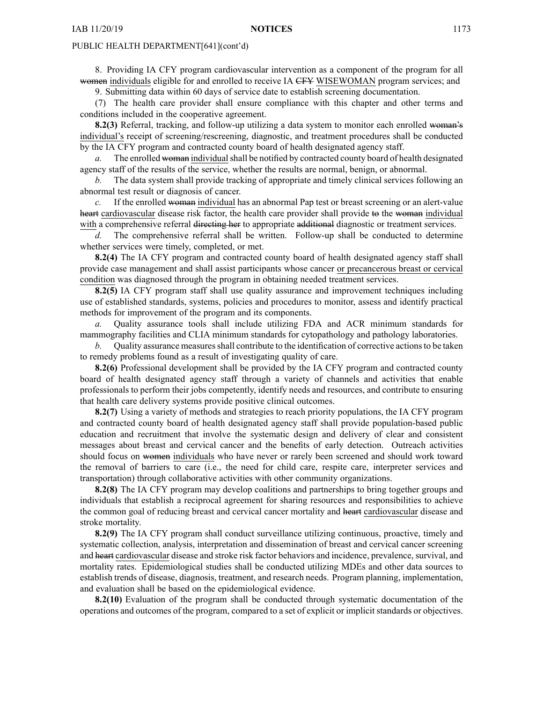8. Providing IA CFY program cardiovascular intervention as <sup>a</sup> componen<sup>t</sup> of the program for all women individuals eligible for and enrolled to receive IA CFY WISEWOMAN program services; and

9. Submitting data within 60 days of service date to establish screening documentation.

(7) The health care provider shall ensure compliance with this chapter and other terms and conditions included in the cooperative agreement.

**8.2(3)** Referral, tracking, and follow-up utilizing a data system to monitor each enrolled woman's individual's receipt of screening/rescreening, diagnostic, and treatment procedures shall be conducted by the IA CFY program and contracted county board of health designated agency staff.

*a.* The enrolled woman individualshall be notified by contracted county board of health designated agency staff of the results of the service, whether the results are normal, benign, or abnormal.

*b.* The data system shall provide tracking of appropriate and timely clinical services following an abnormal test result or diagnosis of cancer.

*c.* If the enrolled woman individual has an abnormal Pap test or breast screening or an alert-value heart cardiovascular disease risk factor, the health care provider shall provide to the woman individual with a comprehensive referral directing her to appropriate additional diagnostic or treatment services.

*d.* The comprehensive referral shall be written. Follow-up shall be conducted to determine whether services were timely, completed, or met.

**8.2(4)** The IA CFY program and contracted county board of health designated agency staff shall provide case managemen<sup>t</sup> and shall assist participants whose cancer or precancerous breast or cervical condition was diagnosed through the program in obtaining needed treatment services.

**8.2(5)** IA CFY program staff shall use quality assurance and improvement techniques including use of established standards, systems, policies and procedures to monitor, assess and identify practical methods for improvement of the program and its components.

*a.* Quality assurance tools shall include utilizing FDA and ACR minimum standards for mammography facilities and CLIA minimum standards for cytopathology and pathology laboratories.

*b.* Quality assurance measures shall contribute to the identification of corrective actions to be taken to remedy problems found as <sup>a</sup> result of investigating quality of care.

**8.2(6)** Professional development shall be provided by the IA CFY program and contracted county board of health designated agency staff through <sup>a</sup> variety of channels and activities that enable professionals to perform their jobs competently, identify needs and resources, and contribute to ensuring that health care delivery systems provide positive clinical outcomes.

**8.2(7)** Using <sup>a</sup> variety of methods and strategies to reach priority populations, the IA CFY program and contracted county board of health designated agency staff shall provide population-based public education and recruitment that involve the systematic design and delivery of clear and consistent messages about breast and cervical cancer and the benefits of early detection. Outreach activities should focus on women individuals who have never or rarely been screened and should work toward the removal of barriers to care (i.e., the need for child care, respite care, interpreter services and transportation) through collaborative activities with other community organizations.

**8.2(8)** The IA CFY program may develop coalitions and partnerships to bring together groups and individuals that establish <sup>a</sup> reciprocal agreemen<sup>t</sup> for sharing resources and responsibilities to achieve the common goal of reducing breast and cervical cancer mortality and heart cardiovascular disease and stroke mortality.

**8.2(9)** The IA CFY program shall conduct surveillance utilizing continuous, proactive, timely and systematic collection, analysis, interpretation and dissemination of breast and cervical cancer screening and heart cardiovascular disease and stroke risk factor behaviors and incidence, prevalence, survival, and mortality rates. Epidemiological studies shall be conducted utilizing MDEs and other data sources to establish trends of disease, diagnosis, treatment, and research needs. Program planning, implementation, and evaluation shall be based on the epidemiological evidence.

**8.2(10)** Evaluation of the program shall be conducted through systematic documentation of the operations and outcomes of the program, compared to <sup>a</sup> set of explicit or implicit standards or objectives.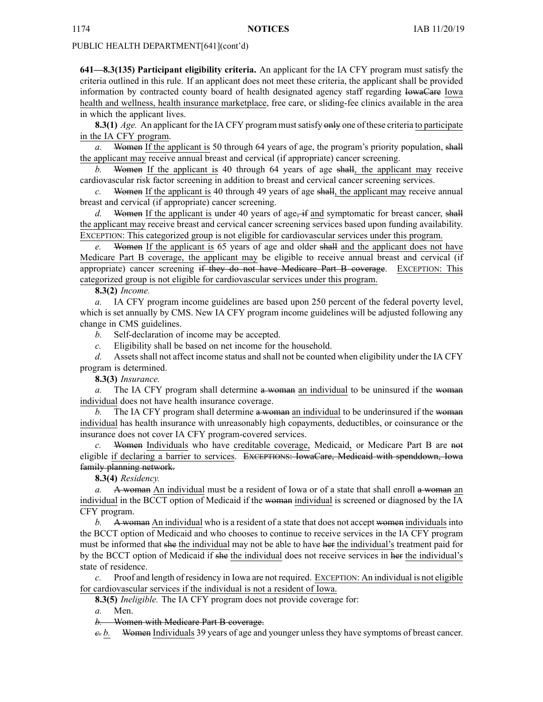**641—8.3(135) Participant eligibility criteria.** An applicant for the IA CFY program must satisfy the criteria outlined in this rule. If an applicant does not meet these criteria, the applicant shall be provided information by contracted county board of health designated agency staff regarding IowaCare Iowa health and wellness, health insurance marketplace, free care, or sliding-fee clinics available in the area in which the applicant lives.

**8.3(1)** *Age.* An applicant for the IA CFY program must satisfy only one of these criteria to participate in the IA CFY program.

Women If the applicant is 50 through 64 years of age, the program's priority population, shall the applicant may receive annual breast and cervical (if appropriate) cancer screening.

*b.* Women If the applicant is 40 through 64 years of age shall, the applicant may receive cardiovascular risk factor screening in addition to breast and cervical cancer screening services.

*c.* Women If the applicant is 40 through 49 years of age shall, the applicant may receive annual breast and cervical (if appropriate) cancer screening.

*d.* Women If the applicant is under 40 years of age, if and symptomatic for breast cancer, shall the applicant may receive breast and cervical cancer screening services based upon funding availability. EXCEPTION: This categorized group is not eligible for cardiovascular services under this program.

*e.* Women If the applicant is 65 years of age and older shall and the applicant does not have Medicare Part B coverage, the applicant may be eligible to receive annual breast and cervical (if appropriate) cancer screening if they do not have Medicare Part B coverage. EXCEPTION: This categorized group is not eligible for cardiovascular services under this program.

# **8.3(2)** *Income.*

*a.* IA CFY program income guidelines are based upon 250 percen<sup>t</sup> of the federal poverty level, which is set annually by CMS. New IA CFY program income guidelines will be adjusted following any change in CMS guidelines.

*b.* Self-declaration of income may be accepted.

*c.* Eligibility shall be based on net income for the household.

d. Assets shall not affect income status and shall not be counted when eligibility under the IA CFY program is determined.

**8.3(3)** *Insurance.*

*a.* The IA CFY program shall determine a woman an individual to be uninsured if the woman individual does not have health insurance coverage.

*b*. The IA CFY program shall determine a woman an individual to be underinsured if the woman individual has health insurance with unreasonably high copayments, deductibles, or coinsurance or the insurance does not cover IA CFY program-covered services.

*c.* Women Individuals who have creditable coverage, Medicaid, or Medicare Part B are not eligible if declaring <sup>a</sup> barrier to services. EXCEPTIONS: IowaCare, Medicaid with spenddown, Iowa family planning network.

**8.3(4)** *Residency.*

*a.* A woman An individual must be a resident of Iowa or of a state that shall enroll a woman an individual in the BCCT option of Medicaid if the woman individual is screened or diagnosed by the IA CFY program.

*b.* A woman An individual who is a resident of a state that does not accept women individuals into the BCCT option of Medicaid and who chooses to continue to receive services in the IA CFY program must be informed that she the individual may not be able to have her the individual's treatment paid for by the BCCT option of Medicaid if she the individual does not receive services in her the individual's state of residence.

Proof and length of residency in Iowa are not required. EXCEPTION: An individual is not eligible for cardiovascular services if the individual is not <sup>a</sup> resident of Iowa.

**8.3(5)** *Ineligible.* The IA CFY program does not provide coverage for:

*a.* Men.

*b.* Women with Medicare Part B coverage.

*c. b.* Women Individuals 39 years of age and younger unless they have symptoms of breast cancer.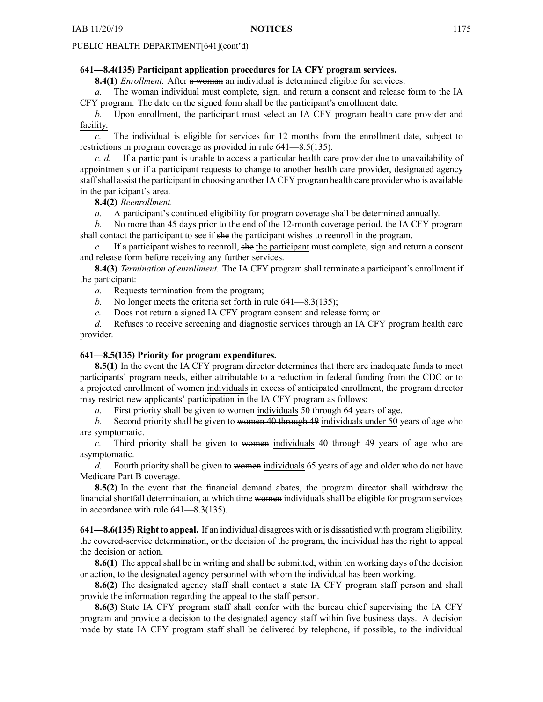# **641—8.4(135) Participant application procedures for IA CFY program services.**

**8.4(1)** *Enrollment.* After <sup>a</sup> woman an individual is determined eligible for services:

*a.* The woman individual must complete, sign, and return <sup>a</sup> consent and release form to the IA CFY program. The date on the signed form shall be the participant's enrollment date.

*b.* Upon enrollment, the participant must select an IA CFY program health care provider and facility.

*c.* The individual is eligible for services for 12 months from the enrollment date, subject to restrictions in program coverage as provided in rule 641—8.5(135).

*c. d.* If <sup>a</sup> participant is unable to access <sup>a</sup> particular health care provider due to unavailability of appointments or if <sup>a</sup> participant requests to change to another health care provider, designated agency staffshall assist the participant in choosing another IA CFY program health care provider who is available in the participant's area.

**8.4(2)** *Reenrollment.*

*a.* A participant's continued eligibility for program coverage shall be determined annually.

*b.* No more than 45 days prior to the end of the 12-month coverage period, the IA CFY program shall contact the participant to see if she the participant wishes to reenroll in the program.

*c.* If <sup>a</sup> participant wishes to reenroll, she the participant must complete, sign and return <sup>a</sup> consent and release form before receiving any further services.

**8.4(3)** *Termination of enrollment.* The IA CFY program shall terminate <sup>a</sup> participant's enrollment if the participant:

*a.* Requests termination from the program;

- *b.* No longer meets the criteria set forth in rule 641—8.3(135);
- *c.* Does not return <sup>a</sup> signed IA CFY program consent and release form; or

*d.* Refuses to receive screening and diagnostic services through an IA CFY program health care provider.

# **641—8.5(135) Priority for program expenditures.**

**8.5(1)** In the event the IA CFY program director determines that there are inadequate funds to meet participants' program needs, either attributable to <sup>a</sup> reduction in federal funding from the CDC or to <sup>a</sup> projected enrollment of women individuals in excess of anticipated enrollment, the program director may restrict new applicants' participation in the IA CFY program as follows:

*a.* First priority shall be given to women individuals 50 through 64 years of age.

*b.* Second priority shall be given to women 40 through 49 individuals under 50 years of age who are symptomatic.

*c.* Third priority shall be given to women individuals 40 through 49 years of age who are asymptomatic.

*d.* Fourth priority shall be given to women individuals 65 years of age and older who do not have Medicare Part B coverage.

**8.5(2)** In the event that the financial demand abates, the program director shall withdraw the financial shortfall determination, at which time women individuals shall be eligible for program services in accordance with rule 641—8.3(135).

**641—8.6(135) Right to appeal.** If an individual disagrees with or is dissatisfied with program eligibility, the covered-service determination, or the decision of the program, the individual has the right to appeal the decision or action.

**8.6(1)** The appeal shall be in writing and shall be submitted, within ten working days of the decision or action, to the designated agency personnel with whom the individual has been working.

**8.6(2)** The designated agency staff shall contact <sup>a</sup> state IA CFY program staff person and shall provide the information regarding the appeal to the staff person.

**8.6(3)** State IA CFY program staff shall confer with the bureau chief supervising the IA CFY program and provide <sup>a</sup> decision to the designated agency staff within five business days. A decision made by state IA CFY program staff shall be delivered by telephone, if possible, to the individual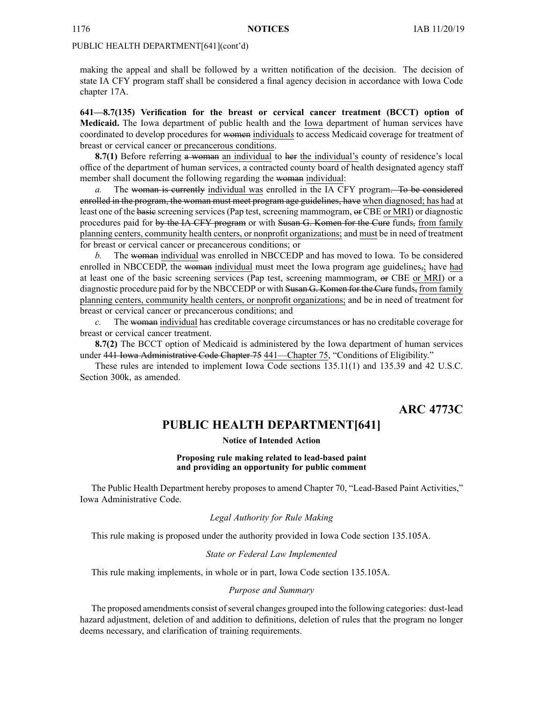making the appeal and shall be followed by <sup>a</sup> written notification of the decision. The decision of state IA CFY program staff shall be considered <sup>a</sup> final agency decision in accordance with Iowa Code chapter [17A](https://www.legis.iowa.gov/docs/ico/chapter/17A.pdf).

**641—8.7(135) Verification for the breast or cervical cancer treatment (BCCT) option of Medicaid.** The Iowa department of public health and the Iowa department of human services have coordinated to develop procedures for women individuals to access Medicaid coverage for treatment of breast or cervical cancer or precancerous conditions.

**8.7(1)** Before referring a woman an individual to her the individual's county of residence's local office of the department of human services, <sup>a</sup> contracted county board of health designated agency staff member shall document the following regarding the woman individual:

*a.* The woman is currently individual was enrolled in the IA CFY program. To be considered enrolled in the program, the woman must meet program age guidelines, have when diagnosed; has had at least one of the basic screening services (Pap test, screening mammogram, or CBE or MRI) or diagnostic procedures paid for by the IA CFY program or with Susan G. Komen for the Cure funds, from family planning centers, community health centers, or nonprofit organizations; and must be in need of treatment for breast or cervical cancer or precancerous conditions; or

*b.* The woman individual was enrolled in NBCCEDP and has moved to Iowa. To be considered enrolled in NBCCEDP, the woman individual must meet the Iowa program age guidelines, have had at least one of the basic screening services (Pap test, screening mammogram, or CBE or MRI) or <sup>a</sup> diagnostic procedure paid for by the NBCCEDP or with Susan G. Komen for the Cure funds, from family planning centers, community health centers, or nonprofit organizations; and be in need of treatment for breast or cervical cancer or precancerous conditions; and

*c.* The woman individual has creditable coverage circumstances or has no creditable coverage for breast or cervical cancer treatment.

**8.7(2)** The BCCT option of Medicaid is administered by the Iowa department of human services under 441 Iowa Administrative Code Chapter 75 441—Chapter 75, "Conditions of Eligibility."

These rules are intended to implement Iowa Code sections [135.11\(1\)](https://www.legis.iowa.gov/docs/ico/section/135.11.pdf) and [135.39](https://www.legis.iowa.gov/docs/ico/section/135.39.pdf) and 42 U.S.C. Section 300k, as amended.

# **ARC 4773C**

# **PUBLIC HEALTH DEPARTMENT[641]**

**Notice of Intended Action**

# **Proposing rule making related to lead-based paint and providing an opportunity for public comment**

The Public Health Department hereby proposes to amend Chapter 70, "Lead-Based Paint Activities," Iowa Administrative Code.

# *Legal Authority for Rule Making*

This rule making is proposed under the authority provided in Iowa Code section 135.105A.

# *State or Federal Law Implemented*

This rule making implements, in whole or in part, Iowa Code section 135.105A.

# *Purpose and Summary*

The proposed amendments consist of several changes grouped into the following categories: dust-lead hazard adjustment, deletion of and addition to definitions, deletion of rules that the program no longer deems necessary, and clarification of training requirements.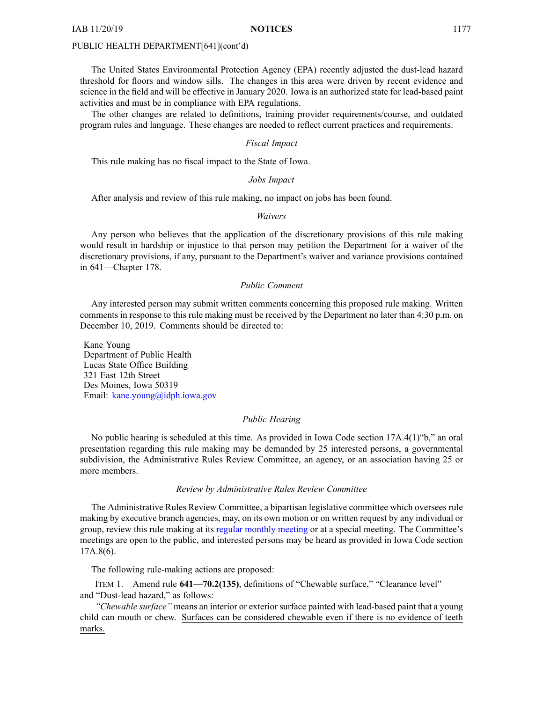The United States Environmental Protection Agency (EPA) recently adjusted the dust-lead hazard threshold for floors and window sills. The changes in this area were driven by recent evidence and science in the field and will be effective in January 2020. Iowa is an authorized state for lead-based paint activities and must be in compliance with EPA regulations.

The other changes are related to definitions, training provider requirements/course, and outdated program rules and language. These changes are needed to reflect current practices and requirements.

# *Fiscal Impact*

This rule making has no fiscal impact to the State of Iowa.

# *Jobs Impact*

After analysis and review of this rule making, no impact on jobs has been found.

#### *Waivers*

Any person who believes that the application of the discretionary provisions of this rule making would result in hardship or injustice to that person may petition the Department for <sup>a</sup> waiver of the discretionary provisions, if any, pursuan<sup>t</sup> to the Department's waiver and variance provisions contained in 641—Chapter 178.

# *Public Comment*

Any interested person may submit written comments concerning this proposed rule making. Written comments in response to this rule making must be received by the Department no later than 4:30 p.m. on December 10, 2019. Comments should be directed to:

Kane Young Department of Public Health Lucas State Office Building 321 East 12th Street Des Moines, Iowa 50319 Email: [kane.young@idph.iowa.gov](mailto:kane.young@idph.iowa.gov)

# *Public Hearing*

No public hearing is scheduled at this time. As provided in Iowa Code section 17A.4(1)"b," an oral presentation regarding this rule making may be demanded by 25 interested persons, <sup>a</sup> governmental subdivision, the Administrative Rules Review Committee, an agency, or an association having 25 or more members.

#### *Review by Administrative Rules Review Committee*

The Administrative Rules Review Committee, <sup>a</sup> bipartisan legislative committee which oversees rule making by executive branch agencies, may, on its own motion or on written reques<sup>t</sup> by any individual or group, review this rule making at its regular [monthly](https://www.legis.iowa.gov/committees/meetings/meetingsListComm?groupID=705&ga=88) meeting or at <sup>a</sup> special meeting. The Committee's meetings are open to the public, and interested persons may be heard as provided in Iowa Code section 17A.8(6).

The following rule-making actions are proposed:

ITEM 1. Amend rule **641—70.2(135)**, definitions of "Chewable surface," "Clearance level" and "Dust-lead hazard," as follows:

*"Chewable surface"* means an interior or exterior surface painted with lead-based paint that <sup>a</sup> young child can mouth or chew. Surfaces can be considered chewable even if there is no evidence of teeth marks.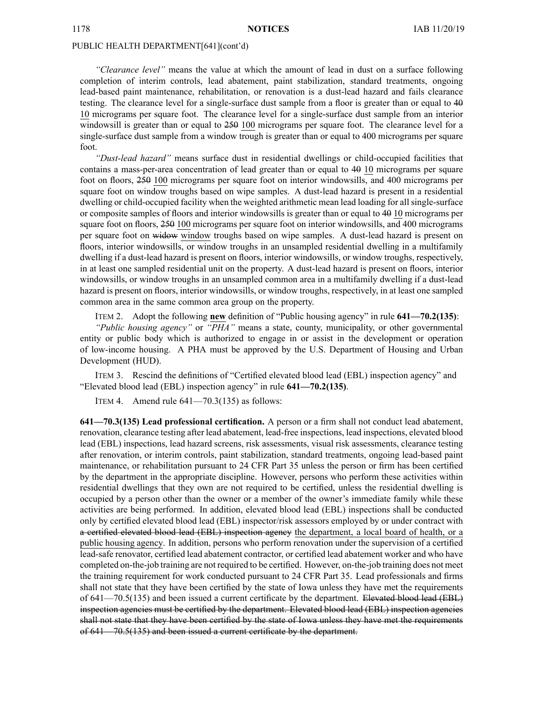*"Clearance level"* means the value at which the amount of lead in dust on <sup>a</sup> surface following completion of interim controls, lead abatement, paint stabilization, standard treatments, ongoing lead-based paint maintenance, rehabilitation, or renovation is <sup>a</sup> dust-lead hazard and fails clearance testing. The clearance level for <sup>a</sup> single-surface dust sample from <sup>a</sup> floor is greater than or equal to 40 10 micrograms per square foot. The clearance level for <sup>a</sup> single-surface dust sample from an interior windowsill is greater than or equal to  $250$  100 micrograms per square foot. The clearance level for a single-surface dust sample from <sup>a</sup> window trough is greater than or equal to 400 micrograms per square foot.

*"Dust-lead hazard"* means surface dust in residential dwellings or child-occupied facilities that contains <sup>a</sup> mass-per-area concentration of lead greater than or equal to 40 10 micrograms per square foot on floors, 250 100 micrograms per square foot on interior windowsills, and 400 micrograms per square foot on window troughs based on wipe samples. A dust-lead hazard is presen<sup>t</sup> in <sup>a</sup> residential dwelling or child-occupied facility when the weighted arithmetic mean lead loading for all single-surface or composite samples of floors and interior windowsills is greater than or equal to 40 10 micrograms per square foot on floors,  $250\,100$  micrograms per square foot on interior windowsills, and 400 micrograms per square foot on widow window troughs based on wipe samples. A dust-lead hazard is presen<sup>t</sup> on floors, interior windowsills, or window troughs in an unsampled residential dwelling in <sup>a</sup> multifamily dwelling if <sup>a</sup> dust-lead hazard is presen<sup>t</sup> on floors, interior windowsills, or window troughs, respectively, in at least one sampled residential unit on the property. A dust-lead hazard is presen<sup>t</sup> on floors, interior windowsills, or window troughs in an unsampled common area in <sup>a</sup> multifamily dwelling if <sup>a</sup> dust-lead hazard is presen<sup>t</sup> on floors, interior windowsills, or window troughs, respectively, in at least one sampled common area in the same common area group on the property.

ITEM 2. Adopt the following **new** definition of "Public housing agency" in rule **641—70.2(135)**: *"Public housing agency"* or *"PHA"* means <sup>a</sup> state, county, municipality, or other governmental entity or public body which is authorized to engage in or assist in the development or operation of low-income housing. A PHA must be approved by the U.S. Department of Housing and Urban Development (HUD).

ITEM 3. Rescind the definitions of "Certified elevated blood lead (EBL) inspection agency" and "Elevated blood lead (EBL) inspection agency" in rule **641—70.2(135)**.

ITEM 4. Amend rule  $641 - 70.3(135)$  as follows:

**641—70.3(135) Lead professional certification.** A person or <sup>a</sup> firm shall not conduct lead abatement, renovation, clearance testing after lead abatement, lead-free inspections, lead inspections, elevated blood lead (EBL) inspections, lead hazard screens, risk assessments, visual risk assessments, clearance testing after renovation, or interim controls, paint stabilization, standard treatments, ongoing lead-based paint maintenance, or rehabilitation pursuan<sup>t</sup> to 24 CFR Part 35 unless the person or firm has been certified by the department in the appropriate discipline. However, persons who perform these activities within residential dwellings that they own are not required to be certified, unless the residential dwelling is occupied by <sup>a</sup> person other than the owner or <sup>a</sup> member of the owner's immediate family while these activities are being performed. In addition, elevated blood lead (EBL) inspections shall be conducted only by certified elevated blood lead (EBL) inspector/risk assessors employed by or under contract with <sup>a</sup> certified elevated blood lead (EBL) inspection agency the department, <sup>a</sup> local board of health, or <sup>a</sup> public housing agency. In addition, persons who perform renovation under the supervision of <sup>a</sup> certified lead-safe renovator, certified lead abatement contractor, or certified lead abatement worker and who have completed on-the-job training are not required to be certified. However, on-the-job training does not meet the training requirement for work conducted pursuan<sup>t</sup> to 24 CFR Part 35. Lead professionals and firms shall not state that they have been certified by the state of Iowa unless they have met the requirements of 641—70.5(135) and been issued <sup>a</sup> current certificate by the department. Elevated blood lead (EBL) inspection agencies must be certified by the department. Elevated blood lead (EBL) inspection agencies shall not state that they have been certified by the state of Iowa unless they have met the requirements of 641—70.5(135) and been issued <sup>a</sup> current certificate by the department.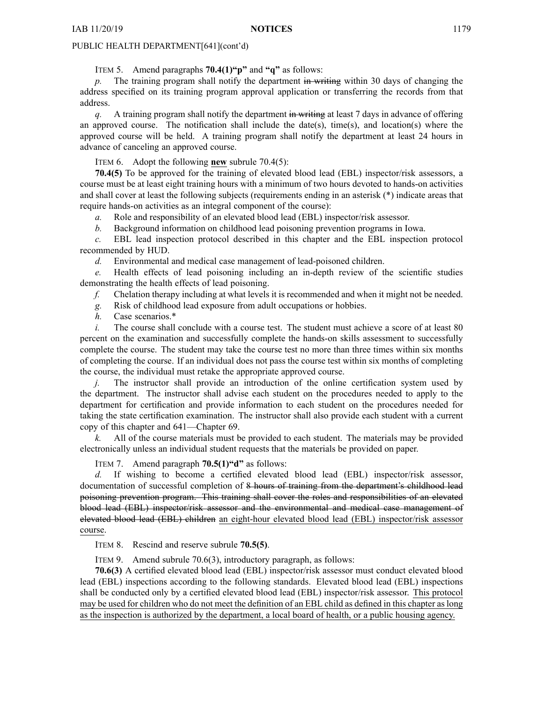ITEM 5. Amend paragraphs **70.4(1)"p"** and **"q"** as follows:

*p.* The training program shall notify the department in writing within 30 days of changing the address specified on its training program approval application or transferring the records from that address.

*q.* A training program shall notify the department in writing at least 7 days in advance of offering an approved course. The notification shall include the date(s), time(s), and location(s) where the approved course will be held. A training program shall notify the department at least 24 hours in advance of canceling an approved course.

ITEM 6. Adopt the following **new** subrule 70.4(5):

**70.4(5)** To be approved for the training of elevated blood lead (EBL) inspector/risk assessors, <sup>a</sup> course must be at least eight training hours with <sup>a</sup> minimum of two hours devoted to hands-on activities and shall cover at least the following subjects (requirements ending in an asterisk (\*) indicate areas that require hands-on activities as an integral componen<sup>t</sup> of the course):

*a.* Role and responsibility of an elevated blood lead (EBL) inspector/risk assessor.

*b.* Background information on childhood lead poisoning prevention programs in Iowa.

*c.* EBL lead inspection protocol described in this chapter and the EBL inspection protocol recommended by HUD.

*d.* Environmental and medical case managemen<sup>t</sup> of lead-poisoned children.

*e.* Health effects of lead poisoning including an in-depth review of the scientific studies demonstrating the health effects of lead poisoning.

*f.* Chelation therapy including at what levels it is recommended and when it might not be needed.

*g.* Risk of childhood lead exposure from adult occupations or hobbies.

*h.* Case scenarios.\*

*i.* The course shall conclude with a course test. The student must achieve a score of at least 80 percen<sup>t</sup> on the examination and successfully complete the hands-on skills assessment to successfully complete the course. The student may take the course test no more than three times within six months of completing the course. If an individual does not pass the course test within six months of completing the course, the individual must retake the appropriate approved course.

*j.* The instructor shall provide an introduction of the online certification system used by the department. The instructor shall advise each student on the procedures needed to apply to the department for certification and provide information to each student on the procedures needed for taking the state certification examination. The instructor shall also provide each student with <sup>a</sup> current copy of this chapter and 641—Chapter 69.

*k.* All of the course materials must be provided to each student. The materials may be provided electronically unless an individual student requests that the materials be provided on paper.

ITEM 7. Amend paragraph **70.5(1)"d"** as follows:

*d.* If wishing to become <sup>a</sup> certified elevated blood lead (EBL) inspector/risk assessor, documentation of successful completion of 8 hours of training from the department's childhood lead poisoning prevention program. This training shall cover the roles and responsibilities of an elevated blood lead (EBL) inspector/risk assessor and the environmental and medical case managemen<sup>t</sup> of elevated blood lead (EBL) children an eight-hour elevated blood lead (EBL) inspector/risk assessor course.

ITEM 8. Rescind and reserve subrule **70.5(5)**.

ITEM 9. Amend subrule 70.6(3), introductory paragraph, as follows:

**70.6(3)** A certified elevated blood lead (EBL) inspector/risk assessor must conduct elevated blood lead (EBL) inspections according to the following standards. Elevated blood lead (EBL) inspections shall be conducted only by <sup>a</sup> certified elevated blood lead (EBL) inspector/risk assessor. This protocol may be used for children who do not meet the definition of an EBL child as defined in this chapter as long as the inspection is authorized by the department, <sup>a</sup> local board of health, or <sup>a</sup> public housing agency.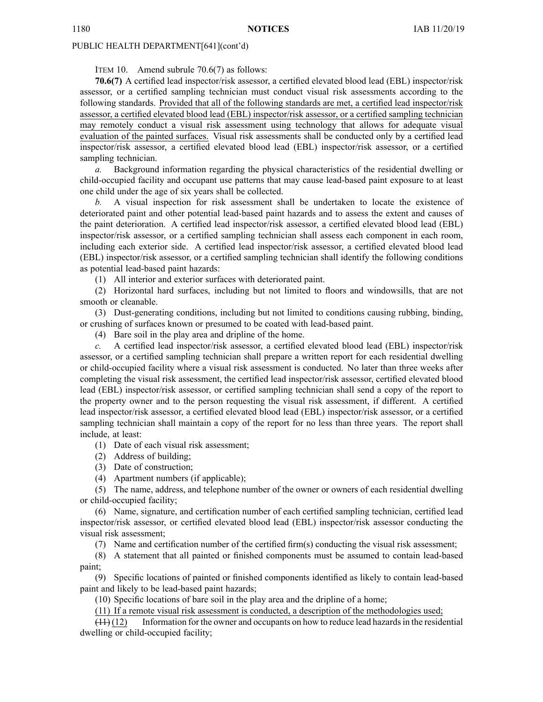ITEM 10. Amend subrule 70.6(7) as follows:

**70.6(7)** A certified lead inspector/risk assessor, <sup>a</sup> certified elevated blood lead (EBL) inspector/risk assessor, or <sup>a</sup> certified sampling technician must conduct visual risk assessments according to the following standards. Provided that all of the following standards are met, <sup>a</sup> certified lead inspector/risk assessor, <sup>a</sup> certified elevated blood lead (EBL) inspector/risk assessor, or <sup>a</sup> certified sampling technician may remotely conduct <sup>a</sup> visual risk assessment using technology that allows for adequate visual evaluation of the painted surfaces. Visual risk assessments shall be conducted only by <sup>a</sup> certified lead inspector/risk assessor, <sup>a</sup> certified elevated blood lead (EBL) inspector/risk assessor, or <sup>a</sup> certified sampling technician.

*a.* Background information regarding the physical characteristics of the residential dwelling or child-occupied facility and occupan<sup>t</sup> use patterns that may cause lead-based paint exposure to at least one child under the age of six years shall be collected.

*b.* A visual inspection for risk assessment shall be undertaken to locate the existence of deteriorated paint and other potential lead-based paint hazards and to assess the extent and causes of the paint deterioration. A certified lead inspector/risk assessor, <sup>a</sup> certified elevated blood lead (EBL) inspector/risk assessor, or <sup>a</sup> certified sampling technician shall assess each componen<sup>t</sup> in each room, including each exterior side. A certified lead inspector/risk assessor, <sup>a</sup> certified elevated blood lead (EBL) inspector/risk assessor, or <sup>a</sup> certified sampling technician shall identify the following conditions as potential lead-based paint hazards:

(1) All interior and exterior surfaces with deteriorated paint.

(2) Horizontal hard surfaces, including but not limited to floors and windowsills, that are not smooth or cleanable.

(3) Dust-generating conditions, including but not limited to conditions causing rubbing, binding, or crushing of surfaces known or presumed to be coated with lead-based paint.

(4) Bare soil in the play area and dripline of the home.

*c.* A certified lead inspector/risk assessor, <sup>a</sup> certified elevated blood lead (EBL) inspector/risk assessor, or <sup>a</sup> certified sampling technician shall prepare <sup>a</sup> written repor<sup>t</sup> for each residential dwelling or child-occupied facility where <sup>a</sup> visual risk assessment is conducted. No later than three weeks after completing the visual risk assessment, the certified lead inspector/risk assessor, certified elevated blood lead (EBL) inspector/risk assessor, or certified sampling technician shall send <sup>a</sup> copy of the repor<sup>t</sup> to the property owner and to the person requesting the visual risk assessment, if different. A certified lead inspector/risk assessor, <sup>a</sup> certified elevated blood lead (EBL) inspector/risk assessor, or <sup>a</sup> certified sampling technician shall maintain <sup>a</sup> copy of the repor<sup>t</sup> for no less than three years. The repor<sup>t</sup> shall include, at least:

(1) Date of each visual risk assessment;

- (2) Address of building;
- (3) Date of construction;
- (4) Apartment numbers (if applicable);

(5) The name, address, and telephone number of the owner or owners of each residential dwelling or child-occupied facility;

(6) Name, signature, and certification number of each certified sampling technician, certified lead inspector/risk assessor, or certified elevated blood lead (EBL) inspector/risk assessor conducting the visual risk assessment;

(7) Name and certification number of the certified firm(s) conducting the visual risk assessment;

(8) A statement that all painted or finished components must be assumed to contain lead-based paint;

(9) Specific locations of painted or finished components identified as likely to contain lead-based paint and likely to be lead-based paint hazards;

(10) Specific locations of bare soil in the play area and the dripline of <sup>a</sup> home;

(11) If <sup>a</sup> remote visual risk assessment is conducted, <sup>a</sup> description of the methodologies used;

 $(11)(12)$  Information for the owner and occupants on how to reduce lead hazards in the residential dwelling or child-occupied facility;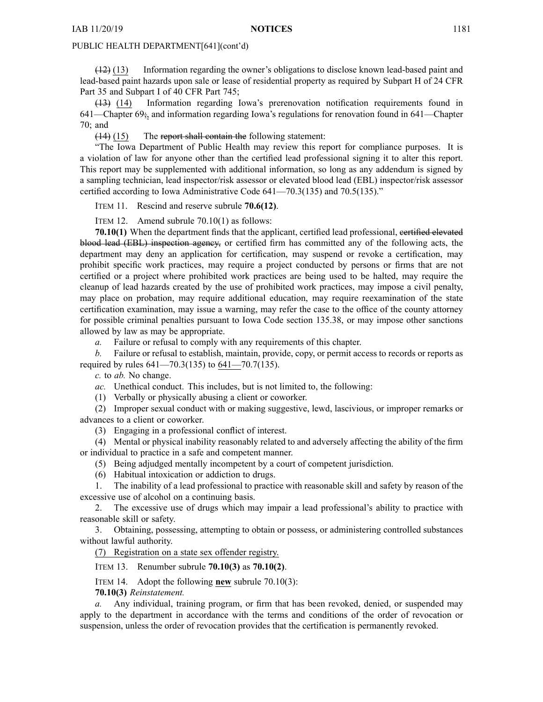(12) (13) Information regarding the owner's obligations to disclose known lead-based paint and lead-based paint hazards upon sale or lease of residential property as required by Subpart H of 24 CFR Part 35 and Subpart I of 40 CFR Part 745;

(13) (14) Information regarding Iowa's prerenovation notification requirements found in 641—Chapter 69;, and information regarding Iowa's regulations for renovation found in 641—Chapter 70; and

(14) (15) The repor<sup>t</sup> shall contain the following statement:

"The Iowa Department of Public Health may review this repor<sup>t</sup> for compliance purposes. It is <sup>a</sup> violation of law for anyone other than the certified lead professional signing it to alter this report. This repor<sup>t</sup> may be supplemented with additional information, so long as any addendum is signed by <sup>a</sup> sampling technician, lead inspector/risk assessor or elevated blood lead (EBL) inspector/risk assessor certified according to Iowa Administrative Code 641—70.3(135) and 70.5(135)."

ITEM 11. Rescind and reserve subrule **70.6(12)**.

ITEM 12. Amend subrule 70.10(1) as follows:

**70.10(1)** When the department finds that the applicant, certified lead professional, certified elevated blood lead (EBL) inspection agency, or certified firm has committed any of the following acts, the department may deny an application for certification, may suspend or revoke <sup>a</sup> certification, may prohibit specific work practices, may require <sup>a</sup> project conducted by persons or firms that are not certified or <sup>a</sup> project where prohibited work practices are being used to be halted, may require the cleanup of lead hazards created by the use of prohibited work practices, may impose <sup>a</sup> civil penalty, may place on probation, may require additional education, may require reexamination of the state certification examination, may issue <sup>a</sup> warning, may refer the case to the office of the county attorney for possible criminal penalties pursuan<sup>t</sup> to Iowa Code section [135.38](https://www.legis.iowa.gov/docs/ico/section/135.38.pdf), or may impose other sanctions allowed by law as may be appropriate.

*a.* Failure or refusal to comply with any requirements of this chapter.

*b.* Failure or refusal to establish, maintain, provide, copy, or permit access to records or reports as required by rules 641—70.3(135) to 641—70.7(135).

*c.* to *ab.* No change.

*ac.* Unethical conduct. This includes, but is not limited to, the following:

(1) Verbally or physically abusing <sup>a</sup> client or coworker.

(2) Improper sexual conduct with or making suggestive, lewd, lascivious, or improper remarks or advances to <sup>a</sup> client or coworker.

(3) Engaging in <sup>a</sup> professional conflict of interest.

(4) Mental or physical inability reasonably related to and adversely affecting the ability of the firm or individual to practice in <sup>a</sup> safe and competent manner.

(5) Being adjudged mentally incompetent by <sup>a</sup> court of competent jurisdiction.

(6) Habitual intoxication or addiction to drugs.

1. The inability of <sup>a</sup> lead professional to practice with reasonable skill and safety by reason of the excessive use of alcohol on <sup>a</sup> continuing basis.

2. The excessive use of drugs which may impair <sup>a</sup> lead professional's ability to practice with reasonable skill or safety.

3. Obtaining, possessing, attempting to obtain or possess, or administering controlled substances without lawful authority.

(7) Registration on <sup>a</sup> state sex offender registry.

ITEM 13. Renumber subrule **70.10(3)** as **70.10(2)**.

ITEM 14. Adopt the following **new** subrule 70.10(3):

**70.10(3)** *Reinstatement.*

*a.* Any individual, training program, or firm that has been revoked, denied, or suspended may apply to the department in accordance with the terms and conditions of the order of revocation or suspension, unless the order of revocation provides that the certification is permanently revoked.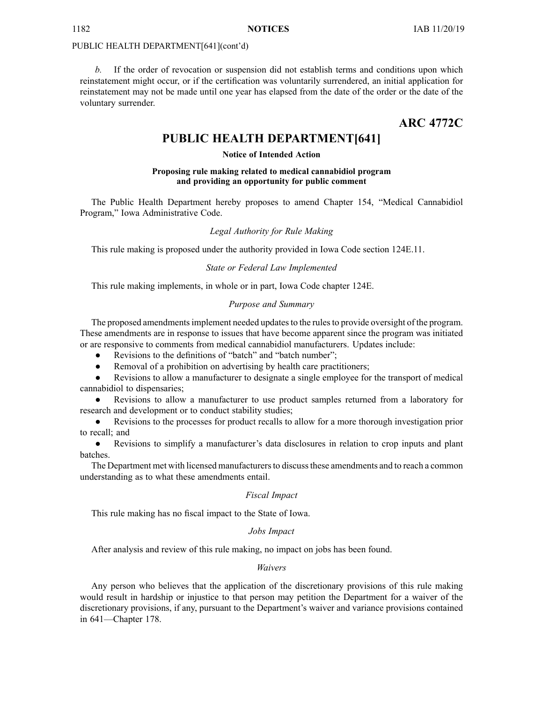*b.* If the order of revocation or suspension did not establish terms and conditions upon which reinstatement might occur, or if the certification was voluntarily surrendered, an initial application for reinstatement may not be made until one year has elapsed from the date of the order or the date of the voluntary surrender.

# **ARC 4772C**

# **PUBLIC HEALTH DEPARTMENT[641]**

# **Notice of Intended Action**

# **Proposing rule making related to medical cannabidiol program and providing an opportunity for public comment**

The Public Health Department hereby proposes to amend Chapter 154, "Medical Cannabidiol Program," Iowa Administrative Code.

# *Legal Authority for Rule Making*

This rule making is proposed under the authority provided in Iowa Code section 124E.11.

# *State or Federal Law Implemented*

This rule making implements, in whole or in part, Iowa Code chapter 124E.

# *Purpose and Summary*

The proposed amendments implement needed updates to the rules to provide oversight of the program. These amendments are in response to issues that have become apparen<sup>t</sup> since the program was initiated or are responsive to comments from medical cannabidiol manufacturers. Updates include:

- $\bullet$ Revisions to the definitions of "batch" and "batch number";
- $\bullet$ Removal of <sup>a</sup> prohibition on advertising by health care practitioners;

● Revisions to allow <sup>a</sup> manufacturer to designate <sup>a</sup> single employee for the transport of medical cannabidiol to dispensaries;

● Revisions to allow <sup>a</sup> manufacturer to use product samples returned from <sup>a</sup> laboratory for research and development or to conduct stability studies;

 $\bullet$  Revisions to the processes for product recalls to allow for <sup>a</sup> more thorough investigation prior to recall; and

 $\bullet$  Revisions to simplify <sup>a</sup> manufacturer's data disclosures in relation to crop inputs and plant batches.

The Department met with licensed manufacturers to discuss these amendments and to reach a common understanding as to what these amendments entail.

# *Fiscal Impact*

This rule making has no fiscal impact to the State of Iowa.

# *Jobs Impact*

After analysis and review of this rule making, no impact on jobs has been found.

# *Waivers*

Any person who believes that the application of the discretionary provisions of this rule making would result in hardship or injustice to that person may petition the Department for <sup>a</sup> waiver of the discretionary provisions, if any, pursuan<sup>t</sup> to the Department's waiver and variance provisions contained in 641—Chapter 178.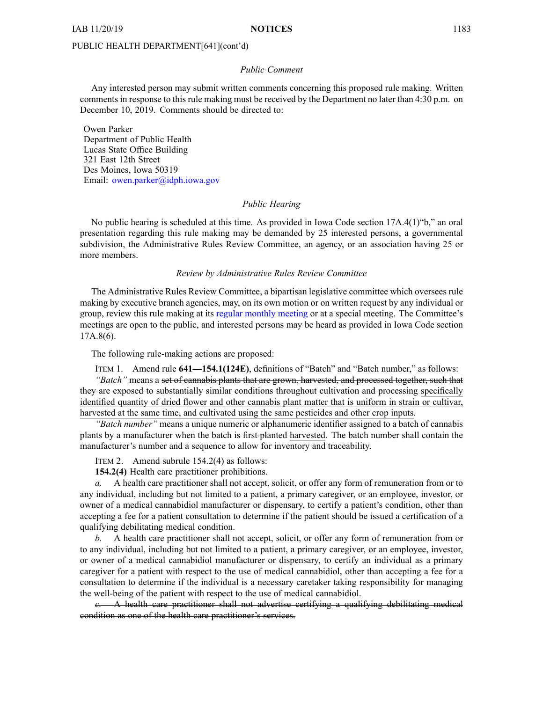#### *Public Comment*

Any interested person may submit written comments concerning this proposed rule making. Written comments in response to this rule making must be received by the Department no later than 4:30 p.m. on December 10, 2019. Comments should be directed to:

Owen Parker Department of Public Health Lucas State Office Building 321 East 12th Street Des Moines, Iowa 50319 Email: owen.par[ker@idph.iowa.gov](mailto:owen.parker@idph.iowa.gov)

# *Public Hearing*

No public hearing is scheduled at this time. As provided in Iowa Code section 17A.4(1)"b," an oral presentation regarding this rule making may be demanded by 25 interested persons, <sup>a</sup> governmental subdivision, the Administrative Rules Review Committee, an agency, or an association having 25 or more members.

## *Review by Administrative Rules Review Committee*

The Administrative Rules Review Committee, <sup>a</sup> bipartisan legislative committee which oversees rule making by executive branch agencies, may, on its own motion or on written reques<sup>t</sup> by any individual or group, review this rule making at its regular [monthly](https://www.legis.iowa.gov/committees/meetings/meetingsListComm?groupID=705&ga=88) meeting or at <sup>a</sup> special meeting. The Committee's meetings are open to the public, and interested persons may be heard as provided in Iowa Code section 17A.8(6).

The following rule-making actions are proposed:

ITEM 1. Amend rule **641—154.1(124E)**, definitions of "Batch" and "Batch number," as follows:

*"Batch"* means <sup>a</sup> set of cannabis plants that are grown, harvested, and processed together, such that they are exposed to substantially similar conditions throughout cultivation and processing specifically identified quantity of dried flower and other cannabis plant matter that is uniform in strain or cultivar, harvested at the same time, and cultivated using the same pesticides and other crop inputs.

*"Batch number"* means <sup>a</sup> unique numeric or alphanumeric identifier assigned to <sup>a</sup> batch of cannabis plants by <sup>a</sup> manufacturer when the batch is first planted harvested. The batch number shall contain the manufacturer's number and <sup>a</sup> sequence to allow for inventory and traceability.

ITEM 2. Amend subrule 154.2(4) as follows:

**154.2(4)** Health care practitioner prohibitions.

*a.* A health care practitioner shall not accept, solicit, or offer any form of remuneration from or to any individual, including but not limited to <sup>a</sup> patient, <sup>a</sup> primary caregiver, or an employee, investor, or owner of <sup>a</sup> medical cannabidiol manufacturer or dispensary, to certify <sup>a</sup> patient's condition, other than accepting <sup>a</sup> fee for <sup>a</sup> patient consultation to determine if the patient should be issued <sup>a</sup> certification of <sup>a</sup> qualifying debilitating medical condition.

*b.* A health care practitioner shall not accept, solicit, or offer any form of remuneration from or to any individual, including but not limited to <sup>a</sup> patient, <sup>a</sup> primary caregiver, or an employee, investor, or owner of <sup>a</sup> medical cannabidiol manufacturer or dispensary, to certify an individual as <sup>a</sup> primary caregiver for <sup>a</sup> patient with respec<sup>t</sup> to the use of medical cannabidiol, other than accepting <sup>a</sup> fee for <sup>a</sup> consultation to determine if the individual is <sup>a</sup> necessary caretaker taking responsibility for managing the well-being of the patient with respec<sup>t</sup> to the use of medical cannabidiol.

*c.* A health care practitioner shall not advertise certifying <sup>a</sup> qualifying debilitating medical condition as one of the health care practitioner's services.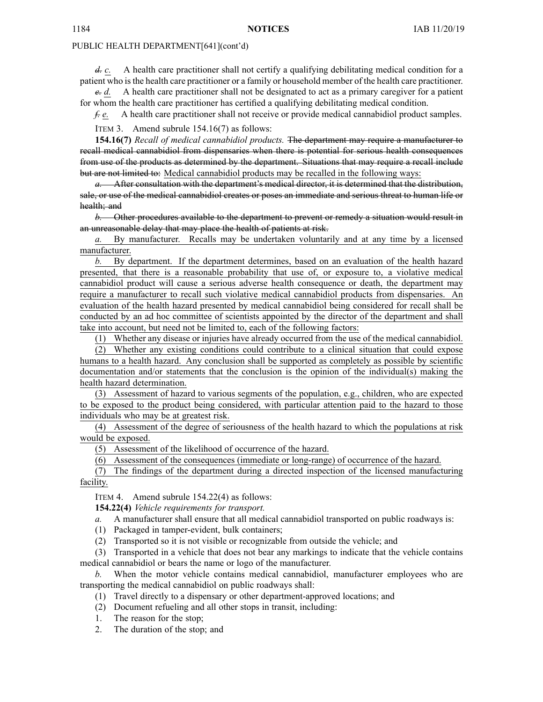*d. c.* A health care practitioner shall not certify <sup>a</sup> qualifying debilitating medical condition for <sup>a</sup> patient who isthe health care practitioner or <sup>a</sup> family or household member of the health care practitioner.

*e. d.* A health care practitioner shall not be designated to act as <sup>a</sup> primary caregiver for <sup>a</sup> patient for whom the health care practitioner has certified <sup>a</sup> qualifying debilitating medical condition.

*f. e.* A health care practitioner shall not receive or provide medical cannabidiol product samples. ITEM 3. Amend subrule 154.16(7) as follows:

**154.16(7)** *Recall of medical cannabidiol products.* The department may require <sup>a</sup> manufacturer to recall medical cannabidiol from dispensaries when there is potential for serious health consequences from use of the products as determined by the department. Situations that may require <sup>a</sup> recall include but are not limited to: Medical cannabidiol products may be recalled in the following ways:

*a.* After consultation with the department's medical director, it is determined that the distribution, sale, or use of the medical cannabidiol creates or poses an immediate and serious threat to human life or health; and

*b.* Other procedures available to the department to preven<sup>t</sup> or remedy <sup>a</sup> situation would result in an unreasonable delay that may place the health of patients at risk.

*a.* By manufacturer. Recalls may be undertaken voluntarily and at any time by <sup>a</sup> licensed manufacturer.

*b.* By department. If the department determines, based on an evaluation of the health hazard presented, that there is <sup>a</sup> reasonable probability that use of, or exposure to, <sup>a</sup> violative medical cannabidiol product will cause <sup>a</sup> serious adverse health consequence or death, the department may require <sup>a</sup> manufacturer to recall such violative medical cannabidiol products from dispensaries. An evaluation of the health hazard presented by medical cannabidiol being considered for recall shall be conducted by an ad hoc committee of scientists appointed by the director of the department and shall take into account, but need not be limited to, each of the following factors:

(1) Whether any disease or injuries have already occurred from the use of the medical cannabidiol.

(2) Whether any existing conditions could contribute to <sup>a</sup> clinical situation that could expose humans to <sup>a</sup> health hazard. Any conclusion shall be supported as completely as possible by scientific documentation and/or statements that the conclusion is the opinion of the individual(s) making the health hazard determination.

(3) Assessment of hazard to various segments of the population, e.g., children, who are expected to be exposed to the product being considered, with particular attention paid to the hazard to those individuals who may be at greatest risk.

(4) Assessment of the degree of seriousness of the health hazard to which the populations at risk would be exposed.

(5) Assessment of the likelihood of occurrence of the hazard.

(6) Assessment of the consequences (immediate or long-range) of occurrence of the hazard.

(7) The findings of the department during <sup>a</sup> directed inspection of the licensed manufacturing facility.

ITEM 4. Amend subrule 154.22(4) as follows:

**154.22(4)** *Vehicle requirements for transport.*

*a.* A manufacturer shall ensure that all medical cannabidiol transported on public roadways is:

(1) Packaged in tamper-evident, bulk containers;

(2) Transported so it is not visible or recognizable from outside the vehicle; and

(3) Transported in <sup>a</sup> vehicle that does not bear any markings to indicate that the vehicle contains medical cannabidiol or bears the name or logo of the manufacturer.

*b.* When the motor vehicle contains medical cannabidiol, manufacturer employees who are transporting the medical cannabidiol on public roadways shall:

(1) Travel directly to <sup>a</sup> dispensary or other department-approved locations; and

- (2) Document refueling and all other stops in transit, including:
- 1. The reason for the stop;

2. The duration of the stop; and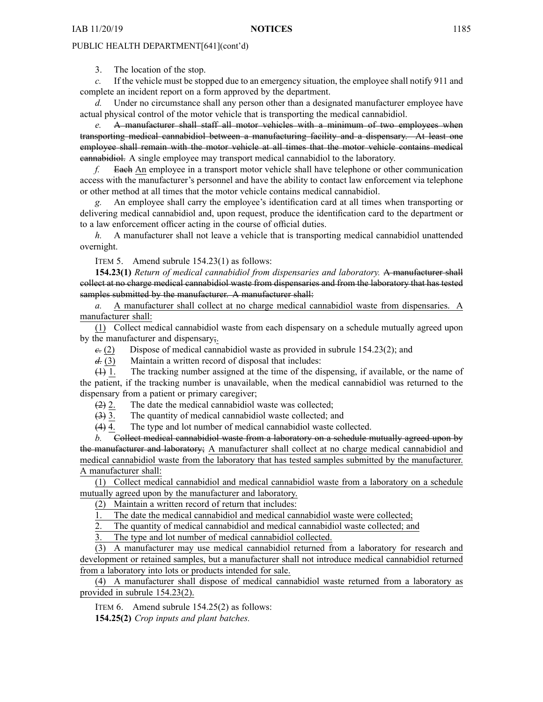3. The location of the stop.

*c.* If the vehicle must be stopped due to an emergency situation, the employee shall notify 911 and complete an incident repor<sup>t</sup> on <sup>a</sup> form approved by the department.

Under no circumstance shall any person other than a designated manufacturer employee have actual physical control of the motor vehicle that is transporting the medical cannabidiol.

*e.* A manufacturer shall staff all motor vehicles with <sup>a</sup> minimum of two employees when transporting medical cannabidiol between <sup>a</sup> manufacturing facility and <sup>a</sup> dispensary. At least one employee shall remain with the motor vehicle at all times that the motor vehicle contains medical cannabidiol. A single employee may transport medical cannabidiol to the laboratory.

*f.* Each An employee in <sup>a</sup> transport motor vehicle shall have telephone or other communication access with the manufacturer's personnel and have the ability to contact law enforcement via telephone or other method at all times that the motor vehicle contains medical cannabidiol.

*g.* An employee shall carry the employee's identification card at all times when transporting or delivering medical cannabidiol and, upon request, produce the identification card to the department or to <sup>a</sup> law enforcement officer acting in the course of official duties.

*h.* A manufacturer shall not leave <sup>a</sup> vehicle that is transporting medical cannabidiol unattended overnight.

ITEM 5. Amend subrule 154.23(1) as follows:

**154.23(1)** *Return of medical cannabidiol from dispensaries and laboratory.* A manufacturer shall collect at no charge medical cannabidiol waste from dispensaries and from the laboratory that has tested samples submitted by the manufacturer. A manufacturer shall:

*a.* A manufacturer shall collect at no charge medical cannabidiol waste from dispensaries. A manufacturer shall:

(1) Collect medical cannabidiol waste from each dispensary on <sup>a</sup> schedule mutually agreed upon by the manufacturer and dispensary;.

*c.* (2) Dispose of medical cannabidiol waste as provided in subrule 154.23(2); and

*d.* (3) Maintain a written record of disposal that includes:

(1) 1. The tracking number assigned at the time of the dispensing, if available, or the name of the patient, if the tracking number is unavailable, when the medical cannabidiol was returned to the dispensary from <sup>a</sup> patient or primary caregiver;

(2) 2. The date the medical cannabidiol waste was collected;

(3) 3. The quantity of medical cannabidiol waste collected; and

(4) 4. The type and lot number of medical cannabidiol waste collected.

*b.* Collect medical cannabidiol waste from <sup>a</sup> laboratory on <sup>a</sup> schedule mutually agreed upon by the manufacturer and laboratory; A manufacturer shall collect at no charge medical cannabidiol and medical cannabidiol waste from the laboratory that has tested samples submitted by the manufacturer. A manufacturer shall:

(1) Collect medical cannabidiol and medical cannabidiol waste from <sup>a</sup> laboratory on <sup>a</sup> schedule mutually agreed upon by the manufacturer and laboratory.

(2) Maintain <sup>a</sup> written record of return that includes:

1. The date the medical cannabidiol and medical cannabidiol waste were collected;

2. The quantity of medical cannabidiol and medical cannabidiol waste collected; and

The type and lot number of medical cannabidiol collected.

(3) A manufacturer may use medical cannabidiol returned from <sup>a</sup> laboratory for research and development or retained samples, but <sup>a</sup> manufacturer shall not introduce medical cannabidiol returned from <sup>a</sup> laboratory into lots or products intended for sale.

(4) A manufacturer shall dispose of medical cannabidiol waste returned from <sup>a</sup> laboratory as provided in subrule 154.23(2).

ITEM 6. Amend subrule 154.25(2) as follows:

**154.25(2)** *Crop inputs and plant batches.*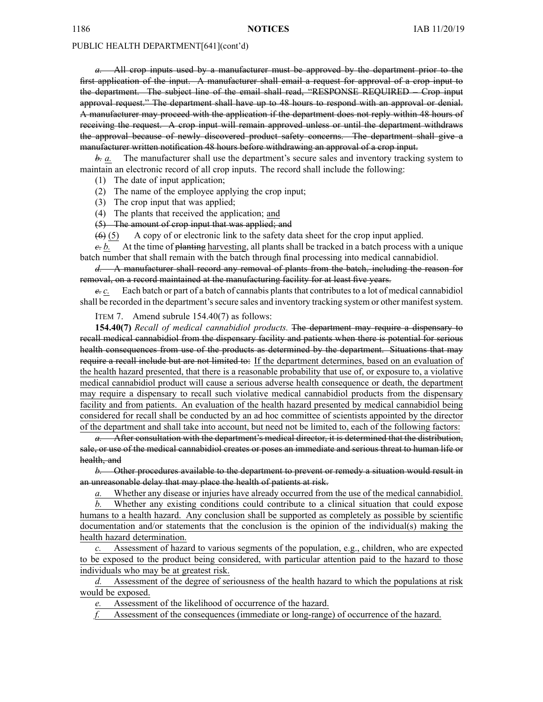*a.* All crop inputs used by <sup>a</sup> manufacturer must be approved by the department prior to the first application of the input. A manufacturer shall email <sup>a</sup> reques<sup>t</sup> for approval of <sup>a</sup> crop input to the department. The subject line of the email shall read, "RESPONSE REQUIRED – Crop input approval request." The department shall have up to 48 hours to respond with an approval or denial. A manufacturer may proceed with the application if the department does not reply within 48 hours of receiving the request. A crop input will remain approved unless or until the department withdraws the approval because of newly discovered product safety concerns. The department shall give <sup>a</sup> manufacturer written notification 48 hours before withdrawing an approval of <sup>a</sup> crop input.

*b. a.* The manufacturer shall use the department's secure sales and inventory tracking system to maintain an electronic record of all crop inputs. The record shall include the following:

(1) The date of input application;

(2) The name of the employee applying the crop input;

(3) The crop input that was applied;

(4) The plants that received the application; and

(5) The amount of crop input that was applied; and

 $(6)$  (5) A copy of or electronic link to the safety data sheet for the crop input applied.

*c. b.* At the time of planting harvesting, all plants shall be tracked in <sup>a</sup> batch process with <sup>a</sup> unique batch number that shall remain with the batch through final processing into medical cannabidiol.

*d.* A manufacturer shall record any removal of plants from the batch, including the reason for removal, on <sup>a</sup> record maintained at the manufacturing facility for at least five years.

*e. c.* Each batch or part of a batch of cannabis plants that contributes to a lot of medical cannabidiol shall be recorded in the department's secure sales and inventory tracking system or other manifest system.

ITEM 7. Amend subrule 154.40(7) as follows:

**154.40(7)** *Recall of medical cannabidiol products.* The department may require <sup>a</sup> dispensary to recall medical cannabidiol from the dispensary facility and patients when there is potential for serious health consequences from use of the products as determined by the department. Situations that may require <sup>a</sup> recall include but are not limited to: If the department determines, based on an evaluation of the health hazard presented, that there is <sup>a</sup> reasonable probability that use of, or exposure to, <sup>a</sup> violative medical cannabidiol product will cause <sup>a</sup> serious adverse health consequence or death, the department may require <sup>a</sup> dispensary to recall such violative medical cannabidiol products from the dispensary facility and from patients. An evaluation of the health hazard presented by medical cannabidiol being considered for recall shall be conducted by an ad hoc committee of scientists appointed by the director of the department and shall take into account, but need not be limited to, each of the following factors:

*a.* After consultation with the department's medical director, it is determined that the distribution, sale, or use of the medical cannabidiol creates or poses an immediate and serious threat to human life or health, and

*b.* Other procedures available to the department to preven<sup>t</sup> or remedy <sup>a</sup> situation would result in an unreasonable delay that may place the health of patients at risk.

Whether any disease or injuries have already occurred from the use of the medical cannabidiol.

Whether any existing conditions could contribute to a clinical situation that could expose humans to <sup>a</sup> health hazard. Any conclusion shall be supported as completely as possible by scientific documentation and/or statements that the conclusion is the opinion of the individual(s) making the health hazard determination.

*c.* Assessment of hazard to various segments of the population, e.g., children, who are expected to be exposed to the product being considered, with particular attention paid to the hazard to those individuals who may be at greatest risk.

*d.* Assessment of the degree of seriousness of the health hazard to which the populations at risk would be exposed.

Assessment of the likelihood of occurrence of the hazard.

*f.* Assessment of the consequences (immediate or long-range) of occurrence of the hazard.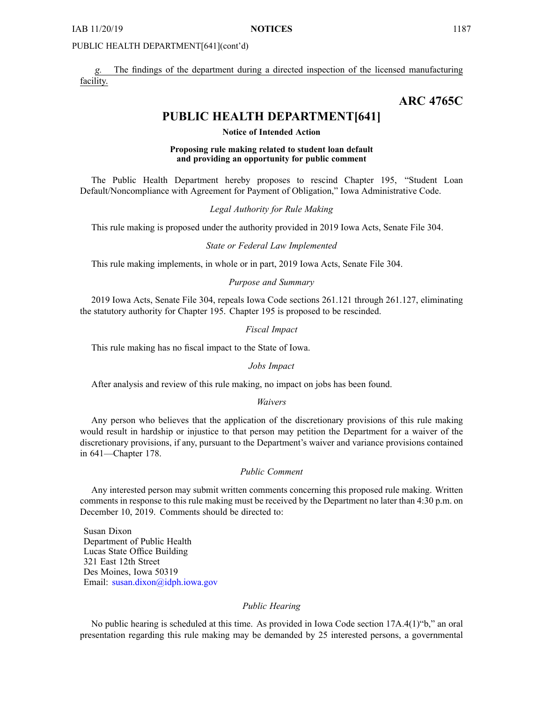The findings of the department during a directed inspection of the licensed manufacturing facility.

# **ARC 4765C**

# **PUBLIC HEALTH DEPARTMENT[641]**

**Notice of Intended Action**

# **Proposing rule making related to student loan default and providing an opportunity for public comment**

The Public Health Department hereby proposes to rescind Chapter 195, "Student Loan Default/Noncompliance with Agreement for Payment of Obligation," Iowa Administrative Code.

*Legal Authority for Rule Making*

This rule making is proposed under the authority provided in 2019 Iowa Acts, Senate File 304.

#### *State or Federal Law Implemented*

This rule making implements, in whole or in part, 2019 Iowa Acts, Senate File 304.

### *Purpose and Summary*

2019 Iowa Acts, Senate File 304, repeals Iowa Code sections 261.121 through 261.127, eliminating the statutory authority for Chapter 195. Chapter 195 is proposed to be rescinded.

#### *Fiscal Impact*

This rule making has no fiscal impact to the State of Iowa.

*Jobs Impact*

After analysis and review of this rule making, no impact on jobs has been found.

#### *Waivers*

Any person who believes that the application of the discretionary provisions of this rule making would result in hardship or injustice to that person may petition the Department for <sup>a</sup> waiver of the discretionary provisions, if any, pursuan<sup>t</sup> to the Department's waiver and variance provisions contained in 641—Chapter 178.

# *Public Comment*

Any interested person may submit written comments concerning this proposed rule making. Written comments in response to this rule making must be received by the Department no later than 4:30 p.m. on December 10, 2019. Comments should be directed to:

Susan Dixon Department of Public Health Lucas State Office Building 321 East 12th Street Des Moines, Iowa 50319 Email: [susan.dixon@idph.iowa.gov](mailto:susan.dixon@idph.iowa.gov)

# *Public Hearing*

No public hearing is scheduled at this time. As provided in Iowa Code section 17A.4(1)"b," an oral presentation regarding this rule making may be demanded by 25 interested persons, <sup>a</sup> governmental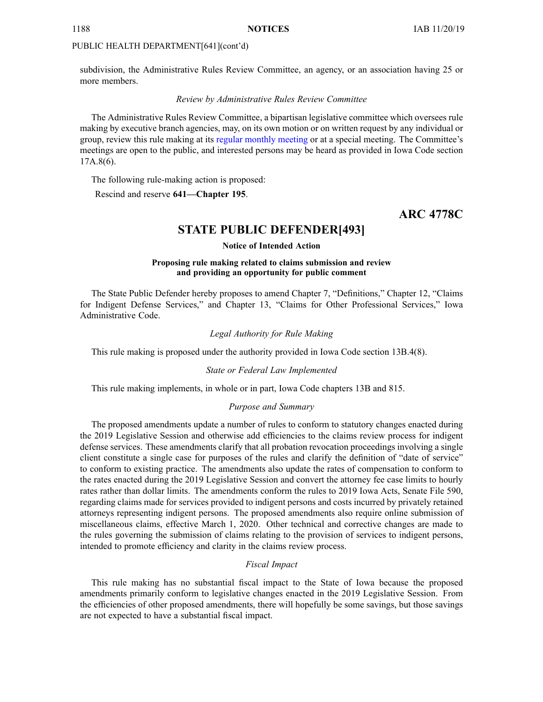subdivision, the Administrative Rules Review Committee, an agency, or an association having 25 or more members.

#### *Review by Administrative Rules Review Committee*

The Administrative Rules Review Committee, <sup>a</sup> bipartisan legislative committee which oversees rule making by executive branch agencies, may, on its own motion or on written reques<sup>t</sup> by any individual or group, review this rule making at its regular [monthly](https://www.legis.iowa.gov/committees/meetings/meetingsListComm?groupID=705&ga=88) meeting or at <sup>a</sup> special meeting. The Committee's meetings are open to the public, and interested persons may be heard as provided in Iowa Code section 17A.8(6).

The following rule-making action is proposed:

Rescind and reserve **641—Chapter 195**.

# **ARC 4778C**

# **STATE PUBLIC DEFENDER[493]**

#### **Notice of Intended Action**

# **Proposing rule making related to claims submission and review and providing an opportunity for public comment**

The State Public Defender hereby proposes to amend Chapter 7, "Definitions," Chapter 12, "Claims for Indigent Defense Services," and Chapter 13, "Claims for Other Professional Services," Iowa Administrative Code.

#### *Legal Authority for Rule Making*

This rule making is proposed under the authority provided in Iowa Code section 13B.4(8).

#### *State or Federal Law Implemented*

This rule making implements, in whole or in part, Iowa Code chapters 13B and 815.

#### *Purpose and Summary*

The proposed amendments update <sup>a</sup> number of rules to conform to statutory changes enacted during the 2019 Legislative Session and otherwise add efficiencies to the claims review process for indigent defense services. These amendments clarify that all probation revocation proceedings involving <sup>a</sup> single client constitute <sup>a</sup> single case for purposes of the rules and clarify the definition of "date of service" to conform to existing practice. The amendments also update the rates of compensation to conform to the rates enacted during the 2019 Legislative Session and convert the attorney fee case limits to hourly rates rather than dollar limits. The amendments conform the rules to 2019 Iowa Acts, Senate File 590, regarding claims made for services provided to indigent persons and costs incurred by privately retained attorneys representing indigent persons. The proposed amendments also require online submission of miscellaneous claims, effective March 1, 2020. Other technical and corrective changes are made to the rules governing the submission of claims relating to the provision of services to indigent persons, intended to promote efficiency and clarity in the claims review process.

#### *Fiscal Impact*

This rule making has no substantial fiscal impact to the State of Iowa because the proposed amendments primarily conform to legislative changes enacted in the 2019 Legislative Session. From the efficiencies of other proposed amendments, there will hopefully be some savings, but those savings are not expected to have <sup>a</sup> substantial fiscal impact.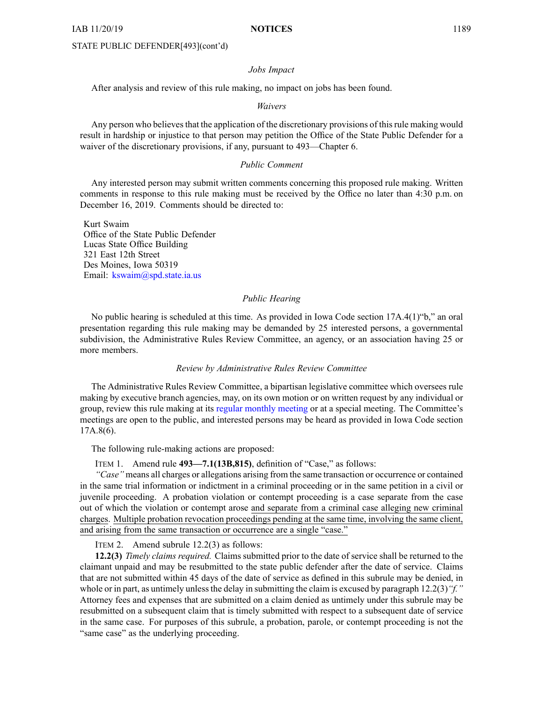## STATE PUBLIC DEFENDER[493](cont'd)

#### *Jobs Impact*

After analysis and review of this rule making, no impact on jobs has been found.

#### *Waivers*

Any person who believes that the application of the discretionary provisions of this rule making would result in hardship or injustice to that person may petition the Office of the State Public Defender for <sup>a</sup> waiver of the discretionary provisions, if any, pursuan<sup>t</sup> to 493—Chapter 6.

### *Public Comment*

Any interested person may submit written comments concerning this proposed rule making. Written comments in response to this rule making must be received by the Office no later than 4:30 p.m. on December 16, 2019. Comments should be directed to:

Kurt Swaim Office of the State Public Defender Lucas State Office Building 321 East 12th Street Des Moines, Iowa 50319 Email: [kswaim@spd.state.ia.us](mailto:kswaim@spd.state.ia.us)

#### *Public Hearing*

No public hearing is scheduled at this time. As provided in Iowa Code section 17A.4(1)"b," an oral presentation regarding this rule making may be demanded by 25 interested persons, <sup>a</sup> governmental subdivision, the Administrative Rules Review Committee, an agency, or an association having 25 or more members.

#### *Review by Administrative Rules Review Committee*

The Administrative Rules Review Committee, <sup>a</sup> bipartisan legislative committee which oversees rule making by executive branch agencies, may, on its own motion or on written reques<sup>t</sup> by any individual or group, review this rule making at its regular [monthly](https://www.legis.iowa.gov/committees/meetings/meetingsListComm?groupID=705&ga=88) meeting or at <sup>a</sup> special meeting. The Committee's meetings are open to the public, and interested persons may be heard as provided in Iowa Code section 17A.8(6).

The following rule-making actions are proposed:

ITEM 1. Amend rule **493—7.1(13B,815)**, definition of "Case," as follows:

*"Case"* means all charges or allegations arising from the same transaction or occurrence or contained in the same trial information or indictment in <sup>a</sup> criminal proceeding or in the same petition in <sup>a</sup> civil or juvenile proceeding. A probation violation or contempt proceeding is <sup>a</sup> case separate from the case out of which the violation or contempt arose and separate from <sup>a</sup> criminal case alleging new criminal charges. Multiple probation revocation proceedings pending at the same time, involving the same client, and arising from the same transaction or occurrence are <sup>a</sup> single "case."

ITEM 2. Amend subrule 12.2(3) as follows:

**12.2(3)** *Timely claims required.* Claims submitted prior to the date of service shall be returned to the claimant unpaid and may be resubmitted to the state public defender after the date of service. Claims that are not submitted within 45 days of the date of service as defined in this subrule may be denied, in whole or in part, as untimely unless the delay in submitting the claim is excused by paragraph 12.2(3) "*f.*" Attorney fees and expenses that are submitted on <sup>a</sup> claim denied as untimely under this subrule may be resubmitted on <sup>a</sup> subsequent claim that is timely submitted with respec<sup>t</sup> to <sup>a</sup> subsequent date of service in the same case. For purposes of this subrule, <sup>a</sup> probation, parole, or contempt proceeding is not the "same case" as the underlying proceeding.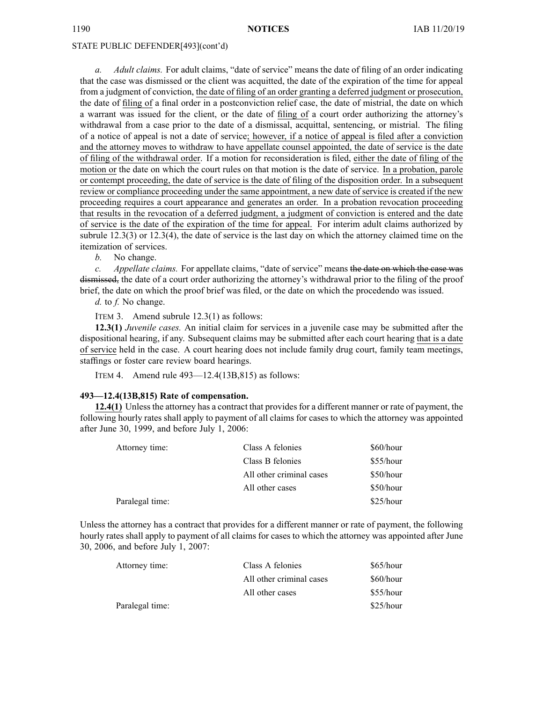#### STATE PUBLIC DEFENDER[493](cont'd)

*a. Adult claims.* For adult claims, "date of service" means the date of filing of an order indicating that the case was dismissed or the client was acquitted, the date of the expiration of the time for appeal from <sup>a</sup> judgment of conviction, the date of filing of an order granting <sup>a</sup> deferred judgment or prosecution, the date of filing of <sup>a</sup> final order in <sup>a</sup> postconviction relief case, the date of mistrial, the date on which <sup>a</sup> warrant was issued for the client, or the date of filing of <sup>a</sup> court order authorizing the attorney's withdrawal from <sup>a</sup> case prior to the date of <sup>a</sup> dismissal, acquittal, sentencing, or mistrial. The filing of <sup>a</sup> notice of appeal is not <sup>a</sup> date of service; however, if <sup>a</sup> notice of appeal is filed after <sup>a</sup> conviction and the attorney moves to withdraw to have appellate counsel appointed, the date of service is the date of filing of the withdrawal order. If <sup>a</sup> motion for reconsideration is filed, either the date of filing of the motion or the date on which the court rules on that motion is the date of service. In <sup>a</sup> probation, parole or contempt proceeding, the date of service is the date of filing of the disposition order. In <sup>a</sup> subsequent review or compliance proceeding under the same appointment, <sup>a</sup> new date of service is created if the new proceeding requires <sup>a</sup> court appearance and generates an order. In <sup>a</sup> probation revocation proceeding that results in the revocation of <sup>a</sup> deferred judgment, <sup>a</sup> judgment of conviction is entered and the date of service is the date of the expiration of the time for appeal. For interim adult claims authorized by subrule 12.3(3) or 12.3(4), the date of service is the last day on which the attorney claimed time on the itemization of services.

*b.* No change.

*c. Appellate claims.* For appellate claims, "date of service" means the date on which the case was dismissed, the date of <sup>a</sup> court order authorizing the attorney's withdrawal prior to the filing of the proof brief, the date on which the proof brief was filed, or the date on which the procedendo was issued.

*d.* to *f.* No change.

ITEM 3. Amend subrule 12.3(1) as follows:

**12.3(1)** *Juvenile cases.* An initial claim for services in <sup>a</sup> juvenile case may be submitted after the dispositional hearing, if any. Subsequent claims may be submitted after each court hearing that is <sup>a</sup> date of service held in the case. A court hearing does not include family drug court, family team meetings, staffings or foster care review board hearings.

ITEM 4. Amend rule 493—12.4(13B,815) as follows:

# **493—12.4(13B,815) Rate of compensation.**

**12.4(1)** Unless the attorney has <sup>a</sup> contract that provides for <sup>a</sup> different manner or rate of payment, the following hourly rates shall apply to paymen<sup>t</sup> of all claims for cases to which the attorney was appointed after June 30, 1999, and before July 1, 2006:

| Attorney time:  | Class A felonies         | \$60/hour |
|-----------------|--------------------------|-----------|
|                 | Class B felonies         | \$55/hour |
|                 | All other criminal cases | \$50/hour |
|                 | All other cases          | \$50/hour |
| Paralegal time: |                          | \$25/hour |

Unless the attorney has <sup>a</sup> contract that provides for <sup>a</sup> different manner or rate of payment, the following hourly rates shall apply to paymen<sup>t</sup> of all claims for cases to which the attorney was appointed after June 30, 2006, and before July 1, 2007:

| Attorney time:  | Class A felonies         | $$65/h$ our |
|-----------------|--------------------------|-------------|
|                 | All other criminal cases | \$60/hour   |
|                 | All other cases          | $$55/h$ our |
| Paralegal time: |                          | $$25/h$ our |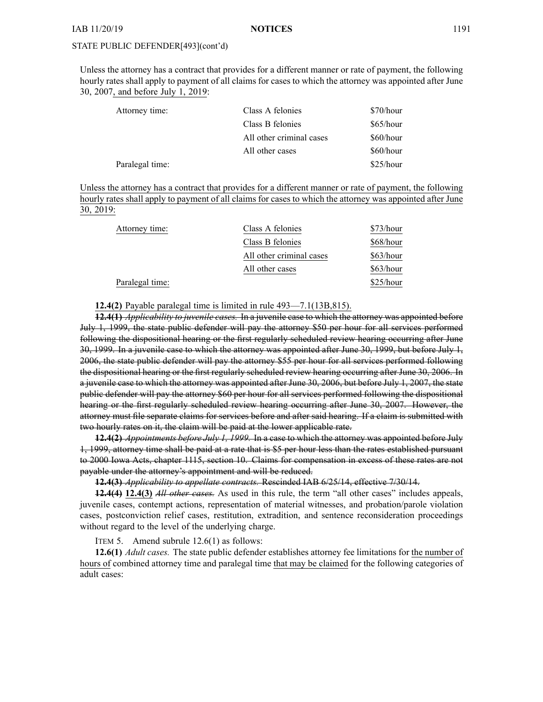Unless the attorney has <sup>a</sup> contract that provides for <sup>a</sup> different manner or rate of payment, the following hourly rates shall apply to paymen<sup>t</sup> of all claims for cases to which the attorney was appointed after June 30, 2007, and before July 1, 2019:

| Attorney time:  | Class A felonies         | \$70/hour |
|-----------------|--------------------------|-----------|
|                 | Class B felonies         | \$65/hour |
|                 | All other criminal cases | \$60/hour |
|                 | All other cases          | \$60/hour |
| Paralegal time: |                          | \$25/hour |

Unless the attorney has <sup>a</sup> contract that provides for <sup>a</sup> different manner or rate of payment, the following hourly rates shall apply to paymen<sup>t</sup> of all claims for cases to which the attorney was appointed after June 30, 2019:

| Attorney time:  | Class A felonies         | \$73/hour |
|-----------------|--------------------------|-----------|
|                 | Class B felonies         | \$68/hour |
|                 | All other criminal cases | \$63/hour |
|                 | All other cases          | \$63/hour |
| Paralegal time: |                          | \$25/hour |

**12.4(2)** Payable paralegal time is limited in rule 493—7.1(13B,815).

**12.4(1)** *Applicability to juvenile cases.* In <sup>a</sup> juvenile case to which the attorney was appointed before July 1, 1999, the state public defender will pay the attorney \$50 per hour for all services performed following the dispositional hearing or the first regularly scheduled review hearing occurring after June 30, 1999. In <sup>a</sup> juvenile case to which the attorney was appointed after June 30, 1999, but before July 1, 2006, the state public defender will pay the attorney \$55 per hour for all services performed following the dispositional hearing or the first regularly scheduled review hearing occurring after June 30, 2006. In <sup>a</sup> juvenile case to which the attorney was appointed after June 30, 2006, but before July 1, 2007, the state public defender will pay the attorney \$60 per hour for all services performed following the dispositional hearing or the first regularly scheduled review hearing occurring after June 30, 2007. However, the attorney must file separate claims for services before and after said hearing. If <sup>a</sup> claim is submitted with two hourly rates on it, the claim will be paid at the lower applicable rate.

**12.4(2)** *Appointments before July 1, 1999.* In <sup>a</sup> case to which the attorney was appointed before July 1, 1999, attorney time shall be paid at <sup>a</sup> rate that is \$5 per hour less than the rates established pursuan<sup>t</sup> to 2000 Iowa Acts, chapter 1115, section 10. Claims for compensation in excess of these rates are not payable under the attorney's appointment and will be reduced.

**12.4(3)** *Applicability to appellate contracts.* Rescinded IAB [6/25/14](https://www.legis.iowa.gov/docs/aco/bulletin/06-25-2014.pdf), effective 7/30/14.

**12.4(4) 12.4(3)** *All other cases.* As used in this rule, the term "all other cases" includes appeals, juvenile cases, contempt actions, representation of material witnesses, and probation/parole violation cases, postconviction relief cases, restitution, extradition, and sentence reconsideration proceedings without regard to the level of the underlying charge.

ITEM 5. Amend subrule 12.6(1) as follows:

**12.6(1)** *Adult cases.* The state public defender establishes attorney fee limitations for the number of hours of combined attorney time and paralegal time that may be claimed for the following categories of adult cases: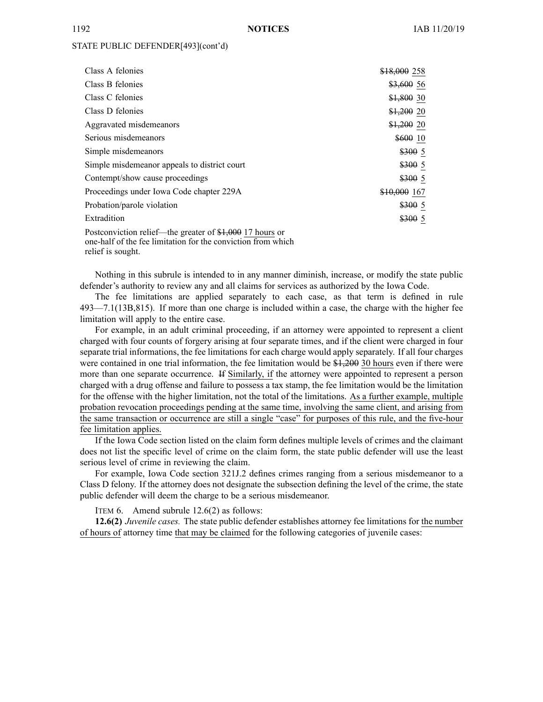| Class A felonies                                         | \$18,000 258 |
|----------------------------------------------------------|--------------|
| Class B felonies                                         | $$3,600$ 56  |
| Class C felonies                                         | $$1,800$ 30  |
| Class D felonies                                         | $$1,200$ 20  |
| Aggravated misdemeanors                                  | $$1,200$ 20  |
| Serious misdemeanors                                     | \$600 10     |
| Simple misdemeanors                                      | \$3005       |
| Simple misdemeanor appeals to district court             | \$3005       |
| Contempt/show cause proceedings                          | \$3005       |
| Proceedings under Iowa Code chapter 229A                 | \$10,000 167 |
| Probation/parole violation                               | \$3005       |
| Extradition                                              | \$3005       |
| Postconviction relief—the greater of \$1,000 17 hours or |              |

one-half of the fee limitation for the conviction from which relief is sought.

Nothing in this subrule is intended to in any manner diminish, increase, or modify the state public defender's authority to review any and all claims for services as authorized by the Iowa Code.

The fee limitations are applied separately to each case, as that term is defined in rule 493—7.1(13B,815). If more than one charge is included within <sup>a</sup> case, the charge with the higher fee limitation will apply to the entire case.

For example, in an adult criminal proceeding, if an attorney were appointed to represen<sup>t</sup> <sup>a</sup> client charged with four counts of forgery arising at four separate times, and if the client were charged in four separate trial informations, the fee limitations for each charge would apply separately. If all four charges were contained in one trial information, the fee limitation would be \$1,200 30 hours even if there were more than one separate occurrence. If Similarly, if the attorney were appointed to represen<sup>t</sup> <sup>a</sup> person charged with <sup>a</sup> drug offense and failure to possess <sup>a</sup> tax stamp, the fee limitation would be the limitation for the offense with the higher limitation, not the total of the limitations. As <sup>a</sup> further example, multiple probation revocation proceedings pending at the same time, involving the same client, and arising from the same transaction or occurrence are still <sup>a</sup> single "case" for purposes of this rule, and the five-hour fee limitation applies.

If the Iowa Code section listed on the claim form defines multiple levels of crimes and the claimant does not list the specific level of crime on the claim form, the state public defender will use the least serious level of crime in reviewing the claim.

For example, Iowa Code section [321J.2](https://www.legis.iowa.gov/docs/ico/section/321J.2.pdf) defines crimes ranging from <sup>a</sup> serious misdemeanor to <sup>a</sup> Class D felony. If the attorney does not designate the subsection defining the level of the crime, the state public defender will deem the charge to be <sup>a</sup> serious misdemeanor.

ITEM 6. Amend subrule 12.6(2) as follows:

**12.6(2)** *Juvenile cases.* The state public defender establishes attorney fee limitations for the number of hours of attorney time that may be claimed for the following categories of juvenile cases: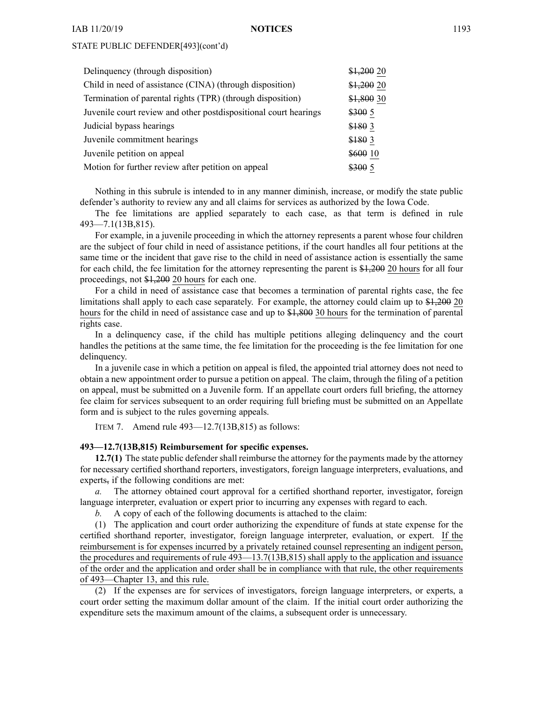| $$1,200$ 20 |
|-------------|
| $$1,200$ 20 |
| \$1,800 30  |
| \$3005      |
| \$180 3     |
| \$180 3     |
| \$600 10    |
| \$3005      |
|             |

Nothing in this subrule is intended to in any manner diminish, increase, or modify the state public defender's authority to review any and all claims for services as authorized by the Iowa Code.

The fee limitations are applied separately to each case, as that term is defined in rule 493—7.1(13B,815).

For example, in <sup>a</sup> juvenile proceeding in which the attorney represents <sup>a</sup> paren<sup>t</sup> whose four children are the subject of four child in need of assistance petitions, if the court handles all four petitions at the same time or the incident that gave rise to the child in need of assistance action is essentially the same for each child, the fee limitation for the attorney representing the paren<sup>t</sup> is \$1,200 20 hours for all four proceedings, not \$1,200 20 hours for each one.

For <sup>a</sup> child in need of assistance case that becomes <sup>a</sup> termination of parental rights case, the fee limitations shall apply to each case separately. For example, the attorney could claim up to \$1,200 20 hours for the child in need of assistance case and up to \$4,800 30 hours for the termination of parental rights case.

In <sup>a</sup> delinquency case, if the child has multiple petitions alleging delinquency and the court handles the petitions at the same time, the fee limitation for the proceeding is the fee limitation for one delinquency.

In <sup>a</sup> juvenile case in which <sup>a</sup> petition on appeal is filed, the appointed trial attorney does not need to obtain <sup>a</sup> new appointment order to pursue <sup>a</sup> petition on appeal. The claim, through the filing of <sup>a</sup> petition on appeal, must be submitted on <sup>a</sup> Juvenile form. If an appellate court orders full briefing, the attorney fee claim for services subsequent to an order requiring full briefing must be submitted on an Appellate form and is subject to the rules governing appeals.

ITEM 7. Amend rule 493—12.7(13B,815) as follows:

#### **493—12.7(13B,815) Reimbursement for specific expenses.**

**12.7(1)** The state public defender shall reimburse the attorney for the payments made by the attorney for necessary certified shorthand reporters, investigators, foreign language interpreters, evaluations, and experts, if the following conditions are met:

*a.* The attorney obtained court approval for <sup>a</sup> certified shorthand reporter, investigator, foreign language interpreter, evaluation or exper<sup>t</sup> prior to incurring any expenses with regard to each.

*b.* A copy of each of the following documents is attached to the claim:

(1) The application and court order authorizing the expenditure of funds at state expense for the certified shorthand reporter, investigator, foreign language interpreter, evaluation, or expert. If the reimbursement is for expenses incurred by <sup>a</sup> privately retained counsel representing an indigent person, the procedures and requirements of rule 493—13.7(13B,815) shall apply to the application and issuance of the order and the application and order shall be in compliance with that rule, the other requirements of 493—Chapter 13, and this rule.

(2) If the expenses are for services of investigators, foreign language interpreters, or experts, <sup>a</sup> court order setting the maximum dollar amount of the claim. If the initial court order authorizing the expenditure sets the maximum amount of the claims, <sup>a</sup> subsequent order is unnecessary.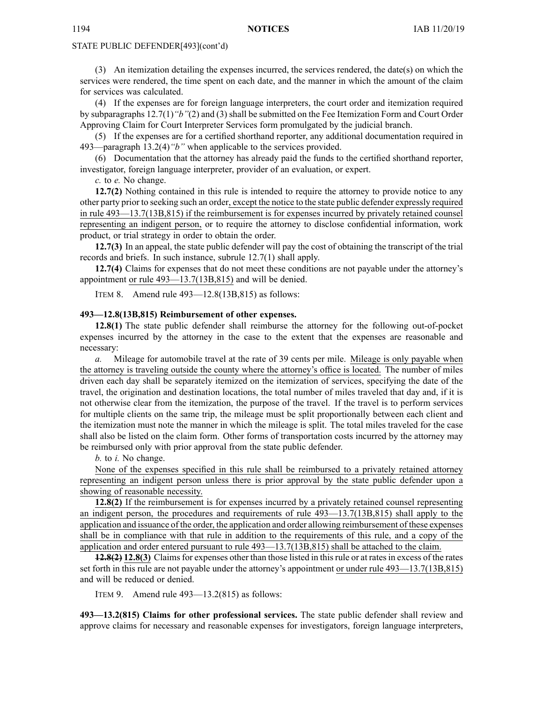(3) An itemization detailing the expenses incurred, the services rendered, the date(s) on which the services were rendered, the time spen<sup>t</sup> on each date, and the manner in which the amount of the claim for services was calculated.

(4) If the expenses are for foreign language interpreters, the court order and itemization required by subparagraphs 12.7(1)*"b"*(2) and (3) shall be submitted on the Fee Itemization Form and Court Order Approving Claim for Court Interpreter Services form promulgated by the judicial branch.

(5) If the expenses are for <sup>a</sup> certified shorthand reporter, any additional documentation required in 493—paragraph 13.2(4)*"b"* when applicable to the services provided.

(6) Documentation that the attorney has already paid the funds to the certified shorthand reporter, investigator, foreign language interpreter, provider of an evaluation, or expert.

*c.* to *e.* No change.

**12.7(2)** Nothing contained in this rule is intended to require the attorney to provide notice to any other party prior to seeking such an order, excep<sup>t</sup> the notice to the state public defender expressly required in rule 493—13.7(13B,815) if the reimbursement is for expenses incurred by privately retained counsel representing an indigent person, or to require the attorney to disclose confidential information, work product, or trial strategy in order to obtain the order.

**12.7(3)** In an appeal, the state public defender will pay the cost of obtaining the transcript of the trial records and briefs. In such instance, subrule 12.7(1) shall apply.

**12.7(4)** Claims for expenses that do not meet these conditions are not payable under the attorney's appointment or rule 493—13.7(13B,815) and will be denied.

ITEM 8. Amend rule 493—12.8(13B,815) as follows:

#### **493—12.8(13B,815) Reimbursement of other expenses.**

**12.8(1)** The state public defender shall reimburse the attorney for the following out-of-pocket expenses incurred by the attorney in the case to the extent that the expenses are reasonable and necessary:

*a.* Mileage for automobile travel at the rate of 39 cents per mile. Mileage is only payable when the attorney is traveling outside the county where the attorney's office is located. The number of miles driven each day shall be separately itemized on the itemization of services, specifying the date of the travel, the origination and destination locations, the total number of miles traveled that day and, if it is not otherwise clear from the itemization, the purpose of the travel. If the travel is to perform services for multiple clients on the same trip, the mileage must be split proportionally between each client and the itemization must note the manner in which the mileage is split. The total miles traveled for the case shall also be listed on the claim form. Other forms of transportation costs incurred by the attorney may be reimbursed only with prior approval from the state public defender.

*b.* to *i.* No change.

None of the expenses specified in this rule shall be reimbursed to <sup>a</sup> privately retained attorney representing an indigent person unless there is prior approval by the state public defender upon <sup>a</sup> showing of reasonable necessity.

**12.8(2)** If the reimbursement is for expenses incurred by <sup>a</sup> privately retained counsel representing an indigent person, the procedures and requirements of rule 493—13.7(13B,815) shall apply to the application and issuance of the order, the application and order allowing reimbursement of these expenses shall be in compliance with that rule in addition to the requirements of this rule, and <sup>a</sup> copy of the application and order entered pursuan<sup>t</sup> to rule 493—13.7(13B,815) shall be attached to the claim.

**12.8(2) 12.8(3)** Claimsfor expenses other than those listed in thisrule or at ratesin excess of the rates set forth in this rule are not payable under the attorney's appointment or under rule 493—13.7(13B,815) and will be reduced or denied.

ITEM 9. Amend rule 493—13.2(815) as follows:

**493—13.2(815) Claims for other professional services.** The state public defender shall review and approve claims for necessary and reasonable expenses for investigators, foreign language interpreters,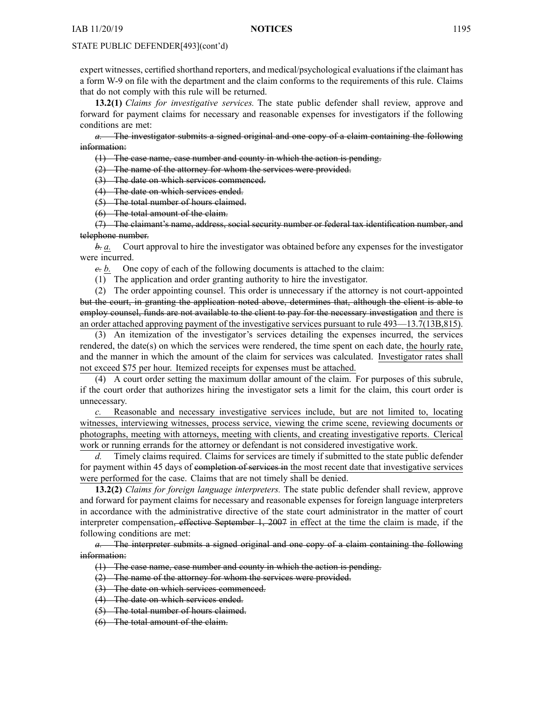exper<sup>t</sup> witnesses, certified shorthand reporters, and medical/psychological evaluationsif the claimant has <sup>a</sup> form W-9 on file with the department and the claim conforms to the requirements of this rule. Claims that do not comply with this rule will be returned.

**13.2(1)** *Claims for investigative services.* The state public defender shall review, approve and forward for paymen<sup>t</sup> claims for necessary and reasonable expenses for investigators if the following conditions are met:

*a.* The investigator submits <sup>a</sup> signed original and one copy of <sup>a</sup> claim containing the following information:

(1) The case name, case number and county in which the action is pending.

(2) The name of the attorney for whom the services were provided.

(3) The date on which services commenced.

(4) The date on which services ended.

(5) The total number of hours claimed.

(6) The total amount of the claim.

(7) The claimant's name, address, social security number or federal tax identification number, and telephone number.

*b. a.* Court approval to hire the investigator was obtained before any expenses for the investigator were incurred.

*c. b.* One copy of each of the following documents is attached to the claim:

(1) The application and order granting authority to hire the investigator.

(2) The order appointing counsel. This order is unnecessary if the attorney is not court-appointed but the court, in granting the application noted above, determines that, although the client is able to employ counsel, funds are not available to the client to pay for the necessary investigation and there is an order attached approving paymen<sup>t</sup> of the investigative services pursuan<sup>t</sup> to rule 493—13.7(13B,815).

(3) An itemization of the investigator's services detailing the expenses incurred, the services rendered, the date(s) on which the services were rendered, the time spen<sup>t</sup> on each date, the hourly rate, and the manner in which the amount of the claim for services was calculated. Investigator rates shall not exceed \$75 per hour. Itemized receipts for expenses must be attached.

(4) A court order setting the maximum dollar amount of the claim. For purposes of this subrule, if the court order that authorizes hiring the investigator sets <sup>a</sup> limit for the claim, this court order is unnecessary.

*c.* Reasonable and necessary investigative services include, but are not limited to, locating witnesses, interviewing witnesses, process service, viewing the crime scene, reviewing documents or photographs, meeting with attorneys, meeting with clients, and creating investigative reports. Clerical work or running errands for the attorney or defendant is not considered investigative work.

*d.* Timely claims required. Claims for services are timely if submitted to the state public defender for payment within 45 days of completion of services in the most recent date that investigative services were performed for the case. Claims that are not timely shall be denied.

**13.2(2)** *Claims for foreign language interpreters.* The state public defender shall review, approve and forward for paymen<sup>t</sup> claims for necessary and reasonable expenses for foreign language interpreters in accordance with the administrative directive of the state court administrator in the matter of court interpreter compensation, effective September 1, 2007 in effect at the time the claim is made, if the following conditions are met:

*a.* The interpreter submits <sup>a</sup> signed original and one copy of <sup>a</sup> claim containing the following information:

(1) The case name, case number and county in which the action is pending.

(2) The name of the attorney for whom the services were provided.

(3) The date on which services commenced.

(4) The date on which services ended.

(5) The total number of hours claimed.

(6) The total amount of the claim.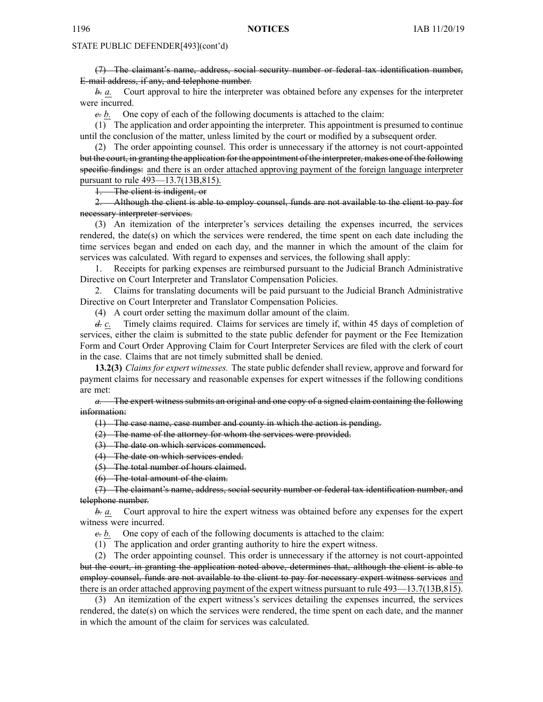(7) The claimant's name, address, social security number or federal tax identification number, E-mail address, if any, and telephone number.

*b. a.* Court approval to hire the interpreter was obtained before any expenses for the interpreter were incurred.

*c. b.* One copy of each of the following documents is attached to the claim:

(1) The application and order appointing the interpreter. This appointment is presumed to continue until the conclusion of the matter, unless limited by the court or modified by <sup>a</sup> subsequent order.

(2) The order appointing counsel. This order is unnecessary if the attorney is not court-appointed but the court, in granting the application for the appointment of the interpreter, makes one of the following specific findings: and there is an order attached approving paymen<sup>t</sup> of the foreign language interpreter pursuan<sup>t</sup> to rule 493—13.7(13B,815).

1. The client is indigent, or

2. Although the client is able to employ counsel, funds are not available to the client to pay for necessary interpreter services.

(3) An itemization of the interpreter's services detailing the expenses incurred, the services rendered, the date(s) on which the services were rendered, the time spen<sup>t</sup> on each date including the time services began and ended on each day, and the manner in which the amount of the claim for services was calculated. With regard to expenses and services, the following shall apply:

1. Receipts for parking expenses are reimbursed pursuan<sup>t</sup> to the Judicial Branch Administrative Directive on Court Interpreter and Translator Compensation Policies.

2. Claims for translating documents will be paid pursuan<sup>t</sup> to the Judicial Branch Administrative Directive on Court Interpreter and Translator Compensation Policies.

(4) A court order setting the maximum dollar amount of the claim.

*d. c.* Timely claims required. Claims for services are timely if, within 45 days of completion of services, either the claim is submitted to the state public defender for paymen<sup>t</sup> or the Fee Itemization Form and Court Order Approving Claim for Court Interpreter Services are filed with the clerk of court in the case. Claims that are not timely submitted shall be denied.

**13.2(3)** *Claims for exper<sup>t</sup> witnesses.* The state public defender shall review, approve and forward for paymen<sup>t</sup> claims for necessary and reasonable expenses for exper<sup>t</sup> witnesses if the following conditions are met:

*a.* The exper<sup>t</sup> witness submits an original and one copy of <sup>a</sup> signed claim containing the following information:

(1) The case name, case number and county in which the action is pending.

(2) The name of the attorney for whom the services were provided.

(3) The date on which services commenced.

(4) The date on which services ended.

(5) The total number of hours claimed.

(6) The total amount of the claim.

(7) The claimant's name, address, social security number or federal tax identification number, and telephone number.

*b. a.* Court approval to hire the exper<sup>t</sup> witness was obtained before any expenses for the exper<sup>t</sup> witness were incurred.

*c. b.* One copy of each of the following documents is attached to the claim:

(1) The application and order granting authority to hire the exper<sup>t</sup> witness.

(2) The order appointing counsel. This order is unnecessary if the attorney is not court-appointed but the court, in granting the application noted above, determines that, although the client is able to employ counsel, funds are not available to the client to pay for necessary exper<sup>t</sup> witness services and there is an order attached approving paymen<sup>t</sup> of the exper<sup>t</sup> witness pursuan<sup>t</sup> to rule 493—13.7(13B,815).

(3) An itemization of the exper<sup>t</sup> witness's services detailing the expenses incurred, the services rendered, the date(s) on which the services were rendered, the time spen<sup>t</sup> on each date, and the manner in which the amount of the claim for services was calculated.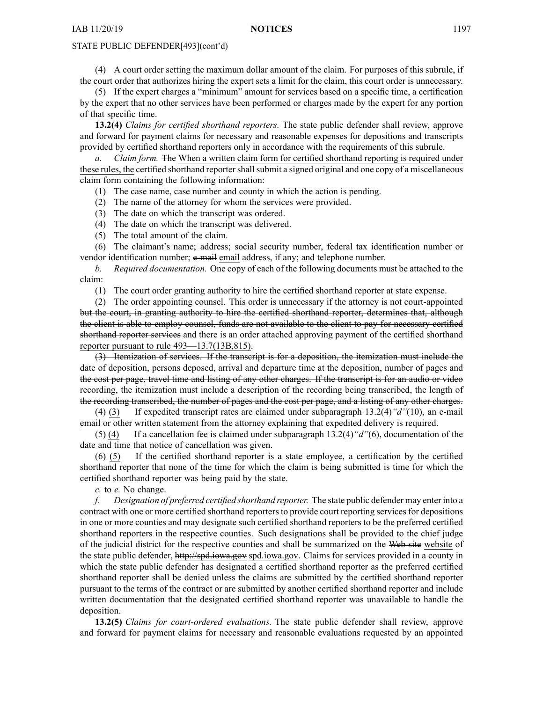(4) A court order setting the maximum dollar amount of the claim. For purposes of this subrule, if the court order that authorizes hiring the exper<sup>t</sup> sets <sup>a</sup> limit for the claim, this court order is unnecessary.

(5) If the exper<sup>t</sup> charges <sup>a</sup> "minimum" amount for services based on <sup>a</sup> specific time, <sup>a</sup> certification by the exper<sup>t</sup> that no other services have been performed or charges made by the exper<sup>t</sup> for any portion of that specific time.

**13.2(4)** *Claims for certified shorthand reporters.* The state public defender shall review, approve and forward for paymen<sup>t</sup> claims for necessary and reasonable expenses for depositions and transcripts provided by certified shorthand reporters only in accordance with the requirements of this subrule.

*a. Claim form.* The When <sup>a</sup> written claim form for certified shorthand reporting is required under these rules, the certified shorthand reporter shall submit a signed original and one copy of a miscellaneous claim form containing the following information:

(1) The case name, case number and county in which the action is pending.

(2) The name of the attorney for whom the services were provided.

(3) The date on which the transcript was ordered.

(4) The date on which the transcript was delivered.

(5) The total amount of the claim.

(6) The claimant's name; address; social security number, federal tax identification number or vendor identification number; e-mail email address, if any; and telephone number.

*b. Required documentation.* One copy of each of the following documents must be attached to the claim:

(1) The court order granting authority to hire the certified shorthand reporter at state expense.

(2) The order appointing counsel. This order is unnecessary if the attorney is not court-appointed but the court, in granting authority to hire the certified shorthand reporter, determines that, although the client is able to employ counsel, funds are not available to the client to pay for necessary certified shorthand reporter services and there is an order attached approving paymen<sup>t</sup> of the certified shorthand reporter pursuan<sup>t</sup> to rule 493—13.7(13B,815).

(3) Itemization of services. If the transcript is for <sup>a</sup> deposition, the itemization must include the date of deposition, persons deposed, arrival and departure time at the deposition, number of pages and the cost per page, travel time and listing of any other charges. If the transcript is for an audio or video recording, the itemization must include <sup>a</sup> description of the recording being transcribed, the length of the recording transcribed, the number of pages and the cost per page, and <sup>a</sup> listing of any other charges.

(4) (3) If expedited transcript rates are claimed under subparagraph 13.2(4)*"d"*(10), an e-mail email or other written statement from the attorney explaining that expedited delivery is required.

(5) (4) If <sup>a</sup> cancellation fee is claimed under subparagraph 13.2(4)*"d"*(6), documentation of the date and time that notice of cancellation was given.

(6) (5) If the certified shorthand reporter is <sup>a</sup> state employee, <sup>a</sup> certification by the certified shorthand reporter that none of the time for which the claim is being submitted is time for which the certified shorthand reporter was being paid by the state.

*c.* to *e.* No change.

*f. Designation of preferred certified shorthand reporter.* The state public defender may enter into <sup>a</sup> contract with one or more certified shorthand reporters to provide court reporting services for depositions in one or more counties and may designate such certified shorthand reporters to be the preferred certified shorthand reporters in the respective counties. Such designations shall be provided to the chief judge of the judicial district for the respective counties and shall be summarized on the Web site website of the state public defender, <http://spd.iowa.gov> [spd.iowa.gov](http://spd.iowa.gov). Claims for services provided in <sup>a</sup> county in which the state public defender has designated <sup>a</sup> certified shorthand reporter as the preferred certified shorthand reporter shall be denied unless the claims are submitted by the certified shorthand reporter pursuan<sup>t</sup> to the terms of the contract or are submitted by another certified shorthand reporter and include written documentation that the designated certified shorthand reporter was unavailable to handle the deposition.

**13.2(5)** *Claims for court-ordered evaluations.* The state public defender shall review, approve and forward for paymen<sup>t</sup> claims for necessary and reasonable evaluations requested by an appointed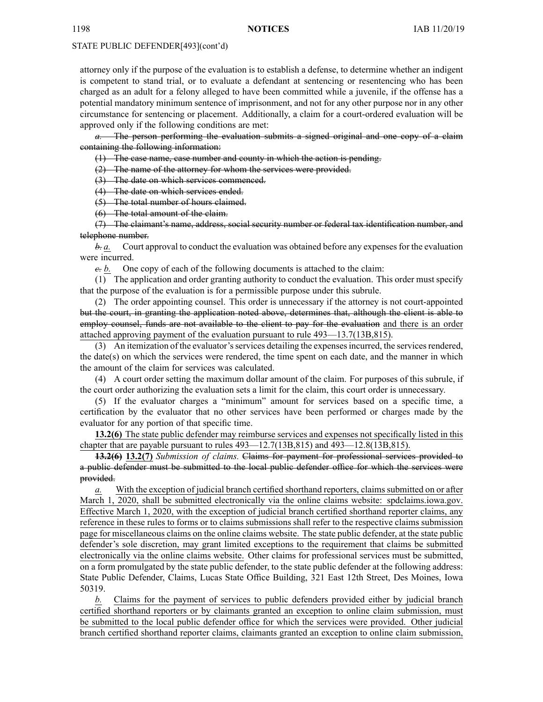attorney only if the purpose of the evaluation is to establish <sup>a</sup> defense, to determine whether an indigent is competent to stand trial, or to evaluate <sup>a</sup> defendant at sentencing or resentencing who has been charged as an adult for <sup>a</sup> felony alleged to have been committed while <sup>a</sup> juvenile, if the offense has <sup>a</sup> potential mandatory minimum sentence of imprisonment, and not for any other purpose nor in any other circumstance for sentencing or placement. Additionally, <sup>a</sup> claim for <sup>a</sup> court-ordered evaluation will be approved only if the following conditions are met:

*a.* The person performing the evaluation submits <sup>a</sup> signed original and one copy of <sup>a</sup> claim containing the following information:

(1) The case name, case number and county in which the action is pending.

(2) The name of the attorney for whom the services were provided.

(3) The date on which services commenced.

(4) The date on which services ended.

(5) The total number of hours claimed.

(6) The total amount of the claim.

(7) The claimant's name, address, social security number or federal tax identification number, and telephone number.

 $\dot{\theta}$ . Court approval to conduct the evaluation was obtained before any expenses for the evaluation were incurred.

*c. b.* One copy of each of the following documents is attached to the claim:

(1) The application and order granting authority to conduct the evaluation. This order must specify that the purpose of the evaluation is for <sup>a</sup> permissible purpose under this subrule.

(2) The order appointing counsel. This order is unnecessary if the attorney is not court-appointed but the court, in granting the application noted above, determines that, although the client is able to employ counsel, funds are not available to the client to pay for the evaluation and there is an order attached approving paymen<sup>t</sup> of the evaluation pursuan<sup>t</sup> to rule 493—13.7(13B,815).

(3) An itemization of the evaluator'sservices detailing the expensesincurred, the servicesrendered, the date $(s)$  on which the services were rendered, the time spent on each date, and the manner in which the amount of the claim for services was calculated.

(4) A court order setting the maximum dollar amount of the claim. For purposes of this subrule, if the court order authorizing the evaluation sets <sup>a</sup> limit for the claim, this court order is unnecessary.

(5) If the evaluator charges <sup>a</sup> "minimum" amount for services based on <sup>a</sup> specific time, <sup>a</sup> certification by the evaluator that no other services have been performed or charges made by the evaluator for any portion of that specific time.

**13.2(6)** The state public defender may reimburse services and expenses not specifically listed in this chapter that are payable pursuan<sup>t</sup> to rules 493—12.7(13B,815) and 493—12.8(13B,815).

**13.2(6) 13.2(7)** *Submission of claims.* Claims for paymen<sup>t</sup> for professional services provided to <sup>a</sup> public defender must be submitted to the local public defender office for which the services were provided.

*a.* With the exception of judicial branch certified shorthand reporters, claims submitted on or after March 1, 2020, shall be submitted electronically via the online claims website: [spdclaims.iowa.gov](http://spdclaims.iowa.gov). Effective March 1, 2020, with the exception of judicial branch certified shorthand reporter claims, any reference in these rules to forms or to claims submissions shall refer to the respective claims submission page for miscellaneous claims on the online claims website. The state public defender, at the state public defender's sole discretion, may gran<sup>t</sup> limited exceptions to the requirement that claims be submitted electronically via the online claims website. Other claims for professional services must be submitted, on <sup>a</sup> form promulgated by the state public defender, to the state public defender at the following address: State Public Defender, Claims, Lucas State Office Building, 321 East 12th Street, Des Moines, Iowa 50319.

*b.* Claims for the paymen<sup>t</sup> of services to public defenders provided either by judicial branch certified shorthand reporters or by claimants granted an exception to online claim submission, must be submitted to the local public defender office for which the services were provided. Other judicial branch certified shorthand reporter claims, claimants granted an exception to online claim submission,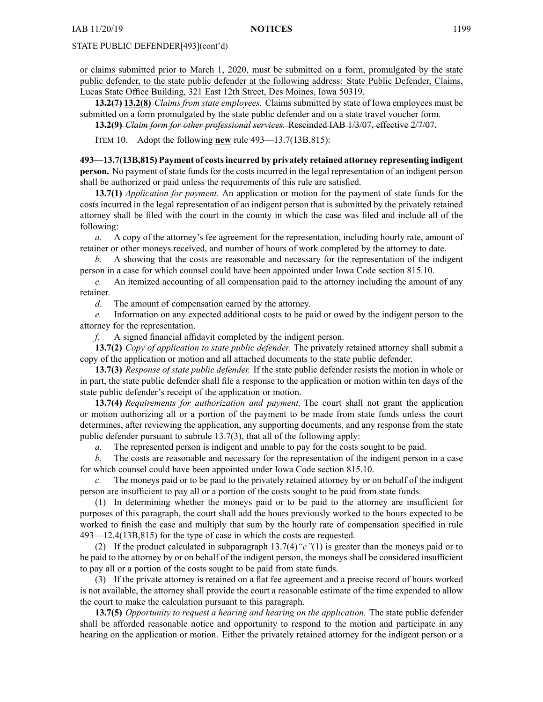or claims submitted prior to March 1, 2020, must be submitted on <sup>a</sup> form, promulgated by the state public defender, to the state public defender at the following address: State Public Defender, Claims, Lucas State Office Building, 321 East 12th Street, Des Moines, Iowa 50319.

**13.2(7) 13.2(8)** *Claims from state employees.* Claims submitted by state of Iowa employees must be submitted on <sup>a</sup> form promulgated by the state public defender and on <sup>a</sup> state travel voucher form.

**13.2(9)** *Claim form for other professional services.* Rescinded IAB [1/3/07](https://www.legis.iowa.gov/docs/aco/bulletin/01-03-2007.pdf), effective 2/7/07.

ITEM 10. Adopt the following **new** rule 493—13.7(13B,815):

**493—13.7(13B,815) Payment of costsincurred by privately retained attorney representing indigent person.** No paymen<sup>t</sup> of state funds for the costs incurred in the legal representation of an indigent person shall be authorized or paid unless the requirements of this rule are satisfied.

**13.7(1)** *Application for payment.* An application or motion for the paymen<sup>t</sup> of state funds for the costs incurred in the legal representation of an indigent person that is submitted by the privately retained attorney shall be filed with the court in the county in which the case was filed and include all of the following:

*a.* A copy of the attorney's fee agreemen<sup>t</sup> for the representation, including hourly rate, amount of retainer or other moneys received, and number of hours of work completed by the attorney to date.

*b.* A showing that the costs are reasonable and necessary for the representation of the indigent person in <sup>a</sup> case for which counsel could have been appointed under Iowa Code section [815.10](https://www.legis.iowa.gov/docs/ico/section/815.10.pdf).

*c.* An itemized accounting of all compensation paid to the attorney including the amount of any retainer.

*d.* The amount of compensation earned by the attorney.

*e.* Information on any expected additional costs to be paid or owed by the indigent person to the attorney for the representation.

*f.* A signed financial affidavit completed by the indigent person.

**13.7(2)** *Copy of application to state public defender.* The privately retained attorney shall submit <sup>a</sup> copy of the application or motion and all attached documents to the state public defender.

**13.7(3)** *Response of state public defender.* If the state public defender resists the motion in whole or in part, the state public defender shall file <sup>a</sup> response to the application or motion within ten days of the state public defender's receipt of the application or motion.

**13.7(4)** *Requirements for authorization and payment.* The court shall not gran<sup>t</sup> the application or motion authorizing all or <sup>a</sup> portion of the paymen<sup>t</sup> to be made from state funds unless the court determines, after reviewing the application, any supporting documents, and any response from the state public defender pursuan<sup>t</sup> to subrule 13.7(3), that all of the following apply:

*a.* The represented person is indigent and unable to pay for the costs sought to be paid.

*b.* The costs are reasonable and necessary for the representation of the indigent person in <sup>a</sup> case for which counsel could have been appointed under Iowa Code section [815.10](https://www.legis.iowa.gov/docs/ico/section/815.10.pdf).

*c.* The moneys paid or to be paid to the privately retained attorney by or on behalf of the indigent person are insufficient to pay all or <sup>a</sup> portion of the costs sought to be paid from state funds.

(1) In determining whether the moneys paid or to be paid to the attorney are insufficient for purposes of this paragraph, the court shall add the hours previously worked to the hours expected to be worked to finish the case and multiply that sum by the hourly rate of compensation specified in rule 493—12.4(13B,815) for the type of case in which the costs are requested.

(2) If the product calculated in subparagraph 13.7(4)*"c"*(1) is greater than the moneys paid or to be paid to the attorney by or on behalf of the indigent person, the moneys shall be considered insufficient to pay all or <sup>a</sup> portion of the costs sought to be paid from state funds.

(3) If the private attorney is retained on <sup>a</sup> flat fee agreemen<sup>t</sup> and <sup>a</sup> precise record of hours worked is not available, the attorney shall provide the court <sup>a</sup> reasonable estimate of the time expended to allow the court to make the calculation pursuan<sup>t</sup> to this paragraph.

**13.7(5)** *Opportunity to reques<sup>t</sup> <sup>a</sup> hearing and hearing on the application.* The state public defender shall be afforded reasonable notice and opportunity to respond to the motion and participate in any hearing on the application or motion. Either the privately retained attorney for the indigent person or <sup>a</sup>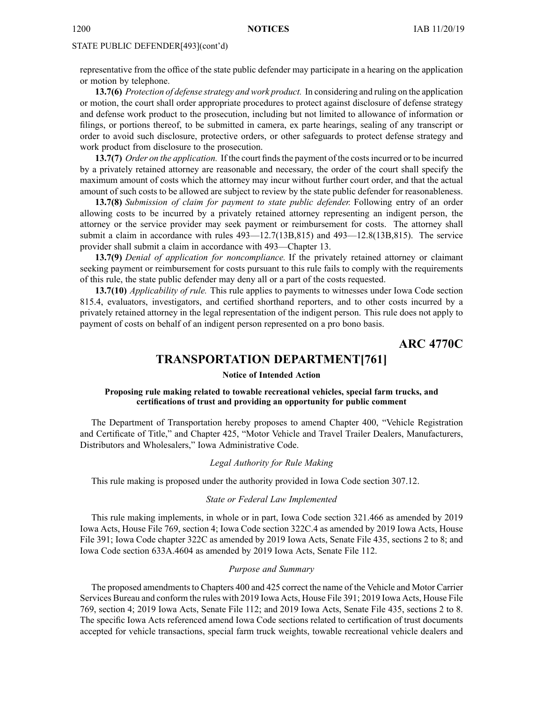representative from the office of the state public defender may participate in <sup>a</sup> hearing on the application or motion by telephone.

**13.7(6)** *Protection of defense strategy and work product.* In considering and ruling on the application or motion, the court shall order appropriate procedures to protect against disclosure of defense strategy and defense work product to the prosecution, including but not limited to allowance of information or filings, or portions thereof, to be submitted in camera, ex parte hearings, sealing of any transcript or order to avoid such disclosure, protective orders, or other safeguards to protect defense strategy and work product from disclosure to the prosecution.

**13.7(7)** *Order on the application.* If the court finds the payment of the costs incurred or to be incurred by <sup>a</sup> privately retained attorney are reasonable and necessary, the order of the court shall specify the maximum amount of costs which the attorney may incur without further court order, and that the actual amount of such costs to be allowed are subject to review by the state public defender for reasonableness.

**13.7(8)** *Submission of claim for paymen<sup>t</sup> to state public defender.* Following entry of an order allowing costs to be incurred by <sup>a</sup> privately retained attorney representing an indigent person, the attorney or the service provider may seek paymen<sup>t</sup> or reimbursement for costs. The attorney shall submit <sup>a</sup> claim in accordance with rules 493—12.7(13B,815) and 493—12.8(13B,815). The service provider shall submit <sup>a</sup> claim in accordance with 493—Chapter 13.

**13.7(9)** *Denial of application for noncompliance.* If the privately retained attorney or claimant seeking paymen<sup>t</sup> or reimbursement for costs pursuan<sup>t</sup> to this rule fails to comply with the requirements of this rule, the state public defender may deny all or <sup>a</sup> par<sup>t</sup> of the costs requested.

**13.7(10)** *Applicability of rule.* This rule applies to payments to witnesses under Iowa Code section [815.4](https://www.legis.iowa.gov/docs/ico/section/815.4.pdf), evaluators, investigators, and certified shorthand reporters, and to other costs incurred by <sup>a</sup> privately retained attorney in the legal representation of the indigent person. This rule does not apply to paymen<sup>t</sup> of costs on behalf of an indigent person represented on <sup>a</sup> pro bono basis.

**ARC 4770C**

# **TRANSPORTATION DEPARTMENT[761]**

## **Notice of Intended Action**

## **Proposing rule making related to towable recreational vehicles, special farm trucks, and certifications of trust and providing an opportunity for public comment**

The Department of Transportation hereby proposes to amend Chapter 400, "Vehicle Registration and Certificate of Title," and Chapter 425, "Motor Vehicle and Travel Trailer Dealers, Manufacturers, Distributors and Wholesalers," Iowa Administrative Code.

#### *Legal Authority for Rule Making*

This rule making is proposed under the authority provided in Iowa Code section 307.12.

#### *State or Federal Law Implemented*

This rule making implements, in whole or in part, Iowa Code section 321.466 as amended by 2019 Iowa Acts, House File 769, section 4; Iowa Code section 322C.4 as amended by 2019 Iowa Acts, House File 391; Iowa Code chapter 322C as amended by 2019 Iowa Acts, Senate File 435, sections 2 to 8; and Iowa Code section 633A.4604 as amended by 2019 Iowa Acts, Senate File 112.

#### *Purpose and Summary*

The proposed amendments to Chapters 400 and 425 correct the name of the Vehicle and Motor Carrier Services Bureau and conform the rules with 2019 Iowa Acts, House File 391; 2019 Iowa Acts, House File 769, section 4; 2019 Iowa Acts, Senate File 112; and 2019 Iowa Acts, Senate File 435, sections 2 to 8. The specific Iowa Acts referenced amend Iowa Code sections related to certification of trust documents accepted for vehicle transactions, special farm truck weights, towable recreational vehicle dealers and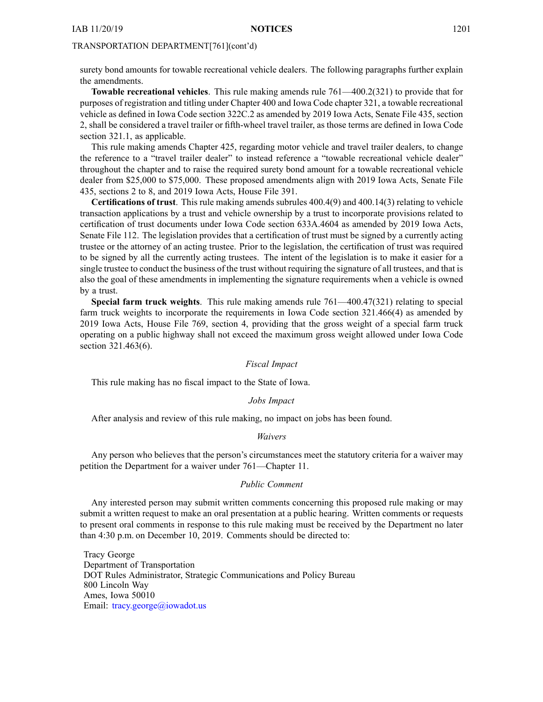surety bond amounts for towable recreational vehicle dealers. The following paragraphs further explain the amendments.

**Towable recreational vehicles**. This rule making amends rule 761—400.2(321) to provide that for purposes of registration and titling under Chapter 400 and Iowa Code chapter 321, <sup>a</sup> towable recreational vehicle as defined in Iowa Code section 322C.2 as amended by 2019 Iowa Acts, Senate File 435, section 2, shall be considered <sup>a</sup> travel trailer or fifth-wheel travel trailer, as those terms are defined in Iowa Code section 321.1, as applicable.

This rule making amends Chapter 425, regarding motor vehicle and travel trailer dealers, to change the reference to <sup>a</sup> "travel trailer dealer" to instead reference <sup>a</sup> "towable recreational vehicle dealer" throughout the chapter and to raise the required surety bond amount for <sup>a</sup> towable recreational vehicle dealer from \$25,000 to \$75,000. These proposed amendments align with 2019 Iowa Acts, Senate File 435, sections 2 to 8, and 2019 Iowa Acts, House File 391.

**Certifications of trust**. This rule making amends subrules 400.4(9) and 400.14(3) relating to vehicle transaction applications by <sup>a</sup> trust and vehicle ownership by <sup>a</sup> trust to incorporate provisions related to certification of trust documents under Iowa Code section 633A.4604 as amended by 2019 Iowa Acts, Senate File 112. The legislation provides that <sup>a</sup> certification of trust must be signed by <sup>a</sup> currently acting trustee or the attorney of an acting trustee. Prior to the legislation, the certification of trust was required to be signed by all the currently acting trustees. The intent of the legislation is to make it easier for <sup>a</sup> single trustee to conduct the business of the trust without requiring the signature of all trustees, and that is also the goal of these amendments in implementing the signature requirements when <sup>a</sup> vehicle is owned by <sup>a</sup> trust.

**Special farm truck weights**. This rule making amends rule 761—400.47(321) relating to special farm truck weights to incorporate the requirements in Iowa Code section 321.466(4) as amended by 2019 Iowa Acts, House File 769, section 4, providing that the gross weight of <sup>a</sup> special farm truck operating on <sup>a</sup> public highway shall not exceed the maximum gross weight allowed under Iowa Code section 321.463(6).

#### *Fiscal Impact*

This rule making has no fiscal impact to the State of Iowa.

## *Jobs Impact*

After analysis and review of this rule making, no impact on jobs has been found.

#### *Waivers*

Any person who believes that the person's circumstances meet the statutory criteria for <sup>a</sup> waiver may petition the Department for <sup>a</sup> waiver under 761—Chapter 11.

#### *Public Comment*

Any interested person may submit written comments concerning this proposed rule making or may submit <sup>a</sup> written reques<sup>t</sup> to make an oral presentation at <sup>a</sup> public hearing. Written comments or requests to presen<sup>t</sup> oral comments in response to this rule making must be received by the Department no later than 4:30 p.m. on December 10, 2019. Comments should be directed to:

Tracy George Department of Transportation DOT Rules Administrator, Strategic Communications and Policy Bureau 800 Lincoln Way Ames, Iowa 50010 Email: [tracy.george@iowadot.us](mailto:tracy.george@iowadot.us)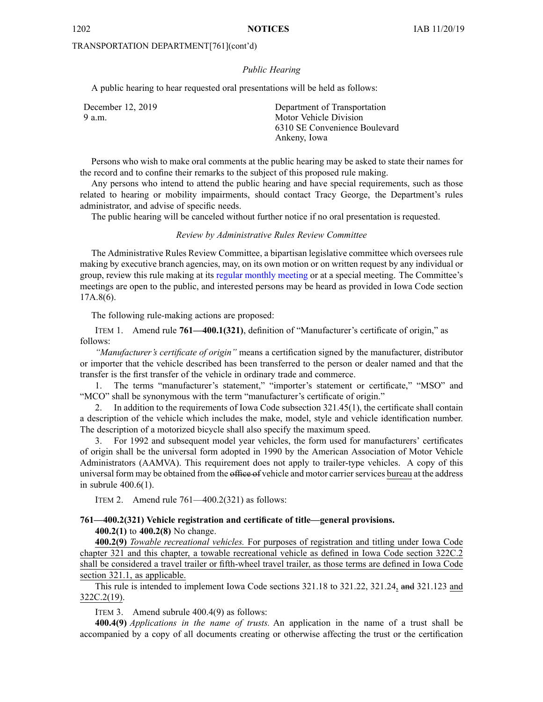#### *Public Hearing*

A public hearing to hear requested oral presentations will be held as follows:

| December 12, 2019 | Department of Transportation  |
|-------------------|-------------------------------|
| 9 a.m.            | Motor Vehicle Division        |
|                   | 6310 SE Convenience Boulevard |
|                   | Ankeny, Iowa                  |

Persons who wish to make oral comments at the public hearing may be asked to state their names for the record and to confine their remarks to the subject of this proposed rule making.

Any persons who intend to attend the public hearing and have special requirements, such as those related to hearing or mobility impairments, should contact Tracy George, the Department's rules administrator, and advise of specific needs.

The public hearing will be canceled without further notice if no oral presentation is requested.

## *Review by Administrative Rules Review Committee*

The Administrative Rules Review Committee, <sup>a</sup> bipartisan legislative committee which oversees rule making by executive branch agencies, may, on its own motion or on written reques<sup>t</sup> by any individual or group, review this rule making at its regular [monthly](https://www.legis.iowa.gov/committees/meetings/meetingsListComm?groupID=705&ga=88) meeting or at <sup>a</sup> special meeting. The Committee's meetings are open to the public, and interested persons may be heard as provided in Iowa Code section 17A.8(6).

The following rule-making actions are proposed:

ITEM 1. Amend rule **761—400.1(321)**, definition of "Manufacturer's certificate of origin," as follows:

*"Manufacturer's certificate of origin"* means <sup>a</sup> certification signed by the manufacturer, distributor or importer that the vehicle described has been transferred to the person or dealer named and that the transfer is the first transfer of the vehicle in ordinary trade and commerce.

1. The terms "manufacturer's statement," "importer's statement or certificate," "MSO" and "MCO" shall be synonymous with the term "manufacturer's certificate of origin."

2. In addition to the requirements of Iowa Code subsection [321.45\(1\)](https://www.legis.iowa.gov/docs/ico/section/321.45.pdf), the certificate shall contain <sup>a</sup> description of the vehicle which includes the make, model, style and vehicle identification number. The description of <sup>a</sup> motorized bicycle shall also specify the maximum speed.

3. For 1992 and subsequent model year vehicles, the form used for manufacturers' certificates of origin shall be the universal form adopted in 1990 by the American Association of Motor Vehicle Administrators (AAMVA). This requirement does not apply to trailer-type vehicles. A copy of this universal form may be obtained from the office of vehicle and motor carrier services bureau at the address in subrule 400.6(1).

ITEM 2. Amend rule 761—400.2(321) as follows:

# **761—400.2(321) Vehicle registration and certificate of title—general provisions.**

**400.2(1)** to **400.2(8)** No change.

**400.2(9)** *Towable recreational vehicles.* For purposes of registration and titling under Iowa Code chapter [321](https://www.legis.iowa.gov/docs/ico/chapter/321.pdf) and this chapter, <sup>a</sup> towable recreational vehicle as defined in Iowa Code section [322C.2](https://www.legis.iowa.gov/docs/ico/section/322C.2.pdf) shall be considered <sup>a</sup> travel trailer or fifth-wheel travel trailer, as those terms are defined in Iowa Code section [321.1](https://www.legis.iowa.gov/docs/ico/section/321.1.pdf), as applicable.

This rule is intended to implement Iowa Code sections 321.18 to [321.22](https://www.legis.iowa.gov/docs/ico/section/2016/321.18-22.pdf), [321.24](https://www.legis.iowa.gov/docs/ico/section/321.24.pdf), and [321.123](https://www.legis.iowa.gov/docs/ico/section/321.123.pdf) and [322C.2\(19\)](https://www.legis.iowa.gov/docs/ico/section/322C.2.pdf).

ITEM 3. Amend subrule 400.4(9) as follows:

**400.4(9)** *Applications in the name of trusts.* An application in the name of <sup>a</sup> trust shall be accompanied by <sup>a</sup> copy of all documents creating or otherwise affecting the trust or the certification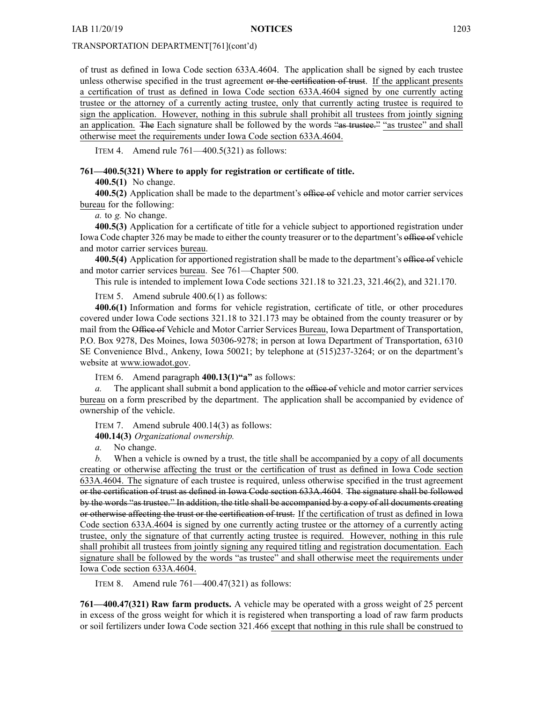of trust as defined in Iowa Code section [633A.4604](https://www.legis.iowa.gov/docs/ico/section/633A.4604.pdf). The application shall be signed by each trustee unless otherwise specified in the trust agreement or the certification of trust. If the applicant presents <sup>a</sup> certification of trust as defined in Iowa Code section [633A.4604](https://www.legis.iowa.gov/docs/ico/section/633A.4604.pdf) signed by one currently acting trustee or the attorney of <sup>a</sup> currently acting trustee, only that currently acting trustee is required to sign the application. However, nothing in this subrule shall prohibit all trustees from jointly signing an application. The Each signature shall be followed by the words "as trustee." "as trustee" and shall otherwise meet the requirements under Iowa Code section [633A.4604](https://www.legis.iowa.gov/docs/ico/section/633A.4604.pdf).

ITEM 4. Amend rule  $761 - 400.5(321)$  as follows:

## **761—400.5(321) Where to apply for registration or certificate of title.**

**400.5(1)** No change.

**400.5(2)** Application shall be made to the department's office of vehicle and motor carrier services bureau for the following:

*a.* to *g.* No change.

**400.5(3)** Application for <sup>a</sup> certificate of title for <sup>a</sup> vehicle subject to apportioned registration under Iowa Code chapter [326](https://www.legis.iowa.gov/docs/ico/chapter/326.pdf) may be made to either the county treasurer or to the department's office of vehicle and motor carrier services bureau.

**400.5(4)** Application for apportioned registration shall be made to the department's office of vehicle and motor carrier services bureau. See 761—Chapter 500.

This rule is intended to implement Iowa Code sections 321.18 to [321.23](https://www.legis.iowa.gov/docs/ico/section/321.18-23.pdf), [321.46\(2\)](https://www.legis.iowa.gov/docs/ico/section/321.46.pdf), and [321.170](https://www.legis.iowa.gov/docs/ico/section/321.170.pdf).

ITEM 5. Amend subrule 400.6(1) as follows:

**400.6(1)** Information and forms for vehicle registration, certificate of title, or other procedures covered under Iowa Code sections 321.18 to [321.173](https://www.legis.iowa.gov/docs/ico/section/321.18-173.pdf) may be obtained from the county treasurer or by mail from the Office of Vehicle and Motor Carrier Services Bureau, Iowa Department of Transportation, P.O. Box 9278, Des Moines, Iowa 50306-9278; in person at Iowa Department of Transportation, 6310 SE Convenience Blvd., Ankeny, Iowa 50021; by telephone at (515)237-3264; or on the department's website at [www.iowadot.gov](http://www.iowadot.gov).

ITEM 6. Amend paragraph **400.13(1)"a"** as follows:

The applicant shall submit a bond application to the office of vehicle and motor carrier services bureau on <sup>a</sup> form prescribed by the department. The application shall be accompanied by evidence of ownership of the vehicle.

ITEM 7. Amend subrule 400.14(3) as follows:

**400.14(3)** *Organizational ownership.*

*a.* No change.

*b.* When <sup>a</sup> vehicle is owned by <sup>a</sup> trust, the title shall be accompanied by <sup>a</sup> copy of all documents creating or otherwise affecting the trust or the certification of trust as defined in Iowa Code section [633A.4604](https://www.legis.iowa.gov/docs/ico/section/633A.4604.pdf). The signature of each trustee is required, unless otherwise specified in the trust agreemen<sup>t</sup> or the certification of trust as defined in Iowa Code section [633A.4604](https://www.legis.iowa.gov/docs/ico/section/633A.4604.pdf). The signature shall be followed by the words "as trustee." In addition, the title shall be accompanied by <sup>a</sup> copy of all documents creating or otherwise affecting the trust or the certification of trust. If the certification of trust as defined in Iowa Code section [633A.4604](https://www.legis.iowa.gov/docs/ico/section/633A.4604.pdf) is signed by one currently acting trustee or the attorney of <sup>a</sup> currently acting trustee, only the signature of that currently acting trustee is required. However, nothing in this rule shall prohibit all trustees from jointly signing any required titling and registration documentation. Each signature shall be followed by the words "as trustee" and shall otherwise meet the requirements under Iowa Code section [633A.4604](https://www.legis.iowa.gov/docs/ico/section/633A.4604.pdf).

ITEM 8. Amend rule 761—400.47(321) as follows:

**761—400.47(321) Raw farm products.** A vehicle may be operated with <sup>a</sup> gross weight of 25 percen<sup>t</sup> in excess of the gross weight for which it is registered when transporting <sup>a</sup> load of raw farm products or soil fertilizers under Iowa Code section [321.466](https://www.legis.iowa.gov/docs/ico/section/321.466.pdf) excep<sup>t</sup> that nothing in this rule shall be construed to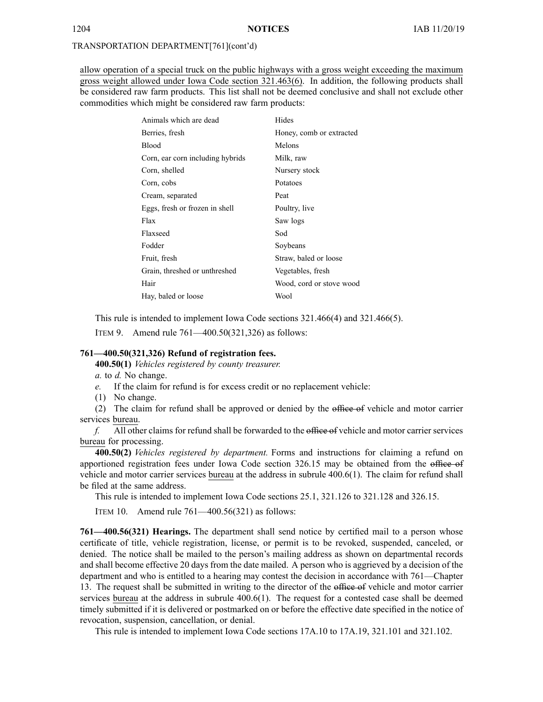allow operation of <sup>a</sup> special truck on the public highways with <sup>a</sup> gross weight exceeding the maximum gross weight allowed under Iowa Code section [321.463\(6\)](https://www.legis.iowa.gov/docs/ico/section/321.463.pdf). In addition, the following products shall be considered raw farm products. This list shall not be deemed conclusive and shall not exclude other commodities which might be considered raw farm products:

| Animals which are dead           | Hides                    |
|----------------------------------|--------------------------|
| Berries, fresh                   | Honey, comb or extracted |
| <b>Blood</b>                     | Melons                   |
| Corn, ear corn including hybrids | Milk, raw                |
| Corn, shelled                    | Nursery stock            |
| Corn, cobs                       | Potatoes                 |
| Cream, separated                 | Peat                     |
| Eggs, fresh or frozen in shell   | Poultry, live            |
| Flax                             | Saw logs                 |
| Flaxseed                         | Sod                      |
| Fodder                           | Soybeans                 |
| Fruit, fresh                     | Straw, baled or loose    |
| Grain, threshed or unthreshed    | Vegetables, fresh        |
| Hair                             | Wood, cord or stove wood |
| Hay, baled or loose              | Wool                     |

This rule is intended to implement Iowa Code sections [321.466\(4\)](https://www.legis.iowa.gov/docs/ico/section/2018/321.466.pdf) and [321.466\(5\)](https://www.legis.iowa.gov/docs/ico/section/2018/321.466.pdf).

ITEM 9. Amend rule 761—400.50(321,326) as follows:

## **761—400.50(321,326) Refund of registration fees.**

**400.50(1)** *Vehicles registered by county treasurer.*

*a.* to *d.* No change.

- *e.* If the claim for refund is for excess credit or no replacement vehicle:
- (1) No change.

(2) The claim for refund shall be approved or denied by the office of vehicle and motor carrier services bureau.

*f.* All other claims for refund shall be forwarded to the office of vehicle and motor carrier services bureau for processing.

**400.50(2)** *Vehicles registered by department.* Forms and instructions for claiming <sup>a</sup> refund on apportioned registration fees under Iowa Code section [326.15](https://www.legis.iowa.gov/docs/ico/section/2018/326.15.pdf) may be obtained from the office of vehicle and motor carrier services bureau at the address in subrule 400.6(1). The claim for refund shall be filed at the same address.

This rule is intended to implement Iowa Code sections [25.1](https://www.legis.iowa.gov/docs/ico/section/25.1.pdf), [321.126](https://www.legis.iowa.gov/docs/ico/section/321.126-128.pdf) to 321.128 and [326.15](https://www.legis.iowa.gov/docs/ico/section/326.15.pdf).

ITEM 10. Amend rule 761—400.56(321) as follows:

**761—400.56(321) Hearings.** The department shall send notice by certified mail to <sup>a</sup> person whose certificate of title, vehicle registration, license, or permit is to be revoked, suspended, canceled, or denied. The notice shall be mailed to the person's mailing address as shown on departmental records and shall become effective 20 days from the date mailed. A person who is aggrieved by <sup>a</sup> decision of the department and who is entitled to <sup>a</sup> hearing may contest the decision in accordance with 761—Chapter 13. The reques<sup>t</sup> shall be submitted in writing to the director of the office of vehicle and motor carrier services bureau at the address in subrule 400.6(1). The reques<sup>t</sup> for <sup>a</sup> contested case shall be deemed timely submitted if it is delivered or postmarked on or before the effective date specified in the notice of revocation, suspension, cancellation, or denial.

This rule is intended to implement Iowa Code sections 17A.10 to [17A.19](https://www.legis.iowa.gov/docs/ico/section/17A.10-19.pdf), 321.101 and [321.102](https://www.legis.iowa.gov/docs/ico/section/321.101,102.pdf).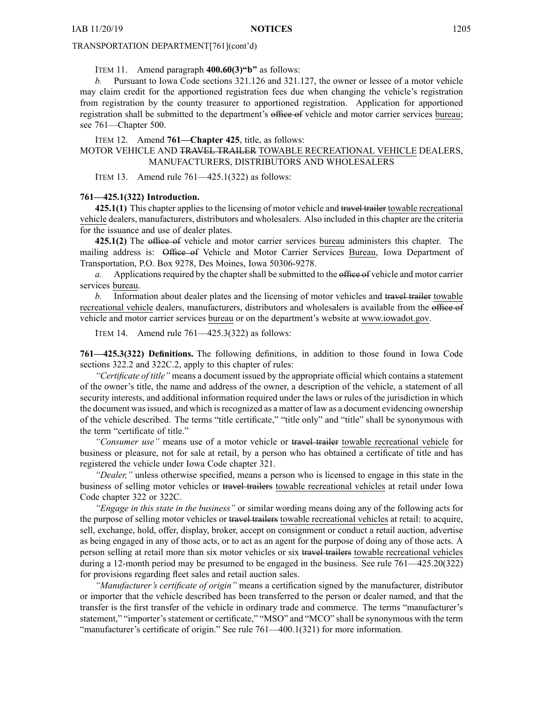ITEM 11. Amend paragraph **400.60(3)"b"** as follows:

*b.* Pursuant to Iowa Code sections [321.126](https://www.legis.iowa.gov/docs/ico/section/321.126.pdf) and [321.127](https://www.legis.iowa.gov/docs/ico/section/321.127.pdf), the owner or lessee of <sup>a</sup> motor vehicle may claim credit for the apportioned registration fees due when changing the vehicle's registration from registration by the county treasurer to apportioned registration. Application for apportioned registration shall be submitted to the department's office of vehicle and motor carrier services bureau; see 761—Chapter 500.

ITEM 12. Amend **761—Chapter 425**, title, as follows:

## MOTOR VEHICLE AND TRAVEL TRAILER TOWABLE RECREATIONAL VEHICLE DEALERS, MANUFACTURERS, DISTRIBUTORS AND WHOLESALERS

ITEM 13. Amend rule 761—425.1(322) as follows:

## **761—425.1(322) Introduction.**

**425.1(1)** This chapter applies to the licensing of motor vehicle and travel trailer towable recreational vehicle dealers, manufacturers, distributors and wholesalers. Also included in this chapter are the criteria for the issuance and use of dealer plates.

**425.1(2)** The office of vehicle and motor carrier services bureau administers this chapter. The mailing address is: Office of Vehicle and Motor Carrier Services Bureau, Iowa Department of Transportation, P.O. Box 9278, Des Moines, Iowa 50306-9278.

*a.* Applications required by the chapter shall be submitted to the office of vehicle and motor carrier services bureau.

*b.* Information about dealer plates and the licensing of motor vehicles and travel trailer towable recreational vehicle dealers, manufacturers, distributors and wholesalers is available from the office of vehicle and motor carrier services bureau or on the department's website at [www.iowadot.gov](https://www.iowadot.gov).

ITEM 14. Amend rule 761—425.3(322) as follows:

**761—425.3(322) Definitions.** The following definitions, in addition to those found in Iowa Code sections [322.2](https://www.legis.iowa.gov/docs/ico/section/322.2.pdf) and [322C.2](https://www.legis.iowa.gov/docs/ico/section/322C.2.pdf), apply to this chapter of rules:

*"Certificate of title"* means <sup>a</sup> document issued by the appropriate official which contains <sup>a</sup> statement of the owner's title, the name and address of the owner, <sup>a</sup> description of the vehicle, <sup>a</sup> statement of all security interests, and additional information required under the laws or rules of the jurisdiction in which the document wasissued, and which isrecognized as <sup>a</sup> matter of law as <sup>a</sup> document evidencing ownership of the vehicle described. The terms "title certificate," "title only" and "title" shall be synonymous with the term "certificate of title."

*"Consumer use"* means use of <sup>a</sup> motor vehicle or travel trailer towable recreational vehicle for business or pleasure, not for sale at retail, by <sup>a</sup> person who has obtained <sup>a</sup> certificate of title and has registered the vehicle under Iowa Code chapter [321](https://www.legis.iowa.gov/docs/ico/chapter/321.pdf).

*"Dealer,"* unless otherwise specified, means <sup>a</sup> person who is licensed to engage in this state in the business of selling motor vehicles or travel trailers towable recreational vehicles at retail under Iowa Code chapter [322](https://www.legis.iowa.gov/docs/ico/chapter/322.pdf) or [322C](https://www.legis.iowa.gov/docs/ico/chapter/322C.pdf).

*"Engage in this state in the business"* or similar wording means doing any of the following acts for the purpose of selling motor vehicles or travel trailers towable recreational vehicles at retail: to acquire, sell, exchange, hold, offer, display, broker, accep<sup>t</sup> on consignment or conduct <sup>a</sup> retail auction, advertise as being engaged in any of those acts, or to act as an agen<sup>t</sup> for the purpose of doing any of those acts. A person selling at retail more than six motor vehicles or six travel trailers towable recreational vehicles during <sup>a</sup> 12-month period may be presumed to be engaged in the business. See rule 761—425.20(322) for provisions regarding fleet sales and retail auction sales.

*"Manufacturer's certificate of origin"* means <sup>a</sup> certification signed by the manufacturer, distributor or importer that the vehicle described has been transferred to the person or dealer named, and that the transfer is the first transfer of the vehicle in ordinary trade and commerce. The terms "manufacturer's statement," "importer's statement or certificate," "MSO" and "MCO" shall be synonymous with the term "manufacturer's certificate of origin." See rule 761—400.1(321) for more information.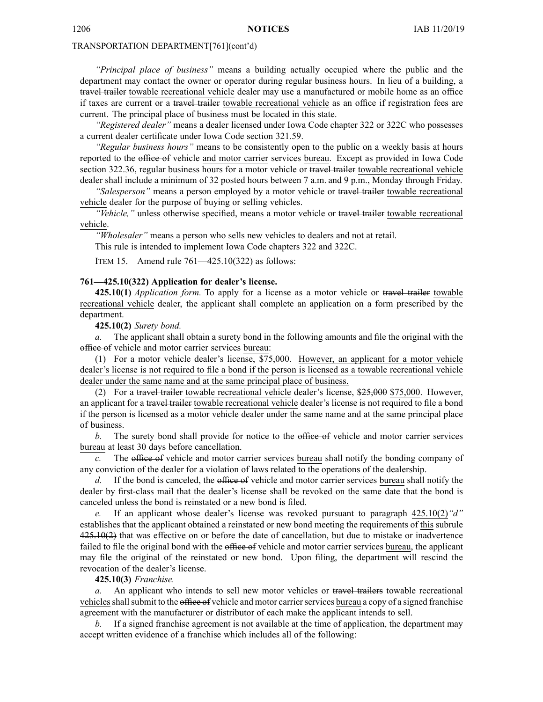*"Principal place of business"* means <sup>a</sup> building actually occupied where the public and the department may contact the owner or operator during regular business hours. In lieu of <sup>a</sup> building, <sup>a</sup> travel trailer towable recreational vehicle dealer may use a manufactured or mobile home as an office if taxes are current or <sup>a</sup> travel trailer towable recreational vehicle as an office if registration fees are current. The principal place of business must be located in this state.

*"Registered dealer"* means <sup>a</sup> dealer licensed under Iowa Code chapter [322](https://www.legis.iowa.gov/docs/ico/chapter/322.pdf) or [322C](https://www.legis.iowa.gov/docs/ico/chapter/322C.pdf) who possesses <sup>a</sup> current dealer certificate under Iowa Code section [321.59](https://www.legis.iowa.gov/docs/ico/section/321.59.pdf).

*"Regular business hours"* means to be consistently open to the public on <sup>a</sup> weekly basis at hours reported to the office of vehicle and motor carrier services bureau. Except as provided in Iowa Code section [322.36](https://www.legis.iowa.gov/docs/ico/section/322.36.pdf), regular business hours for a motor vehicle or travel trailer towable recreational vehicle dealer shall include <sup>a</sup> minimum of 32 posted hours between 7 a.m. and 9 p.m., Monday through Friday.

*"Salesperson"* means <sup>a</sup> person employed by <sup>a</sup> motor vehicle or travel trailer towable recreational vehicle dealer for the purpose of buying or selling vehicles.

*"Vehicle,"* unless otherwise specified, means <sup>a</sup> motor vehicle or travel trailer towable recreational vehicle.

*"Wholesaler"* means <sup>a</sup> person who sells new vehicles to dealers and not at retail.

This rule is intended to implement Iowa Code chapters [322](https://www.legis.iowa.gov/docs/ico/chapter/322.pdf) and [322C](https://www.legis.iowa.gov/docs/ico/chapter/322C.pdf).

ITEM 15. Amend rule 761—425.10(322) as follows:

#### **761—425.10(322) Application for dealer's license.**

**425.10(1)** *Application form.* To apply for <sup>a</sup> license as <sup>a</sup> motor vehicle or travel trailer towable recreational vehicle dealer, the applicant shall complete an application on <sup>a</sup> form prescribed by the department.

**425.10(2)** *Surety bond.*

*a.* The applicant shall obtain <sup>a</sup> surety bond in the following amounts and file the original with the office of vehicle and motor carrier services bureau:

(1) For <sup>a</sup> motor vehicle dealer's license, \$75,000. However, an applicant for <sup>a</sup> motor vehicle dealer's license is not required to file <sup>a</sup> bond if the person is licensed as <sup>a</sup> towable recreational vehicle dealer under the same name and at the same principal place of business.

(2) For <sup>a</sup> travel trailer towable recreational vehicle dealer's license, \$25,000 \$75,000. However, an applicant for <sup>a</sup> travel trailer towable recreational vehicle dealer's license is not required to file <sup>a</sup> bond if the person is licensed as <sup>a</sup> motor vehicle dealer under the same name and at the same principal place of business.

*b.* The surety bond shall provide for notice to the office of vehicle and motor carrier services bureau at least 30 days before cancellation.

The office of vehicle and motor carrier services bureau shall notify the bonding company of any conviction of the dealer for <sup>a</sup> violation of laws related to the operations of the dealership.

*d.* If the bond is canceled, the office of vehicle and motor carrier services bureau shall notify the dealer by first-class mail that the dealer's license shall be revoked on the same date that the bond is canceled unless the bond is reinstated or <sup>a</sup> new bond is filed.

*e.* If an applicant whose dealer's license was revoked pursuan<sup>t</sup> to paragraph 425.10(2)*"d"* establishes that the applicant obtained <sup>a</sup> reinstated or new bond meeting the requirements of this subrule 425.10(2) that was effective on or before the date of cancellation, but due to mistake or inadvertence failed to file the original bond with the office of vehicle and motor carrier services bureau, the applicant may file the original of the reinstated or new bond. Upon filing, the department will rescind the revocation of the dealer's license.

**425.10(3)** *Franchise.*

*a.* An applicant who intends to sell new motor vehicles or travel trailers towable recreational vehicles shall submit to the office of vehicle and motor carrier services bureau a copy of a signed franchise agreemen<sup>t</sup> with the manufacturer or distributor of each make the applicant intends to sell.

*b.* If <sup>a</sup> signed franchise agreemen<sup>t</sup> is not available at the time of application, the department may accep<sup>t</sup> written evidence of <sup>a</sup> franchise which includes all of the following: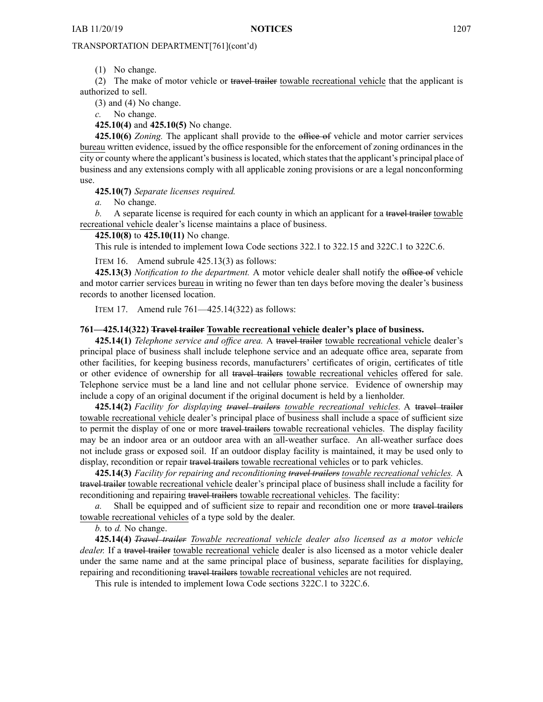(1) No change.

(2) The make of motor vehicle or travel trailer towable recreational vehicle that the applicant is authorized to sell.

(3) and (4) No change.

*c.* No change.

**425.10(4)** and **425.10(5)** No change.

**425.10(6)** *Zoning.* The applicant shall provide to the office of vehicle and motor carrier services bureau written evidence, issued by the office responsible for the enforcement of zoning ordinances in the city or county where the applicant's businessislocated, which statesthat the applicant's principal place of business and any extensions comply with all applicable zoning provisions or are <sup>a</sup> legal nonconforming use.

**425.10(7)** *Separate licenses required.*

*a.* No change.

*b.* A separate license is required for each county in which an applicant for a travel trailer towable recreational vehicle dealer's license maintains <sup>a</sup> place of business.

**425.10(8)** to **425.10(11)** No change.

This rule is intended to implement Iowa Code sections 322.1 to [322.15](https://www.legis.iowa.gov/docs/ico/section/322.1-15.pdf) and 322C.1 to [322C.6](https://www.legis.iowa.gov/docs/ico/section/322C.1-6.pdf).

ITEM 16. Amend subrule 425.13(3) as follows:

**425.13(3)** *Notification to the department.* A motor vehicle dealer shall notify the office of vehicle and motor carrier services bureau in writing no fewer than ten days before moving the dealer's business records to another licensed location.

ITEM 17. Amend rule 761—425.14(322) as follows:

#### **761—425.14(322) Travel trailer Towable recreational vehicle dealer's place of business.**

**425.14(1)** *Telephone service and office area.* A travel trailer towable recreational vehicle dealer's principal place of business shall include telephone service and an adequate office area, separate from other facilities, for keeping business records, manufacturers' certificates of origin, certificates of title or other evidence of ownership for all travel trailers towable recreational vehicles offered for sale. Telephone service must be <sup>a</sup> land line and not cellular phone service. Evidence of ownership may include <sup>a</sup> copy of an original document if the original document is held by <sup>a</sup> lienholder.

**425.14(2)** *Facility for displaying travel trailers towable recreational vehicles.* A travel trailer towable recreational vehicle dealer's principal place of business shall include <sup>a</sup> space of sufficient size to permit the display of one or more travel trailers towable recreational vehicles. The display facility may be an indoor area or an outdoor area with an all-weather surface. An all-weather surface does not include grass or exposed soil. If an outdoor display facility is maintained, it may be used only to display, recondition or repair travel trailers towable recreational vehicles or to park vehicles.

**425.14(3)** *Facility for repairing and reconditioning travel trailers towable recreational vehicles.* A travel trailer towable recreational vehicle dealer's principal place of business shall include <sup>a</sup> facility for reconditioning and repairing travel trailers towable recreational vehicles. The facility:

*a.* Shall be equipped and of sufficient size to repair and recondition one or more travel trailers towable recreational vehicles of <sup>a</sup> type sold by the dealer.

*b.* to *d.* No change.

**425.14(4)** *Travel trailer Towable recreational vehicle dealer also licensed as <sup>a</sup> motor vehicle dealer.* If <sup>a</sup> travel trailer towable recreational vehicle dealer is also licensed as <sup>a</sup> motor vehicle dealer under the same name and at the same principal place of business, separate facilities for displaying, repairing and reconditioning travel trailers towable recreational vehicles are not required.

This rule is intended to implement Iowa Code sections 322C.1 to [322C.6](https://www.legis.iowa.gov/docs/ico/section/322C.1-6.pdf).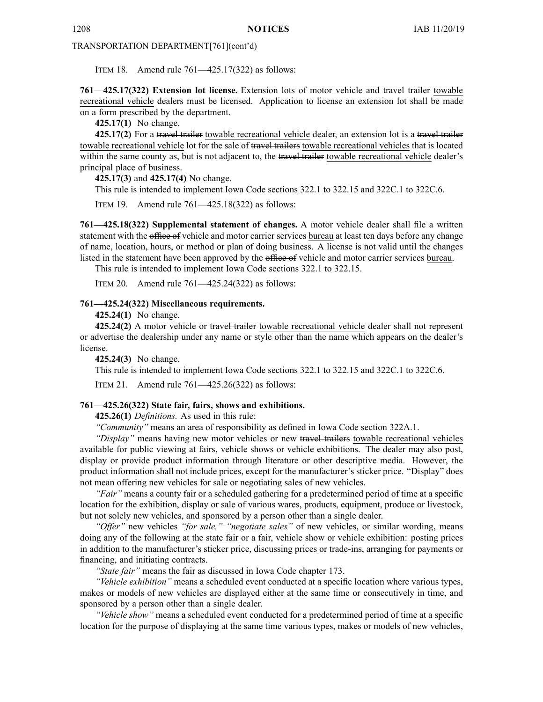ITEM 18. Amend rule 761—425.17(322) as follows:

**761—425.17(322) Extension lot license.** Extension lots of motor vehicle and travel trailer towable recreational vehicle dealers must be licensed. Application to license an extension lot shall be made on <sup>a</sup> form prescribed by the department.

**425.17(1)** No change.

**425.17(2)** For <sup>a</sup> travel trailer towable recreational vehicle dealer, an extension lot is <sup>a</sup> travel trailer towable recreational vehicle lot for the sale of travel trailers towable recreational vehicles that is located within the same county as, but is not adjacent to, the travel trailer towable recreational vehicle dealer's principal place of business.

**425.17(3)** and **425.17(4)** No change.

This rule is intended to implement Iowa Code sections 322.1 to [322.15](https://www.legis.iowa.gov/docs/ico/section/322.1-15.pdf) and 322C.1 to [322C.6](https://www.legis.iowa.gov/docs/ico/section/322C.1-6.pdf).

ITEM 19. Amend rule 761—425.18(322) as follows:

**761—425.18(322) Supplemental statement of changes.** A motor vehicle dealer shall file <sup>a</sup> written statement with the office of vehicle and motor carrier services bureau at least ten days before any change of name, location, hours, or method or plan of doing business. A license is not valid until the changes listed in the statement have been approved by the office of vehicle and motor carrier services bureau.

This rule is intended to implement Iowa Code sections 322.1 to [322.15](https://www.legis.iowa.gov/docs/ico/section/322.1-15.pdf).

ITEM 20. Amend rule 761—425.24(322) as follows:

#### **761—425.24(322) Miscellaneous requirements.**

**425.24(1)** No change.

**425.24(2)** A motor vehicle or travel trailer towable recreational vehicle dealer shall not represen<sup>t</sup> or advertise the dealership under any name or style other than the name which appears on the dealer's license.

**425.24(3)** No change.

This rule is intended to implement Iowa Code sections 322.1 to [322.15](https://www.legis.iowa.gov/docs/ico/section/322.1-15.pdf) and 322C.1 to [322C.6](https://www.legis.iowa.gov/docs/ico/section/322C.1-6.pdf).

ITEM 21. Amend rule 761—425.26(322) as follows:

## **761—425.26(322) State fair, fairs, shows and exhibitions.**

**425.26(1)** *Definitions.* As used in this rule:

*"Community"* means an area of responsibility as defined in Iowa Code section [322A.1](https://www.legis.iowa.gov/docs/ico/section/2017/322A.1.pdf).

*"Display"* means having new motor vehicles or new travel trailers towable recreational vehicles available for public viewing at fairs, vehicle shows or vehicle exhibitions. The dealer may also post, display or provide product information through literature or other descriptive media. However, the product information shall not include prices, excep<sup>t</sup> for the manufacturer's sticker price. "Display" does not mean offering new vehicles for sale or negotiating sales of new vehicles.

*"Fair"* means <sup>a</sup> county fair or <sup>a</sup> scheduled gathering for <sup>a</sup> predetermined period of time at <sup>a</sup> specific location for the exhibition, display or sale of various wares, products, equipment, produce or livestock, but not solely new vehicles, and sponsored by <sup>a</sup> person other than <sup>a</sup> single dealer.

*"Offer"* new vehicles *"for sale," "negotiate sales"* of new vehicles, or similar wording, means doing any of the following at the state fair or <sup>a</sup> fair, vehicle show or vehicle exhibition: posting prices in addition to the manufacturer's sticker price, discussing prices or trade-ins, arranging for payments or financing, and initiating contracts.

*"State fair"* means the fair as discussed in Iowa Code chapter [173](https://www.legis.iowa.gov/docs/ico/chapter/2017/173.pdf).

*"Vehicle exhibition"* means <sup>a</sup> scheduled event conducted at <sup>a</sup> specific location where various types, makes or models of new vehicles are displayed either at the same time or consecutively in time, and sponsored by <sup>a</sup> person other than <sup>a</sup> single dealer.

*"Vehicle show"* means <sup>a</sup> scheduled event conducted for <sup>a</sup> predetermined period of time at <sup>a</sup> specific location for the purpose of displaying at the same time various types, makes or models of new vehicles,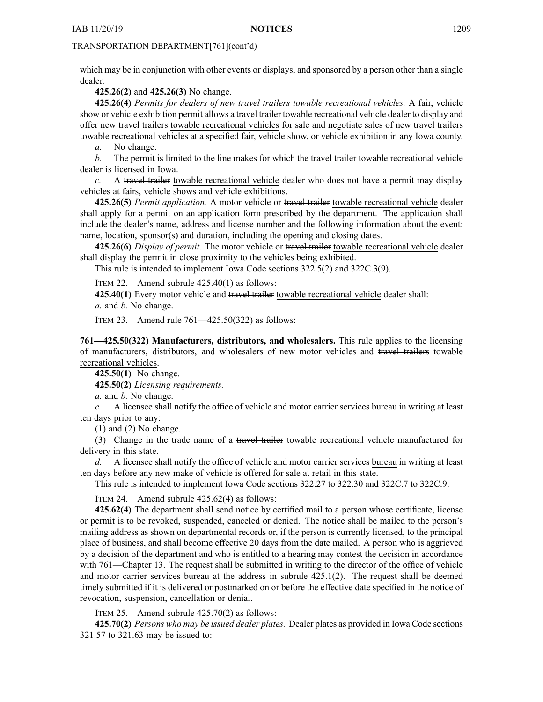which may be in conjunction with other events or displays, and sponsored by <sup>a</sup> person other than <sup>a</sup> single dealer.

**425.26(2)** and **425.26(3)** No change.

**425.26(4)** *Permits for dealers of new travel trailers towable recreational vehicles.* A fair, vehicle show or vehicle exhibition permit allows a travel trailer towable recreational vehicle dealer to display and offer new travel trailers towable recreational vehicles for sale and negotiate sales of new travel trailers towable recreational vehicles at <sup>a</sup> specified fair, vehicle show, or vehicle exhibition in any Iowa county.

*a.* No change.

*b.* The permit is limited to the line makes for which the travel trailer towable recreational vehicle dealer is licensed in Iowa.

*c.* A travel trailer towable recreational vehicle dealer who does not have <sup>a</sup> permit may display vehicles at fairs, vehicle shows and vehicle exhibitions.

**425.26(5)** *Permit application.* A motor vehicle or travel trailer towable recreational vehicle dealer shall apply for <sup>a</sup> permit on an application form prescribed by the department. The application shall include the dealer's name, address and license number and the following information about the event: name, location, sponsor(s) and duration, including the opening and closing dates.

**425.26(6)** *Display of permit.* The motor vehicle or travel trailer towable recreational vehicle dealer shall display the permit in close proximity to the vehicles being exhibited.

This rule is intended to implement Iowa Code sections [322.5\(2\)](https://www.legis.iowa.gov/docs/ico/section/322.5.pdf) and [322C.3\(9\)](https://www.legis.iowa.gov/docs/ico/section/322C.3.pdf).

ITEM 22. Amend subrule 425.40(1) as follows:

**425.40(1)** Every motor vehicle and travel trailer towable recreational vehicle dealer shall:

*a.* and *b.* No change.

ITEM 23. Amend rule 761—425.50(322) as follows:

**761—425.50(322) Manufacturers, distributors, and wholesalers.** This rule applies to the licensing of manufacturers, distributors, and wholesalers of new motor vehicles and travel trailers towable recreational vehicles.

**425.50(1)** No change.

**425.50(2)** *Licensing requirements.*

*a.* and *b.* No change.

*c.* A licensee shall notify the office of vehicle and motor carrier services bureau in writing at least ten days prior to any:

(1) and (2) No change.

(3) Change in the trade name of <sup>a</sup> travel trailer towable recreational vehicle manufactured for delivery in this state.

*d.* A licensee shall notify the office of vehicle and motor carrier services bureau in writing at least ten days before any new make of vehicle is offered for sale at retail in this state.

This rule is intended to implement Iowa Code sections 322.27 to [322.30](https://www.legis.iowa.gov/docs/ico/section/322.27-30.pdf) and 322C.7 to [322C.9](https://www.legis.iowa.gov/docs/ico/section/322C.7-9.pdf).

ITEM 24. Amend subrule 425.62(4) as follows:

**425.62(4)** The department shall send notice by certified mail to <sup>a</sup> person whose certificate, license or permit is to be revoked, suspended, canceled or denied. The notice shall be mailed to the person's mailing address as shown on departmental records or, if the person is currently licensed, to the principal place of business, and shall become effective 20 days from the date mailed. A person who is aggrieved by <sup>a</sup> decision of the department and who is entitled to <sup>a</sup> hearing may contest the decision in accordance with 761—Chapter 13. The request shall be submitted in writing to the director of the office of vehicle and motor carrier services bureau at the address in subrule 425.1(2). The reques<sup>t</sup> shall be deemed timely submitted if it is delivered or postmarked on or before the effective date specified in the notice of revocation, suspension, cancellation or denial.

ITEM 25. Amend subrule 425.70(2) as follows:

**425.70(2)** *Persons who may be issued dealer plates.* Dealer plates as provided in Iowa Code sections [321.57](https://www.legis.iowa.gov/docs/ico/section/321.57-63.pdf) to 321.63 may be issued to: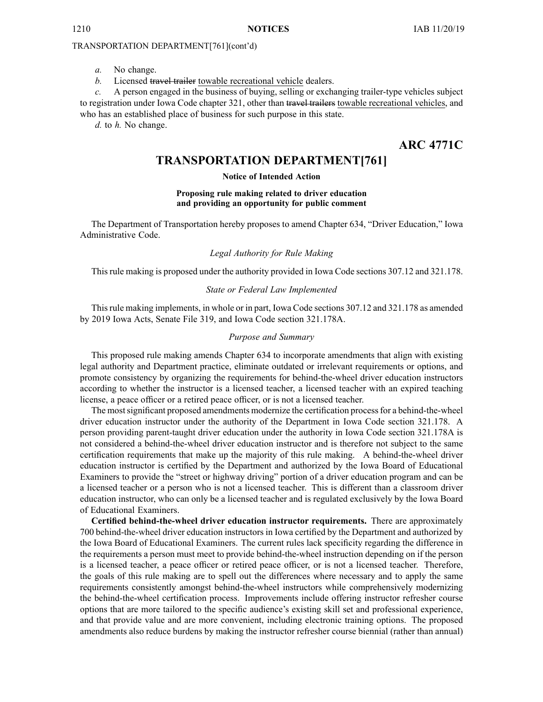*a.* No change.

*b.* Licensed travel trailer towable recreational vehicle dealers.

*c.* A person engaged in the business of buying, selling or exchanging trailer-type vehicles subject to registration under Iowa Code chapter [321](https://www.legis.iowa.gov/docs/ico/chapter/321.pdf), other than travel trailers towable recreational vehicles, and who has an established place of business for such purpose in this state.

*d.* to *h.* No change.

**ARC 4771C**

# **TRANSPORTATION DEPARTMENT[761]**

## **Notice of Intended Action**

#### **Proposing rule making related to driver education and providing an opportunity for public comment**

The Department of Transportation hereby proposes to amend Chapter 634, "Driver Education," Iowa Administrative Code.

## *Legal Authority for Rule Making*

This rule making is proposed under the authority provided in Iowa Code sections 307.12 and 321.178.

#### *State or Federal Law Implemented*

Thisrule making implements, in whole or in part, Iowa Code sections 307.12 and 321.178 as amended by 2019 Iowa Acts, Senate File 319, and Iowa Code section 321.178A.

## *Purpose and Summary*

This proposed rule making amends Chapter 634 to incorporate amendments that align with existing legal authority and Department practice, eliminate outdated or irrelevant requirements or options, and promote consistency by organizing the requirements for behind-the-wheel driver education instructors according to whether the instructor is <sup>a</sup> licensed teacher, <sup>a</sup> licensed teacher with an expired teaching license, <sup>a</sup> peace officer or <sup>a</sup> retired peace officer, or is not <sup>a</sup> licensed teacher.

The mostsignificant proposed amendments modernize the certification processfor <sup>a</sup> behind-the-wheel driver education instructor under the authority of the Department in Iowa Code section 321.178. A person providing parent-taught driver education under the authority in Iowa Code section 321.178A is not considered <sup>a</sup> behind-the-wheel driver education instructor and is therefore not subject to the same certification requirements that make up the majority of this rule making. A behind-the-wheel driver education instructor is certified by the Department and authorized by the Iowa Board of Educational Examiners to provide the "street or highway driving" portion of <sup>a</sup> driver education program and can be <sup>a</sup> licensed teacher or <sup>a</sup> person who is not <sup>a</sup> licensed teacher. This is different than <sup>a</sup> classroom driver education instructor, who can only be <sup>a</sup> licensed teacher and is regulated exclusively by the Iowa Board of Educational Examiners.

**Certified behind-the-wheel driver education instructor requirements.** There are approximately 700 behind-the-wheel driver education instructors in Iowa certified by the Department and authorized by the Iowa Board of Educational Examiners. The current rules lack specificity regarding the difference in the requirements <sup>a</sup> person must meet to provide behind-the-wheel instruction depending on if the person is <sup>a</sup> licensed teacher, <sup>a</sup> peace officer or retired peace officer, or is not <sup>a</sup> licensed teacher. Therefore, the goals of this rule making are to spell out the differences where necessary and to apply the same requirements consistently amongs<sup>t</sup> behind-the-wheel instructors while comprehensively modernizing the behind-the-wheel certification process. Improvements include offering instructor refresher course options that are more tailored to the specific audience's existing skill set and professional experience, and that provide value and are more convenient, including electronic training options. The proposed amendments also reduce burdens by making the instructor refresher course biennial (rather than annual)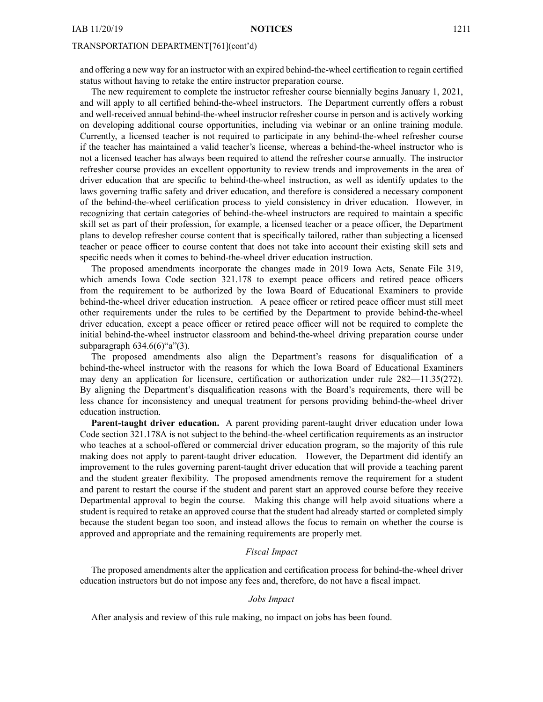and offering <sup>a</sup> new way for an instructor with an expired behind-the-wheel certification to regain certified status without having to retake the entire instructor preparation course.

The new requirement to complete the instructor refresher course biennially begins January 1, 2021, and will apply to all certified behind-the-wheel instructors. The Department currently offers <sup>a</sup> robust and well-received annual behind-the-wheel instructor refresher course in person and is actively working on developing additional course opportunities, including via webinar or an online training module. Currently, <sup>a</sup> licensed teacher is not required to participate in any behind-the-wheel refresher course if the teacher has maintained <sup>a</sup> valid teacher's license, whereas <sup>a</sup> behind-the-wheel instructor who is not <sup>a</sup> licensed teacher has always been required to attend the refresher course annually. The instructor refresher course provides an excellent opportunity to review trends and improvements in the area of driver education that are specific to behind-the-wheel instruction, as well as identify updates to the laws governing traffic safety and driver education, and therefore is considered <sup>a</sup> necessary componen<sup>t</sup> of the behind-the-wheel certification process to yield consistency in driver education. However, in recognizing that certain categories of behind-the-wheel instructors are required to maintain <sup>a</sup> specific skill set as par<sup>t</sup> of their profession, for example, <sup>a</sup> licensed teacher or <sup>a</sup> peace officer, the Department plans to develop refresher course content that is specifically tailored, rather than subjecting <sup>a</sup> licensed teacher or peace officer to course content that does not take into account their existing skill sets and specific needs when it comes to behind-the-wheel driver education instruction.

The proposed amendments incorporate the changes made in 2019 Iowa Acts, Senate File 319, which amends Iowa Code section 321.178 to exemp<sup>t</sup> peace officers and retired peace officers from the requirement to be authorized by the Iowa Board of Educational Examiners to provide behind-the-wheel driver education instruction. A peace officer or retired peace officer must still meet other requirements under the rules to be certified by the Department to provide behind-the-wheel driver education, excep<sup>t</sup> <sup>a</sup> peace officer or retired peace officer will not be required to complete the initial behind-the-wheel instructor classroom and behind-the-wheel driving preparation course under subparagraph 634.6(6)"a"(3).

The proposed amendments also align the Department's reasons for disqualification of <sup>a</sup> behind-the-wheel instructor with the reasons for which the Iowa Board of Educational Examiners may deny an application for licensure, certification or authorization under rule 282—11.35(272). By aligning the Department's disqualification reasons with the Board's requirements, there will be less chance for inconsistency and unequal treatment for persons providing behind-the-wheel driver education instruction.

**Parent-taught driver education.** A paren<sup>t</sup> providing parent-taught driver education under Iowa Code section 321.178A is not subject to the behind-the-wheel certification requirements as an instructor who teaches at <sup>a</sup> school-offered or commercial driver education program, so the majority of this rule making does not apply to parent-taught driver education. However, the Department did identify an improvement to the rules governing parent-taught driver education that will provide <sup>a</sup> teaching paren<sup>t</sup> and the student greater flexibility. The proposed amendments remove the requirement for <sup>a</sup> student and paren<sup>t</sup> to restart the course if the student and paren<sup>t</sup> start an approved course before they receive Departmental approval to begin the course. Making this change will help avoid situations where <sup>a</sup> student is required to retake an approved course that the student had already started or completed simply because the student began too soon, and instead allows the focus to remain on whether the course is approved and appropriate and the remaining requirements are properly met.

## *Fiscal Impact*

The proposed amendments alter the application and certification process for behind-the-wheel driver education instructors but do not impose any fees and, therefore, do not have <sup>a</sup> fiscal impact.

## *Jobs Impact*

After analysis and review of this rule making, no impact on jobs has been found.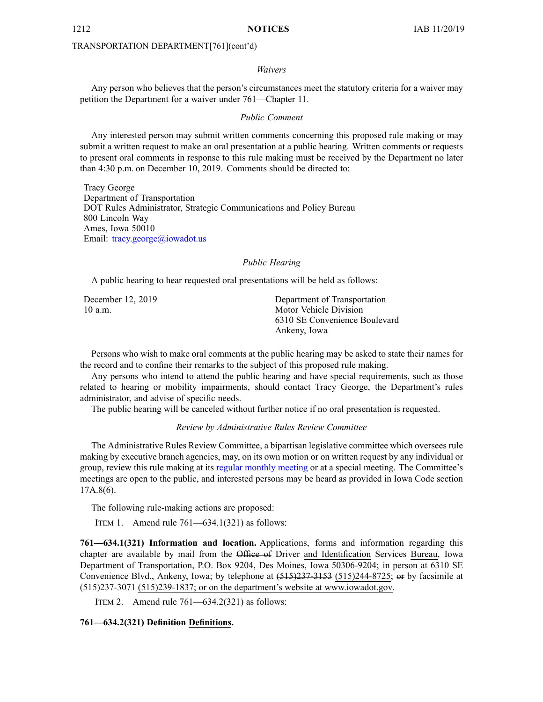#### *Waivers*

Any person who believes that the person's circumstances meet the statutory criteria for <sup>a</sup> waiver may petition the Department for <sup>a</sup> waiver under 761—Chapter 11.

## *Public Comment*

Any interested person may submit written comments concerning this proposed rule making or may submit <sup>a</sup> written reques<sup>t</sup> to make an oral presentation at <sup>a</sup> public hearing. Written comments or requests to presen<sup>t</sup> oral comments in response to this rule making must be received by the Department no later than 4:30 p.m. on December 10, 2019. Comments should be directed to:

Tracy George Department of Transportation DOT Rules Administrator, Strategic Communications and Policy Bureau 800 Lincoln Way Ames, Iowa 50010 Email: [tracy.george@iowadot.us](mailto:tracy.george@iowadot.us)

## *Public Hearing*

A public hearing to hear requested oral presentations will be held as follows:

December 12, 2019 10 a.m.

Department of Transportation Motor Vehicle Division 6310 SE Convenience Boulevard Ankeny, Iowa

Persons who wish to make oral comments at the public hearing may be asked to state their names for the record and to confine their remarks to the subject of this proposed rule making.

Any persons who intend to attend the public hearing and have special requirements, such as those related to hearing or mobility impairments, should contact Tracy George, the Department's rules administrator, and advise of specific needs.

The public hearing will be canceled without further notice if no oral presentation is requested.

## *Review by Administrative Rules Review Committee*

The Administrative Rules Review Committee, <sup>a</sup> bipartisan legislative committee which oversees rule making by executive branch agencies, may, on its own motion or on written reques<sup>t</sup> by any individual or group, review this rule making at its regular [monthly](https://www.legis.iowa.gov/committees/meetings/meetingsListComm?groupID=705&ga=88) meeting or at a special meeting. The Committee's meetings are open to the public, and interested persons may be heard as provided in Iowa Code section 17A.8(6).

The following rule-making actions are proposed:

ITEM 1. Amend rule 761—634.1(321) as follows:

**761—634.1(321) Information and location.** Applications, forms and information regarding this chapter are available by mail from the Office of Driver and Identification Services Bureau, Iowa Department of Transportation, P.O. Box 9204, Des Moines, Iowa 50306-9204; in person at 6310 SE Convenience Blvd., Ankeny, Iowa; by telephone at (515)237-3153 (515)244-8725; or by facsimile at (515)237-3071 (515)239-1837; or on the department's website at [www.iowadot.gov](http://www.iowadot.gov).

ITEM 2. Amend rule 761—634.2(321) as follows:

### **761—634.2(321) Definition Definitions.**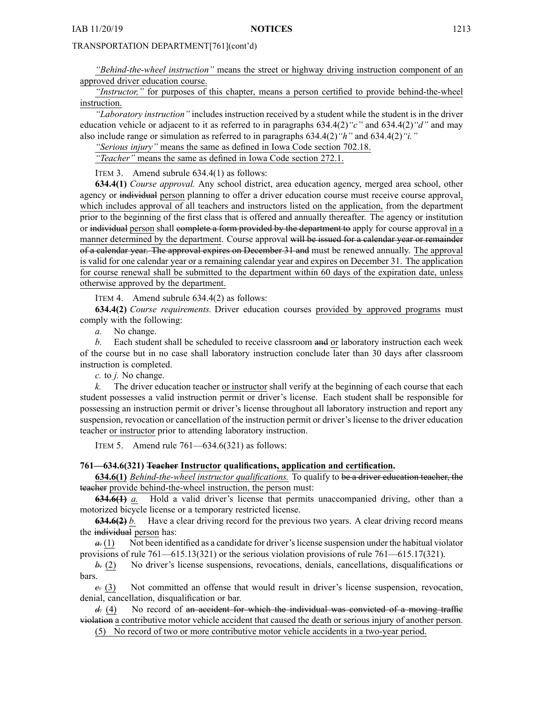*"Behind-the-wheel instruction"* means the street or highway driving instruction componen<sup>t</sup> of an approved driver education course.

*"Instructor,"* for purposes of this chapter, means <sup>a</sup> person certified to provide behind-the-wheel instruction.

*"Laboratory instruction"* includes instruction received by <sup>a</sup> student while the student is in the driver education vehicle or adjacent to it as referred to in paragraphs 634.4(2)*"c"* and 634.4(2)*"d"* and may also include range or simulation as referred to in paragraphs 634.4(2)*"h"* and 634.4(2)*"i."*

*"Serious injury"* means the same as defined in Iowa Code section [702.18](https://www.legis.iowa.gov/docs/ico/section/702.18.pdf).

*"Teacher"* means the same as defined in Iowa Code section [272.1](https://www.legis.iowa.gov/docs/ico/section/272.1.pdf).

ITEM 3. Amend subrule 634.4(1) as follows:

**634.4(1)** *Course approval.* Any school district, area education agency, merged area school, other agency or individual person planning to offer <sup>a</sup> driver education course must receive course approval, which includes approval of all teachers and instructors listed on the application, from the department prior to the beginning of the first class that is offered and annually thereafter. The agency or institution or individual person shall complete a form provided by the department to apply for course approval in a manner determined by the department. Course approval will be issued for a calendar year or remainder of <sup>a</sup> calendar year. The approval expires on December 31 and must be renewed annually. The approval is valid for one calendar year or <sup>a</sup> remaining calendar year and expires on December 31. The application for course renewal shall be submitted to the department within 60 days of the expiration date, unless otherwise approved by the department.

ITEM 4. Amend subrule 634.4(2) as follows:

**634.4(2)** *Course requirements.* Driver education courses provided by approved programs must comply with the following:

*a.* No change.

*b.* Each student shall be scheduled to receive classroom and or laboratory instruction each week of the course but in no case shall laboratory instruction conclude later than 30 days after classroom instruction is completed.

*c.* to *j.* No change.

*k.* The driver education teacher or instructor shall verify at the beginning of each course that each student possesses <sup>a</sup> valid instruction permit or driver's license. Each student shall be responsible for possessing an instruction permit or driver's license throughout all laboratory instruction and repor<sup>t</sup> any suspension, revocation or cancellation of the instruction permit or driver's license to the driver education teacher or instructor prior to attending laboratory instruction.

ITEM 5. Amend rule 761—634.6(321) as follows:

#### **761—634.6(321) Teacher Instructor qualifications, application and certification.**

**634.6(1)** *Behind-the-wheel instructor qualifications.* To qualify to be <sup>a</sup> driver education teacher, the teacher provide behind-the-wheel instruction, the person must:

**634.6(1)** *a.* Hold <sup>a</sup> valid driver's license that permits unaccompanied driving, other than <sup>a</sup> motorized bicycle license or <sup>a</sup> temporary restricted license.

**634.6(2)** *b.* Have <sup>a</sup> clear driving record for the previous two years. A clear driving record means the individual person has:

 $a_1(1)$  Not been identified as a candidate for driver's license suspension under the habitual violator provisions of rule 761—615.13(321) or the serious violation provisions of rule 761—615.17(321).

*b.* (2) No driver's license suspensions, revocations, denials, cancellations, disqualifications or bars.

*c.* (3) Not committed an offense that would result in driver's license suspension, revocation, denial, cancellation, disqualification or bar.

*d.* (4) No record of an accident for which the individual was convicted of a moving traffic violation <sup>a</sup> contributive motor vehicle accident that caused the death or serious injury of another person.

(5) No record of two or more contributive motor vehicle accidents in <sup>a</sup> two-year period.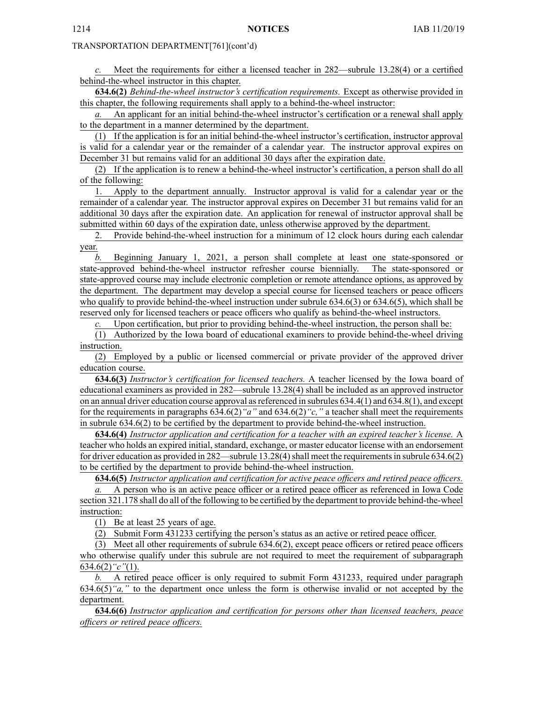*c.* Meet the requirements for either <sup>a</sup> licensed teacher in 282—subrule 13.28(4) or <sup>a</sup> certified behind-the-wheel instructor in this chapter.

**634.6(2)** *Behind-the-wheel instructor's certification requirements.* Except as otherwise provided in this chapter, the following requirements shall apply to <sup>a</sup> behind-the-wheel instructor:

An applicant for an initial behind-the-wheel instructor's certification or a renewal shall apply to the department in <sup>a</sup> manner determined by the department.

(1) If the application is for an initial behind-the-wheel instructor's certification, instructor approval is valid for <sup>a</sup> calendar year or the remainder of <sup>a</sup> calendar year. The instructor approval expires on December 31 but remains valid for an additional 30 days after the expiration date.

(2) If the application is to renew <sup>a</sup> behind-the-wheel instructor's certification, <sup>a</sup> person shall do all of the following:

1. Apply to the department annually. Instructor approval is valid for <sup>a</sup> calendar year or the remainder of <sup>a</sup> calendar year. The instructor approval expires on December 31 but remains valid for an additional 30 days after the expiration date. An application for renewal of instructor approval shall be submitted within 60 days of the expiration date, unless otherwise approved by the department.

2. Provide behind-the-wheel instruction for <sup>a</sup> minimum of 12 clock hours during each calendar year.

*b.* Beginning January 1, 2021, <sup>a</sup> person shall complete at least one state-sponsored or state-approved behind-the-wheel instructor refresher course biennially. The state-sponsored or state-approved course may include electronic completion or remote attendance options, as approved by the department. The department may develop <sup>a</sup> special course for licensed teachers or peace officers who qualify to provide behind-the-wheel instruction under subrule 634.6(3) or 634.6(5), which shall be reserved only for licensed teachers or peace officers who qualify as behind-the-wheel instructors.

Upon certification, but prior to providing behind-the-wheel instruction, the person shall be:

(1) Authorized by the Iowa board of educational examiners to provide behind-the-wheel driving instruction.

(2) Employed by <sup>a</sup> public or licensed commercial or private provider of the approved driver education course.

**634.6(3)** *Instructor's certification for licensed teachers.* A teacher licensed by the Iowa board of educational examiners as provided in 282—subrule 13.28(4) shall be included as an approved instructor on an annual driver education course approval asreferenced in subrules 634.4(1) and 634.8(1), and excep<sup>t</sup> for the requirements in paragraphs 634.6(2)*"a"* and 634.6(2)*"c,"* <sup>a</sup> teacher shall meet the requirements in subrule 634.6(2) to be certified by the department to provide behind-the-wheel instruction.

**634.6(4)** *Instructor application and certification for <sup>a</sup> teacher with an expired teacher's license.* A teacher who holds an expired initial, standard, exchange, or master educator license with an endorsement for driver education as provided in  $282$ —subrule 13.28(4) shall meet the requirements in subrule 634.6(2) to be certified by the department to provide behind-the-wheel instruction.

**634.6(5)** *Instructor application and certification for active peace officers and retired peace officers.*

*a.* A person who is an active peace officer or <sup>a</sup> retired peace officer as referenced in Iowa Code section [321.178](https://www.legis.iowa.gov/docs/ico/section/321.178.pdf) shall do all of the following to be certified by the department to provide behind-the-wheel instruction:

(1) Be at least 25 years of age.

(2) Submit Form 431233 certifying the person's status as an active or retired peace officer.

(3) Meet all other requirements of subrule 634.6(2), excep<sup>t</sup> peace officers or retired peace officers who otherwise qualify under this subrule are not required to meet the requirement of subparagraph 634.6(2)*"c"*(1).

*b.* A retired peace officer is only required to submit Form 431233, required under paragraph 634.6(5)*"a,"* to the department once unless the form is otherwise invalid or not accepted by the department.

**634.6(6)** *Instructor application and certification for persons other than licensed teachers, peace officers or retired peace officers.*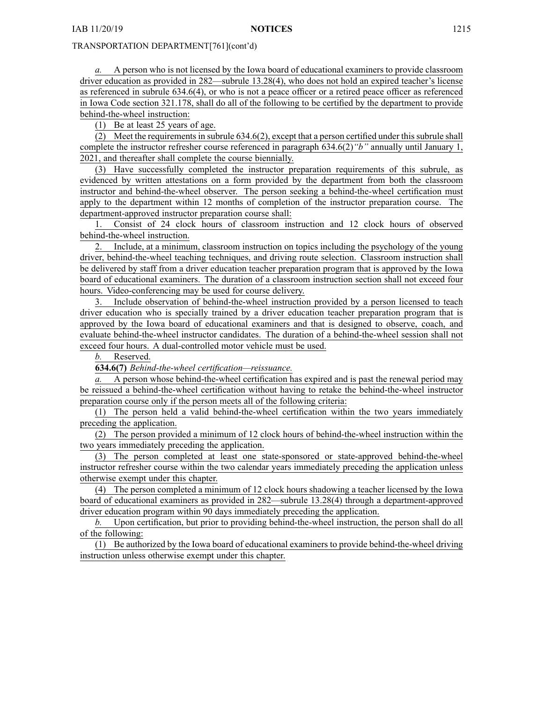*a.* A person who is not licensed by the Iowa board of educational examiners to provide classroom driver education as provided in 282—subrule 13.28(4), who does not hold an expired teacher's license as referenced in subrule 634.6(4), or who is not <sup>a</sup> peace officer or <sup>a</sup> retired peace officer as referenced in Iowa Code section [321.178](https://www.legis.iowa.gov/docs/ico/section/321.178.pdf), shall do all of the following to be certified by the department to provide behind-the-wheel instruction:

(1) Be at least 25 years of age.

(2) Meet the requirements in subrule  $634.6(2)$ , except that a person certified under this subrule shall complete the instructor refresher course referenced in paragraph 634.6(2)*"b"* annually until January 1, 2021, and thereafter shall complete the course biennially.

(3) Have successfully completed the instructor preparation requirements of this subrule, as evidenced by written attestations on <sup>a</sup> form provided by the department from both the classroom instructor and behind-the-wheel observer. The person seeking <sup>a</sup> behind-the-wheel certification must apply to the department within 12 months of completion of the instructor preparation course. The department-approved instructor preparation course shall:

1. Consist of 24 clock hours of classroom instruction and 12 clock hours of observed behind-the-wheel instruction.

2. Include, at <sup>a</sup> minimum, classroom instruction on topics including the psychology of the young driver, behind-the-wheel teaching techniques, and driving route selection. Classroom instruction shall be delivered by staff from <sup>a</sup> driver education teacher preparation program that is approved by the Iowa board of educational examiners. The duration of <sup>a</sup> classroom instruction section shall not exceed four hours. Video-conferencing may be used for course delivery.

3. Include observation of behind-the-wheel instruction provided by <sup>a</sup> person licensed to teach driver education who is specially trained by <sup>a</sup> driver education teacher preparation program that is approved by the Iowa board of educational examiners and that is designed to observe, coach, and evaluate behind-the-wheel instructor candidates. The duration of <sup>a</sup> behind-the-wheel session shall not exceed four hours. A dual-controlled motor vehicle must be used.

*b.* Reserved.

**634.6(7)** *Behind-the-wheel certification—reissuance.*

*a.* A person whose behind-the-wheel certification has expired and is pas<sup>t</sup> the renewal period may be reissued <sup>a</sup> behind-the-wheel certification without having to retake the behind-the-wheel instructor preparation course only if the person meets all of the following criteria:

(1) The person held <sup>a</sup> valid behind-the-wheel certification within the two years immediately preceding the application.

(2) The person provided <sup>a</sup> minimum of 12 clock hours of behind-the-wheel instruction within the two years immediately preceding the application.

(3) The person completed at least one state-sponsored or state-approved behind-the-wheel instructor refresher course within the two calendar years immediately preceding the application unless otherwise exemp<sup>t</sup> under this chapter.

(4) The person completed <sup>a</sup> minimum of 12 clock hours shadowing <sup>a</sup> teacher licensed by the Iowa board of educational examiners as provided in 282—subrule 13.28(4) through <sup>a</sup> department-approved driver education program within 90 days immediately preceding the application.

*b.* Upon certification, but prior to providing behind-the-wheel instruction, the person shall do all of the following:

(1) Be authorized by the Iowa board of educational examiners to provide behind-the-wheel driving instruction unless otherwise exemp<sup>t</sup> under this chapter.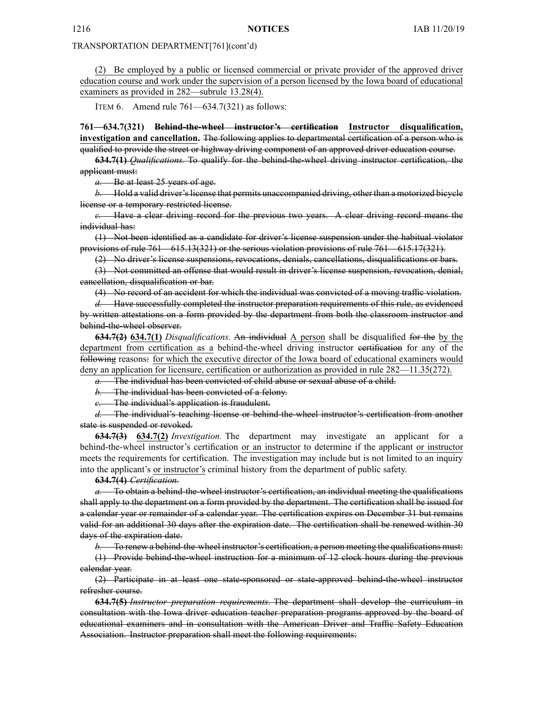(2) Be employed by <sup>a</sup> public or licensed commercial or private provider of the approved driver education course and work under the supervision of <sup>a</sup> person licensed by the Iowa board of educational examiners as provided in 282—subrule 13.28(4).

ITEM 6. Amend rule 761—634.7(321) as follows:

**761—634.7(321) Behind-the-wheel instructor's certification Instructor disqualification, investigation and cancellation.** The following applies to departmental certification of <sup>a</sup> person who is qualified to provide the street or highway driving componen<sup>t</sup> of an approved driver education course.

**634.7(1)** *Qualifications.* To qualify for the behind-the-wheel driving instructor certification, the applicant must:

*a.* Be at least 25 years of age.

*b.* Hold a valid driver's license that permits unaccompanied driving, other than a motorized bicycle license or <sup>a</sup> temporary restricted license.

*c.* Have <sup>a</sup> clear driving record for the previous two years. A clear driving record means the individual has:

(1) Not been identified as <sup>a</sup> candidate for driver's license suspension under the habitual violator provisions of rule 761—615.13(321) or the serious violation provisions of rule 761—615.17(321).

(2) No driver's license suspensions, revocations, denials, cancellations, disqualifications or bars.

(3) Not committed an offense that would result in driver's license suspension, revocation, denial, cancellation, disqualification or bar.

(4) No record of an accident for which the individual was convicted of <sup>a</sup> moving traffic violation.

*d.* Have successfully completed the instructor preparation requirements of this rule, as evidenced by written attestations on <sup>a</sup> form provided by the department from both the classroom instructor and behind-the-wheel observer.

**634.7(2) 634.7(1)** *Disqualifications.* An individual A person shall be disqualified for the by the department from certification as <sup>a</sup> behind-the-wheel driving instructor certification for any of the following reasons: for which the executive director of the Iowa board of educational examiners would deny an application for licensure, certification or authorization as provided in rule 282—11.35(272).

*a.* The individual has been convicted of child abuse or sexual abuse of <sup>a</sup> child.

*b.* The individual has been convicted of <sup>a</sup> felony.

*c.* The individual's application is fraudulent.

*d.* The individual's teaching license or behind-the-wheel instructor's certification from another state is suspended or revoked.

**634.7(3) 634.7(2)** *Investigation.* The department may investigate an applicant for <sup>a</sup> behind-the-wheel instructor's certification or an instructor to determine if the applicant or instructor meets the requirements for certification. The investigation may include but is not limited to an inquiry into the applicant's or instructor's criminal history from the department of public safety.

**634.7(4)** *Certification.*

*a.* To obtain <sup>a</sup> behind-the-wheel instructor's certification, an individual meeting the qualifications shall apply to the department on <sup>a</sup> form provided by the department. The certification shall be issued for <sup>a</sup> calendar year or remainder of <sup>a</sup> calendar year. The certification expires on December 31 but remains valid for an additional 30 days after the expiration date. The certification shall be renewed within 30 days of the expiration date.

*b.* To renew <sup>a</sup> behind-the-wheel instructor's certification, <sup>a</sup> person meeting the qualifications must:

(1) Provide behind-the-wheel instruction for <sup>a</sup> minimum of 12 clock hours during the previous calendar year.

(2) Participate in at least one state-sponsored or state-approved behind-the-wheel instructor refresher course.

**634.7(5)** *Instructor preparation requirements.* The department shall develop the curriculum in consultation with the Iowa driver education teacher preparation programs approved by the board of educational examiners and in consultation with the American Driver and Traffic Safety Education Association. Instructor preparation shall meet the following requirements: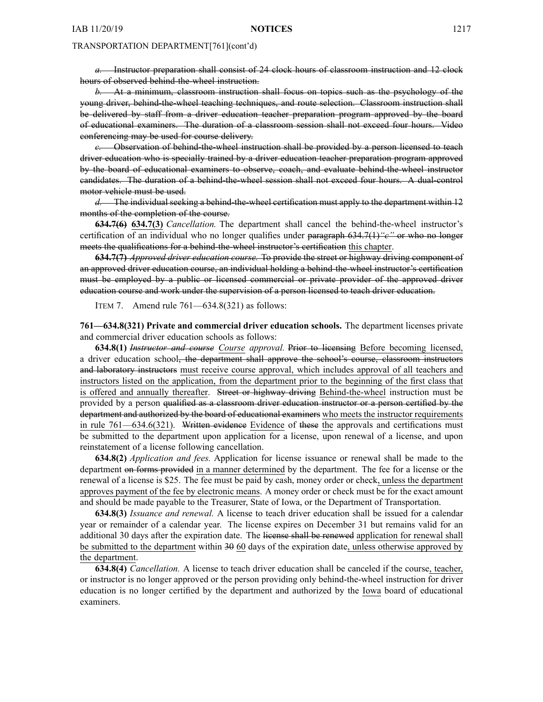*a.* Instructor preparation shall consist of 24 clock hours of classroom instruction and 12 clock hours of observed behind-the-wheel instruction.

*b.* At <sup>a</sup> minimum, classroom instruction shall focus on topics such as the psychology of the young driver, behind-the-wheel teaching techniques, and route selection. Classroom instruction shall be delivered by staff from <sup>a</sup> driver education teacher preparation program approved by the board of educational examiners. The duration of <sup>a</sup> classroom session shall not exceed four hours. Video conferencing may be used for course delivery.

*c.* Observation of behind-the-wheel instruction shall be provided by <sup>a</sup> person licensed to teach driver education who is specially trained by <sup>a</sup> driver education teacher preparation program approved by the board of educational examiners to observe, coach, and evaluate behind-the-wheel instructor candidates. The duration of <sup>a</sup> behind-the-wheel session shall not exceed four hours. A dual-control motor vehicle must be used.

*d.* The individual seeking <sup>a</sup> behind-the-wheel certification must apply to the department within 12 months of the completion of the course.

**634.7(6) 634.7(3)** *Cancellation.* The department shall cancel the behind-the-wheel instructor's certification of an individual who no longer qualifies under paragraph 634.7(1)*"c"* or who no longer meets the qualifications for <sup>a</sup> behind-the-wheel instructor's certification this chapter.

**634.7(7)** *Approved driver education course.* To provide the street or highway driving componen<sup>t</sup> of an approved driver education course, an individual holding <sup>a</sup> behind-the-wheel instructor's certification must be employed by <sup>a</sup> public or licensed commercial or private provider of the approved driver education course and work under the supervision of <sup>a</sup> person licensed to teach driver education.

ITEM 7. Amend rule 761—634.8(321) as follows:

**761—634.8(321) Private and commercial driver education schools.** The department licenses private and commercial driver education schools as follows:

**634.8(1)** *Instructor and course Course approval.* Prior to licensing Before becoming licensed, <sup>a</sup> driver education school, the department shall approve the school's course, classroom instructors and laboratory instructors must receive course approval, which includes approval of all teachers and instructors listed on the application, from the department prior to the beginning of the first class that is offered and annually thereafter. Street or highway driving Behind-the-wheel instruction must be provided by a person qualified as a classroom driver education instructor or a person certified by the department and authorized by the board of educational examiners who meets the instructor requirements in rule 761—634.6(321). Written evidence Evidence of these the approvals and certifications must be submitted to the department upon application for <sup>a</sup> license, upon renewal of <sup>a</sup> license, and upon reinstatement of <sup>a</sup> license following cancellation.

**634.8(2)** *Application and fees.* Application for license issuance or renewal shall be made to the department on forms provided in <sup>a</sup> manner determined by the department. The fee for <sup>a</sup> license or the renewal of <sup>a</sup> license is \$25. The fee must be paid by cash, money order or check, unless the department approves paymen<sup>t</sup> of the fee by electronic means. A money order or check must be for the exact amount and should be made payable to the Treasurer, State of Iowa, or the Department of Transportation.

**634.8(3)** *Issuance and renewal.* A license to teach driver education shall be issued for <sup>a</sup> calendar year or remainder of <sup>a</sup> calendar year. The license expires on December 31 but remains valid for an additional 30 days after the expiration date. The license shall be renewed application for renewal shall be submitted to the department within 30 60 days of the expiration date, unless otherwise approved by the department.

**634.8(4)** *Cancellation.* A license to teach driver education shall be canceled if the course, teacher, or instructor is no longer approved or the person providing only behind-the-wheel instruction for driver education is no longer certified by the department and authorized by the Iowa board of educational examiners.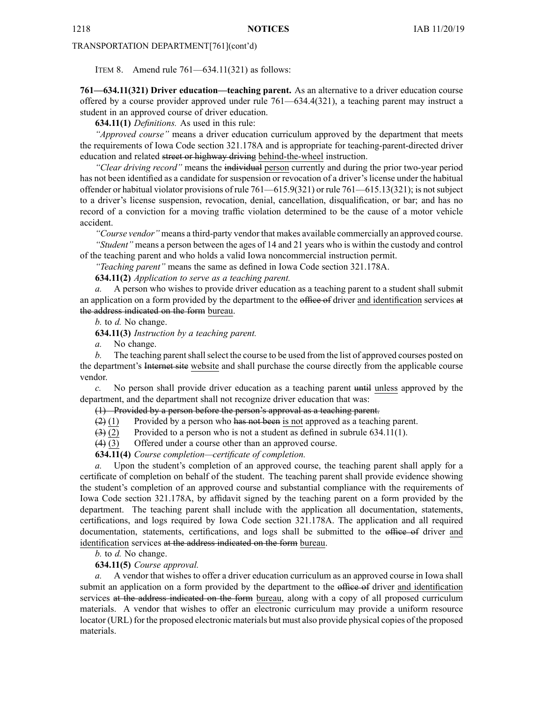ITEM 8. Amend rule 761—634.11(321) as follows:

**761—634.11(321) Driver education—teaching parent.** As an alternative to <sup>a</sup> driver education course offered by <sup>a</sup> course provider approved under rule 761—634.4(321), <sup>a</sup> teaching paren<sup>t</sup> may instruct <sup>a</sup> student in an approved course of driver education.

**634.11(1)** *Definitions.* As used in this rule:

*"Approved course"* means <sup>a</sup> driver education curriculum approved by the department that meets the requirements of Iowa Code section [321.178A](https://www.legis.iowa.gov/docs/ico/section/321.178A.pdf) and is appropriate for teaching-parent-directed driver education and related street or highway driving behind-the-wheel instruction.

*"Clear driving record"* means the individual person currently and during the prior two-year period has not been identified as <sup>a</sup> candidate for suspension or revocation of <sup>a</sup> driver's license under the habitual offender or habitual violator provisions of rule 761—615.9(321) or rule 761—615.13(321); is notsubject to <sup>a</sup> driver's license suspension, revocation, denial, cancellation, disqualification, or bar; and has no record of <sup>a</sup> conviction for <sup>a</sup> moving traffic violation determined to be the cause of <sup>a</sup> motor vehicle accident.

*"Course vendor"* means <sup>a</sup> third-party vendor that makes available commercially an approved course. *"Student"* means <sup>a</sup> person between the ages of 14 and 21 years who is within the custody and control of the teaching paren<sup>t</sup> and who holds <sup>a</sup> valid Iowa noncommercial instruction permit.

*"Teaching parent"* means the same as defined in Iowa Code section [321.178A](https://www.legis.iowa.gov/docs/ico/section/321.178A.pdf).

**634.11(2)** *Application to serve as <sup>a</sup> teaching parent.*

*a.* A person who wishes to provide driver education as <sup>a</sup> teaching paren<sup>t</sup> to <sup>a</sup> student shall submit an application on a form provided by the department to the office of driver and identification services at the address indicated on the form bureau.

*b.* to *d.* No change.

**634.11(3)** *Instruction by <sup>a</sup> teaching parent.*

*a.* No change.

*b.* The teaching parent shall select the course to be used from the list of approved courses posted on the department's Internet site website and shall purchase the course directly from the applicable course vendor.

*c.* No person shall provide driver education as <sup>a</sup> teaching paren<sup>t</sup> until unless approved by the department, and the department shall not recognize driver education that was:

(1) Provided by <sup>a</sup> person before the person's approval as <sup>a</sup> teaching parent.

 $(2)$  (1) Provided by a person who has not been is not approved as a teaching parent.

 $(3)$  (2) Provided to a person who is not a student as defined in subrule 634.11(1).

(4) (3) Offered under <sup>a</sup> course other than an approved course.

**634.11(4)** *Course completion—certificate of completion.*

*a.* Upon the student's completion of an approved course, the teaching paren<sup>t</sup> shall apply for <sup>a</sup> certificate of completion on behalf of the student. The teaching paren<sup>t</sup> shall provide evidence showing the student's completion of an approved course and substantial compliance with the requirements of Iowa Code section [321.178A](https://www.legis.iowa.gov/docs/ico/section/321.178A.pdf), by affidavit signed by the teaching paren<sup>t</sup> on <sup>a</sup> form provided by the department. The teaching paren<sup>t</sup> shall include with the application all documentation, statements, certifications, and logs required by Iowa Code section [321.178A](https://www.legis.iowa.gov/docs/ico/section/321.178A.pdf). The application and all required documentation, statements, certifications, and logs shall be submitted to the office of driver and identification services at the address indicated on the form bureau.

*b.* to *d.* No change.

**634.11(5)** *Course approval.*

*a.* A vendor that wishes to offer <sup>a</sup> driver education curriculum as an approved course in Iowa shall submit an application on a form provided by the department to the office of driver and identification services at the address indicated on the form bureau, along with a copy of all proposed curriculum materials. A vendor that wishes to offer an electronic curriculum may provide <sup>a</sup> uniform resource locator (URL) for the proposed electronic materials but must also provide physical copies of the proposed materials.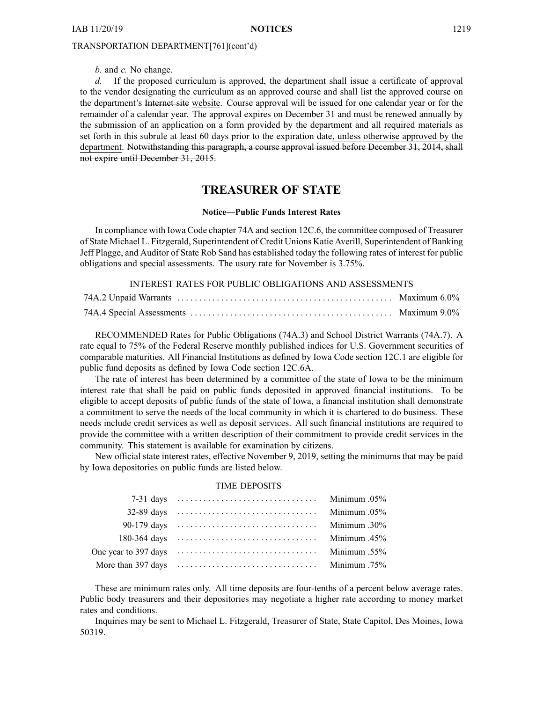*b.* and *c.* No change.

*d.* If the proposed curriculum is approved, the department shall issue <sup>a</sup> certificate of approval to the vendor designating the curriculum as an approved course and shall list the approved course on the department's Internet site website. Course approval will be issued for one calendar year or for the remainder of <sup>a</sup> calendar year. The approval expires on December 31 and must be renewed annually by the submission of an application on <sup>a</sup> form provided by the department and all required materials as set forth in this subrule at least 60 days prior to the expiration date, unless otherwise approved by the department. Notwithstanding this paragraph, <sup>a</sup> course approval issued before December 31, 2014, shall not expire until December 31, 2015.

# **TREASURER OF STATE**

#### **Notice—Public Funds Interest Rates**

In compliance with Iowa Code chapter 74A and section 12C.6, the committee composed of Treasurer of State Michael L. Fitzgerald, Superintendent of Credit Unions Katie Averill, Superintendent of Banking Jeff Plagge, and Auditor of State Rob Sand has established today the following rates of interest for public obligations and special assessments. The usury rate for November is 3.75%.

## INTEREST RATES FOR PUBLIC OBLIGATIONS AND ASSESSMENTS

RECOMMENDED Rates for Public Obligations (74A.3) and School District Warrants (74A.7). A rate equal to 75% of the Federal Reserve monthly published indices for U.S. Government securities of comparable maturities. All Financial Institutions as defined by Iowa Code section 12C.1 are eligible for public fund deposits as defined by Iowa Code section 12C.6A.

The rate of interest has been determined by <sup>a</sup> committee of the state of Iowa to be the minimum interest rate that shall be paid on public funds deposited in approved financial institutions. To be eligible to accep<sup>t</sup> deposits of public funds of the state of Iowa, <sup>a</sup> financial institution shall demonstrate <sup>a</sup> commitment to serve the needs of the local community in which it is chartered to do business. These needs include credit services as well as deposit services. All such financial institutions are required to provide the committee with <sup>a</sup> written description of their commitment to provide credit services in the community. This statement is available for examination by citizens.

New official state interest rates, effective November 9, 2019, setting the minimums that may be paid by Iowa depositories on public funds are listed below.

## TIME DEPOSITS

| $32-89$ days $\ldots \ldots \ldots \ldots \ldots \ldots \ldots \ldots \ldots \ldots$        | Minimum .05% |
|---------------------------------------------------------------------------------------------|--------------|
|                                                                                             | 30%. Minimum |
| 180-364 days $\ldots \ldots \ldots \ldots \ldots \ldots \ldots \ldots \ldots \ldots \ldots$ | Minimum .45% |
|                                                                                             | Minimum .55% |
| More than $397 \text{ days} \dots \dots \dots \dots \dots \dots \dots \dots \dots$          | .75% Minimum |

These are minimum rates only. All time deposits are four-tenths of <sup>a</sup> percen<sup>t</sup> below average rates. Public body treasurers and their depositories may negotiate <sup>a</sup> higher rate according to money market rates and conditions.

Inquiries may be sent to Michael L. Fitzgerald, Treasurer of State, State Capitol, Des Moines, Iowa 50319.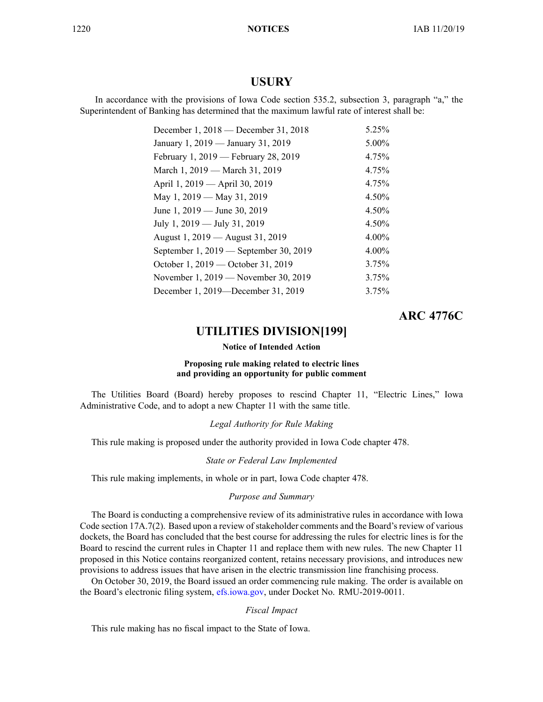# **USURY**

In accordance with the provisions of Iowa Code section 535.2, subsection 3, paragraph "a," the Superintendent of Banking has determined that the maximum lawful rate of interest shall be:

| December 1, $2018$ — December 31, $2018$ | 5.25% |
|------------------------------------------|-------|
| January 1, 2019 — January 31, 2019       | 5.00% |
| February 1, 2019 — February 28, 2019     | 4.75% |
| March 1, 2019 — March 31, 2019           | 4.75% |
| April 1, 2019 - April 30, 2019           | 4.75% |
| May 1, 2019 — May 31, 2019               | 4.50% |
| June 1, $2019$ — June 30, $2019$         | 4.50% |
| July 1, 2019 — July 31, 2019             | 4.50% |
| August 1, 2019 — August 31, 2019         | 4.00% |
| September 1, 2019 — September 30, 2019   | 4.00% |
| October 1, 2019 — October 31, 2019       | 3.75% |
| November 1, 2019 — November 30, 2019     | 3.75% |
| December 1, 2019—December 31, 2019       | 3.75% |

# **ARC 4776C**

# **UTILITIES DIVISION[199]**

## **Notice of Intended Action**

## **Proposing rule making related to electric lines and providing an opportunity for public comment**

The Utilities Board (Board) hereby proposes to rescind Chapter 11, "Electric Lines," Iowa Administrative Code, and to adopt <sup>a</sup> new Chapter 11 with the same title.

## *Legal Authority for Rule Making*

This rule making is proposed under the authority provided in Iowa Code chapter 478.

#### *State or Federal Law Implemented*

This rule making implements, in whole or in part, Iowa Code chapter 478.

## *Purpose and Summary*

The Board is conducting <sup>a</sup> comprehensive review of its administrative rules in accordance with Iowa Code section 17A.7(2). Based upon a review of stakeholder comments and the Board's review of various dockets, the Board has concluded that the best course for addressing the rules for electric lines is for the Board to rescind the current rules in Chapter 11 and replace them with new rules. The new Chapter 11 proposed in this Notice contains reorganized content, retains necessary provisions, and introduces new provisions to address issues that have arisen in the electric transmission line franchising process.

On October 30, 2019, the Board issued an order commencing rule making. The order is available on the Board's electronic filing system, [efs.iowa.gov](http://efs.iowa.gov), under Docket No. RMU-2019-0011.

#### *Fiscal Impact*

This rule making has no fiscal impact to the State of Iowa.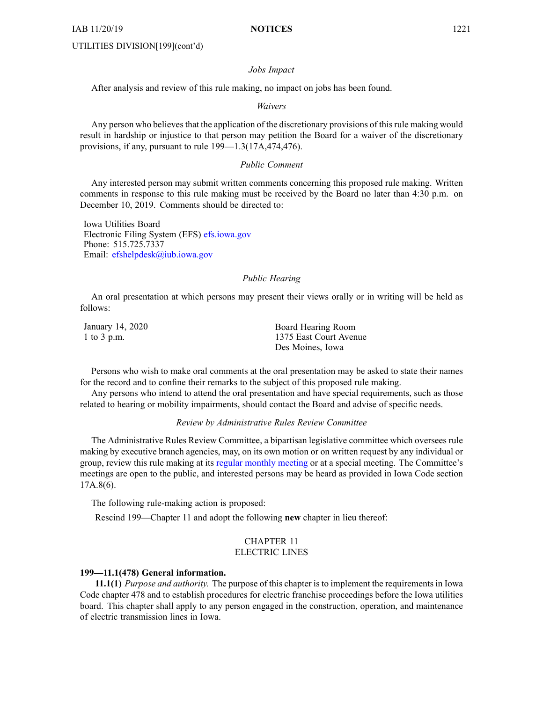#### *Jobs Impact*

After analysis and review of this rule making, no impact on jobs has been found.

#### *Waivers*

Any person who believes that the application of the discretionary provisions of this rule making would result in hardship or injustice to that person may petition the Board for <sup>a</sup> waiver of the discretionary provisions, if any, pursuan<sup>t</sup> to rule 199—1.3(17A,474,476).

## *Public Comment*

Any interested person may submit written comments concerning this proposed rule making. Written comments in response to this rule making must be received by the Board no later than 4:30 p.m. on December 10, 2019. Comments should be directed to:

Iowa Utilities Board Electronic Filing System (EFS) [efs.iowa.gov](http://efs.iowa.gov) Phone: 515.725.7337 Email: [efshelpdesk@iub.iowa.gov](mailto:efshelpdesk@iub.iowa.gov)

## *Public Hearing*

An oral presentation at which persons may presen<sup>t</sup> their views orally or in writing will be held as follows:

January 14, 2020 1 to 3 p.m.

Board Hearing Room 1375 East Court Avenue Des Moines, Iowa

Persons who wish to make oral comments at the oral presentation may be asked to state their names for the record and to confine their remarks to the subject of this proposed rule making.

Any persons who intend to attend the oral presentation and have special requirements, such as those related to hearing or mobility impairments, should contact the Board and advise of specific needs.

## *Review by Administrative Rules Review Committee*

The Administrative Rules Review Committee, <sup>a</sup> bipartisan legislative committee which oversees rule making by executive branch agencies, may, on its own motion or on written reques<sup>t</sup> by any individual or group, review this rule making at its regular [monthly](https://www.legis.iowa.gov/committees/meetings/meetingsListComm?groupID=705&ga=88) meeting or at <sup>a</sup> special meeting. The Committee's meetings are open to the public, and interested persons may be heard as provided in Iowa Code section 17A.8(6).

The following rule-making action is proposed:

Rescind 199—Chapter 11 and adopt the following **new** chapter in lieu thereof:

## CHAPTER 11 ELECTRIC LINES

#### **199—11.1(478) General information.**

**11.1(1)** *Purpose and authority.* The purpose of this chapter is to implement the requirements in Iowa Code chapter [478](https://www.legis.iowa.gov/docs/ico/chapter/478.pdf) and to establish procedures for electric franchise proceedings before the Iowa utilities board. This chapter shall apply to any person engaged in the construction, operation, and maintenance of electric transmission lines in Iowa.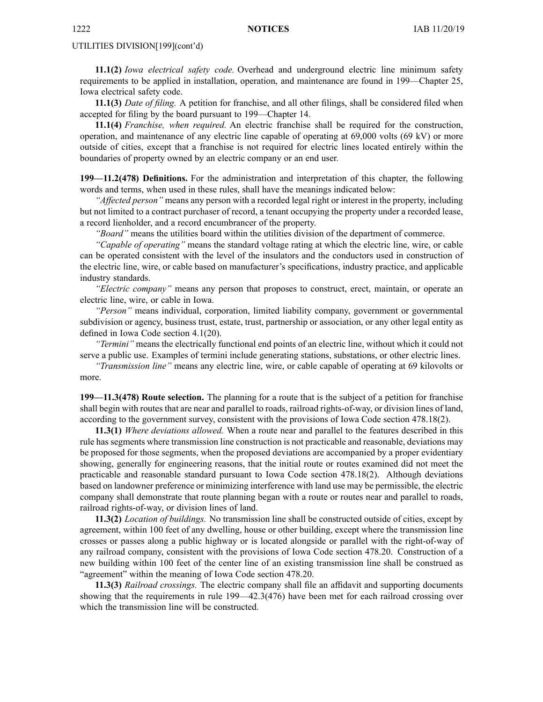**11.1(2)** *Iowa electrical safety code.* Overhead and underground electric line minimum safety requirements to be applied in installation, operation, and maintenance are found in 199—Chapter 25, Iowa electrical safety code.

**11.1(3)** *Date of filing.* A petition for franchise, and all other filings, shall be considered filed when accepted for filing by the board pursuan<sup>t</sup> to 199—Chapter 14.

**11.1(4)** *Franchise, when required.* An electric franchise shall be required for the construction, operation, and maintenance of any electric line capable of operating at 69,000 volts (69 kV) or more outside of cities, excep<sup>t</sup> that <sup>a</sup> franchise is not required for electric lines located entirely within the boundaries of property owned by an electric company or an end user.

**199—11.2(478) Definitions.** For the administration and interpretation of this chapter, the following words and terms, when used in these rules, shall have the meanings indicated below:

*"Affected person"* means any person with <sup>a</sup> recorded legal right or interest in the property, including but not limited to <sup>a</sup> contract purchaser of record, <sup>a</sup> tenant occupying the property under <sup>a</sup> recorded lease, <sup>a</sup> record lienholder, and <sup>a</sup> record encumbrancer of the property.

*"Board"* means the utilities board within the utilities division of the department of commerce.

*"Capable of operating"* means the standard voltage rating at which the electric line, wire, or cable can be operated consistent with the level of the insulators and the conductors used in construction of the electric line, wire, or cable based on manufacturer's specifications, industry practice, and applicable industry standards.

*"Electric company"* means any person that proposes to construct, erect, maintain, or operate an electric line, wire, or cable in Iowa.

*"Person"* means individual, corporation, limited liability company, governmen<sup>t</sup> or governmental subdivision or agency, business trust, estate, trust, partnership or association, or any other legal entity as defined in Iowa Code section [4.1\(20\)](https://www.legis.iowa.gov/docs/ico/section/4.1.pdf).

*"Termini"* means the electrically functional end points of an electric line, without which it could not serve <sup>a</sup> public use. Examples of termini include generating stations, substations, or other electric lines.

*"Transmission line"* means any electric line, wire, or cable capable of operating at 69 kilovolts or more.

**199—11.3(478) Route selection.** The planning for <sup>a</sup> route that is the subject of <sup>a</sup> petition for franchise shall begin with routes that are near and parallel to roads, railroad rights-of-way, or division lines of land, according to the governmen<sup>t</sup> survey, consistent with the provisions of Iowa Code section [478.18\(2\)](https://www.legis.iowa.gov/docs/ico/section/478.18.pdf).

**11.3(1)** *Where deviations allowed.* When <sup>a</sup> route near and parallel to the features described in this rule has segments where transmission line construction is not practicable and reasonable, deviations may be proposed for those segments, when the proposed deviations are accompanied by <sup>a</sup> proper evidentiary showing, generally for engineering reasons, that the initial route or routes examined did not meet the practicable and reasonable standard pursuan<sup>t</sup> to Iowa Code section [478.18\(2\)](https://www.legis.iowa.gov/docs/ico/section/478.18.pdf). Although deviations based on landowner preference or minimizing interference with land use may be permissible, the electric company shall demonstrate that route planning began with <sup>a</sup> route or routes near and parallel to roads, railroad rights-of-way, or division lines of land.

**11.3(2)** *Location of buildings.* No transmission line shall be constructed outside of cities, excep<sup>t</sup> by agreement, within 100 feet of any dwelling, house or other building, excep<sup>t</sup> where the transmission line crosses or passes along <sup>a</sup> public highway or is located alongside or parallel with the right-of-way of any railroad company, consistent with the provisions of Iowa Code section [478.20](https://www.legis.iowa.gov/docs/ico/section/478.20.pdf). Construction of <sup>a</sup> new building within 100 feet of the center line of an existing transmission line shall be construed as "agreement" within the meaning of Iowa Code section [478.20](https://www.legis.iowa.gov/docs/ico/section/478.20.pdf).

**11.3(3)** *Railroad crossings.* The electric company shall file an affidavit and supporting documents showing that the requirements in rule 199—42.3(476) have been met for each railroad crossing over which the transmission line will be constructed.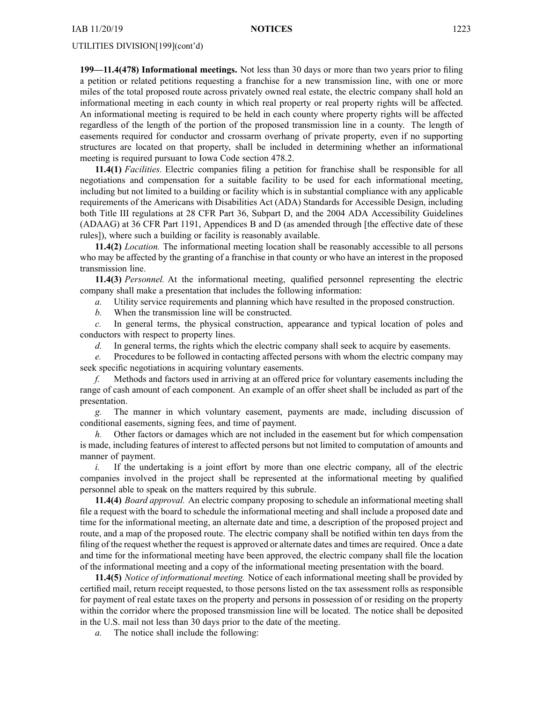**199—11.4(478) Informational meetings.** Not less than 30 days or more than two years prior to filing <sup>a</sup> petition or related petitions requesting <sup>a</sup> franchise for <sup>a</sup> new transmission line, with one or more miles of the total proposed route across privately owned real estate, the electric company shall hold an informational meeting in each county in which real property or real property rights will be affected. An informational meeting is required to be held in each county where property rights will be affected regardless of the length of the portion of the proposed transmission line in <sup>a</sup> county. The length of easements required for conductor and crossarm overhang of private property, even if no supporting structures are located on that property, shall be included in determining whether an informational meeting is required pursuan<sup>t</sup> to Iowa Code section [478.2](https://www.legis.iowa.gov/docs/ico/section/478.2.pdf).

**11.4(1)** *Facilities.* Electric companies filing <sup>a</sup> petition for franchise shall be responsible for all negotiations and compensation for <sup>a</sup> suitable facility to be used for each informational meeting, including but not limited to <sup>a</sup> building or facility which is in substantial compliance with any applicable requirements of the Americans with Disabilities Act (ADA) Standards for Accessible Design, including both Title III regulations at 28 CFR Part 36, Subpart D, and the 2004 ADA Accessibility Guidelines (ADAAG) at 36 CFR Part 1191, Appendices B and D (as amended through [the effective date of these rules]), where such <sup>a</sup> building or facility is reasonably available.

**11.4(2)** *Location.* The informational meeting location shall be reasonably accessible to all persons who may be affected by the granting of <sup>a</sup> franchise in that county or who have an interest in the proposed transmission line.

**11.4(3)** *Personnel.* At the informational meeting, qualified personnel representing the electric company shall make <sup>a</sup> presentation that includes the following information:

*a.* Utility service requirements and planning which have resulted in the proposed construction.

*b.* When the transmission line will be constructed.

*c.* In general terms, the physical construction, appearance and typical location of poles and conductors with respec<sup>t</sup> to property lines.

*d.* In general terms, the rights which the electric company shall seek to acquire by easements.

*e.* Procedures to be followed in contacting affected persons with whom the electric company may seek specific negotiations in acquiring voluntary easements.

*f.* Methods and factors used in arriving at an offered price for voluntary easements including the range of cash amount of each component. An example of an offer sheet shall be included as par<sup>t</sup> of the presentation.

*g.* The manner in which voluntary easement, payments are made, including discussion of conditional easements, signing fees, and time of payment.

*h.* Other factors or damages which are not included in the easement but for which compensation is made, including features of interest to affected persons but not limited to computation of amounts and manner of payment.

*i.* If the undertaking is a joint effort by more than one electric company, all of the electric companies involved in the project shall be represented at the informational meeting by qualified personnel able to speak on the matters required by this subrule.

**11.4(4)** *Board approval.* An electric company proposing to schedule an informational meeting shall file <sup>a</sup> reques<sup>t</sup> with the board to schedule the informational meeting and shall include <sup>a</sup> proposed date and time for the informational meeting, an alternate date and time, <sup>a</sup> description of the proposed project and route, and a map of the proposed route. The electric company shall be notified within ten days from the filing of the reques<sup>t</sup> whether the reques<sup>t</sup> is approved or alternate dates and times are required. Once <sup>a</sup> date and time for the informational meeting have been approved, the electric company shall file the location of the informational meeting and <sup>a</sup> copy of the informational meeting presentation with the board.

**11.4(5)** *Notice of informational meeting.* Notice of each informational meeting shall be provided by certified mail, return receipt requested, to those persons listed on the tax assessment rolls as responsible for paymen<sup>t</sup> of real estate taxes on the property and persons in possession of or residing on the property within the corridor where the proposed transmission line will be located. The notice shall be deposited in the U.S. mail not less than 30 days prior to the date of the meeting.

*a.* The notice shall include the following: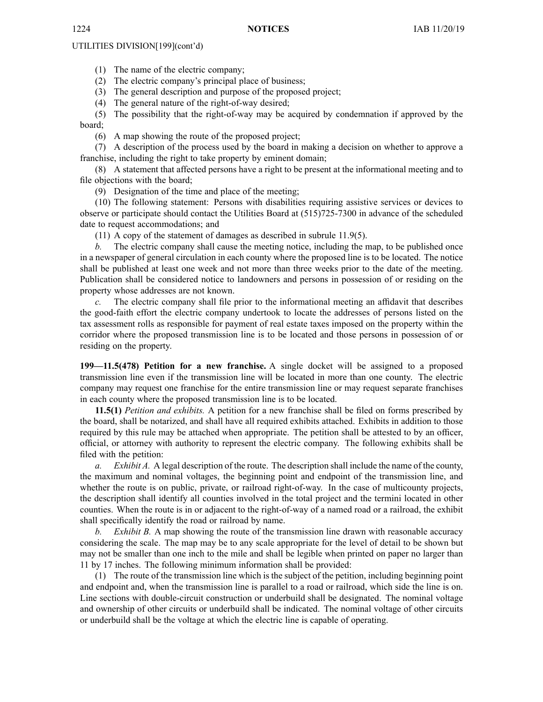(1) The name of the electric company;

(2) The electric company's principal place of business;

(3) The general description and purpose of the proposed project;

(4) The general nature of the right-of-way desired;

(5) The possibility that the right-of-way may be acquired by condemnation if approved by the board;

(6) A map showing the route of the proposed project;

(7) A description of the process used by the board in making <sup>a</sup> decision on whether to approve <sup>a</sup> franchise, including the right to take property by eminent domain;

(8) A statement that affected persons have <sup>a</sup> right to be presen<sup>t</sup> at the informational meeting and to file objections with the board;

(9) Designation of the time and place of the meeting;

(10) The following statement: Persons with disabilities requiring assistive services or devices to observe or participate should contact the Utilities Board at (515)725-7300 in advance of the scheduled date to reques<sup>t</sup> accommodations; and

(11) A copy of the statement of damages as described in subrule 11.9(5).

*b.* The electric company shall cause the meeting notice, including the map, to be published once in <sup>a</sup> newspaper of general circulation in each county where the proposed line is to be located. The notice shall be published at least one week and not more than three weeks prior to the date of the meeting. Publication shall be considered notice to landowners and persons in possession of or residing on the property whose addresses are not known.

*c.* The electric company shall file prior to the informational meeting an affidavit that describes the good-faith effort the electric company undertook to locate the addresses of persons listed on the tax assessment rolls as responsible for paymen<sup>t</sup> of real estate taxes imposed on the property within the corridor where the proposed transmission line is to be located and those persons in possession of or residing on the property.

**199—11.5(478) Petition for <sup>a</sup> new franchise.** A single docket will be assigned to <sup>a</sup> proposed transmission line even if the transmission line will be located in more than one county. The electric company may reques<sup>t</sup> one franchise for the entire transmission line or may reques<sup>t</sup> separate franchises in each county where the proposed transmission line is to be located.

**11.5(1)** *Petition and exhibits.* A petition for <sup>a</sup> new franchise shall be filed on forms prescribed by the board, shall be notarized, and shall have all required exhibits attached. Exhibits in addition to those required by this rule may be attached when appropriate. The petition shall be attested to by an officer, official, or attorney with authority to represen<sup>t</sup> the electric company. The following exhibits shall be filed with the petition:

*a. Exhibit A.* A legal description of the route. The description shall include the name of the county, the maximum and nominal voltages, the beginning point and endpoint of the transmission line, and whether the route is on public, private, or railroad right-of-way. In the case of multicounty projects, the description shall identify all counties involved in the total project and the termini located in other counties. When the route is in or adjacent to the right-of-way of <sup>a</sup> named road or <sup>a</sup> railroad, the exhibit shall specifically identify the road or railroad by name.

*b. Exhibit B.* A map showing the route of the transmission line drawn with reasonable accuracy considering the scale. The map may be to any scale appropriate for the level of detail to be shown but may not be smaller than one inch to the mile and shall be legible when printed on paper no larger than 11 by 17 inches. The following minimum information shall be provided:

(1) The route of the transmission line which is the subject of the petition, including beginning point and endpoint and, when the transmission line is parallel to <sup>a</sup> road or railroad, which side the line is on. Line sections with double-circuit construction or underbuild shall be designated. The nominal voltage and ownership of other circuits or underbuild shall be indicated. The nominal voltage of other circuits or underbuild shall be the voltage at which the electric line is capable of operating.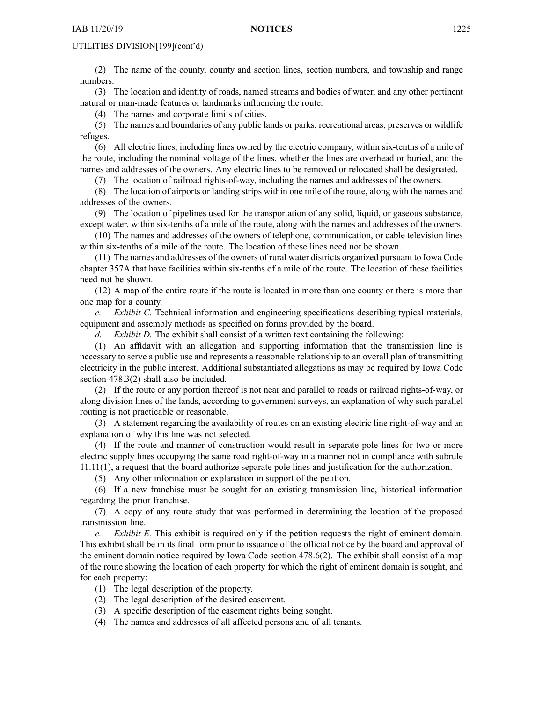(2) The name of the county, county and section lines, section numbers, and township and range numbers.

(3) The location and identity of roads, named streams and bodies of water, and any other pertinent natural or man-made features or landmarks influencing the route.

(4) The names and corporate limits of cities.

(5) The names and boundaries of any public lands or parks, recreational areas, preserves or wildlife refuges.

(6) All electric lines, including lines owned by the electric company, within six-tenths of <sup>a</sup> mile of the route, including the nominal voltage of the lines, whether the lines are overhead or buried, and the names and addresses of the owners. Any electric lines to be removed or relocated shall be designated.

(7) The location of railroad rights-of-way, including the names and addresses of the owners.

(8) The location of airports or landing strips within one mile of the route, along with the names and addresses of the owners.

(9) The location of pipelines used for the transportation of any solid, liquid, or gaseous substance, excep<sup>t</sup> water, within six-tenths of <sup>a</sup> mile of the route, along with the names and addresses of the owners.

(10) The names and addresses of the owners of telephone, communication, or cable television lines within six-tenths of <sup>a</sup> mile of the route. The location of these lines need not be shown.

(11) The names and addresses of the owners of rural water districts organized pursuan<sup>t</sup> to Iowa Code chapter [357A](https://www.legis.iowa.gov/docs/ico/chapter/357A.pdf) that have facilities within six-tenths of <sup>a</sup> mile of the route. The location of these facilities need not be shown.

(12) A map of the entire route if the route is located in more than one county or there is more than one map for <sup>a</sup> county.

*c. Exhibit C.* Technical information and engineering specifications describing typical materials, equipment and assembly methods as specified on forms provided by the board.

*d. Exhibit D.* The exhibit shall consist of <sup>a</sup> written text containing the following:

(1) An affidavit with an allegation and supporting information that the transmission line is necessary to serve <sup>a</sup> public use and represents <sup>a</sup> reasonable relationship to an overall plan of transmitting electricity in the public interest. Additional substantiated allegations as may be required by Iowa Code section [478.3\(2\)](https://www.legis.iowa.gov/docs/ico/section/478.3.pdf) shall also be included.

(2) If the route or any portion thereof is not near and parallel to roads or railroad rights-of-way, or along division lines of the lands, according to governmen<sup>t</sup> surveys, an explanation of why such parallel routing is not practicable or reasonable.

(3) A statement regarding the availability of routes on an existing electric line right-of-way and an explanation of why this line was not selected.

(4) If the route and manner of construction would result in separate pole lines for two or more electric supply lines occupying the same road right-of-way in <sup>a</sup> manner not in compliance with subrule 11.11(1), <sup>a</sup> reques<sup>t</sup> that the board authorize separate pole lines and justification for the authorization.

(5) Any other information or explanation in suppor<sup>t</sup> of the petition.

(6) If <sup>a</sup> new franchise must be sought for an existing transmission line, historical information regarding the prior franchise.

(7) A copy of any route study that was performed in determining the location of the proposed transmission line.

*e. Exhibit E.* This exhibit is required only if the petition requests the right of eminent domain. This exhibit shall be in its final form prior to issuance of the official notice by the board and approval of the eminent domain notice required by Iowa Code section [478.6\(2\)](https://www.legis.iowa.gov/docs/ico/section/478.6.pdf). The exhibit shall consist of <sup>a</sup> map of the route showing the location of each property for which the right of eminent domain is sought, and for each property:

- (1) The legal description of the property.
- (2) The legal description of the desired easement.
- (3) A specific description of the easement rights being sought.
- (4) The names and addresses of all affected persons and of all tenants.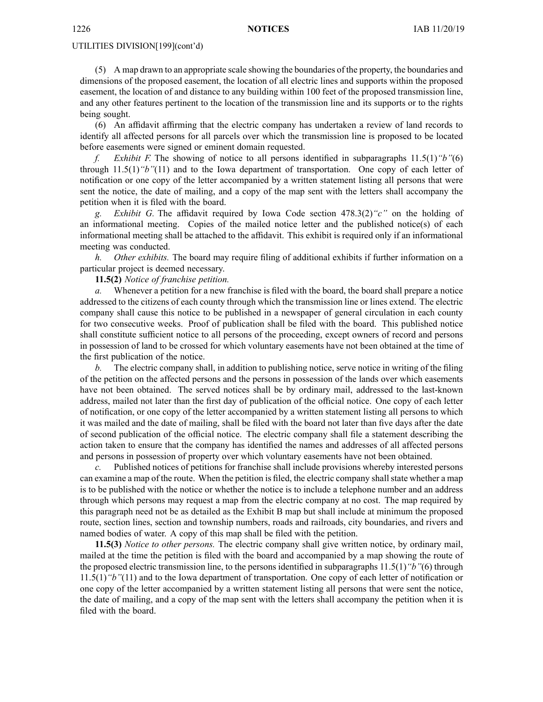(5) A map drawn to an appropriate scale showing the boundaries of the property, the boundaries and dimensions of the proposed easement, the location of all electric lines and supports within the proposed easement, the location of and distance to any building within 100 feet of the proposed transmission line, and any other features pertinent to the location of the transmission line and its supports or to the rights being sought.

(6) An affidavit affirming that the electric company has undertaken <sup>a</sup> review of land records to identify all affected persons for all parcels over which the transmission line is proposed to be located before easements were signed or eminent domain requested.

*f. Exhibit F.* The showing of notice to all persons identified in subparagraphs 11.5(1)*"b"*(6) through 11.5(1)*"b"*(11) and to the Iowa department of transportation. One copy of each letter of notification or one copy of the letter accompanied by <sup>a</sup> written statement listing all persons that were sent the notice, the date of mailing, and <sup>a</sup> copy of the map sent with the letters shall accompany the petition when it is filed with the board.

*Exhibit G.* The affidavit required by Iowa Code section [478.3\(2\)](https://www.legis.iowa.gov/docs/ico/section/478.3.pdf)<sup>"c</sup>" on the holding of an informational meeting. Copies of the mailed notice letter and the published notice(s) of each informational meeting shall be attached to the affidavit. This exhibit is required only if an informational meeting was conducted.

*h. Other exhibits.* The board may require filing of additional exhibits if further information on <sup>a</sup> particular project is deemed necessary.

**11.5(2)** *Notice of franchise petition.*

*a.* Whenever <sup>a</sup> petition for <sup>a</sup> new franchise is filed with the board, the board shall prepare <sup>a</sup> notice addressed to the citizens of each county through which the transmission line or lines extend. The electric company shall cause this notice to be published in <sup>a</sup> newspaper of general circulation in each county for two consecutive weeks. Proof of publication shall be filed with the board. This published notice shall constitute sufficient notice to all persons of the proceeding, excep<sup>t</sup> owners of record and persons in possession of land to be crossed for which voluntary easements have not been obtained at the time of the first publication of the notice.

*b.* The electric company shall, in addition to publishing notice, serve notice in writing of the filing of the petition on the affected persons and the persons in possession of the lands over which easements have not been obtained. The served notices shall be by ordinary mail, addressed to the last-known address, mailed not later than the first day of publication of the official notice. One copy of each letter of notification, or one copy of the letter accompanied by <sup>a</sup> written statement listing all persons to which it was mailed and the date of mailing, shall be filed with the board not later than five days after the date of second publication of the official notice. The electric company shall file <sup>a</sup> statement describing the action taken to ensure that the company has identified the names and addresses of all affected persons and persons in possession of property over which voluntary easements have not been obtained.

*c.* Published notices of petitions for franchise shall include provisions whereby interested persons can examine a map of the route. When the petition is filed, the electric company shall state whether a map is to be published with the notice or whether the notice is to include <sup>a</sup> telephone number and an address through which persons may reques<sup>t</sup> <sup>a</sup> map from the electric company at no cost. The map required by this paragraph need not be as detailed as the Exhibit B map but shall include at minimum the proposed route, section lines, section and township numbers, roads and railroads, city boundaries, and rivers and named bodies of water. A copy of this map shall be filed with the petition.

**11.5(3)** *Notice to other persons.* The electric company shall give written notice, by ordinary mail, mailed at the time the petition is filed with the board and accompanied by <sup>a</sup> map showing the route of the proposed electric transmission line, to the persons identified in subparagraphs 11.5(1)*"b"*(6) through 11.5(1)*"b"*(11) and to the Iowa department of transportation. One copy of each letter of notification or one copy of the letter accompanied by <sup>a</sup> written statement listing all persons that were sent the notice, the date of mailing, and <sup>a</sup> copy of the map sent with the letters shall accompany the petition when it is filed with the board.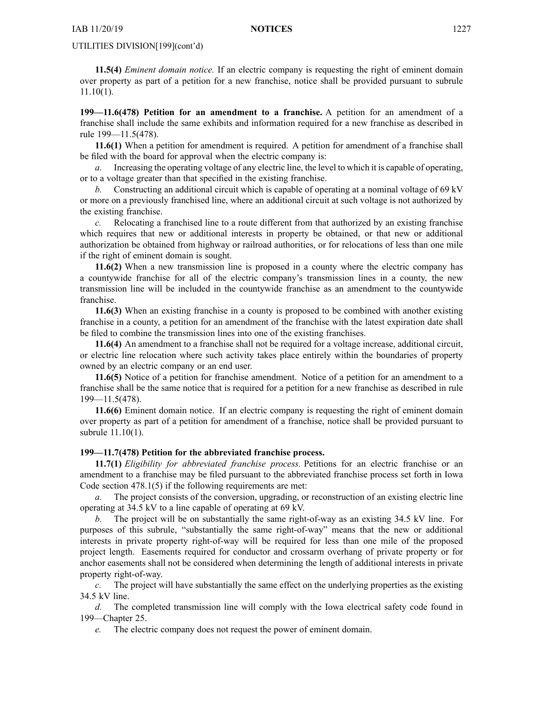**11.5(4)** *Eminent domain notice.* If an electric company is requesting the right of eminent domain over property as par<sup>t</sup> of <sup>a</sup> petition for <sup>a</sup> new franchise, notice shall be provided pursuan<sup>t</sup> to subrule 11.10(1).

**199—11.6(478) Petition for an amendment to <sup>a</sup> franchise.** A petition for an amendment of <sup>a</sup> franchise shall include the same exhibits and information required for <sup>a</sup> new franchise as described in rule 199—11.5(478).

**11.6(1)** When <sup>a</sup> petition for amendment is required. A petition for amendment of <sup>a</sup> franchise shall be filed with the board for approval when the electric company is:

*a.* Increasing the operating voltage of any electric line, the level to which it is capable of operating, or to <sup>a</sup> voltage greater than that specified in the existing franchise.

*b.* Constructing an additional circuit which is capable of operating at <sup>a</sup> nominal voltage of 69 kV or more on <sup>a</sup> previously franchised line, where an additional circuit at such voltage is not authorized by the existing franchise.

*c.* Relocating <sup>a</sup> franchised line to <sup>a</sup> route different from that authorized by an existing franchise which requires that new or additional interests in property be obtained, or that new or additional authorization be obtained from highway or railroad authorities, or for relocations of less than one mile if the right of eminent domain is sought.

**11.6(2)** When <sup>a</sup> new transmission line is proposed in <sup>a</sup> county where the electric company has <sup>a</sup> countywide franchise for all of the electric company's transmission lines in <sup>a</sup> county, the new transmission line will be included in the countywide franchise as an amendment to the countywide franchise.

**11.6(3)** When an existing franchise in <sup>a</sup> county is proposed to be combined with another existing franchise in <sup>a</sup> county, <sup>a</sup> petition for an amendment of the franchise with the latest expiration date shall be filed to combine the transmission lines into one of the existing franchises.

**11.6(4)** An amendment to <sup>a</sup> franchise shall not be required for <sup>a</sup> voltage increase, additional circuit, or electric line relocation where such activity takes place entirely within the boundaries of property owned by an electric company or an end user.

**11.6(5)** Notice of <sup>a</sup> petition for franchise amendment. Notice of <sup>a</sup> petition for an amendment to <sup>a</sup> franchise shall be the same notice that is required for <sup>a</sup> petition for <sup>a</sup> new franchise as described in rule 199—11.5(478).

**11.6(6)** Eminent domain notice. If an electric company is requesting the right of eminent domain over property as par<sup>t</sup> of <sup>a</sup> petition for amendment of <sup>a</sup> franchise, notice shall be provided pursuan<sup>t</sup> to subrule 11.10(1).

# **199—11.7(478) Petition for the abbreviated franchise process.**

**11.7(1)** *Eligibility for abbreviated franchise process.* Petitions for an electric franchise or an amendment to <sup>a</sup> franchise may be filed pursuan<sup>t</sup> to the abbreviated franchise process set forth in Iowa Code section [478.1\(5\)](https://www.legis.iowa.gov/docs/ico/section/478.1.pdf) if the following requirements are met:

*a.* The project consists of the conversion, upgrading, or reconstruction of an existing electric line operating at 34.5 kV to <sup>a</sup> line capable of operating at 69 kV.

*b.* The project will be on substantially the same right-of-way as an existing 34.5 kV line. For purposes of this subrule, "substantially the same right-of-way" means that the new or additional interests in private property right-of-way will be required for less than one mile of the proposed project length. Easements required for conductor and crossarm overhang of private property or for anchor easements shall not be considered when determining the length of additional interests in private property right-of-way.

*c.* The project will have substantially the same effect on the underlying properties as the existing 34.5 kV line.

*d.* The completed transmission line will comply with the Iowa electrical safety code found in 199—Chapter 25.

*e.* The electric company does not reques<sup>t</sup> the power of eminent domain.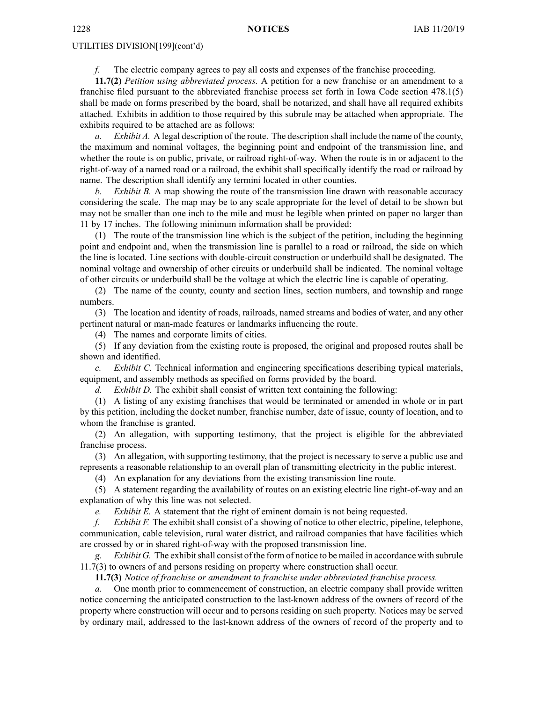*f.* The electric company agrees to pay all costs and expenses of the franchise proceeding.

**11.7(2)** *Petition using abbreviated process.* A petition for <sup>a</sup> new franchise or an amendment to <sup>a</sup> franchise filed pursuan<sup>t</sup> to the abbreviated franchise process set forth in Iowa Code section [478.1\(5\)](https://www.legis.iowa.gov/docs/ico/section/478.1.pdf) shall be made on forms prescribed by the board, shall be notarized, and shall have all required exhibits attached. Exhibits in addition to those required by this subrule may be attached when appropriate. The exhibits required to be attached are as follows:

*a. Exhibit A.* A legal description of the route. The description shall include the name of the county, the maximum and nominal voltages, the beginning point and endpoint of the transmission line, and whether the route is on public, private, or railroad right-of-way. When the route is in or adjacent to the right-of-way of <sup>a</sup> named road or <sup>a</sup> railroad, the exhibit shall specifically identify the road or railroad by name. The description shall identify any termini located in other counties.

*b. Exhibit B.* A map showing the route of the transmission line drawn with reasonable accuracy considering the scale. The map may be to any scale appropriate for the level of detail to be shown but may not be smaller than one inch to the mile and must be legible when printed on paper no larger than 11 by 17 inches. The following minimum information shall be provided:

(1) The route of the transmission line which is the subject of the petition, including the beginning point and endpoint and, when the transmission line is parallel to <sup>a</sup> road or railroad, the side on which the line is located. Line sections with double-circuit construction or underbuild shall be designated. The nominal voltage and ownership of other circuits or underbuild shall be indicated. The nominal voltage of other circuits or underbuild shall be the voltage at which the electric line is capable of operating.

(2) The name of the county, county and section lines, section numbers, and township and range numbers.

(3) The location and identity of roads, railroads, named streams and bodies of water, and any other pertinent natural or man-made features or landmarks influencing the route.

(4) The names and corporate limits of cities.

(5) If any deviation from the existing route is proposed, the original and proposed routes shall be shown and identified.

*c. Exhibit C.* Technical information and engineering specifications describing typical materials, equipment, and assembly methods as specified on forms provided by the board.

*d. Exhibit D.* The exhibit shall consist of written text containing the following:

(1) A listing of any existing franchises that would be terminated or amended in whole or in par<sup>t</sup> by this petition, including the docket number, franchise number, date of issue, county of location, and to whom the franchise is granted.

(2) An allegation, with supporting testimony, that the project is eligible for the abbreviated franchise process.

(3) An allegation, with supporting testimony, that the project is necessary to serve <sup>a</sup> public use and represents <sup>a</sup> reasonable relationship to an overall plan of transmitting electricity in the public interest.

(4) An explanation for any deviations from the existing transmission line route.

(5) A statement regarding the availability of routes on an existing electric line right-of-way and an explanation of why this line was not selected.

*e. Exhibit E.* A statement that the right of eminent domain is not being requested.

*f. Exhibit F.* The exhibit shall consist of <sup>a</sup> showing of notice to other electric, pipeline, telephone, communication, cable television, rural water district, and railroad companies that have facilities which are crossed by or in shared right-of-way with the proposed transmission line.

*g. Exhibit G.* The exhibitshall consist of the form of notice to be mailed in accordance with subrule 11.7(3) to owners of and persons residing on property where construction shall occur.

**11.7(3)** *Notice of franchise or amendment to franchise under abbreviated franchise process.*

One month prior to commencement of construction, an electric company shall provide written notice concerning the anticipated construction to the last-known address of the owners of record of the property where construction will occur and to persons residing on such property. Notices may be served by ordinary mail, addressed to the last-known address of the owners of record of the property and to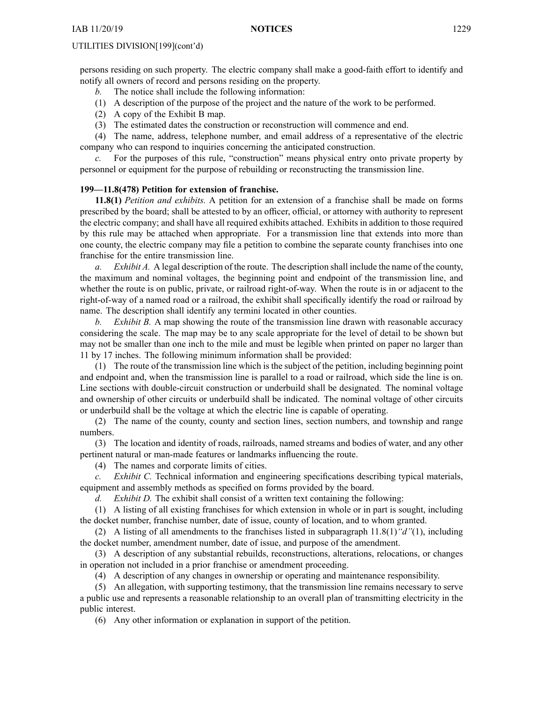persons residing on such property. The electric company shall make <sup>a</sup> good-faith effort to identify and notify all owners of record and persons residing on the property.

- *b.* The notice shall include the following information:
- (1) A description of the purpose of the project and the nature of the work to be performed.
- (2) A copy of the Exhibit B map.
- (3) The estimated dates the construction or reconstruction will commence and end.

(4) The name, address, telephone number, and email address of <sup>a</sup> representative of the electric company who can respond to inquiries concerning the anticipated construction.

*c.* For the purposes of this rule, "construction" means physical entry onto private property by personnel or equipment for the purpose of rebuilding or reconstructing the transmission line.

# **199—11.8(478) Petition for extension of franchise.**

**11.8(1)** *Petition and exhibits.* A petition for an extension of <sup>a</sup> franchise shall be made on forms prescribed by the board; shall be attested to by an officer, official, or attorney with authority to represen<sup>t</sup> the electric company; and shall have all required exhibits attached. Exhibits in addition to those required by this rule may be attached when appropriate. For <sup>a</sup> transmission line that extends into more than one county, the electric company may file <sup>a</sup> petition to combine the separate county franchises into one franchise for the entire transmission line.

*a. Exhibit A.* A legal description of the route. The description shall include the name of the county, the maximum and nominal voltages, the beginning point and endpoint of the transmission line, and whether the route is on public, private, or railroad right-of-way. When the route is in or adjacent to the right-of-way of <sup>a</sup> named road or <sup>a</sup> railroad, the exhibit shall specifically identify the road or railroad by name. The description shall identify any termini located in other counties.

*b. Exhibit B.* A map showing the route of the transmission line drawn with reasonable accuracy considering the scale. The map may be to any scale appropriate for the level of detail to be shown but may not be smaller than one inch to the mile and must be legible when printed on paper no larger than 11 by 17 inches. The following minimum information shall be provided:

(1) The route of the transmission line which is the subject of the petition, including beginning point and endpoint and, when the transmission line is parallel to <sup>a</sup> road or railroad, which side the line is on. Line sections with double-circuit construction or underbuild shall be designated. The nominal voltage and ownership of other circuits or underbuild shall be indicated. The nominal voltage of other circuits or underbuild shall be the voltage at which the electric line is capable of operating.

(2) The name of the county, county and section lines, section numbers, and township and range numbers.

(3) The location and identity of roads, railroads, named streams and bodies of water, and any other pertinent natural or man-made features or landmarks influencing the route.

(4) The names and corporate limits of cities.

*c. Exhibit C.* Technical information and engineering specifications describing typical materials, equipment and assembly methods as specified on forms provided by the board.

*d. Exhibit D.* The exhibit shall consist of <sup>a</sup> written text containing the following:

(1) A listing of all existing franchises for which extension in whole or in par<sup>t</sup> is sought, including the docket number, franchise number, date of issue, county of location, and to whom granted.

(2) A listing of all amendments to the franchises listed in subparagraph 11.8(1)*"d"*(1), including the docket number, amendment number, date of issue, and purpose of the amendment.

(3) A description of any substantial rebuilds, reconstructions, alterations, relocations, or changes in operation not included in <sup>a</sup> prior franchise or amendment proceeding.

(4) A description of any changes in ownership or operating and maintenance responsibility.

(5) An allegation, with supporting testimony, that the transmission line remains necessary to serve <sup>a</sup> public use and represents <sup>a</sup> reasonable relationship to an overall plan of transmitting electricity in the public interest.

(6) Any other information or explanation in suppor<sup>t</sup> of the petition.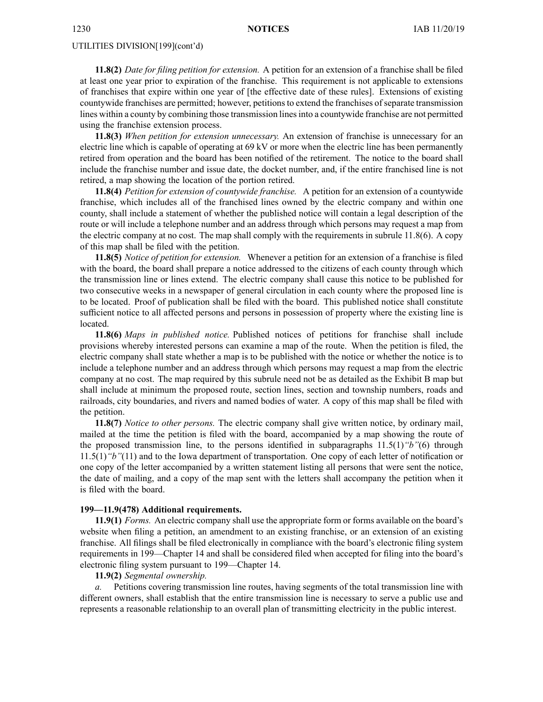**11.8(2)** *Date for filing petition for extension.* A petition for an extension of <sup>a</sup> franchise shall be filed at least one year prior to expiration of the franchise. This requirement is not applicable to extensions of franchises that expire within one year of [the effective date of these rules]. Extensions of existing countywide franchises are permitted; however, petitions to extend the franchises of separate transmission lines within <sup>a</sup> county by combining those transmission linesinto <sup>a</sup> countywide franchise are not permitted using the franchise extension process.

**11.8(3)** *When petition for extension unnecessary.* An extension of franchise is unnecessary for an electric line which is capable of operating at 69 kV or more when the electric line has been permanently retired from operation and the board has been notified of the retirement. The notice to the board shall include the franchise number and issue date, the docket number, and, if the entire franchised line is not retired, <sup>a</sup> map showing the location of the portion retired.

**11.8(4)** *Petition for extension of countywide franchise.* A petition for an extension of <sup>a</sup> countywide franchise, which includes all of the franchised lines owned by the electric company and within one county, shall include <sup>a</sup> statement of whether the published notice will contain <sup>a</sup> legal description of the route or will include <sup>a</sup> telephone number and an address through which persons may reques<sup>t</sup> <sup>a</sup> map from the electric company at no cost. The map shall comply with the requirements in subrule 11.8(6). A copy of this map shall be filed with the petition.

**11.8(5)** *Notice of petition for extension.* Whenever <sup>a</sup> petition for an extension of <sup>a</sup> franchise is filed with the board, the board shall prepare <sup>a</sup> notice addressed to the citizens of each county through which the transmission line or lines extend. The electric company shall cause this notice to be published for two consecutive weeks in <sup>a</sup> newspaper of general circulation in each county where the proposed line is to be located. Proof of publication shall be filed with the board. This published notice shall constitute sufficient notice to all affected persons and persons in possession of property where the existing line is located.

**11.8(6)** *Maps in published notice.* Published notices of petitions for franchise shall include provisions whereby interested persons can examine <sup>a</sup> map of the route. When the petition is filed, the electric company shall state whether <sup>a</sup> map is to be published with the notice or whether the notice is to include <sup>a</sup> telephone number and an address through which persons may reques<sup>t</sup> <sup>a</sup> map from the electric company at no cost. The map required by this subrule need not be as detailed as the Exhibit B map but shall include at minimum the proposed route, section lines, section and township numbers, roads and railroads, city boundaries, and rivers and named bodies of water. A copy of this map shall be filed with the petition.

**11.8(7)** *Notice to other persons.* The electric company shall give written notice, by ordinary mail, mailed at the time the petition is filed with the board, accompanied by <sup>a</sup> map showing the route of the proposed transmission line, to the persons identified in subparagraphs 11.5(1)*"b"*(6) through 11.5(1)*"b"*(11) and to the Iowa department of transportation. One copy of each letter of notification or one copy of the letter accompanied by <sup>a</sup> written statement listing all persons that were sent the notice, the date of mailing, and <sup>a</sup> copy of the map sent with the letters shall accompany the petition when it is filed with the board.

#### **199—11.9(478) Additional requirements.**

**11.9(1)** *Forms.* An electric company shall use the appropriate form or forms available on the board's website when filing <sup>a</sup> petition, an amendment to an existing franchise, or an extension of an existing franchise. All filings shall be filed electronically in compliance with the board's electronic filing system requirements in 199—Chapter 14 and shall be considered filed when accepted for filing into the board's electronic filing system pursuan<sup>t</sup> to 199—Chapter 14.

#### **11.9(2)** *Segmental ownership.*

Petitions covering transmission line routes, having segments of the total transmission line with different owners, shall establish that the entire transmission line is necessary to serve <sup>a</sup> public use and represents <sup>a</sup> reasonable relationship to an overall plan of transmitting electricity in the public interest.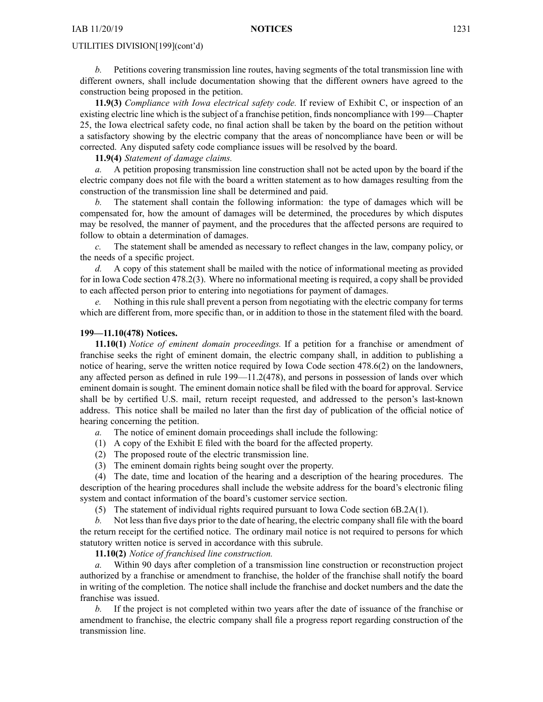*b.* Petitions covering transmission line routes, having segments of the total transmission line with different owners, shall include documentation showing that the different owners have agreed to the construction being proposed in the petition.

**11.9(3)** *Compliance with Iowa electrical safety code.* If review of Exhibit C, or inspection of an existing electric line which is the subject of <sup>a</sup> franchise petition, finds noncompliance with 199—Chapter 25, the Iowa electrical safety code, no final action shall be taken by the board on the petition without <sup>a</sup> satisfactory showing by the electric company that the areas of noncompliance have been or will be corrected. Any disputed safety code compliance issues will be resolved by the board.

**11.9(4)** *Statement of damage claims.*

*a.* A petition proposing transmission line construction shall not be acted upon by the board if the electric company does not file with the board <sup>a</sup> written statement as to how damages resulting from the construction of the transmission line shall be determined and paid.

*b.* The statement shall contain the following information: the type of damages which will be compensated for, how the amount of damages will be determined, the procedures by which disputes may be resolved, the manner of payment, and the procedures that the affected persons are required to follow to obtain <sup>a</sup> determination of damages.

*c.* The statement shall be amended as necessary to reflect changes in the law, company policy, or the needs of <sup>a</sup> specific project.

*d.* A copy of this statement shall be mailed with the notice of informational meeting as provided for in Iowa Code section [478.2\(3\)](https://www.legis.iowa.gov/docs/ico/section/478.2.pdf). Where no informational meeting is required, <sup>a</sup> copy shall be provided to each affected person prior to entering into negotiations for paymen<sup>t</sup> of damages.

*e.* Nothing in this rule shall preven<sup>t</sup> <sup>a</sup> person from negotiating with the electric company for terms which are different from, more specific than, or in addition to those in the statement filed with the board.

# **199—11.10(478) Notices.**

**11.10(1)** *Notice of eminent domain proceedings.* If <sup>a</sup> petition for <sup>a</sup> franchise or amendment of franchise seeks the right of eminent domain, the electric company shall, in addition to publishing <sup>a</sup> notice of hearing, serve the written notice required by Iowa Code section [478.6\(2\)](https://www.legis.iowa.gov/docs/ico/section/478.6.pdf) on the landowners, any affected person as defined in rule 199—11.2(478), and persons in possession of lands over which eminent domain is sought. The eminent domain notice shall be filed with the board for approval. Service shall be by certified U.S. mail, return receipt requested, and addressed to the person's last-known address. This notice shall be mailed no later than the first day of publication of the official notice of hearing concerning the petition.

*a.* The notice of eminent domain proceedings shall include the following:

- (1) A copy of the Exhibit E filed with the board for the affected property.
- (2) The proposed route of the electric transmission line.
- (3) The eminent domain rights being sought over the property.

(4) The date, time and location of the hearing and <sup>a</sup> description of the hearing procedures. The description of the hearing procedures shall include the website address for the board's electronic filing system and contact information of the board's customer service section.

(5) The statement of individual rights required pursuan<sup>t</sup> to Iowa Code section [6B.2A\(1\)](https://www.legis.iowa.gov/docs/ico/section/6B.2A.pdf).

*b.* Not less than five days prior to the date of hearing, the electric company shall file with the board the return receipt for the certified notice. The ordinary mail notice is not required to persons for which statutory written notice is served in accordance with this subrule.

**11.10(2)** *Notice of franchised line construction.*

*a.* Within 90 days after completion of <sup>a</sup> transmission line construction or reconstruction project authorized by <sup>a</sup> franchise or amendment to franchise, the holder of the franchise shall notify the board in writing of the completion. The notice shall include the franchise and docket numbers and the date the franchise was issued.

*b.* If the project is not completed within two years after the date of issuance of the franchise or amendment to franchise, the electric company shall file <sup>a</sup> progress repor<sup>t</sup> regarding construction of the transmission line.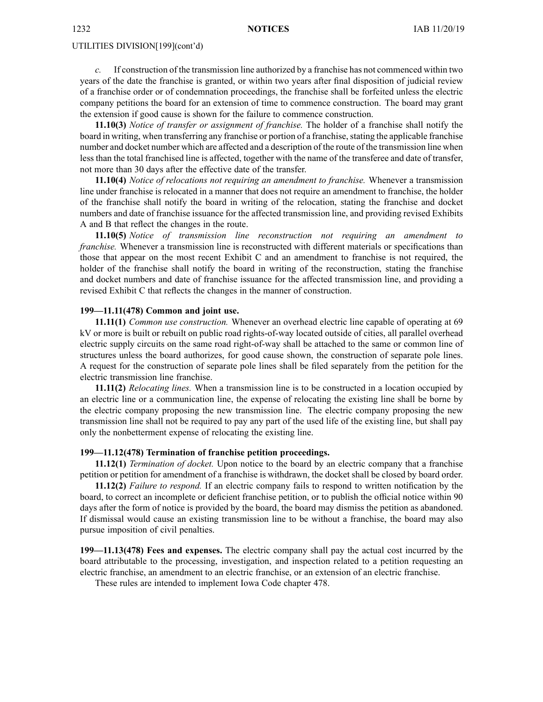*c.* If construction of the transmission line authorized by <sup>a</sup> franchise has not commenced within two years of the date the franchise is granted, or within two years after final disposition of judicial review of <sup>a</sup> franchise order or of condemnation proceedings, the franchise shall be forfeited unless the electric company petitions the board for an extension of time to commence construction. The board may gran<sup>t</sup> the extension if good cause is shown for the failure to commence construction.

**11.10(3)** *Notice of transfer or assignment of franchise.* The holder of <sup>a</sup> franchise shall notify the board in writing, when transferring any franchise or portion of a franchise, stating the applicable franchise number and docket number which are affected and <sup>a</sup> description of the route of the transmission line when less than the total franchised line is affected, together with the name of the transferee and date of transfer, not more than 30 days after the effective date of the transfer.

**11.10(4)** *Notice of relocations not requiring an amendment to franchise.* Whenever <sup>a</sup> transmission line under franchise is relocated in <sup>a</sup> manner that does not require an amendment to franchise, the holder of the franchise shall notify the board in writing of the relocation, stating the franchise and docket numbers and date of franchise issuance for the affected transmission line, and providing revised Exhibits A and B that reflect the changes in the route.

**11.10(5)** *Notice of transmission line reconstruction not requiring an amendment to franchise.* Whenever a transmission line is reconstructed with different materials or specifications than those that appear on the most recent Exhibit C and an amendment to franchise is not required, the holder of the franchise shall notify the board in writing of the reconstruction, stating the franchise and docket numbers and date of franchise issuance for the affected transmission line, and providing <sup>a</sup> revised Exhibit C that reflects the changes in the manner of construction.

#### **199—11.11(478) Common and joint use.**

**11.11(1)** *Common use construction.* Whenever an overhead electric line capable of operating at 69 kV or more is built or rebuilt on public road rights-of-way located outside of cities, all parallel overhead electric supply circuits on the same road right-of-way shall be attached to the same or common line of structures unless the board authorizes, for good cause shown, the construction of separate pole lines. A reques<sup>t</sup> for the construction of separate pole lines shall be filed separately from the petition for the electric transmission line franchise.

**11.11(2)** *Relocating lines.* When <sup>a</sup> transmission line is to be constructed in <sup>a</sup> location occupied by an electric line or <sup>a</sup> communication line, the expense of relocating the existing line shall be borne by the electric company proposing the new transmission line. The electric company proposing the new transmission line shall not be required to pay any par<sup>t</sup> of the used life of the existing line, but shall pay only the nonbetterment expense of relocating the existing line.

# **199—11.12(478) Termination of franchise petition proceedings.**

**11.12(1)** *Termination of docket.* Upon notice to the board by an electric company that <sup>a</sup> franchise petition or petition for amendment of <sup>a</sup> franchise is withdrawn, the docket shall be closed by board order.

**11.12(2)** *Failure to respond.* If an electric company fails to respond to written notification by the board, to correct an incomplete or deficient franchise petition, or to publish the official notice within 90 days after the form of notice is provided by the board, the board may dismiss the petition as abandoned. If dismissal would cause an existing transmission line to be without <sup>a</sup> franchise, the board may also pursue imposition of civil penalties.

**199—11.13(478) Fees and expenses.** The electric company shall pay the actual cost incurred by the board attributable to the processing, investigation, and inspection related to <sup>a</sup> petition requesting an electric franchise, an amendment to an electric franchise, or an extension of an electric franchise.

These rules are intended to implement Iowa Code chapter [478](https://www.legis.iowa.gov/docs/ico/chapter/478.pdf).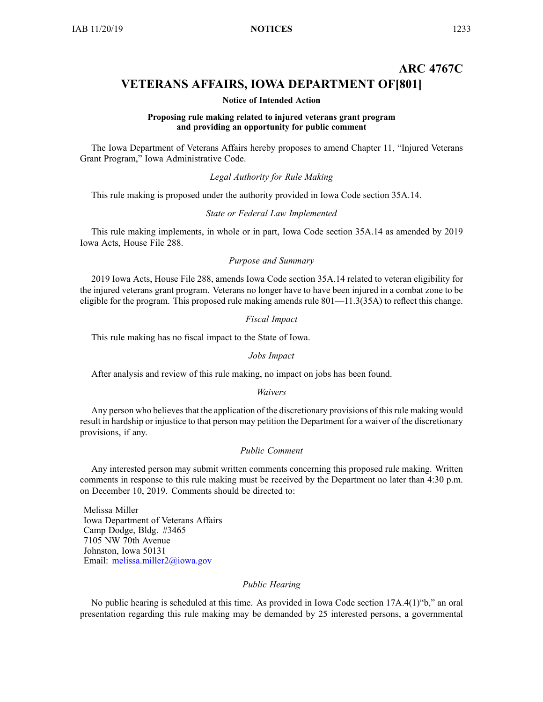# **ARC 4767C VETERANS AFFAIRS, IOWA DEPARTMENT OF[801]**

#### **Notice of Intended Action**

#### **Proposing rule making related to injured veterans grant program and providing an opportunity for public comment**

The Iowa Department of Veterans Affairs hereby proposes to amend Chapter 11, "Injured Veterans Grant Program," Iowa Administrative Code.

# *Legal Authority for Rule Making*

This rule making is proposed under the authority provided in Iowa Code section 35A.14.

## *State or Federal Law Implemented*

This rule making implements, in whole or in part, Iowa Code section 35A.14 as amended by 2019 Iowa Acts, House File 288.

#### *Purpose and Summary*

2019 Iowa Acts, House File 288, amends Iowa Code section 35A.14 related to veteran eligibility for the injured veterans gran<sup>t</sup> program. Veterans no longer have to have been injured in <sup>a</sup> combat zone to be eligible for the program. This proposed rule making amends rule 801—11.3(35A) to reflect this change.

#### *Fiscal Impact*

This rule making has no fiscal impact to the State of Iowa.

# *Jobs Impact*

After analysis and review of this rule making, no impact on jobs has been found.

#### *Waivers*

Any person who believes that the application of the discretionary provisions of this rule making would result in hardship or injustice to that person may petition the Department for <sup>a</sup> waiver of the discretionary provisions, if any.

# *Public Comment*

Any interested person may submit written comments concerning this proposed rule making. Written comments in response to this rule making must be received by the Department no later than 4:30 p.m. on December 10, 2019. Comments should be directed to:

Melissa Miller Iowa Department of Veterans Affairs Camp Dodge, Bldg. #3465 7105 NW 70th Avenue Johnston, Iowa 50131 Email: [melissa.miller2@iowa.gov](mailto:melissa.miller2@iowa.gov)

### *Public Hearing*

No public hearing is scheduled at this time. As provided in Iowa Code section 17A.4(1)"b," an oral presentation regarding this rule making may be demanded by 25 interested persons, <sup>a</sup> governmental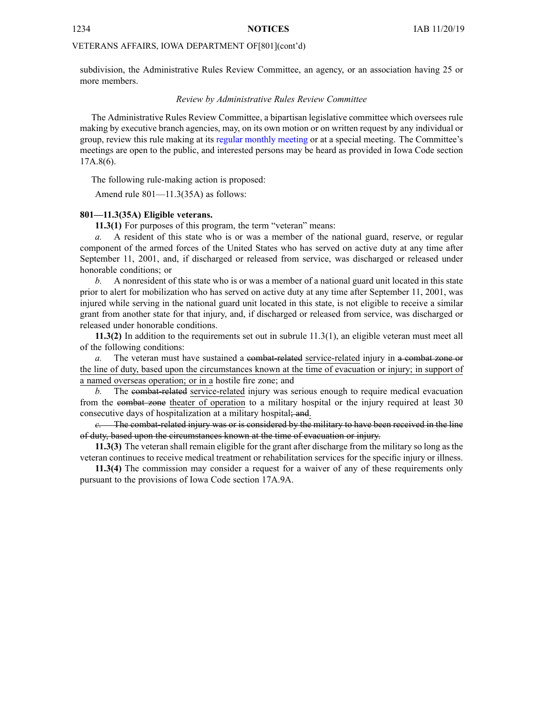# VETERANS AFFAIRS, IOWA DEPARTMENT OF[801](cont'd)

subdivision, the Administrative Rules Review Committee, an agency, or an association having 25 or more members.

#### *Review by Administrative Rules Review Committee*

The Administrative Rules Review Committee, <sup>a</sup> bipartisan legislative committee which oversees rule making by executive branch agencies, may, on its own motion or on written reques<sup>t</sup> by any individual or group, review this rule making at its regular [monthly](https://www.legis.iowa.gov/committees/meetings/meetingsListComm?groupID=705&ga=88) meeting or at <sup>a</sup> special meeting. The Committee's meetings are open to the public, and interested persons may be heard as provided in Iowa Code section 17A.8(6).

The following rule-making action is proposed:

Amend rule 801—11.3(35A) as follows:

## **801—11.3(35A) Eligible veterans.**

**11.3(1)** For purposes of this program, the term "veteran" means:

*a.* A resident of this state who is or was <sup>a</sup> member of the national guard, reserve, or regular componen<sup>t</sup> of the armed forces of the United States who has served on active duty at any time after September 11, 2001, and, if discharged or released from service, was discharged or released under honorable conditions; or

*b.* A nonresident of this state who is or was <sup>a</sup> member of <sup>a</sup> national guard unit located in this state prior to alert for mobilization who has served on active duty at any time after September 11, 2001, was injured while serving in the national guard unit located in this state, is not eligible to receive <sup>a</sup> similar gran<sup>t</sup> from another state for that injury, and, if discharged or released from service, was discharged or released under honorable conditions.

**11.3(2)** In addition to the requirements set out in subrule 11.3(1), an eligible veteran must meet all of the following conditions:

*a.* The veteran must have sustained a combat-related service-related injury in a combat zone or the line of duty, based upon the circumstances known at the time of evacuation or injury; in suppor<sup>t</sup> of <sup>a</sup> named overseas operation; or in <sup>a</sup> hostile fire zone; and

*b.* The combat-related service-related injury was serious enough to require medical evacuation from the combat zone theater of operation to <sup>a</sup> military hospital or the injury required at least 30 consecutive days of hospitalization at a military hospital; and.

*c.* The combat-related injury was or is considered by the military to have been received in the line of duty, based upon the circumstances known at the time of evacuation or injury.

**11.3(3)** The veteran shall remain eligible for the gran<sup>t</sup> after discharge from the military so long as the veteran continues to receive medical treatment or rehabilitation services for the specific injury or illness.

**11.3(4)** The commission may consider <sup>a</sup> reques<sup>t</sup> for <sup>a</sup> waiver of any of these requirements only pursuan<sup>t</sup> to the provisions of Iowa Code section [17A.9A](https://www.legis.iowa.gov/docs/ico/section/17A.9A.pdf).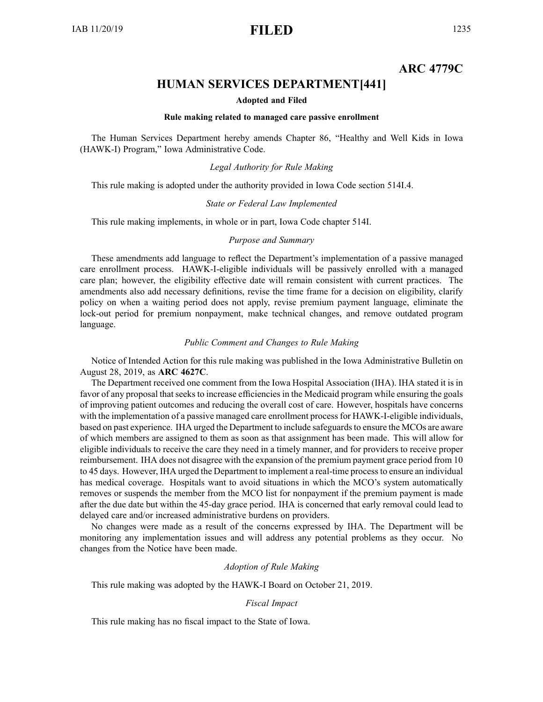# **ARC 4779C**

# **HUMAN SERVICES DEPARTMENT[441]**

#### **Adopted and Filed**

# **Rule making related to managed care passive enrollment**

The Human Services Department hereby amends Chapter 86, "Healthy and Well Kids in Iowa (HAWK-I) Program," Iowa Administrative Code.

### *Legal Authority for Rule Making*

This rule making is adopted under the authority provided in Iowa Code section 514I.4.

# *State or Federal Law Implemented*

This rule making implements, in whole or in part, Iowa Code chapter 514I.

#### *Purpose and Summary*

These amendments add language to reflect the Department's implementation of <sup>a</sup> passive managed care enrollment process. HAWK-I-eligible individuals will be passively enrolled with <sup>a</sup> managed care plan; however, the eligibility effective date will remain consistent with current practices. The amendments also add necessary definitions, revise the time frame for <sup>a</sup> decision on eligibility, clarify policy on when <sup>a</sup> waiting period does not apply, revise premium paymen<sup>t</sup> language, eliminate the lock-out period for premium nonpayment, make technical changes, and remove outdated program language.

# *Public Comment and Changes to Rule Making*

Notice of Intended Action for this rule making was published in the Iowa Administrative Bulletin on August 28, 2019, as **ARC 4627C**.

The Department received one comment from the Iowa Hospital Association (IHA). IHA stated it is in favor of any proposal that seeks to increase efficiencies in the Medicaid program while ensuring the goals of improving patient outcomes and reducing the overall cost of care. However, hospitals have concerns with the implementation of a passive managed care enrollment process for HAWK-I-eligible individuals, based on past experience. IHA urged the Department to include safeguards to ensure the MCOs are aware of which members are assigned to them as soon as that assignment has been made. This will allow for eligible individuals to receive the care they need in <sup>a</sup> timely manner, and for providers to receive proper reimbursement. IHA does not disagree with the expansion of the premium paymen<sup>t</sup> grace period from 10 to 45 days. However, IHA urged the Department to implement <sup>a</sup> real-time processto ensure an individual has medical coverage. Hospitals want to avoid situations in which the MCO's system automatically removes or suspends the member from the MCO list for nonpaymen<sup>t</sup> if the premium paymen<sup>t</sup> is made after the due date but within the 45-day grace period. IHA is concerned that early removal could lead to delayed care and/or increased administrative burdens on providers.

No changes were made as <sup>a</sup> result of the concerns expressed by IHA. The Department will be monitoring any implementation issues and will address any potential problems as they occur. No changes from the Notice have been made.

# *Adoption of Rule Making*

This rule making was adopted by the HAWK-I Board on October 21, 2019.

## *Fiscal Impact*

This rule making has no fiscal impact to the State of Iowa.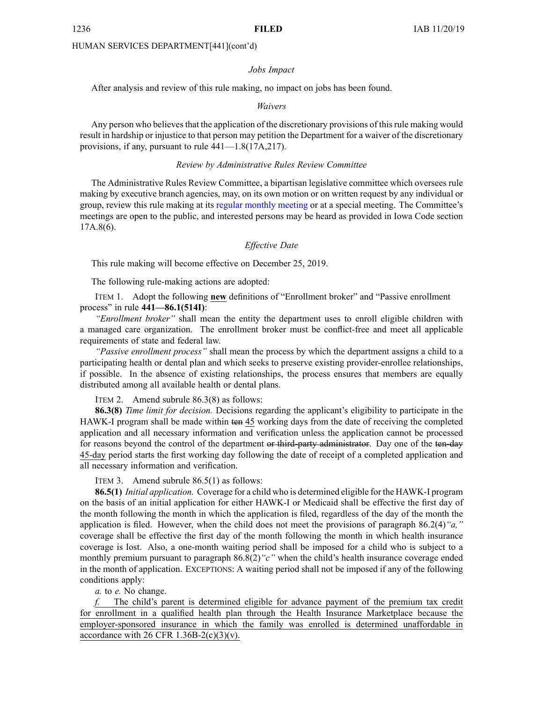#### *Jobs Impact*

After analysis and review of this rule making, no impact on jobs has been found.

#### *Waivers*

Any person who believes that the application of the discretionary provisions of this rule making would result in hardship or injustice to that person may petition the Department for <sup>a</sup> waiver of the discretionary provisions, if any, pursuan<sup>t</sup> to rule 441—1.8(17A,217).

#### *Review by Administrative Rules Review Committee*

The Administrative Rules Review Committee, <sup>a</sup> bipartisan legislative committee which oversees rule making by executive branch agencies, may, on its own motion or on written reques<sup>t</sup> by any individual or group, review this rule making at its regular [monthly](https://www.legis.iowa.gov/committees/meetings/meetingsListComm?groupID=705&ga=88) meeting or at <sup>a</sup> special meeting. The Committee's meetings are open to the public, and interested persons may be heard as provided in Iowa Code section 17A.8(6).

#### *Effective Date*

This rule making will become effective on December 25, 2019.

The following rule-making actions are adopted:

ITEM 1. Adopt the following **new** definitions of "Enrollment broker" and "Passive enrollment process" in rule **441—86.1(514I)**:

*"Enrollment broker"* shall mean the entity the department uses to enroll eligible children with <sup>a</sup> managed care organization. The enrollment broker must be conflict-free and meet all applicable requirements of state and federal law.

*"Passive enrollment process"* shall mean the process by which the department assigns <sup>a</sup> child to <sup>a</sup> participating health or dental plan and which seeks to preserve existing provider-enrollee relationships, if possible. In the absence of existing relationships, the process ensures that members are equally distributed among all available health or dental plans.

ITEM 2. Amend subrule 86.3(8) as follows:

**86.3(8)** *Time limit for decision.* Decisions regarding the applicant's eligibility to participate in the HAWK-I program shall be made within ten 45 working days from the date of receiving the completed application and all necessary information and verification unless the application cannot be processed for reasons beyond the control of the department or third-party administrator. Day one of the ten-day 45-day period starts the first working day following the date of receipt of <sup>a</sup> completed application and all necessary information and verification.

ITEM 3. Amend subrule 86.5(1) as follows:

**86.5(1)** *Initial application.* Coverage for <sup>a</sup> child who is determined eligible for the HAWK-I program on the basis of an initial application for either HAWK-I or Medicaid shall be effective the first day of the month following the month in which the application is filed, regardless of the day of the month the application is filed. However, when the child does not meet the provisions of paragraph 86.2(4)*"a,"* coverage shall be effective the first day of the month following the month in which health insurance coverage is lost. Also, <sup>a</sup> one-month waiting period shall be imposed for <sup>a</sup> child who is subject to <sup>a</sup> monthly premium pursuan<sup>t</sup> to paragraph 86.8(2)*"c"* when the child's health insurance coverage ended in the month of application. EXCEPTIONS: Awaiting period shall not be imposed if any of the following conditions apply:

*a.* to *e.* No change.

*f.* The child's paren<sup>t</sup> is determined eligible for advance paymen<sup>t</sup> of the premium tax credit for enrollment in <sup>a</sup> qualified health plan through the Health Insurance Marketplace because the employer-sponsored insurance in which the family was enrolled is determined unaffordable in accordance with 26 CFR  $1.36B-2(c)(3)(v)$ .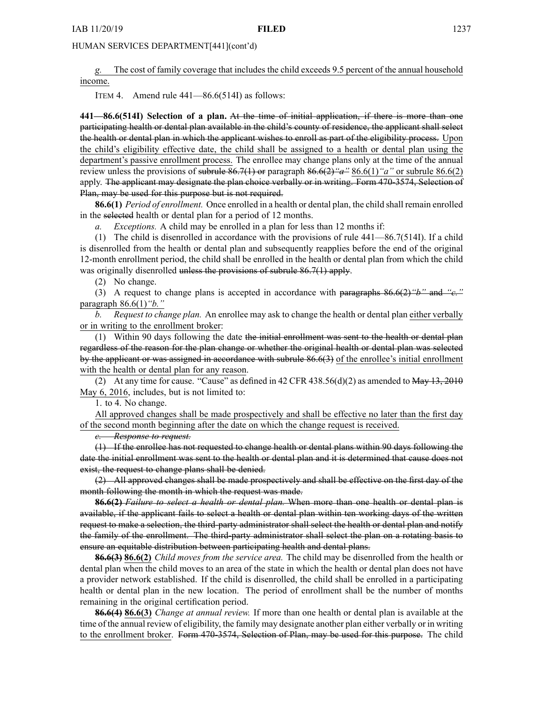*g.* The cost of family coverage that includes the child exceeds 9.5 percen<sup>t</sup> of the annual household income.

ITEM 4. Amend rule 441—86.6(514I) as follows:

**441—86.6(514I) Selection of <sup>a</sup> plan.** At the time of initial application, if there is more than one participating health or dental plan available in the child's county of residence, the applicant shall select the health or dental plan in which the applicant wishes to enroll as par<sup>t</sup> of the eligibility process. Upon the child's eligibility effective date, the child shall be assigned to <sup>a</sup> health or dental plan using the department's passive enrollment process. The enrollee may change plans only at the time of the annual review unless the provisions of subrule 86.7(1) or paragraph 86.6(2)*"a"* 86.6(1)*"a"* or subrule 86.6(2) apply. The applicant may designate the plan choice verbally or in writing. Form 470-3574, Selection of Plan, may be used for this purpose but is not required.

**86.6(1)** *Period of enrollment.* Once enrolled in <sup>a</sup> health or dental plan, the child shall remain enrolled in the selected health or dental plan for <sup>a</sup> period of 12 months.

*a. Exceptions.* A child may be enrolled in <sup>a</sup> plan for less than 12 months if:

(1) The child is disenrolled in accordance with the provisions of rule 441—86.7(514I). If <sup>a</sup> child is disenrolled from the health or dental plan and subsequently reapplies before the end of the original 12-month enrollment period, the child shall be enrolled in the health or dental plan from which the child was originally disenrolled unless the provisions of subrule 86.7(1) apply.

(2) No change.

(3) A reques<sup>t</sup> to change plans is accepted in accordance with paragraphs 86.6(2)*"b"* and *"c."* paragraph 86.6(1)*"b."*

*b. Request to change plan.* An enrollee may ask to change the health or dental plan either verbally or in writing to the enrollment broker:

(1) Within 90 days following the date the initial enrollment was sent to the health or dental plan regardless of the reason for the plan change or whether the original health or dental plan was selected by the applicant or was assigned in accordance with subrule 86.6(3) of the enrollee's initial enrollment with the health or dental plan for any reason.

(2) At any time for cause. "Cause" as defined in  $42$  CFR  $438.56(d)(2)$  as amended to  $\overline{May} + 13, 2010$ May 6, 2016, includes, but is not limited to:

1. to 4. No change.

All approved changes shall be made prospectively and shall be effective no later than the first day of the second month beginning after the date on which the change reques<sup>t</sup> is received.

*c. Response to request.*

(1) If the enrollee has not requested to change health or dental plans within 90 days following the date the initial enrollment was sent to the health or dental plan and it is determined that cause does not exist, the request to change plans shall be denied.

(2) All approved changes shall be made prospectively and shall be effective on the first day of the month following the month in which the reques<sup>t</sup> was made.

**86.6(2)** *Failure to select <sup>a</sup> health or dental plan.* When more than one health or dental plan is available, if the applicant fails to select <sup>a</sup> health or dental plan within ten working days of the written reques<sup>t</sup> to make <sup>a</sup> selection, the third-party administrator shall select the health or dental plan and notify the family of the enrollment. The third-party administrator shall select the plan on <sup>a</sup> rotating basis to ensure an equitable distribution between participating health and dental plans.

**86.6(3) 86.6(2)** *Child moves from the service area.* The child may be disenrolled from the health or dental plan when the child moves to an area of the state in which the health or dental plan does not have <sup>a</sup> provider network established. If the child is disenrolled, the child shall be enrolled in <sup>a</sup> participating health or dental plan in the new location. The period of enrollment shall be the number of months remaining in the original certification period.

**86.6(4) 86.6(3)** *Change at annual review.* If more than one health or dental plan is available at the time of the annual review of eligibility, the family may designate another plan either verbally or in writing to the enrollment broker. Form 470-3574, Selection of Plan, may be used for this purpose. The child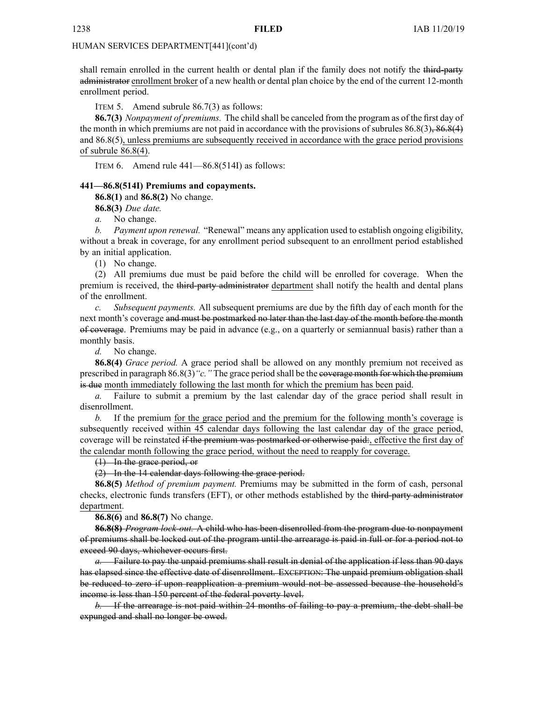shall remain enrolled in the current health or dental plan if the family does not notify the third-party administrator enrollment broker of <sup>a</sup> new health or dental plan choice by the end of the current 12-month enrollment period.

ITEM 5. Amend subrule 86.7(3) as follows:

**86.7(3)** *Nonpayment of premiums.* The child shall be canceled from the program as of the first day of the month in which premiums are not paid in accordance with the provisions of subrules  $86.8(3)$ ,  $86.8(4)$ and 86.8(5), unless premiums are subsequently received in accordance with the grace period provisions of subrule 86.8(4).

ITEM 6. Amend rule 441—86.8(514I) as follows:

# **441—86.8(514I) Premiums and copayments.**

**86.8(1)** and **86.8(2)** No change.

**86.8(3)** *Due date.*

*a.* No change.

*b. Payment upon renewal.* "Renewal" means any application used to establish ongoing eligibility, without <sup>a</sup> break in coverage, for any enrollment period subsequent to an enrollment period established by an initial application.

(1) No change.

(2) All premiums due must be paid before the child will be enrolled for coverage. When the premium is received, the third-party administrator department shall notify the health and dental plans of the enrollment.

*c. Subsequent payments.* All subsequent premiums are due by the fifth day of each month for the next month's coverage and must be postmarked no later than the last day of the month before the month of coverage. Premiums may be paid in advance (e.g., on <sup>a</sup> quarterly or semiannual basis) rather than <sup>a</sup> monthly basis.

*d.* No change.

**86.8(4)** *Grace period.* A grace period shall be allowed on any monthly premium not received as prescribed in paragraph 86.8(3)*"c."* The grace period shall be the coverage month for which the premium is due month immediately following the last month for which the premium has been paid.

*a.* Failure to submit <sup>a</sup> premium by the last calendar day of the grace period shall result in disenrollment.

*b.* If the premium for the grace period and the premium for the following month's coverage is subsequently received within 45 calendar days following the last calendar day of the grace period, coverage will be reinstated if the premium was postmarked or otherwise paid:, effective the first day of the calendar month following the grace period, without the need to reapply for coverage.

(1) In the grace period, or

(2) In the 14 calendar days following the grace period.

**86.8(5)** *Method of premium payment.* Premiums may be submitted in the form of cash, personal checks, electronic funds transfers (EFT), or other methods established by the third-party administrator department.

**86.8(6)** and **86.8(7)** No change.

**86.8(8)** *Program lock-out.* A child who has been disenrolled from the program due to nonpaymen<sup>t</sup> of premiums shall be locked out of the program until the arrearage is paid in full or for <sup>a</sup> period not to exceed 90 days, whichever occurs first.

*a.* Failure to pay the unpaid premiums shall result in denial of the application if less than 90 days has elapsed since the effective date of disenrollment. EXCEPTION: The unpaid premium obligation shall be reduced to zero if upon reapplication <sup>a</sup> premium would not be assessed because the household's income is less than 150 percen<sup>t</sup> of the federal poverty level.

*b.* If the arrearage is not paid within 24 months of failing to pay <sup>a</sup> premium, the debt shall be expunged and shall no longer be owed.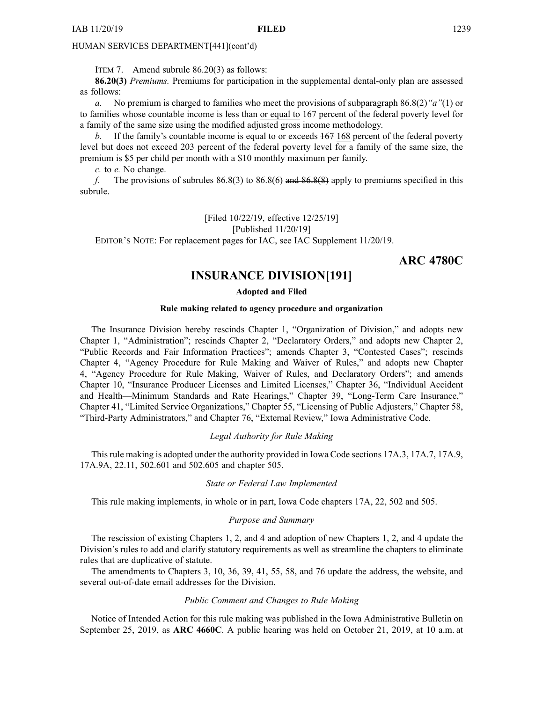ITEM 7. Amend subrule 86.20(3) as follows:

**86.20(3)** *Premiums.* Premiums for participation in the supplemental dental-only plan are assessed as follows:

*a.* No premium is charged to families who meet the provisions of subparagraph 86.8(2)*"a"*(1) or to families whose countable income is less than or equal to 167 percen<sup>t</sup> of the federal poverty level for <sup>a</sup> family of the same size using the modified adjusted gross income methodology.

*b.* If the family's countable income is equal to or exceeds 167 168 percen<sup>t</sup> of the federal poverty level but does not exceed 203 percen<sup>t</sup> of the federal poverty level for <sup>a</sup> family of the same size, the premium is \$5 per child per month with <sup>a</sup> \$10 monthly maximum per family.

*c.* to *e.* No change.

*f.* The provisions of subrules 86.8(3) to 86.8(6) and 86.8(8) apply to premiums specified in this subrule.

[Filed 10/22/19, effective 12/25/19]

[Published 11/20/19]

EDITOR'<sup>S</sup> NOTE: For replacement pages for IAC, see IAC Supplement 11/20/19.

**ARC 4780C**

# **INSURANCE DIVISION[191]**

# **Adopted and Filed**

#### **Rule making related to agency procedure and organization**

The Insurance Division hereby rescinds Chapter 1, "Organization of Division," and adopts new Chapter 1, "Administration"; rescinds Chapter 2, "Declaratory Orders," and adopts new Chapter 2, "Public Records and Fair Information Practices"; amends Chapter 3, "Contested Cases"; rescinds Chapter 4, "Agency Procedure for Rule Making and Waiver of Rules," and adopts new Chapter 4, "Agency Procedure for Rule Making, Waiver of Rules, and Declaratory Orders"; and amends Chapter 10, "Insurance Producer Licenses and Limited Licenses," Chapter 36, "Individual Accident and Health—Minimum Standards and Rate Hearings," Chapter 39, "Long-Term Care Insurance," Chapter 41, "Limited Service Organizations," Chapter 55, "Licensing of Public Adjusters," Chapter 58, "Third-Party Administrators," and Chapter 76, "External Review," Iowa Administrative Code.

# *Legal Authority for Rule Making*

This rule making is adopted under the authority provided in Iowa Code sections 17A.3, 17A.7, 17A.9, 17A.9A, 22.11, 502.601 and 502.605 and chapter 505.

# *State or Federal Law Implemented*

This rule making implements, in whole or in part, Iowa Code chapters 17A, 22, 502 and 505.

#### *Purpose and Summary*

The rescission of existing Chapters 1, 2, and 4 and adoption of new Chapters 1, 2, and 4 update the Division's rules to add and clarify statutory requirements as well as streamline the chapters to eliminate rules that are duplicative of statute.

The amendments to Chapters 3, 10, 36, 39, 41, 55, 58, and 76 update the address, the website, and several out-of-date email addresses for the Division.

# *Public Comment and Changes to Rule Making*

Notice of Intended Action for this rule making was published in the Iowa Administrative Bulletin on September 25, 2019, as **ARC 4660C**. A public hearing was held on October 21, 2019, at 10 a.m. at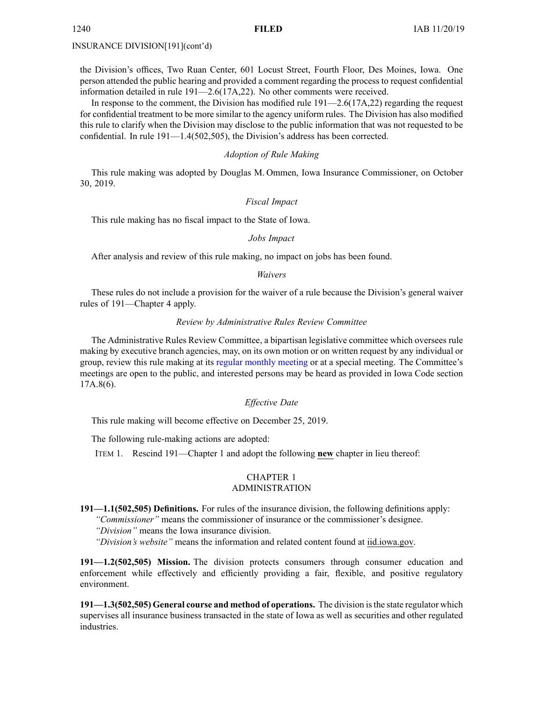the Division's offices, Two Ruan Center, 601 Locust Street, Fourth Floor, Des Moines, Iowa. One person attended the public hearing and provided <sup>a</sup> comment regarding the process to reques<sup>t</sup> confidential information detailed in rule 191—2.6(17A,22). No other comments were received.

In response to the comment, the Division has modified rule 191—2.6(17A,22) regarding the reques<sup>t</sup> for confidential treatment to be more similar to the agency uniform rules. The Division has also modified this rule to clarify when the Division may disclose to the public information that was not requested to be confidential. In rule 191—1.4(502,505), the Division's address has been corrected.

#### *Adoption of Rule Making*

This rule making was adopted by Douglas M. Ommen, Iowa Insurance Commissioner, on October 30, 2019.

# *Fiscal Impact*

This rule making has no fiscal impact to the State of Iowa.

### *Jobs Impact*

After analysis and review of this rule making, no impact on jobs has been found.

#### *Waivers*

These rules do not include <sup>a</sup> provision for the waiver of <sup>a</sup> rule because the Division's general waiver rules of 191—Chapter 4 apply.

#### *Review by Administrative Rules Review Committee*

The Administrative Rules Review Committee, <sup>a</sup> bipartisan legislative committee which oversees rule making by executive branch agencies, may, on its own motion or on written reques<sup>t</sup> by any individual or group, review this rule making at its regular [monthly](https://www.legis.iowa.gov/committees/meetings/meetingsListComm?groupID=705&ga=88) meeting or at <sup>a</sup> special meeting. The Committee's meetings are open to the public, and interested persons may be heard as provided in Iowa Code section 17A.8(6).

## *Effective Date*

This rule making will become effective on December 25, 2019.

The following rule-making actions are adopted:

ITEM 1. Rescind 191—Chapter 1 and adopt the following **new** chapter in lieu thereof:

# CHAPTER 1 ADMINISTRATION

**191—1.1(502,505) Definitions.** For rules of the insurance division, the following definitions apply: *"Commissioner"* means the commissioner of insurance or the commissioner's designee.

*"Division"* means the Iowa insurance division.

*"Division's website"* means the information and related content found at [iid.iowa.gov](http://iid.iowa.gov).

**191—1.2(502,505) Mission.** The division protects consumers through consumer education and enforcement while effectively and efficiently providing <sup>a</sup> fair, flexible, and positive regulatory environment.

**191—1.3(502,505) General course and method of operations.** The division isthe state regulator which supervises all insurance business transacted in the state of Iowa as well as securities and other regulated industries.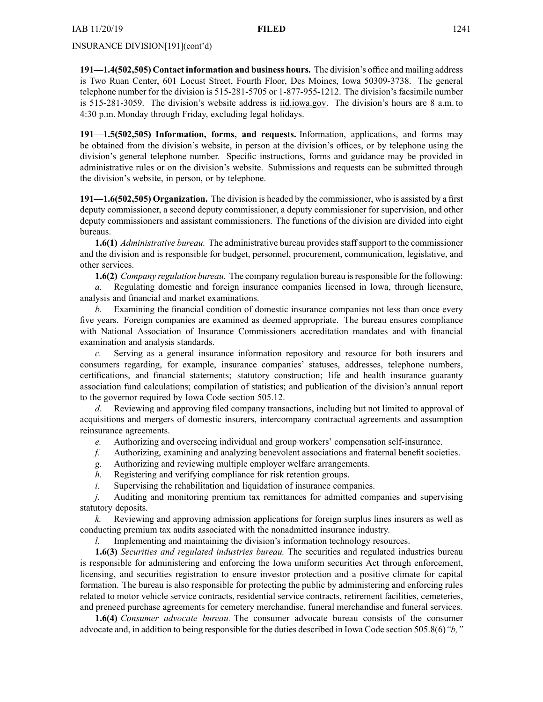**191—1.4(502,505) Contact information and business hours.** The division's office and mailing address is Two Ruan Center, 601 Locust Street, Fourth Floor, Des Moines, Iowa 50309-3738. The general telephone number for the division is 515-281-5705 or 1-877-955-1212. The division's facsimile number is 515-281-3059. The division's website address is [iid.iowa.gov](http://iid.iowa.gov). The division's hours are 8 a.m. to 4:30 p.m. Monday through Friday, excluding legal holidays.

**191—1.5(502,505) Information, forms, and requests.** Information, applications, and forms may be obtained from the division's website, in person at the division's offices, or by telephone using the division's general telephone number. Specific instructions, forms and guidance may be provided in administrative rules or on the division's website. Submissions and requests can be submitted through the division's website, in person, or by telephone.

**191—1.6(502,505) Organization.** The division is headed by the commissioner, who is assisted by <sup>a</sup> first deputy commissioner, <sup>a</sup> second deputy commissioner, <sup>a</sup> deputy commissioner for supervision, and other deputy commissioners and assistant commissioners. The functions of the division are divided into eight bureaus.

**1.6(1)** *Administrative bureau.* The administrative bureau provides staff suppor<sup>t</sup> to the commissioner and the division and is responsible for budget, personnel, procurement, communication, legislative, and other services.

**1.6(2)** *Company regulation bureau.* The company regulation bureau isresponsible for the following:

*a.* Regulating domestic and foreign insurance companies licensed in Iowa, through licensure, analysis and financial and market examinations.

*b.* Examining the financial condition of domestic insurance companies not less than once every five years. Foreign companies are examined as deemed appropriate. The bureau ensures compliance with National Association of Insurance Commissioners accreditation mandates and with financial examination and analysis standards.

*c.* Serving as <sup>a</sup> general insurance information repository and resource for both insurers and consumers regarding, for example, insurance companies' statuses, addresses, telephone numbers, certifications, and financial statements; statutory construction; life and health insurance guaranty association fund calculations; compilation of statistics; and publication of the division's annual repor<sup>t</sup> to the governor required by Iowa Code section [505.12](https://www.legis.iowa.gov/docs/ico/section/505.12.pdf).

*d.* Reviewing and approving filed company transactions, including but not limited to approval of acquisitions and mergers of domestic insurers, intercompany contractual agreements and assumption reinsurance agreements.

- *e.* Authorizing and overseeing individual and group workers' compensation self-insurance.
- *f.* Authorizing, examining and analyzing benevolent associations and fraternal benefit societies.
- *g.* Authorizing and reviewing multiple employer welfare arrangements.
- *h.* Registering and verifying compliance for risk retention groups.
- *i.* Supervising the rehabilitation and liquidation of insurance companies.

*j.* Auditing and monitoring premium tax remittances for admitted companies and supervising statutory deposits.

*k.* Reviewing and approving admission applications for foreign surplus lines insurers as well as conducting premium tax audits associated with the nonadmitted insurance industry.

*l.* Implementing and maintaining the division's information technology resources.

**1.6(3)** *Securities and regulated industries bureau.* The securities and regulated industries bureau is responsible for administering and enforcing the Iowa uniform securities Act through enforcement, licensing, and securities registration to ensure investor protection and <sup>a</sup> positive climate for capital formation. The bureau is also responsible for protecting the public by administering and enforcing rules related to motor vehicle service contracts, residential service contracts, retirement facilities, cemeteries, and preneed purchase agreements for cemetery merchandise, funeral merchandise and funeral services.

**1.6(4)** *Consumer advocate bureau.* The consumer advocate bureau consists of the consumer advocate and, in addition to being responsible for the duties described in Iowa Code section [505.8\(6\)](https://www.legis.iowa.gov/docs/ico/section/505.8.pdf)*"b,"*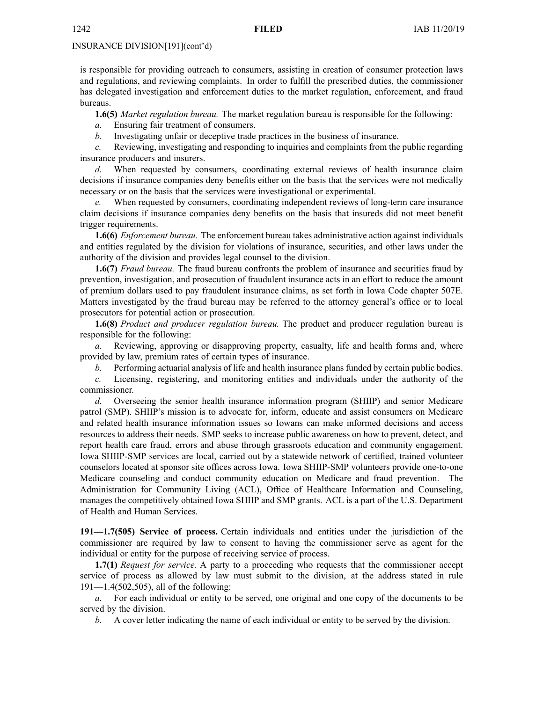is responsible for providing outreach to consumers, assisting in creation of consumer protection laws and regulations, and reviewing complaints. In order to fulfill the prescribed duties, the commissioner has delegated investigation and enforcement duties to the market regulation, enforcement, and fraud bureaus.

**1.6(5)** *Market regulation bureau.* The market regulation bureau is responsible for the following:

*a.* Ensuring fair treatment of consumers.

*b.* Investigating unfair or deceptive trade practices in the business of insurance.

*c.* Reviewing, investigating and responding to inquiries and complaints from the public regarding insurance producers and insurers.

*d.* When requested by consumers, coordinating external reviews of health insurance claim decisions if insurance companies deny benefits either on the basis that the services were not medically necessary or on the basis that the services were investigational or experimental.

*e.* When requested by consumers, coordinating independent reviews of long-term care insurance claim decisions if insurance companies deny benefits on the basis that insureds did not meet benefit trigger requirements.

**1.6(6)** *Enforcement bureau.* The enforcement bureau takes administrative action against individuals and entities regulated by the division for violations of insurance, securities, and other laws under the authority of the division and provides legal counsel to the division.

**1.6(7)** *Fraud bureau.* The fraud bureau confronts the problem of insurance and securities fraud by prevention, investigation, and prosecution of fraudulent insurance acts in an effort to reduce the amount of premium dollars used to pay fraudulent insurance claims, as set forth in Iowa Code chapter [507E](https://www.legis.iowa.gov/docs/ico/chapter/507E.pdf). Matters investigated by the fraud bureau may be referred to the attorney general's office or to local prosecutors for potential action or prosecution.

**1.6(8)** *Product and producer regulation bureau.* The product and producer regulation bureau is responsible for the following:

*a.* Reviewing, approving or disapproving property, casualty, life and health forms and, where provided by law, premium rates of certain types of insurance.

*b.* Performing actuarial analysis of life and health insurance plans funded by certain public bodies.

*c.* Licensing, registering, and monitoring entities and individuals under the authority of the commissioner.

*d.* Overseeing the senior health insurance information program (SHIIP) and senior Medicare patrol (SMP). SHIIP's mission is to advocate for, inform, educate and assist consumers on Medicare and related health insurance information issues so Iowans can make informed decisions and access resources to address their needs. SMP seeks to increase public awareness on how to prevent, detect, and repor<sup>t</sup> health care fraud, errors and abuse through grassroots education and community engagement. Iowa SHIIP-SMP services are local, carried out by <sup>a</sup> statewide network of certified, trained volunteer counselors located at sponsor site offices across Iowa. Iowa SHIIP-SMP volunteers provide one-to-one Medicare counseling and conduct community education on Medicare and fraud prevention. The Administration for Community Living (ACL), Office of Healthcare Information and Counseling, manages the competitively obtained Iowa SHIIP and SMP grants. ACL is <sup>a</sup> par<sup>t</sup> of the U.S. Department of Health and Human Services.

**191—1.7(505) Service of process.** Certain individuals and entities under the jurisdiction of the commissioner are required by law to consent to having the commissioner serve as agen<sup>t</sup> for the individual or entity for the purpose of receiving service of process.

**1.7(1)** *Request for service.* A party to <sup>a</sup> proceeding who requests that the commissioner accep<sup>t</sup> service of process as allowed by law must submit to the division, at the address stated in rule 191—1.4(502,505), all of the following:

*a.* For each individual or entity to be served, one original and one copy of the documents to be served by the division.

*b.* A cover letter indicating the name of each individual or entity to be served by the division.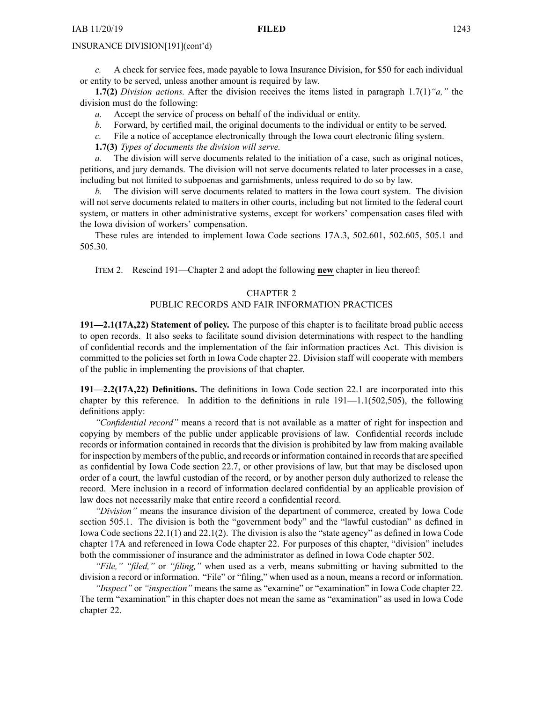*c.* A check for service fees, made payable to Iowa Insurance Division, for \$50 for each individual or entity to be served, unless another amount is required by law.

**1.7(2)** *Division actions.* After the division receives the items listed in paragraph 1.7(1)*"a,"* the division must do the following:

- *a.* Accept the service of process on behalf of the individual or entity.
- *b.* Forward, by certified mail, the original documents to the individual or entity to be served.
- *c.* File <sup>a</sup> notice of acceptance electronically through the Iowa court electronic filing system.

**1.7(3)** *Types of documents the division will serve.*

*a.* The division will serve documents related to the initiation of <sup>a</sup> case, such as original notices, petitions, and jury demands. The division will not serve documents related to later processes in <sup>a</sup> case, including but not limited to subpoenas and garnishments, unless required to do so by law.

*b.* The division will serve documents related to matters in the Iowa court system. The division will not serve documents related to matters in other courts, including but not limited to the federal court system, or matters in other administrative systems, excep<sup>t</sup> for workers' compensation cases filed with the Iowa division of workers' compensation.

These rules are intended to implement Iowa Code sections [17A.3](https://www.legis.iowa.gov/docs/ico/section/17A.3.pdf), [502.601](https://www.legis.iowa.gov/docs/ico/section/502.601.pdf), [502.605](https://www.legis.iowa.gov/docs/ico/section/502.605.pdf), [505.1](https://www.legis.iowa.gov/docs/ico/section/505.1.pdf) and [505.30](https://www.legis.iowa.gov/docs/ico/section/505.30.pdf).

ITEM 2. Rescind 191—Chapter 2 and adopt the following **new** chapter in lieu thereof:

# CHAPTER 2

# PUBLIC RECORDS AND FAIR INFORMATION PRACTICES

**191—2.1(17A,22) Statement of policy.** The purpose of this chapter is to facilitate broad public access to open records. It also seeks to facilitate sound division determinations with respec<sup>t</sup> to the handling of confidential records and the implementation of the fair information practices Act. This division is committed to the policies set forth in Iowa Code chapter [22](https://www.legis.iowa.gov/docs/ico/chapter/22.pdf). Division staff will cooperate with members of the public in implementing the provisions of that chapter.

**191—2.2(17A,22) Definitions.** The definitions in Iowa Code section [22.1](https://www.legis.iowa.gov/docs/ico/section/22.1.pdf) are incorporated into this chapter by this reference. In addition to the definitions in rule  $191-1.1(502,505)$ , the following definitions apply:

*"Confidential record"* means <sup>a</sup> record that is not available as <sup>a</sup> matter of right for inspection and copying by members of the public under applicable provisions of law. Confidential records include records or information contained in records that the division is prohibited by law from making available for inspection by members of the public, and records or information contained in records that are specified as confidential by Iowa Code section [22.7](https://www.legis.iowa.gov/docs/ico/section/22.7.pdf), or other provisions of law, but that may be disclosed upon order of <sup>a</sup> court, the lawful custodian of the record, or by another person duly authorized to release the record. Mere inclusion in <sup>a</sup> record of information declared confidential by an applicable provision of law does not necessarily make that entire record <sup>a</sup> confidential record.

*"Division"* means the insurance division of the department of commerce, created by Iowa Code section [505.1](https://www.legis.iowa.gov/docs/ico/section/505.1.pdf). The division is both the "government body" and the "lawful custodian" as defined in Iowa Code sections [22.1\(1\)](https://www.legis.iowa.gov/docs/ico/section/22.1.pdf) and [22.1\(2\)](https://www.legis.iowa.gov/docs/ico/section/22.1.pdf). The division is also the "state agency" as defined in Iowa Code chapter [17A](https://www.legis.iowa.gov/docs/ico/chapter/17A.pdf) and referenced in Iowa Code chapter [22](https://www.legis.iowa.gov/docs/ico/chapter/22.pdf). For purposes of this chapter, "division" includes both the commissioner of insurance and the administrator as defined in Iowa Code chapter [502](https://www.legis.iowa.gov/docs/ico/chapter/502.pdf).

*"File," "filed,"* or *"filing,"* when used as <sup>a</sup> verb, means submitting or having submitted to the division <sup>a</sup> record or information. "File" or "filing," when used as <sup>a</sup> noun, means <sup>a</sup> record or information.

*"Inspect"* or *"inspection"* means the same as "examine" or "examination" in Iowa Code chapter [22](https://www.legis.iowa.gov/docs/ico/chapter/22.pdf). The term "examination" in this chapter does not mean the same as "examination" as used in Iowa Code chapter [22](https://www.legis.iowa.gov/docs/ico/chapter/22.pdf).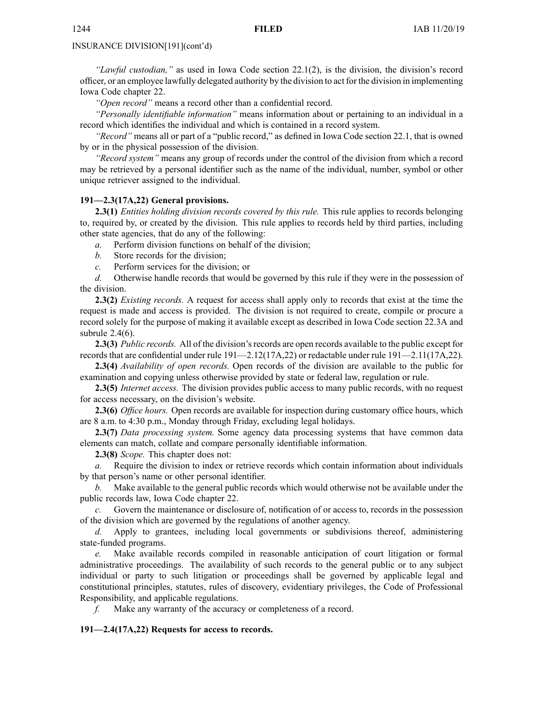*"Lawful custodian,"* as used in Iowa Code section [22.1\(2\)](https://www.legis.iowa.gov/docs/ico/section/22.1.pdf), is the division, the division's record officer, or an employee lawfully delegated authority by the division to act for the division in implementing Iowa Code chapter [22](https://www.legis.iowa.gov/docs/ico/chapter/22.pdf).

*"Open record"* means <sup>a</sup> record other than <sup>a</sup> confidential record.

*"Personally identifiable information"* means information about or pertaining to an individual in <sup>a</sup> record which identifies the individual and which is contained in <sup>a</sup> record system.

*"Record"* means all or par<sup>t</sup> of <sup>a</sup> "public record," as defined in Iowa Code section [22.1](https://www.legis.iowa.gov/docs/ico/section/22.1.pdf), that is owned by or in the physical possession of the division.

*"Record system"* means any group of records under the control of the division from which <sup>a</sup> record may be retrieved by <sup>a</sup> personal identifier such as the name of the individual, number, symbol or other unique retriever assigned to the individual.

#### **191—2.3(17A,22) General provisions.**

**2.3(1)** *Entities holding division records covered by this rule.* This rule applies to records belonging to, required by, or created by the division. This rule applies to records held by third parties, including other state agencies, that do any of the following:

*a.* Perform division functions on behalf of the division;

- *b.* Store records for the division;
- *c.* Perform services for the division; or

*d.* Otherwise handle records that would be governed by this rule if they were in the possession of the division.

**2.3(2)** *Existing records.* A reques<sup>t</sup> for access shall apply only to records that exist at the time the reques<sup>t</sup> is made and access is provided. The division is not required to create, compile or procure <sup>a</sup> record solely for the purpose of making it available excep<sup>t</sup> as described in Iowa Code section [22.3A](https://www.legis.iowa.gov/docs/ico/section/22.3A.pdf) and subrule 2.4(6).

**2.3(3)** *Public records.* All of the division's records are open records available to the public except for records that are confidential under rule 191—2.12(17A,22) or redactable under rule 191—2.11(17A,22).

**2.3(4)** *Availability of open records.* Open records of the division are available to the public for examination and copying unless otherwise provided by state or federal law, regulation or rule.

**2.3(5)** *Internet access.* The division provides public access to many public records, with no reques<sup>t</sup> for access necessary, on the division's website.

**2.3(6)** *Office hours.* Open records are available for inspection during customary office hours, which are 8 a.m. to 4:30 p.m., Monday through Friday, excluding legal holidays.

**2.3(7)** *Data processing system.* Some agency data processing systems that have common data elements can match, collate and compare personally identifiable information.

**2.3(8)** *Scope.* This chapter does not:

*a.* Require the division to index or retrieve records which contain information about individuals by that person's name or other personal identifier.

*b.* Make available to the general public records which would otherwise not be available under the public records law, Iowa Code chapter [22](https://www.legis.iowa.gov/docs/ico/chapter/22.pdf).

*c.* Govern the maintenance or disclosure of, notification of or access to, records in the possession of the division which are governed by the regulations of another agency.

*d.* Apply to grantees, including local governments or subdivisions thereof, administering state-funded programs.

*e.* Make available records compiled in reasonable anticipation of court litigation or formal administrative proceedings. The availability of such records to the general public or to any subject individual or party to such litigation or proceedings shall be governed by applicable legal and constitutional principles, statutes, rules of discovery, evidentiary privileges, the Code of Professional Responsibility, and applicable regulations.

*f.* Make any warranty of the accuracy or completeness of <sup>a</sup> record.

# **191—2.4(17A,22) Requests for access to records.**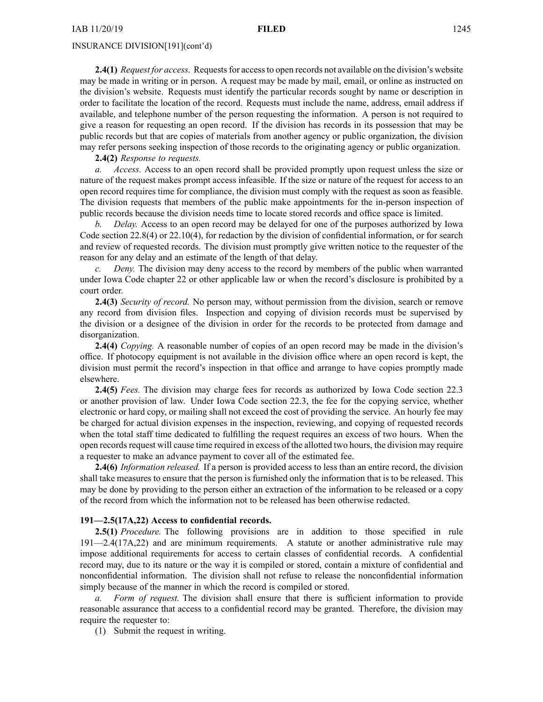**2.4(1)** *Request for access.* Requestsfor accessto open records not available on the division's website may be made in writing or in person. A reques<sup>t</sup> may be made by mail, email, or online as instructed on the division's website. Requests must identify the particular records sought by name or description in order to facilitate the location of the record. Requests must include the name, address, email address if available, and telephone number of the person requesting the information. A person is not required to give <sup>a</sup> reason for requesting an open record. If the division has records in its possession that may be public records but that are copies of materials from another agency or public organization, the division may refer persons seeking inspection of those records to the originating agency or public organization.

**2.4(2)** *Response to requests.*

*a. Access.* Access to an open record shall be provided promptly upon reques<sup>t</sup> unless the size or nature of the reques<sup>t</sup> makes promp<sup>t</sup> access infeasible. If the size or nature of the reques<sup>t</sup> for access to an open record requires time for compliance, the division must comply with the reques<sup>t</sup> as soon as feasible. The division requests that members of the public make appointments for the in-person inspection of public records because the division needs time to locate stored records and office space is limited.

*b. Delay.* Access to an open record may be delayed for one of the purposes authorized by Iowa Code section [22.8\(4\)](https://www.legis.iowa.gov/docs/ico/section/22.8.pdf) or [22.10\(4\)](https://www.legis.iowa.gov/docs/ico/section/22.10.pdf), for redaction by the division of confidential information, or for search and review of requested records. The division must promptly give written notice to the requester of the reason for any delay and an estimate of the length of that delay.

*Deny.* The division may deny access to the record by members of the public when warranted under Iowa Code chapter [22](https://www.legis.iowa.gov/docs/ico/chapter/22.pdf) or other applicable law or when the record's disclosure is prohibited by <sup>a</sup> court order.

**2.4(3)** *Security of record.* No person may, without permission from the division, search or remove any record from division files. Inspection and copying of division records must be supervised by the division or <sup>a</sup> designee of the division in order for the records to be protected from damage and disorganization.

**2.4(4)** *Copying.* A reasonable number of copies of an open record may be made in the division's office. If photocopy equipment is not available in the division office where an open record is kept, the division must permit the record's inspection in that office and arrange to have copies promptly made elsewhere.

**2.4(5)** *Fees.* The division may charge fees for records as authorized by Iowa Code section [22.3](https://www.legis.iowa.gov/docs/ico/section/22.3.pdf) or another provision of law. Under Iowa Code section [22.3](https://www.legis.iowa.gov/docs/ico/section/22.3.pdf), the fee for the copying service, whether electronic or hard copy, or mailing shall not exceed the cost of providing the service. An hourly fee may be charged for actual division expenses in the inspection, reviewing, and copying of requested records when the total staff time dedicated to fulfilling the reques<sup>t</sup> requires an excess of two hours. When the open recordsrequest will cause time required in excess of the allotted two hours, the division may require <sup>a</sup> requester to make an advance paymen<sup>t</sup> to cover all of the estimated fee.

**2.4(6)** *Information released.* If <sup>a</sup> person is provided access to less than an entire record, the division shall take measures to ensure that the person is furnished only the information that is to be released. This may be done by providing to the person either an extraction of the information to be released or <sup>a</sup> copy of the record from which the information not to be released has been otherwise redacted.

# **191—2.5(17A,22) Access to confidential records.**

**2.5(1)** *Procedure.* The following provisions are in addition to those specified in rule 191—2.4(17A,22) and are minimum requirements. A statute or another administrative rule may impose additional requirements for access to certain classes of confidential records. A confidential record may, due to its nature or the way it is compiled or stored, contain <sup>a</sup> mixture of confidential and nonconfidential information. The division shall not refuse to release the nonconfidential information simply because of the manner in which the record is compiled or stored.

*a. Form of request.* The division shall ensure that there is sufficient information to provide reasonable assurance that access to <sup>a</sup> confidential record may be granted. Therefore, the division may require the requester to:

(1) Submit the reques<sup>t</sup> in writing.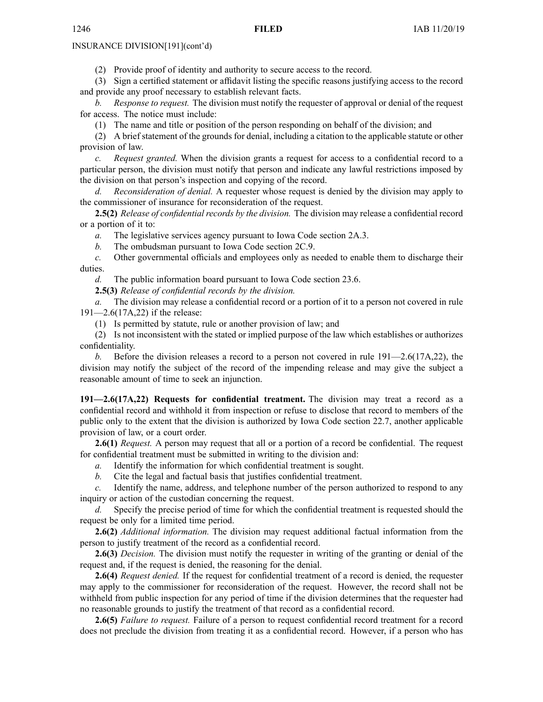(2) Provide proof of identity and authority to secure access to the record.

(3) Sign <sup>a</sup> certified statement or affidavit listing the specific reasons justifying access to the record and provide any proof necessary to establish relevant facts.

*b. Response to request.* The division must notify the requester of approval or denial of the reques<sup>t</sup> for access. The notice must include:

(1) The name and title or position of the person responding on behalf of the division; and

(2) A brief statement of the grounds for denial, including <sup>a</sup> citation to the applicable statute or other provision of law.

*c. Request granted.* When the division grants <sup>a</sup> reques<sup>t</sup> for access to <sup>a</sup> confidential record to <sup>a</sup> particular person, the division must notify that person and indicate any lawful restrictions imposed by the division on that person's inspection and copying of the record.

*d. Reconsideration of denial.* A requester whose reques<sup>t</sup> is denied by the division may apply to the commissioner of insurance for reconsideration of the request.

**2.5(2)** *Release of confidential records by the division.* The division may release <sup>a</sup> confidential record or <sup>a</sup> portion of it to:

*a.* The legislative services agency pursuan<sup>t</sup> to Iowa Code section [2A.3](https://www.legis.iowa.gov/docs/ico/section/2A.3.pdf).

*b.* The ombudsman pursuan<sup>t</sup> to Iowa Code section [2C.9](https://www.legis.iowa.gov/docs/ico/section/2C.9.pdf).

*c.* Other governmental officials and employees only as needed to enable them to discharge their duties.

*d.* The public information board pursuan<sup>t</sup> to Iowa Code section [23.6](https://www.legis.iowa.gov/docs/ico/section/23.6.pdf).

**2.5(3)** *Release of confidential records by the division.*

*a.* The division may release <sup>a</sup> confidential record or <sup>a</sup> portion of it to <sup>a</sup> person not covered in rule 191—2.6(17A,22) if the release:

(1) Is permitted by statute, rule or another provision of law; and

(2) Is not inconsistent with the stated or implied purpose of the law which establishes or authorizes confidentiality.

*b.* Before the division releases <sup>a</sup> record to <sup>a</sup> person not covered in rule 191—2.6(17A,22), the division may notify the subject of the record of the impending release and may give the subject <sup>a</sup> reasonable amount of time to seek an injunction.

**191—2.6(17A,22) Requests for confidential treatment.** The division may treat <sup>a</sup> record as <sup>a</sup> confidential record and withhold it from inspection or refuse to disclose that record to members of the public only to the extent that the division is authorized by Iowa Code section [22.7](https://www.legis.iowa.gov/docs/ico/section/22.7.pdf), another applicable provision of law, or <sup>a</sup> court order.

**2.6(1)** *Request.* A person may reques<sup>t</sup> that all or <sup>a</sup> portion of <sup>a</sup> record be confidential. The reques<sup>t</sup> for confidential treatment must be submitted in writing to the division and:

*a.* Identify the information for which confidential treatment is sought.

*b.* Cite the legal and factual basis that justifies confidential treatment.

*c.* Identify the name, address, and telephone number of the person authorized to respond to any inquiry or action of the custodian concerning the request.

*d.* Specify the precise period of time for which the confidential treatment is requested should the reques<sup>t</sup> be only for <sup>a</sup> limited time period.

**2.6(2)** *Additional information.* The division may reques<sup>t</sup> additional factual information from the person to justify treatment of the record as <sup>a</sup> confidential record.

**2.6(3)** *Decision.* The division must notify the requester in writing of the granting or denial of the reques<sup>t</sup> and, if the reques<sup>t</sup> is denied, the reasoning for the denial.

**2.6(4)** *Request denied.* If the reques<sup>t</sup> for confidential treatment of <sup>a</sup> record is denied, the requester may apply to the commissioner for reconsideration of the request. However, the record shall not be withheld from public inspection for any period of time if the division determines that the requester had no reasonable grounds to justify the treatment of that record as <sup>a</sup> confidential record.

**2.6(5)** *Failure to request.* Failure of <sup>a</sup> person to reques<sup>t</sup> confidential record treatment for <sup>a</sup> record does not preclude the division from treating it as <sup>a</sup> confidential record. However, if <sup>a</sup> person who has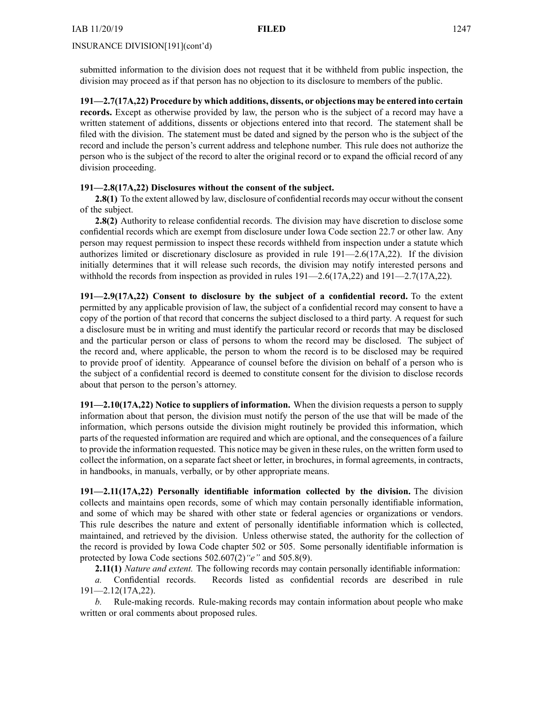submitted information to the division does not reques<sup>t</sup> that it be withheld from public inspection, the division may proceed as if that person has no objection to its disclosure to members of the public.

**191—2.7(17A,22) Procedure by which additions, dissents, or objections may be entered into certain records.** Except as otherwise provided by law, the person who is the subject of <sup>a</sup> record may have <sup>a</sup> written statement of additions, dissents or objections entered into that record. The statement shall be filed with the division. The statement must be dated and signed by the person who is the subject of the record and include the person's current address and telephone number. This rule does not authorize the person who is the subject of the record to alter the original record or to expand the official record of any division proceeding.

# **191—2.8(17A,22) Disclosures without the consent of the subject.**

**2.8(1)** To the extent allowed by law, disclosure of confidential records may occur without the consent of the subject.

**2.8(2)** Authority to release confidential records. The division may have discretion to disclose some confidential records which are exemp<sup>t</sup> from disclosure under Iowa Code section [22.7](https://www.legis.iowa.gov/docs/ico/section/22.7.pdf) or other law. Any person may reques<sup>t</sup> permission to inspect these records withheld from inspection under <sup>a</sup> statute which authorizes limited or discretionary disclosure as provided in rule 191—2.6(17A,22). If the division initially determines that it will release such records, the division may notify interested persons and withhold the records from inspection as provided in rules 191—2.6(17A,22) and 191—2.7(17A,22).

**191—2.9(17A,22) Consent to disclosure by the subject of <sup>a</sup> confidential record.** To the extent permitted by any applicable provision of law, the subject of <sup>a</sup> confidential record may consent to have <sup>a</sup> copy of the portion of that record that concerns the subject disclosed to <sup>a</sup> third party. A reques<sup>t</sup> for such <sup>a</sup> disclosure must be in writing and must identify the particular record or records that may be disclosed and the particular person or class of persons to whom the record may be disclosed. The subject of the record and, where applicable, the person to whom the record is to be disclosed may be required to provide proof of identity. Appearance of counsel before the division on behalf of <sup>a</sup> person who is the subject of <sup>a</sup> confidential record is deemed to constitute consent for the division to disclose records about that person to the person's attorney.

**191—2.10(17A,22) Notice to suppliers of information.** When the division requests <sup>a</sup> person to supply information about that person, the division must notify the person of the use that will be made of the information, which persons outside the division might routinely be provided this information, which parts of the requested information are required and which are optional, and the consequences of <sup>a</sup> failure to provide the information requested. This notice may be given in these rules, on the written form used to collect the information, on <sup>a</sup> separate fact sheet or letter, in brochures, in formal agreements, in contracts, in handbooks, in manuals, verbally, or by other appropriate means.

**191—2.11(17A,22) Personally identifiable information collected by the division.** The division collects and maintains open records, some of which may contain personally identifiable information, and some of which may be shared with other state or federal agencies or organizations or vendors. This rule describes the nature and extent of personally identifiable information which is collected, maintained, and retrieved by the division. Unless otherwise stated, the authority for the collection of the record is provided by Iowa Code chapter [502](https://www.legis.iowa.gov/docs/ico/chapter/502.pdf) or [505](https://www.legis.iowa.gov/docs/ico/chapter/505.pdf). Some personally identifiable information is protected by Iowa Code sections [502.607\(2\)](https://www.legis.iowa.gov/docs/ico/section/502.607.pdf)*"e"* and [505.8\(9\)](https://www.legis.iowa.gov/docs/ico/section/505.8.pdf).

**2.11(1)** *Nature and extent.* The following records may contain personally identifiable information: *a.* Confidential records. Records listed as confidential records are described in rule 191—2.12(17A,22).

*b.* Rule-making records. Rule-making records may contain information about people who make written or oral comments about proposed rules.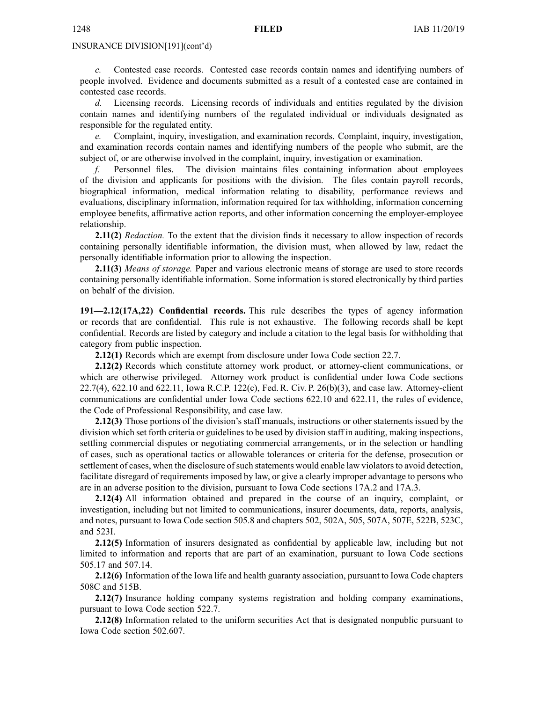*c.* Contested case records. Contested case records contain names and identifying numbers of people involved. Evidence and documents submitted as <sup>a</sup> result of <sup>a</sup> contested case are contained in contested case records.

*d.* Licensing records. Licensing records of individuals and entities regulated by the division contain names and identifying numbers of the regulated individual or individuals designated as responsible for the regulated entity.

*e.* Complaint, inquiry, investigation, and examination records. Complaint, inquiry, investigation, and examination records contain names and identifying numbers of the people who submit, are the subject of, or are otherwise involved in the complaint, inquiry, investigation or examination.

*f.* Personnel files. The division maintains files containing information about employees of the division and applicants for positions with the division. The files contain payroll records, biographical information, medical information relating to disability, performance reviews and evaluations, disciplinary information, information required for tax withholding, information concerning employee benefits, affirmative action reports, and other information concerning the employer-employee relationship.

**2.11(2)** *Redaction.* To the extent that the division finds it necessary to allow inspection of records containing personally identifiable information, the division must, when allowed by law, redact the personally identifiable information prior to allowing the inspection.

**2.11(3)** *Means of storage.* Paper and various electronic means of storage are used to store records containing personally identifiable information. Some information is stored electronically by third parties on behalf of the division.

**191—2.12(17A,22) Confidential records.** This rule describes the types of agency information or records that are confidential. This rule is not exhaustive. The following records shall be kept confidential. Records are listed by category and include <sup>a</sup> citation to the legal basis for withholding that category from public inspection.

**2.12(1)** Records which are exemp<sup>t</sup> from disclosure under Iowa Code section [22.7](https://www.legis.iowa.gov/docs/ico/section/22.7.pdf).

**2.12(2)** Records which constitute attorney work product, or attorney-client communications, or which are otherwise privileged. Attorney work product is confidential under Iowa Code sections [22.7\(4\)](https://www.legis.iowa.gov/docs/ico/section/22.7.pdf), [622.10](https://www.legis.iowa.gov/docs/ico/section/622.10.pdf) and [622.11](https://www.legis.iowa.gov/docs/ico/section/622.11.pdf), Iowa R.C.P. 122(c), Fed. R. Civ. P. 26(b)(3), and case law. Attorney-client communications are confidential under Iowa Code sections [622.10](https://www.legis.iowa.gov/docs/ico/section/622.10.pdf) and [622.11](https://www.legis.iowa.gov/docs/ico/section/622.11.pdf), the rules of evidence, the Code of Professional Responsibility, and case law.

**2.12(3)** Those portions of the division's staff manuals, instructions or other statements issued by the division which set forth criteria or guidelines to be used by division staff in auditing, making inspections, settling commercial disputes or negotiating commercial arrangements, or in the selection or handling of cases, such as operational tactics or allowable tolerances or criteria for the defense, prosecution or settlement of cases, when the disclosure of such statements would enable law violators to avoid detection, facilitate disregard of requirements imposed by law, or give <sup>a</sup> clearly improper advantage to persons who are in an adverse position to the division, pursuan<sup>t</sup> to Iowa Code sections [17A.2](https://www.legis.iowa.gov/docs/ico/section/17A.2.pdf) and [17A.3](https://www.legis.iowa.gov/docs/ico/section/17A.3.pdf).

**2.12(4)** All information obtained and prepared in the course of an inquiry, complaint, or investigation, including but not limited to communications, insurer documents, data, reports, analysis, and notes, pursuan<sup>t</sup> to Iowa Code section [505.8](https://www.legis.iowa.gov/docs/ico/section/505.8.pdf) and chapters [502](https://www.legis.iowa.gov/docs/ico/chapter/502.pdf), [502A](https://www.legis.iowa.gov/docs/ico/chapter/502A.pdf), [505](https://www.legis.iowa.gov/docs/ico/chapter/505.pdf), [507A](https://www.legis.iowa.gov/docs/ico/chapter/507A.pdf), [507E](https://www.legis.iowa.gov/docs/ico/chapter/507E.pdf), [522B](https://www.legis.iowa.gov/docs/ico/chapter/522B.pdf), [523C](https://www.legis.iowa.gov/docs/ico/chapter/523C.pdf), and [523I](https://www.legis.iowa.gov/docs/ico/chapter/523I.pdf).

**2.12(5)** Information of insurers designated as confidential by applicable law, including but not limited to information and reports that are par<sup>t</sup> of an examination, pursuan<sup>t</sup> to Iowa Code sections [505.17](https://www.legis.iowa.gov/docs/ico/section/505.17.pdf) and [507.14](https://www.legis.iowa.gov/docs/ico/section/507.14.pdf).

**2.12(6)** Information of the Iowa life and health guaranty association, pursuan<sup>t</sup> to Iowa Code chapters [508C](https://www.legis.iowa.gov/docs/ico/chapter/508C.pdf) and [515B](https://www.legis.iowa.gov/docs/ico/chapter/515B.pdf).

**2.12(7)** Insurance holding company systems registration and holding company examinations, pursuan<sup>t</sup> to Iowa Code section [522.7](https://www.legis.iowa.gov/docs/ico/section/522.7.pdf).

**2.12(8)** Information related to the uniform securities Act that is designated nonpublic pursuan<sup>t</sup> to Iowa Code section [502.607](https://www.legis.iowa.gov/docs/ico/section/502.607.pdf).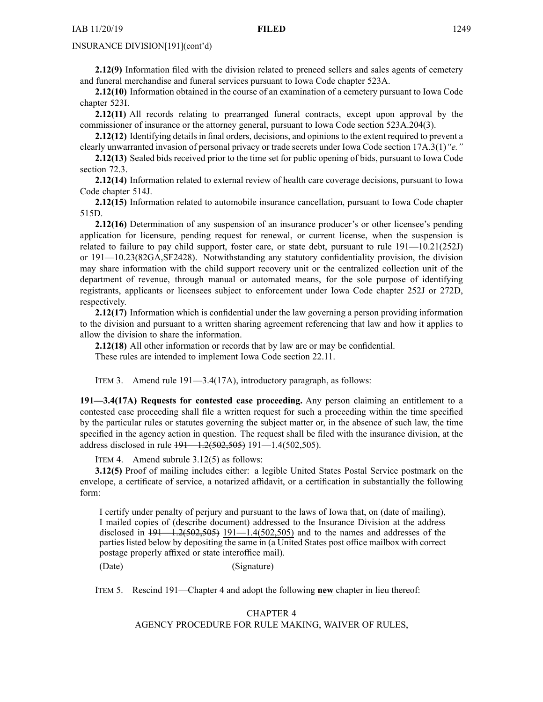**2.12(9)** Information filed with the division related to preneed sellers and sales agents of cemetery and funeral merchandise and funeral services pursuan<sup>t</sup> to Iowa Code chapter [523A](https://www.legis.iowa.gov/docs/ico/chapter/523A.pdf).

**2.12(10)** Information obtained in the course of an examination of <sup>a</sup> cemetery pursuan<sup>t</sup> to Iowa Code chapter [523I](https://www.legis.iowa.gov/docs/ico/chapter/523I.pdf).

**2.12(11)** All records relating to prearranged funeral contracts, excep<sup>t</sup> upon approval by the commissioner of insurance or the attorney general, pursuan<sup>t</sup> to Iowa Code section [523A.204\(3\)](https://www.legis.iowa.gov/docs/ico/section/523A.204.pdf).

**2.12(12)** Identifying details in final orders, decisions, and opinions to the extent required to prevent a clearly unwarranted invasion of personal privacy or trade secrets under Iowa Code section [17A.3\(1\)](https://www.legis.iowa.gov/docs/ico/section/17A.3.pdf)*"e."*

**2.12(13)** Sealed bids received prior to the time set for public opening of bids, pursuan<sup>t</sup> to Iowa Code section [72.3](https://www.legis.iowa.gov/docs/ico/section/72.3.pdf).

**2.12(14)** Information related to external review of health care coverage decisions, pursuan<sup>t</sup> to Iowa Code chapter [514J](https://www.legis.iowa.gov/docs/ico/chapter/514J.pdf).

**2.12(15)** Information related to automobile insurance cancellation, pursuan<sup>t</sup> to Iowa Code chapter [515D](https://www.legis.iowa.gov/docs/ico/chapter/515D.pdf).

**2.12(16)** Determination of any suspension of an insurance producer's or other licensee's pending application for licensure, pending reques<sup>t</sup> for renewal, or current license, when the suspension is related to failure to pay child support, foster care, or state debt, pursuan<sup>t</sup> to rule 191—10.21(252J) or 191—10.23(82GA,SF2428). Notwithstanding any statutory confidentiality provision, the division may share information with the child suppor<sup>t</sup> recovery unit or the centralized collection unit of the department of revenue, through manual or automated means, for the sole purpose of identifying registrants, applicants or licensees subject to enforcement under Iowa Code chapter [252J](https://www.legis.iowa.gov/docs/ico/chapter/252J.pdf) or [272D](https://www.legis.iowa.gov/docs/ico/chapter/272D.pdf), respectively.

**2.12(17)** Information which is confidential under the law governing <sup>a</sup> person providing information to the division and pursuan<sup>t</sup> to <sup>a</sup> written sharing agreemen<sup>t</sup> referencing that law and how it applies to allow the division to share the information.

**2.12(18)** All other information or records that by law are or may be confidential.

These rules are intended to implement Iowa Code section [22.11](https://www.legis.iowa.gov/docs/ico/section/22.11.pdf).

ITEM 3. Amend rule 191—3.4(17A), introductory paragraph, as follows:

**191—3.4(17A) Requests for contested case proceeding.** Any person claiming an entitlement to <sup>a</sup> contested case proceeding shall file <sup>a</sup> written reques<sup>t</sup> for such <sup>a</sup> proceeding within the time specified by the particular rules or statutes governing the subject matter or, in the absence of such law, the time specified in the agency action in question. The reques<sup>t</sup> shall be filed with the insurance division, at the address disclosed in rule 191—1.2(502,505) 191—1.4(502,505).

ITEM 4. Amend subrule 3.12(5) as follows:

**3.12(5)** Proof of mailing includes either: <sup>a</sup> legible United States Postal Service postmark on the envelope, <sup>a</sup> certificate of service, <sup>a</sup> notarized affidavit, or <sup>a</sup> certification in substantially the following form:

I certify under penalty of perjury and pursuan<sup>t</sup> to the laws of Iowa that, on (date of mailing), I mailed copies of (describe document) addressed to the Insurance Division at the address disclosed in  $\frac{191}{1.2(502,505)}$  191-1.4(502,505) and to the names and addresses of the parties listed below by depositing the same in (a United States post office mailbox with correct postage properly affixed or state interoffice mail).

(Date) (Signature)

ITEM 5. Rescind 191—Chapter 4 and adopt the following **new** chapter in lieu thereof:

# CHAPTER 4 AGENCY PROCEDURE FOR RULE MAKING, WAIVER OF RULES,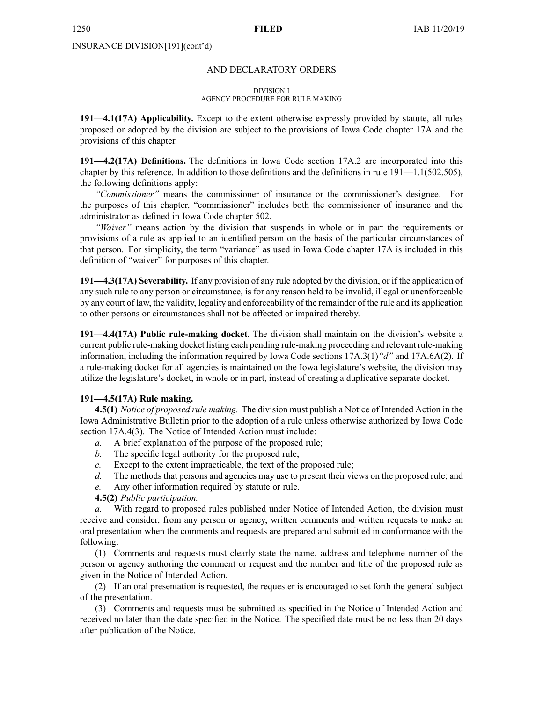#### AND DECLARATORY ORDERS

#### DIVISION I

# AGENCY PROCEDURE FOR RULE MAKING

**191—4.1(17A) Applicability.** Except to the extent otherwise expressly provided by statute, all rules proposed or adopted by the division are subject to the provisions of Iowa Code chapter [17A](https://www.legis.iowa.gov/docs/ico/chapter/17A.pdf) and the provisions of this chapter.

**191—4.2(17A) Definitions.** The definitions in Iowa Code section [17A.2](https://www.legis.iowa.gov/docs/ico/section/17A.2.pdf) are incorporated into this chapter by this reference. In addition to those definitions and the definitions in rule  $191-1.1(502,505)$ , the following definitions apply:

*"Commissioner"* means the commissioner of insurance or the commissioner's designee. For the purposes of this chapter, "commissioner" includes both the commissioner of insurance and the administrator as defined in Iowa Code chapter [502](https://www.legis.iowa.gov/docs/ico/chapter/502.pdf).

*"Waiver"* means action by the division that suspends in whole or in par<sup>t</sup> the requirements or provisions of <sup>a</sup> rule as applied to an identified person on the basis of the particular circumstances of that person. For simplicity, the term "variance" as used in Iowa Code chapter [17A](https://www.legis.iowa.gov/docs/ico/chapter/17A.pdf) is included in this definition of "waiver" for purposes of this chapter.

**191—4.3(17A) Severability.** If any provision of any rule adopted by the division, or if the application of any such rule to any person or circumstance, is for any reason held to be invalid, illegal or unenforceable by any court of law, the validity, legality and enforceability of the remainder of the rule and its application to other persons or circumstances shall not be affected or impaired thereby.

**191—4.4(17A) Public rule-making docket.** The division shall maintain on the division's website <sup>a</sup> current public rule-making docket listing each pending rule-making proceeding and relevant rule-making information, including the information required by Iowa Code sections [17A.3\(1\)](https://www.legis.iowa.gov/docs/ico/section/17A.3.pdf)*"d"* and [17A.6A\(2\)](https://www.legis.iowa.gov/docs/ico/section/17A.6A.pdf). If <sup>a</sup> rule-making docket for all agencies is maintained on the Iowa legislature's website, the division may utilize the legislature's docket, in whole or in part, instead of creating <sup>a</sup> duplicative separate docket.

# **191—4.5(17A) Rule making.**

**4.5(1)** *Notice of proposed rule making.* The division must publish <sup>a</sup> Notice of Intended Action in the Iowa Administrative Bulletin prior to the adoption of <sup>a</sup> rule unless otherwise authorized by Iowa Code section [17A.4\(3\)](https://www.legis.iowa.gov/docs/ico/section/17A.4.pdf). The Notice of Intended Action must include:

- *a.* A brief explanation of the purpose of the proposed rule;
- *b.* The specific legal authority for the proposed rule;
- *c.* Except to the extent impracticable, the text of the proposed rule;
- *d.* The methods that persons and agencies may use to present their views on the proposed rule; and
- *e.* Any other information required by statute or rule.

# **4.5(2)** *Public participation.*

*a.* With regard to proposed rules published under Notice of Intended Action, the division must receive and consider, from any person or agency, written comments and written requests to make an oral presentation when the comments and requests are prepared and submitted in conformance with the following:

(1) Comments and requests must clearly state the name, address and telephone number of the person or agency authoring the comment or reques<sup>t</sup> and the number and title of the proposed rule as given in the Notice of Intended Action.

(2) If an oral presentation is requested, the requester is encouraged to set forth the general subject of the presentation.

(3) Comments and requests must be submitted as specified in the Notice of Intended Action and received no later than the date specified in the Notice. The specified date must be no less than 20 days after publication of the Notice.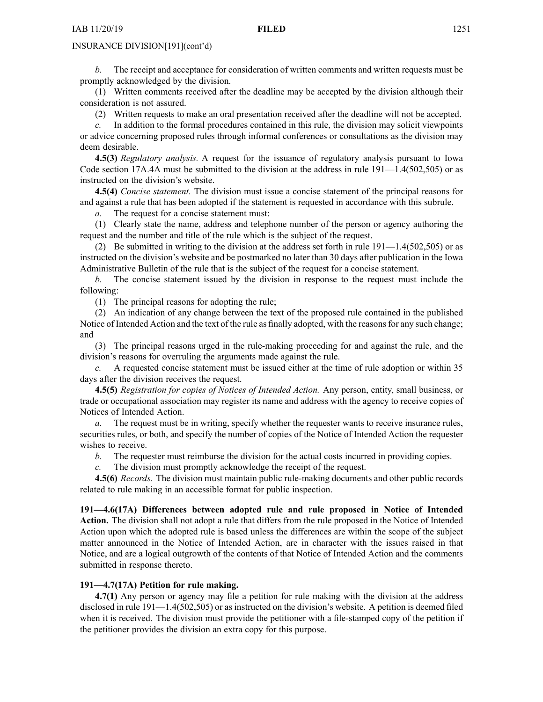*b.* The receipt and acceptance for consideration of written comments and written requests must be promptly acknowledged by the division.

(1) Written comments received after the deadline may be accepted by the division although their consideration is not assured.

(2) Written requests to make an oral presentation received after the deadline will not be accepted.

*c.* In addition to the formal procedures contained in this rule, the division may solicit viewpoints or advice concerning proposed rules through informal conferences or consultations as the division may deem desirable.

**4.5(3)** *Regulatory analysis.* A reques<sup>t</sup> for the issuance of regulatory analysis pursuan<sup>t</sup> to Iowa Code section [17A.4A](https://www.legis.iowa.gov/docs/ico/section/17A.4A.pdf) must be submitted to the division at the address in rule  $191-1.4(502,505)$  or as instructed on the division's website.

**4.5(4)** *Concise statement.* The division must issue <sup>a</sup> concise statement of the principal reasons for and against <sup>a</sup> rule that has been adopted if the statement is requested in accordance with this subrule.

*a.* The reques<sup>t</sup> for <sup>a</sup> concise statement must:

(1) Clearly state the name, address and telephone number of the person or agency authoring the reques<sup>t</sup> and the number and title of the rule which is the subject of the request.

(2) Be submitted in writing to the division at the address set forth in rule 191—1.4(502,505) or as instructed on the division's website and be postmarked no later than 30 days after publication in the Iowa Administrative Bulletin of the rule that is the subject of the reques<sup>t</sup> for <sup>a</sup> concise statement.

*b.* The concise statement issued by the division in response to the reques<sup>t</sup> must include the following:

(1) The principal reasons for adopting the rule;

(2) An indication of any change between the text of the proposed rule contained in the published Notice of Intended Action and the text of the rule as finally adopted, with the reasons for any such change; and

(3) The principal reasons urged in the rule-making proceeding for and against the rule, and the division's reasons for overruling the arguments made against the rule.

*c.* A requested concise statement must be issued either at the time of rule adoption or within 35 days after the division receives the request.

**4.5(5)** *Registration for copies of Notices of Intended Action.* Any person, entity, small business, or trade or occupational association may register its name and address with the agency to receive copies of Notices of Intended Action.

*a.* The reques<sup>t</sup> must be in writing, specify whether the requester wants to receive insurance rules, securities rules, or both, and specify the number of copies of the Notice of Intended Action the requester wishes to receive.

*b.* The requester must reimburse the division for the actual costs incurred in providing copies.

*c.* The division must promptly acknowledge the receipt of the request.

**4.5(6)** *Records.* The division must maintain public rule-making documents and other public records related to rule making in an accessible format for public inspection.

**191—4.6(17A) Differences between adopted rule and rule proposed in Notice of Intended Action.** The division shall not adopt <sup>a</sup> rule that differs from the rule proposed in the Notice of Intended Action upon which the adopted rule is based unless the differences are within the scope of the subject matter announced in the Notice of Intended Action, are in character with the issues raised in that Notice, and are <sup>a</sup> logical outgrowth of the contents of that Notice of Intended Action and the comments submitted in response thereto.

# **191—4.7(17A) Petition for rule making.**

**4.7(1)** Any person or agency may file <sup>a</sup> petition for rule making with the division at the address disclosed in rule 191—1.4(502,505) or as instructed on the division's website. A petition is deemed filed when it is received. The division must provide the petitioner with <sup>a</sup> file-stamped copy of the petition if the petitioner provides the division an extra copy for this purpose.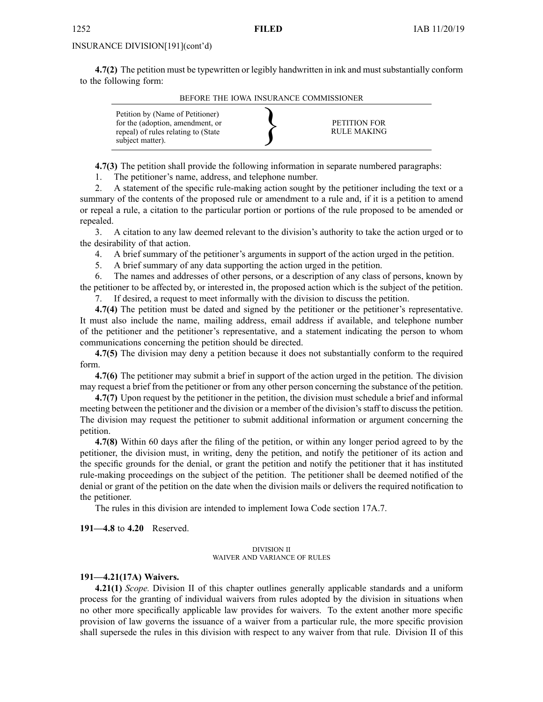**4.7(2)** The petition must be typewritten or legibly handwritten in ink and must substantially conform to the following form:

BEFORE THE IOWA INSURANCE COMMISSIONER

| Petition by (Name of Petitioner)<br>for the (adoption, amendment, or<br>repeal) of rules relating to (State<br>subject matter). |  | PETITION FOR<br>RULE MAKING |
|---------------------------------------------------------------------------------------------------------------------------------|--|-----------------------------|
|---------------------------------------------------------------------------------------------------------------------------------|--|-----------------------------|

**4.7(3)** The petition shall provide the following information in separate numbered paragraphs:

1. The petitioner's name, address, and telephone number.

2. A statement of the specific rule-making action sought by the petitioner including the text or <sup>a</sup> summary of the contents of the proposed rule or amendment to a rule and, if it is a petition to amend or repeal <sup>a</sup> rule, <sup>a</sup> citation to the particular portion or portions of the rule proposed to be amended or repealed.

3. A citation to any law deemed relevant to the division's authority to take the action urged or to the desirability of that action.

4. A brief summary of the petitioner's arguments in suppor<sup>t</sup> of the action urged in the petition.

5. A brief summary of any data supporting the action urged in the petition.

6. The names and addresses of other persons, or <sup>a</sup> description of any class of persons, known by the petitioner to be affected by, or interested in, the proposed action which is the subject of the petition.

7. If desired, <sup>a</sup> reques<sup>t</sup> to meet informally with the division to discuss the petition.

**4.7(4)** The petition must be dated and signed by the petitioner or the petitioner's representative. It must also include the name, mailing address, email address if available, and telephone number of the petitioner and the petitioner's representative, and <sup>a</sup> statement indicating the person to whom communications concerning the petition should be directed.

**4.7(5)** The division may deny <sup>a</sup> petition because it does not substantially conform to the required form.

**4.7(6)** The petitioner may submit <sup>a</sup> brief in suppor<sup>t</sup> of the action urged in the petition. The division may reques<sup>t</sup> <sup>a</sup> brief from the petitioner or from any other person concerning the substance of the petition.

**4.7(7)** Upon reques<sup>t</sup> by the petitioner in the petition, the division must schedule <sup>a</sup> brief and informal meeting between the petitioner and the division or <sup>a</sup> member of the division's staff to discuss the petition. The division may reques<sup>t</sup> the petitioner to submit additional information or argumen<sup>t</sup> concerning the petition.

**4.7(8)** Within 60 days after the filing of the petition, or within any longer period agreed to by the petitioner, the division must, in writing, deny the petition, and notify the petitioner of its action and the specific grounds for the denial, or gran<sup>t</sup> the petition and notify the petitioner that it has instituted rule-making proceedings on the subject of the petition. The petitioner shall be deemed notified of the denial or gran<sup>t</sup> of the petition on the date when the division mails or delivers the required notification to the petitioner.

The rules in this division are intended to implement Iowa Code section [17A.7](https://www.legis.iowa.gov/docs/ico/section/17A.7.pdf).

**191—4.8** to **4.20** Reserved.

#### DIVISION II WAIVER AND VARIANCE OF RULES

#### **191—4.21(17A) Waivers.**

**4.21(1)** *Scope.* Division II of this chapter outlines generally applicable standards and <sup>a</sup> uniform process for the granting of individual waivers from rules adopted by the division in situations when no other more specifically applicable law provides for waivers. To the extent another more specific provision of law governs the issuance of <sup>a</sup> waiver from <sup>a</sup> particular rule, the more specific provision shall supersede the rules in this division with respec<sup>t</sup> to any waiver from that rule. Division II of this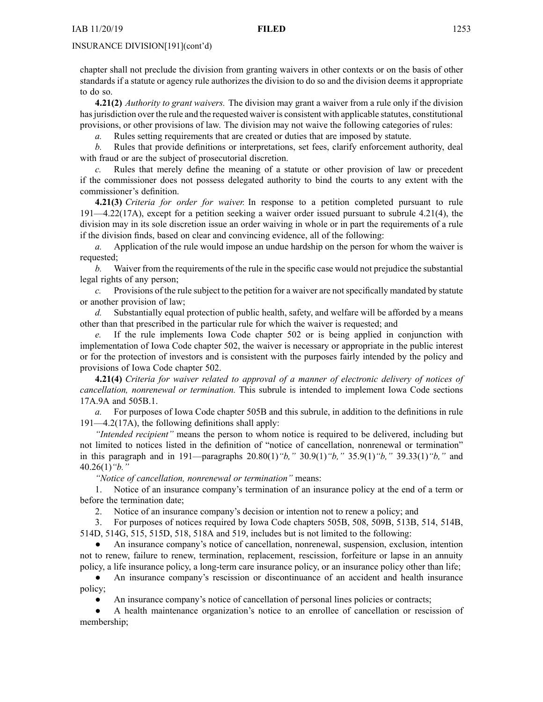chapter shall not preclude the division from granting waivers in other contexts or on the basis of other standards if <sup>a</sup> statute or agency rule authorizes the division to do so and the division deems it appropriate to do so.

**4.21(2)** *Authority to gran<sup>t</sup> waivers.* The division may gran<sup>t</sup> <sup>a</sup> waiver from <sup>a</sup> rule only if the division has jurisdiction over the rule and the requested waiver is consistent with applicable statutes, constitutional provisions, or other provisions of law. The division may not waive the following categories of rules:

*a.* Rules setting requirements that are created or duties that are imposed by statute.

*b.* Rules that provide definitions or interpretations, set fees, clarify enforcement authority, deal with fraud or are the subject of prosecutorial discretion.

*c.* Rules that merely define the meaning of <sup>a</sup> statute or other provision of law or precedent if the commissioner does not possess delegated authority to bind the courts to any extent with the commissioner's definition.

**4.21(3)** *Criteria for order for waiver.* In response to <sup>a</sup> petition completed pursuan<sup>t</sup> to rule 191—4.22(17A), excep<sup>t</sup> for <sup>a</sup> petition seeking <sup>a</sup> waiver order issued pursuan<sup>t</sup> to subrule 4.21(4), the division may in its sole discretion issue an order waiving in whole or in par<sup>t</sup> the requirements of <sup>a</sup> rule if the division finds, based on clear and convincing evidence, all of the following:

*a.* Application of the rule would impose an undue hardship on the person for whom the waiver is requested;

*b.* Waiver from the requirements of the rule in the specific case would not prejudice the substantial legal rights of any person;

*c.* Provisions of the rule subject to the petition for a waiver are not specifically mandated by statute or another provision of law;

*d.* Substantially equal protection of public health, safety, and welfare will be afforded by <sup>a</sup> means other than that prescribed in the particular rule for which the waiver is requested; and

If the rule implements Iowa Code chapter [502](https://www.legis.iowa.gov/docs/ico/chapter/502.pdf) or is being applied in conjunction with implementation of Iowa Code chapter [502](https://www.legis.iowa.gov/docs/ico/chapter/502.pdf), the waiver is necessary or appropriate in the public interest or for the protection of investors and is consistent with the purposes fairly intended by the policy and provisions of Iowa Code chapter [502](https://www.legis.iowa.gov/docs/ico/chapter/502.pdf).

**4.21(4)** *Criteria for waiver related to approval of <sup>a</sup> manner of electronic delivery of notices of cancellation, nonrenewal or termination.* This subrule is intended to implement Iowa Code sections [17A.9A](https://www.legis.iowa.gov/docs/ico/section/17A.9A.pdf) and [505B.1](https://www.legis.iowa.gov/docs/ico/section/505B.1.pdf).

*a.* For purposes of Iowa Code chapter [505B](https://www.legis.iowa.gov/docs/ico/chapter/505B.pdf) and this subrule, in addition to the definitions in rule 191—4.2(17A), the following definitions shall apply:

*"Intended recipient"* means the person to whom notice is required to be delivered, including but not limited to notices listed in the definition of "notice of cancellation, nonrenewal or termination" in this paragraph and in 191—paragraphs 20.80(1)*"b,"* 30.9(1)*"b,"* 35.9(1)*"b,"* 39.33(1)*"b,"* and 40.26(1)*"b."*

*"Notice of cancellation, nonrenewal or termination"* means:

1. Notice of an insurance company's termination of an insurance policy at the end of <sup>a</sup> term or before the termination date;

2. Notice of an insurance company's decision or intention not to renew <sup>a</sup> policy; and

3. For purposes of notices required by Iowa Code chapters [505B](https://www.legis.iowa.gov/docs/ico/chapter/505B.pdf), [508](https://www.legis.iowa.gov/docs/ico/chapter/508.pdf), [509B](https://www.legis.iowa.gov/docs/ico/chapter/509B.pdf), [513B](https://www.legis.iowa.gov/docs/ico/chapter/513B.pdf), [514](https://www.legis.iowa.gov/docs/ico/chapter/514.pdf), [514B](https://www.legis.iowa.gov/docs/ico/chapter/514B.pdf), [514D](https://www.legis.iowa.gov/docs/ico/chapter/514D.pdf), [514G](https://www.legis.iowa.gov/docs/ico/chapter/514G.pdf), [515](https://www.legis.iowa.gov/docs/ico/chapter/515.pdf), [515D](https://www.legis.iowa.gov/docs/ico/chapter/515D.pdf), [518](https://www.legis.iowa.gov/docs/ico/chapter/518.pdf), [518A](https://www.legis.iowa.gov/docs/ico/chapter/518A.pdf) and [519](https://www.legis.iowa.gov/docs/ico/chapter/519.pdf), includes but is not limited to the following:

 $\bullet$  An insurance company's notice of cancellation, nonrenewal, suspension, exclusion, intention not to renew, failure to renew, termination, replacement, rescission, forfeiture or lapse in an annuity policy, <sup>a</sup> life insurance policy, <sup>a</sup> long-term care insurance policy, or an insurance policy other than life;

 $\bullet$  An insurance company's rescission or discontinuance of an accident and health insurance policy;

●An insurance company's notice of cancellation of personal lines policies or contracts;

● A health maintenance organization's notice to an enrollee of cancellation or rescission of membership;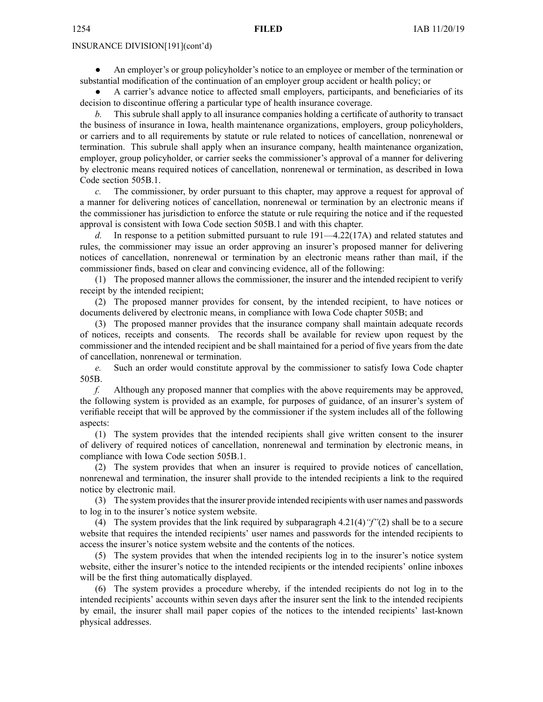● An employer's or group policyholder's notice to an employee or member of the termination or substantial modification of the continuation of an employer group accident or health policy; or

● A carrier's advance notice to affected small employers, participants, and beneficiaries of its decision to discontinue offering <sup>a</sup> particular type of health insurance coverage.

*b.* This subrule shall apply to all insurance companies holding <sup>a</sup> certificate of authority to transact the business of insurance in Iowa, health maintenance organizations, employers, group policyholders, or carriers and to all requirements by statute or rule related to notices of cancellation, nonrenewal or termination. This subrule shall apply when an insurance company, health maintenance organization, employer, group policyholder, or carrier seeks the commissioner's approval of <sup>a</sup> manner for delivering by electronic means required notices of cancellation, nonrenewal or termination, as described in Iowa Code section [505B.1](https://www.legis.iowa.gov/docs/ico/section/505B.1.pdf).

*c.* The commissioner, by order pursuan<sup>t</sup> to this chapter, may approve <sup>a</sup> reques<sup>t</sup> for approval of <sup>a</sup> manner for delivering notices of cancellation, nonrenewal or termination by an electronic means if the commissioner has jurisdiction to enforce the statute or rule requiring the notice and if the requested approval is consistent with Iowa Code section [505B.1](https://www.legis.iowa.gov/docs/ico/section/505B.1.pdf) and with this chapter.

*d.* In response to <sup>a</sup> petition submitted pursuan<sup>t</sup> to rule 191—4.22(17A) and related statutes and rules, the commissioner may issue an order approving an insurer's proposed manner for delivering notices of cancellation, nonrenewal or termination by an electronic means rather than mail, if the commissioner finds, based on clear and convincing evidence, all of the following:

(1) The proposed manner allows the commissioner, the insurer and the intended recipient to verify receipt by the intended recipient;

(2) The proposed manner provides for consent, by the intended recipient, to have notices or documents delivered by electronic means, in compliance with Iowa Code chapter [505B](https://www.legis.iowa.gov/docs/ico/chapter/505B.pdf); and

(3) The proposed manner provides that the insurance company shall maintain adequate records of notices, receipts and consents. The records shall be available for review upon reques<sup>t</sup> by the commissioner and the intended recipient and be shall maintained for <sup>a</sup> period of five years from the date of cancellation, nonrenewal or termination.

*e.* Such an order would constitute approval by the commissioner to satisfy Iowa Code chapter [505B](https://www.legis.iowa.gov/docs/ico/chapter/505B.pdf).

*f.* Although any proposed manner that complies with the above requirements may be approved, the following system is provided as an example, for purposes of guidance, of an insurer's system of verifiable receipt that will be approved by the commissioner if the system includes all of the following aspects:

(1) The system provides that the intended recipients shall give written consent to the insurer of delivery of required notices of cancellation, nonrenewal and termination by electronic means, in compliance with Iowa Code section [505B.1](https://www.legis.iowa.gov/docs/ico/section/505B.1.pdf).

(2) The system provides that when an insurer is required to provide notices of cancellation, nonrenewal and termination, the insurer shall provide to the intended recipients <sup>a</sup> link to the required notice by electronic mail.

(3) The system providesthat the insurer provide intended recipients with user names and passwords to log in to the insurer's notice system website.

(4) The system provides that the link required by subparagraph 4.21(4)*"f"*(2) shall be to <sup>a</sup> secure website that requires the intended recipients' user names and passwords for the intended recipients to access the insurer's notice system website and the contents of the notices.

(5) The system provides that when the intended recipients log in to the insurer's notice system website, either the insurer's notice to the intended recipients or the intended recipients' online inboxes will be the first thing automatically displayed.

(6) The system provides <sup>a</sup> procedure whereby, if the intended recipients do not log in to the intended recipients' accounts within seven days after the insurer sent the link to the intended recipients by email, the insurer shall mail paper copies of the notices to the intended recipients' last-known physical addresses.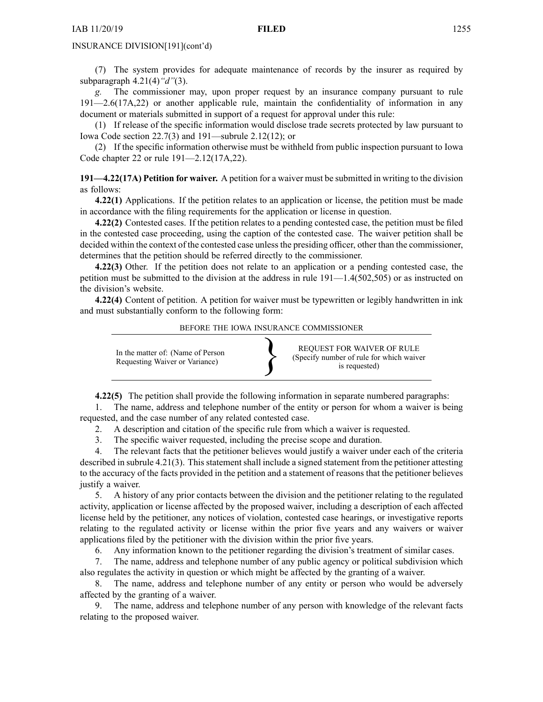(7) The system provides for adequate maintenance of records by the insurer as required by subparagraph 4.21(4)*"d"*(3).

*g.* The commissioner may, upon proper reques<sup>t</sup> by an insurance company pursuan<sup>t</sup> to rule 191—2.6(17A,22) or another applicable rule, maintain the confidentiality of information in any document or materials submitted in suppor<sup>t</sup> of <sup>a</sup> reques<sup>t</sup> for approval under this rule:

(1) If release of the specific information would disclose trade secrets protected by law pursuan<sup>t</sup> to Iowa Code section [22.7\(3\)](https://www.legis.iowa.gov/docs/ico/section/22.7.pdf) and 191—subrule 2.12(12); or

(2) If the specific information otherwise must be withheld from public inspection pursuan<sup>t</sup> to Iowa Code chapter [22](https://www.legis.iowa.gov/docs/ico/chapter/22.pdf) or rule 191—2.12(17A,22).

**191—4.22(17A) Petition for waiver.** A petition for <sup>a</sup> waiver must be submitted in writing to the division as follows:

**4.22(1)** Applications. If the petition relates to an application or license, the petition must be made in accordance with the filing requirements for the application or license in question.

**4.22(2)** Contested cases. If the petition relates to <sup>a</sup> pending contested case, the petition must be filed in the contested case proceeding, using the caption of the contested case. The waiver petition shall be decided within the context of the contested case unless the presiding officer, other than the commissioner, determines that the petition should be referred directly to the commissioner.

**4.22(3)** Other. If the petition does not relate to an application or <sup>a</sup> pending contested case, the petition must be submitted to the division at the address in rule 191—1.4(502,505) or as instructed on the division's website.

**4.22(4)** Content of petition. A petition for waiver must be typewritten or legibly handwritten in ink and must substantially conform to the following form:

BEFORE THE IOWA INSURANCE COMMISSIONER



**4.22(5)** The petition shall provide the following information in separate numbered paragraphs:

1. The name, address and telephone number of the entity or person for whom <sup>a</sup> waiver is being requested, and the case number of any related contested case.

2. A description and citation of the specific rule from which <sup>a</sup> waiver is requested.

3. The specific waiver requested, including the precise scope and duration.

4. The relevant facts that the petitioner believes would justify <sup>a</sup> waiver under each of the criteria described in subrule 4.21(3). This statement shall include <sup>a</sup> signed statement from the petitioner attesting to the accuracy of the facts provided in the petition and <sup>a</sup> statement of reasons that the petitioner believes justify <sup>a</sup> waiver.

5. A history of any prior contacts between the division and the petitioner relating to the regulated activity, application or license affected by the proposed waiver, including <sup>a</sup> description of each affected license held by the petitioner, any notices of violation, contested case hearings, or investigative reports relating to the regulated activity or license within the prior five years and any waivers or waiver applications filed by the petitioner with the division within the prior five years.

6. Any information known to the petitioner regarding the division's treatment of similar cases.

7. The name, address and telephone number of any public agency or political subdivision which also regulates the activity in question or which might be affected by the granting of <sup>a</sup> waiver.

8. The name, address and telephone number of any entity or person who would be adversely affected by the granting of <sup>a</sup> waiver.

9. The name, address and telephone number of any person with knowledge of the relevant facts relating to the proposed waiver.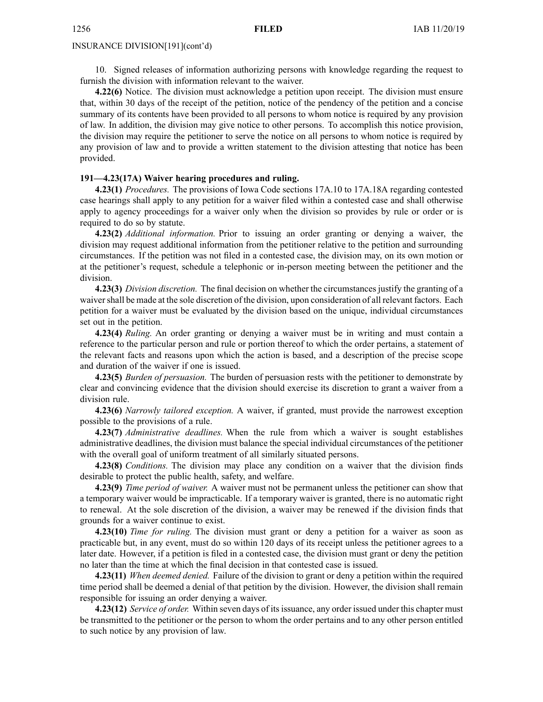10. Signed releases of information authorizing persons with knowledge regarding the reques<sup>t</sup> to furnish the division with information relevant to the waiver.

**4.22(6)** Notice. The division must acknowledge <sup>a</sup> petition upon receipt. The division must ensure that, within 30 days of the receipt of the petition, notice of the pendency of the petition and <sup>a</sup> concise summary of its contents have been provided to all persons to whom notice is required by any provision of law. In addition, the division may give notice to other persons. To accomplish this notice provision, the division may require the petitioner to serve the notice on all persons to whom notice is required by any provision of law and to provide <sup>a</sup> written statement to the division attesting that notice has been provided.

#### **191—4.23(17A) Waiver hearing procedures and ruling.**

**4.23(1)** *Procedures.* The provisions of Iowa Code sections 17A.10 to [17A.18A](https://www.legis.iowa.gov/docs/ico/section/17A.10-18A.pdf) regarding contested case hearings shall apply to any petition for <sup>a</sup> waiver filed within <sup>a</sup> contested case and shall otherwise apply to agency proceedings for <sup>a</sup> waiver only when the division so provides by rule or order or is required to do so by statute.

**4.23(2)** *Additional information.* Prior to issuing an order granting or denying <sup>a</sup> waiver, the division may reques<sup>t</sup> additional information from the petitioner relative to the petition and surrounding circumstances. If the petition was not filed in <sup>a</sup> contested case, the division may, on its own motion or at the petitioner's request, schedule <sup>a</sup> telephonic or in-person meeting between the petitioner and the division.

**4.23(3)** *Division discretion.* The final decision on whether the circumstancesjustify the granting of <sup>a</sup> waiver shall be made at the sole discretion of the division, upon consideration of all relevant factors. Each petition for <sup>a</sup> waiver must be evaluated by the division based on the unique, individual circumstances set out in the petition.

**4.23(4)** *Ruling.* An order granting or denying <sup>a</sup> waiver must be in writing and must contain <sup>a</sup> reference to the particular person and rule or portion thereof to which the order pertains, <sup>a</sup> statement of the relevant facts and reasons upon which the action is based, and <sup>a</sup> description of the precise scope and duration of the waiver if one is issued.

**4.23(5)** *Burden of persuasion.* The burden of persuasion rests with the petitioner to demonstrate by clear and convincing evidence that the division should exercise its discretion to gran<sup>t</sup> <sup>a</sup> waiver from <sup>a</sup> division rule.

**4.23(6)** *Narrowly tailored exception.* A waiver, if granted, must provide the narrowest exception possible to the provisions of <sup>a</sup> rule.

**4.23(7)** *Administrative deadlines.* When the rule from which <sup>a</sup> waiver is sought establishes administrative deadlines, the division must balance the special individual circumstances of the petitioner with the overall goal of uniform treatment of all similarly situated persons.

**4.23(8)** *Conditions.* The division may place any condition on <sup>a</sup> waiver that the division finds desirable to protect the public health, safety, and welfare.

**4.23(9)** *Time period of waiver.* A waiver must not be permanen<sup>t</sup> unless the petitioner can show that <sup>a</sup> temporary waiver would be impracticable. If <sup>a</sup> temporary waiver is granted, there is no automatic right to renewal. At the sole discretion of the division, <sup>a</sup> waiver may be renewed if the division finds that grounds for <sup>a</sup> waiver continue to exist.

**4.23(10)** *Time for ruling.* The division must gran<sup>t</sup> or deny <sup>a</sup> petition for <sup>a</sup> waiver as soon as practicable but, in any event, must do so within 120 days of its receipt unless the petitioner agrees to <sup>a</sup> later date. However, if <sup>a</sup> petition is filed in <sup>a</sup> contested case, the division must gran<sup>t</sup> or deny the petition no later than the time at which the final decision in that contested case is issued.

**4.23(11)** *When deemed denied.* Failure of the division to gran<sup>t</sup> or deny <sup>a</sup> petition within the required time period shall be deemed <sup>a</sup> denial of that petition by the division. However, the division shall remain responsible for issuing an order denying <sup>a</sup> waiver.

**4.23(12)** *Service of order.* Within seven days of itsissuance, any order issued under this chapter must be transmitted to the petitioner or the person to whom the order pertains and to any other person entitled to such notice by any provision of law.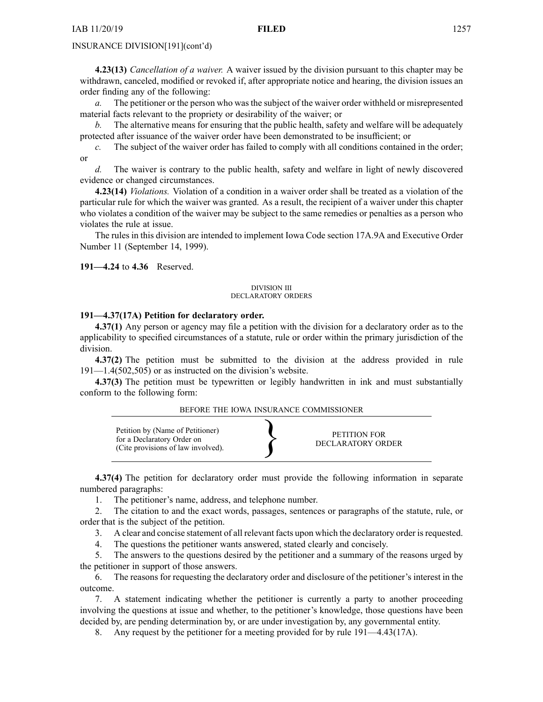**4.23(13)** *Cancellation of <sup>a</sup> waiver.* A waiver issued by the division pursuan<sup>t</sup> to this chapter may be withdrawn, canceled, modified or revoked if, after appropriate notice and hearing, the division issues an order finding any of the following:

*a.* The petitioner or the person who was the subject of the waiver order withheld or misrepresented material facts relevant to the propriety or desirability of the waiver; or

*b.* The alternative means for ensuring that the public health, safety and welfare will be adequately protected after issuance of the waiver order have been demonstrated to be insufficient; or

*c.* The subject of the waiver order has failed to comply with all conditions contained in the order; or

*d.* The waiver is contrary to the public health, safety and welfare in light of newly discovered evidence or changed circumstances.

**4.23(14)** *Violations.* Violation of <sup>a</sup> condition in <sup>a</sup> waiver order shall be treated as <sup>a</sup> violation of the particular rule for which the waiver was granted. As <sup>a</sup> result, the recipient of <sup>a</sup> waiver under this chapter who violates <sup>a</sup> condition of the waiver may be subject to the same remedies or penalties as <sup>a</sup> person who violates the rule at issue.

The rules in this division are intended to implement Iowa Code section [17A.9A](https://www.legis.iowa.gov/docs/ico/section/17A.9A.pdf) and Executive Order Number 11 (September 14, 1999).

#### **191—4.24** to **4.36** Reserved.

#### DIVISION III DECLARATORY ORDERS

#### **191—4.37(17A) Petition for declaratory order.**

**4.37(1)** Any person or agency may file <sup>a</sup> petition with the division for <sup>a</sup> declaratory order as to the applicability to specified circumstances of <sup>a</sup> statute, rule or order within the primary jurisdiction of the division.

**4.37(2)** The petition must be submitted to the division at the address provided in rule 191—1.4(502,505) or as instructed on the division's website.

**4.37(3)** The petition must be typewritten or legibly handwritten in ink and must substantially conform to the following form:

BEFORE THE IOWA INSURANCE COMMISSIONER



**4.37(4)** The petition for declaratory order must provide the following information in separate numbered paragraphs:

1. The petitioner's name, address, and telephone number.

2. The citation to and the exact words, passages, sentences or paragraphs of the statute, rule, or order that is the subject of the petition.

3. A clear and concise statement of all relevant facts upon which the declaratory order isrequested.

4. The questions the petitioner wants answered, stated clearly and concisely.

5. The answers to the questions desired by the petitioner and <sup>a</sup> summary of the reasons urged by the petitioner in suppor<sup>t</sup> of those answers.

6. The reasons for requesting the declaratory order and disclosure of the petitioner's interest in the outcome.

7. A statement indicating whether the petitioner is currently <sup>a</sup> party to another proceeding involving the questions at issue and whether, to the petitioner's knowledge, those questions have been decided by, are pending determination by, or are under investigation by, any governmental entity.

8. Any reques<sup>t</sup> by the petitioner for <sup>a</sup> meeting provided for by rule 191—4.43(17A).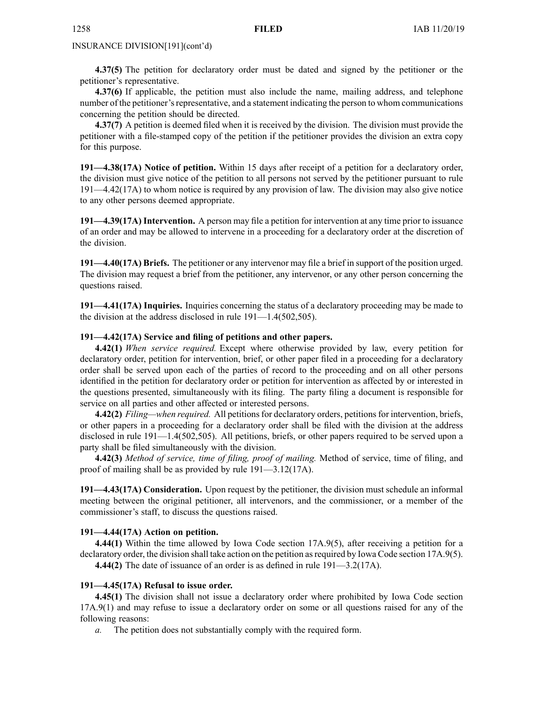**4.37(5)** The petition for declaratory order must be dated and signed by the petitioner or the petitioner's representative.

**4.37(6)** If applicable, the petition must also include the name, mailing address, and telephone number of the petitioner's representative, and a statement indicating the person to whom communications concerning the petition should be directed.

**4.37(7)** A petition is deemed filed when it is received by the division. The division must provide the petitioner with <sup>a</sup> file-stamped copy of the petition if the petitioner provides the division an extra copy for this purpose.

**191—4.38(17A) Notice of petition.** Within 15 days after receipt of <sup>a</sup> petition for <sup>a</sup> declaratory order, the division must give notice of the petition to all persons not served by the petitioner pursuan<sup>t</sup> to rule 191—4.42(17A) to whom notice is required by any provision of law. The division may also give notice to any other persons deemed appropriate.

**191—4.39(17A) Intervention.** A person may file <sup>a</sup> petition for intervention at any time prior to issuance of an order and may be allowed to intervene in <sup>a</sup> proceeding for <sup>a</sup> declaratory order at the discretion of the division.

**191—4.40(17A) Briefs.** The petitioner or any intervenor may file <sup>a</sup> brief in suppor<sup>t</sup> of the position urged. The division may reques<sup>t</sup> <sup>a</sup> brief from the petitioner, any intervenor, or any other person concerning the questions raised.

**191—4.41(17A) Inquiries.** Inquiries concerning the status of <sup>a</sup> declaratory proceeding may be made to the division at the address disclosed in rule 191—1.4(502,505).

# **191—4.42(17A) Service and filing of petitions and other papers.**

**4.42(1)** *When service required.* Except where otherwise provided by law, every petition for declaratory order, petition for intervention, brief, or other paper filed in <sup>a</sup> proceeding for <sup>a</sup> declaratory order shall be served upon each of the parties of record to the proceeding and on all other persons identified in the petition for declaratory order or petition for intervention as affected by or interested in the questions presented, simultaneously with its filing. The party filing <sup>a</sup> document is responsible for service on all parties and other affected or interested persons.

**4.42(2)** *Filing—when required.* All petitionsfor declaratory orders, petitionsfor intervention, briefs, or other papers in <sup>a</sup> proceeding for <sup>a</sup> declaratory order shall be filed with the division at the address disclosed in rule 191—1.4(502,505). All petitions, briefs, or other papers required to be served upon <sup>a</sup> party shall be filed simultaneously with the division.

**4.42(3)** *Method of service, time of filing, proof of mailing.* Method of service, time of filing, and proof of mailing shall be as provided by rule 191—3.12(17A).

**191—4.43(17A) Consideration.** Upon reques<sup>t</sup> by the petitioner, the division must schedule an informal meeting between the original petitioner, all intervenors, and the commissioner, or <sup>a</sup> member of the commissioner's staff, to discuss the questions raised.

# **191—4.44(17A) Action on petition.**

**4.44(1)** Within the time allowed by Iowa Code section [17A.9\(5\)](https://www.legis.iowa.gov/docs/ico/section/17A.9.pdf), after receiving <sup>a</sup> petition for <sup>a</sup> declaratory order, the division shall take action on the petition asrequired by Iowa Code section [17A.9\(5\)](https://www.legis.iowa.gov/docs/ico/section/17A.9.pdf).

**4.44(2)** The date of issuance of an order is as defined in rule 191—3.2(17A).

# **191—4.45(17A) Refusal to issue order.**

**4.45(1)** The division shall not issue <sup>a</sup> declaratory order where prohibited by Iowa Code section [17A.9\(1\)](https://www.legis.iowa.gov/docs/ico/section/17A.9.pdf) and may refuse to issue <sup>a</sup> declaratory order on some or all questions raised for any of the following reasons:

*a.* The petition does not substantially comply with the required form.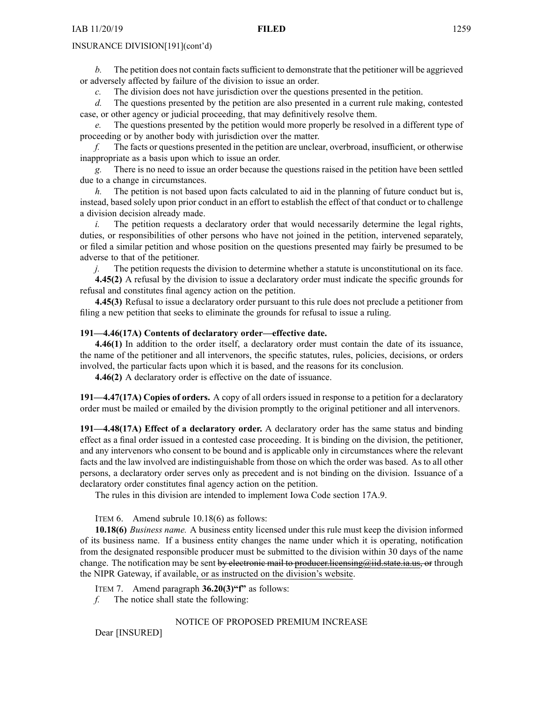*b.* The petition does not contain facts sufficient to demonstrate that the petitioner will be aggrieved or adversely affected by failure of the division to issue an order.

*c.* The division does not have jurisdiction over the questions presented in the petition.

*d.* The questions presented by the petition are also presented in <sup>a</sup> current rule making, contested case, or other agency or judicial proceeding, that may definitively resolve them.

*e.* The questions presented by the petition would more properly be resolved in <sup>a</sup> different type of proceeding or by another body with jurisdiction over the matter.

*f.* The facts or questions presented in the petition are unclear, overbroad, insufficient, or otherwise inappropriate as <sup>a</sup> basis upon which to issue an order.

*g.* There is no need to issue an order because the questions raised in the petition have been settled due to <sup>a</sup> change in circumstances.

*h.* The petition is not based upon facts calculated to aid in the planning of future conduct but is, instead, based solely upon prior conduct in an effort to establish the effect of that conduct or to challenge <sup>a</sup> division decision already made.

*i.* The petition requests a declaratory order that would necessarily determine the legal rights, duties, or responsibilities of other persons who have not joined in the petition, intervened separately, or filed <sup>a</sup> similar petition and whose position on the questions presented may fairly be presumed to be adverse to that of the petitioner.

*j.* The petition requests the division to determine whether a statute is unconstitutional on its face. **4.45(2)** A refusal by the division to issue <sup>a</sup> declaratory order must indicate the specific grounds for refusal and constitutes final agency action on the petition.

**4.45(3)** Refusal to issue <sup>a</sup> declaratory order pursuan<sup>t</sup> to this rule does not preclude <sup>a</sup> petitioner from filing <sup>a</sup> new petition that seeks to eliminate the grounds for refusal to issue <sup>a</sup> ruling.

# **191—4.46(17A) Contents of declaratory order—effective date.**

**4.46(1)** In addition to the order itself, <sup>a</sup> declaratory order must contain the date of its issuance, the name of the petitioner and all intervenors, the specific statutes, rules, policies, decisions, or orders involved, the particular facts upon which it is based, and the reasons for its conclusion.

**4.46(2)** A declaratory order is effective on the date of issuance.

**191—4.47(17A) Copies of orders.** A copy of all orders issued in response to <sup>a</sup> petition for <sup>a</sup> declaratory order must be mailed or emailed by the division promptly to the original petitioner and all intervenors.

**191—4.48(17A) Effect of <sup>a</sup> declaratory order.** A declaratory order has the same status and binding effect as <sup>a</sup> final order issued in <sup>a</sup> contested case proceeding. It is binding on the division, the petitioner, and any intervenors who consent to be bound and is applicable only in circumstances where the relevant facts and the law involved are indistinguishable from those on which the order was based. As to all other persons, <sup>a</sup> declaratory order serves only as precedent and is not binding on the division. Issuance of <sup>a</sup> declaratory order constitutes final agency action on the petition.

The rules in this division are intended to implement Iowa Code section [17A.9](https://www.legis.iowa.gov/docs/ico/section/17A.9.pdf).

ITEM 6. Amend subrule 10.18(6) as follows:

**10.18(6)** *Business name.* A business entity licensed under this rule must keep the division informed of its business name. If <sup>a</sup> business entity changes the name under which it is operating, notification from the designated responsible producer must be submitted to the division within 30 days of the name change. The notification may be sent by electronic mail to producer.licensing@iid.state.ia.us, or through the NIPR Gateway, if available, or as instructed on the division's website.

ITEM 7. Amend paragraph **36.20(3)"f"** as follows:

*f.* The notice shall state the following:

# NOTICE OF PROPOSED PREMIUM INCREASE

Dear [INSURED]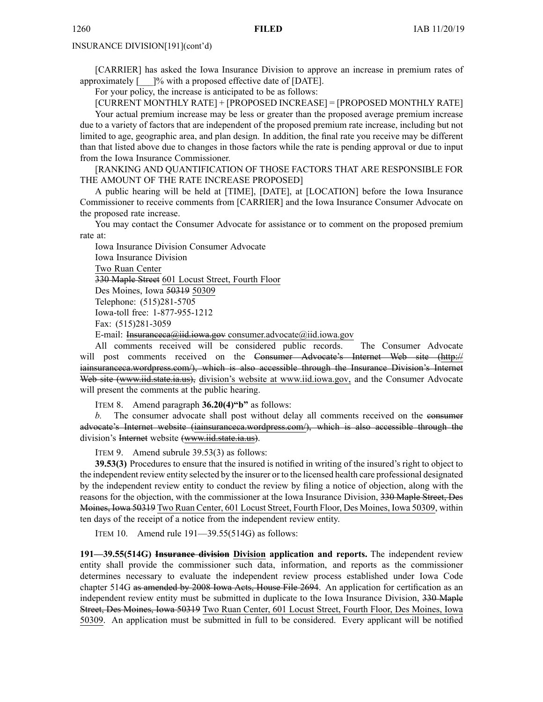[CARRIER] has asked the Iowa Insurance Division to approve an increase in premium rates of approximately  $\lceil \cdots \rceil$ % with a proposed effective date of [DATE].

For your policy, the increase is anticipated to be as follows:

[CURRENT MONTHLY RATE] <sup>+</sup> [PROPOSED INCREASE] <sup>=</sup> [PROPOSED MONTHLY RATE] Your actual premium increase may be less or greater than the proposed average premium increase due to <sup>a</sup> variety of factors that are independent of the proposed premium rate increase, including but not limited to age, geographic area, and plan design. In addition, the final rate you receive may be different than that listed above due to changes in those factors while the rate is pending approval or due to input from the Iowa Insurance Commissioner.

[RANKING AND QUANTIFICATION OF THOSE FACTORS THAT ARE RESPONSIBLE FOR THE AMOUNT OF THE RATE INCREASE PROPOSED]

A public hearing will be held at [TIME], [DATE], at [LOCATION] before the Iowa Insurance Commissioner to receive comments from [CARRIER] and the Iowa Insurance Consumer Advocate on the proposed rate increase.

You may contact the Consumer Advocate for assistance or to comment on the proposed premium rate at:

Iowa Insurance Division Consumer Advocate Iowa Insurance Division Two Ruan Center 330 Maple Street 601 Locust Street, Fourth Floor Des Moines, Iowa 50319 50309 Telephone: (515)281-5705 Iowa-toll free: 1-877-955-1212 Fax: (515)281-3059 E-mail: Insuranceca@iid.iowa.gov [consumer.advocate@iid.iowa.gov](mailto:Insuranceca@iid.iowa.govconsumer.advocate@iid.iowa.gov)

All comments received will be considered public records. The Consumer Advocate will post comments received on the Consumer Advocate's Internet Web site [\(http://](http:// iainsuranceca.wordpress.com/) [iainsuranceca.wordpress.com/](http:// iainsuranceca.wordpress.com/)), which is also accessible through the Insurance Division's Internet Web site ([www.iid.state.ia.us](http://www.iid.state.ia.us)), division's website at [www.iid.iowa.gov](http://www.iid.iowa.gov), and the Consumer Advocate will presen<sup>t</sup> the comments at the public hearing.

ITEM 8. Amend paragraph **36.20(4)"b"** as follows:

*b.* The consumer advocate shall pos<sup>t</sup> without delay all comments received on the consumer advocate's Internet website ([iainsuranceca.wordpress.com/](http://iainsuranceca.wordpress.com/)), which is also accessible through the division's Internet website ([www.iid.state.ia.us](http://www.iid.state.ia.us)).

ITEM 9. Amend subrule 39.53(3) as follows:

**39.53(3)** Procedures to ensure that the insured is notified in writing of the insured's right to object to the independent review entity selected by the insurer or to the licensed health care professional designated by the independent review entity to conduct the review by filing <sup>a</sup> notice of objection, along with the reasons for the objection, with the commissioner at the Iowa Insurance Division, 330 Maple Street, Des Moines, Iowa 50319 Two Ruan Center, 601 Locust Street, Fourth Floor, Des Moines, Iowa 50309, within ten days of the receipt of <sup>a</sup> notice from the independent review entity.

ITEM 10. Amend rule 191—39.55(514G) as follows:

**191—39.55(514G) Insurance division Division application and reports.** The independent review entity shall provide the commissioner such data, information, and reports as the commissioner determines necessary to evaluate the independent review process established under Iowa Code chapter [514G](https://www.legis.iowa.gov/docs/ico/chapter/514G.pdf) as amended by 2008 Iowa Acts, House File 2694. An application for certification as an independent review entity must be submitted in duplicate to the Iowa Insurance Division, 330 Maple Street, Des Moines, Iowa 50319 Two Ruan Center, 601 Locust Street, Fourth Floor, Des Moines, Iowa 50309. An application must be submitted in full to be considered. Every applicant will be notified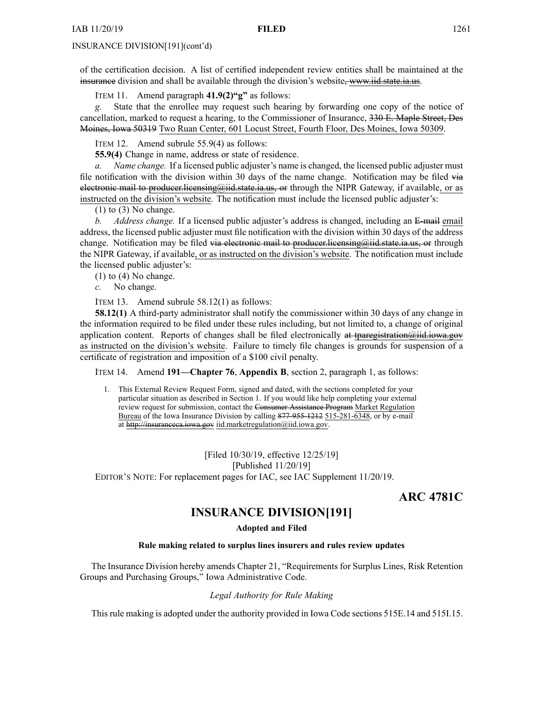of the certification decision. A list of certified independent review entities shall be maintained at the insurance division and shall be available through the division's website, [www.iid.state.ia.us](http://www.iid.state.ia.us).

ITEM 11. Amend paragraph **41.9(2)"g"** as follows:

*g.* State that the enrollee may reques<sup>t</sup> such hearing by forwarding one copy of the notice of cancellation, marked to reques<sup>t</sup> <sup>a</sup> hearing, to the Commissioner of Insurance, 330 E. Maple Street, Des Moines, Iowa 50319 Two Ruan Center, 601 Locust Street, Fourth Floor, Des Moines, Iowa 50309.

ITEM 12. Amend subrule 55.9(4) as follows:

**55.9(4)** Change in name, address or state of residence.

*a. Name change.* If <sup>a</sup> licensed public adjuster's name is changed, the licensed public adjuster must file notification with the division within 30 days of the name change. Notification may be filed via electronic mail to producer.licensing@iid.state.ia.us, or through the NIPR Gateway, if available, or as instructed on the division's website. The notification must include the licensed public adjuster's:

(1) to (3) No change.

*b. Address change.* If <sup>a</sup> licensed public adjuster's address is changed, including an E-mail email address, the licensed public adjuster must file notification with the division within 30 days of the address change. Notification may be filed via electronic mail to producer. licensing $\omega$ iid.state.ia.us, or through the NIPR Gateway, if available, or as instructed on the division's website. The notification must include the licensed public adjuster's:

 $(1)$  to  $(4)$  No change.

*c.* No change.

ITEM 13. Amend subrule 58.12(1) as follows:

**58.12(1)** A third-party administrator shall notify the commissioner within 30 days of any change in the information required to be filed under these rules including, but not limited to, <sup>a</sup> change of original application content. Reports of changes shall be filed electronically at [tparegistration@iid.iowa.gov](mailto:tparegistration@iid.iowa.gov) as instructed on the division's website. Failure to timely file changes is grounds for suspension of <sup>a</sup> certificate of registration and imposition of <sup>a</sup> \$100 civil penalty.

ITEM 14. Amend **191—Chapter 76**, **Appendix B**, section 2, paragraph 1, as follows:

1. This External Review Request Form, signed and dated, with the sections completed for your particular situation as described in Section 1. If you would like help completing your external review reques<sup>t</sup> for submission, contact the Consumer Assistance Program Market Regulation Bureau of the Iowa Insurance Division by calling 877-955-1212 515-281-6348, or by e-mail at <http://insuranceca.iowa.gov> [iid.marketregulation@iid.iowa.gov](mailto:iid.marketregulation@iid.iowa.gov).

[Filed 10/30/19, effective 12/25/19] [Published 11/20/19] EDITOR'<sup>S</sup> NOTE: For replacement pages for IAC, see IAC Supplement 11/20/19.

**ARC 4781C**

# **INSURANCE DIVISION[191]**

#### **Adopted and Filed**

#### **Rule making related to surplus lines insurers and rules review updates**

The Insurance Division hereby amends Chapter 21, "Requirements for Surplus Lines, Risk Retention Groups and Purchasing Groups," Iowa Administrative Code.

# *Legal Authority for Rule Making*

This rule making is adopted under the authority provided in Iowa Code sections 515E.14 and 515I.15.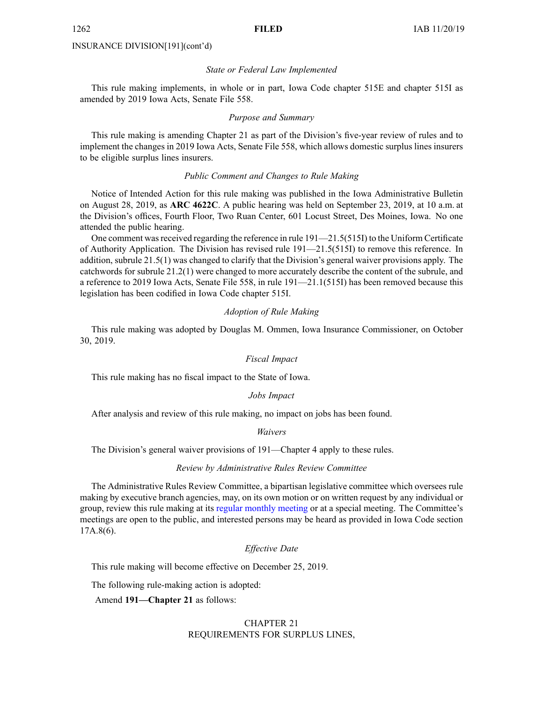#### *State or Federal Law Implemented*

This rule making implements, in whole or in part, Iowa Code chapter 515E and chapter 515I as amended by 2019 Iowa Acts, Senate File 558.

# *Purpose and Summary*

This rule making is amending Chapter 21 as par<sup>t</sup> of the Division's five-year review of rules and to implement the changes in 2019 Iowa Acts, Senate File 558, which allows domestic surplus lines insurers to be eligible surplus lines insurers.

# *Public Comment and Changes to Rule Making*

Notice of Intended Action for this rule making was published in the Iowa Administrative Bulletin on August 28, 2019, as **ARC 4622C**. A public hearing was held on September 23, 2019, at 10 a.m. at the Division's offices, Fourth Floor, Two Ruan Center, 601 Locust Street, Des Moines, Iowa. No one attended the public hearing.

One comment was received regarding the reference in rule  $191-21.5(515)$  to the Uniform Certificate of Authority Application. The Division has revised rule 191—21.5(515I) to remove this reference. In addition, subrule 21.5(1) was changed to clarify that the Division's general waiver provisions apply. The catchwords for subrule 21.2(1) were changed to more accurately describe the content of the subrule, and <sup>a</sup> reference to 2019 Iowa Acts, Senate File 558, in rule 191—21.1(515I) has been removed because this legislation has been codified in Iowa Code chapter 515I.

#### *Adoption of Rule Making*

This rule making was adopted by Douglas M. Ommen, Iowa Insurance Commissioner, on October 30, 2019.

#### *Fiscal Impact*

This rule making has no fiscal impact to the State of Iowa.

#### *Jobs Impact*

After analysis and review of this rule making, no impact on jobs has been found.

*Waivers*

The Division's general waiver provisions of 191—Chapter 4 apply to these rules.

## *Review by Administrative Rules Review Committee*

The Administrative Rules Review Committee, <sup>a</sup> bipartisan legislative committee which oversees rule making by executive branch agencies, may, on its own motion or on written reques<sup>t</sup> by any individual or group, review this rule making at its regular [monthly](https://www.legis.iowa.gov/committees/meetings/meetingsListComm?groupID=705&ga=88) meeting or at <sup>a</sup> special meeting. The Committee's meetings are open to the public, and interested persons may be heard as provided in Iowa Code section 17A.8(6).

# *Effective Date*

This rule making will become effective on December 25, 2019.

The following rule-making action is adopted:

Amend **191—Chapter 21** as follows:

# CHAPTER 21 REQUIREMENTS FOR SURPLUS LINES,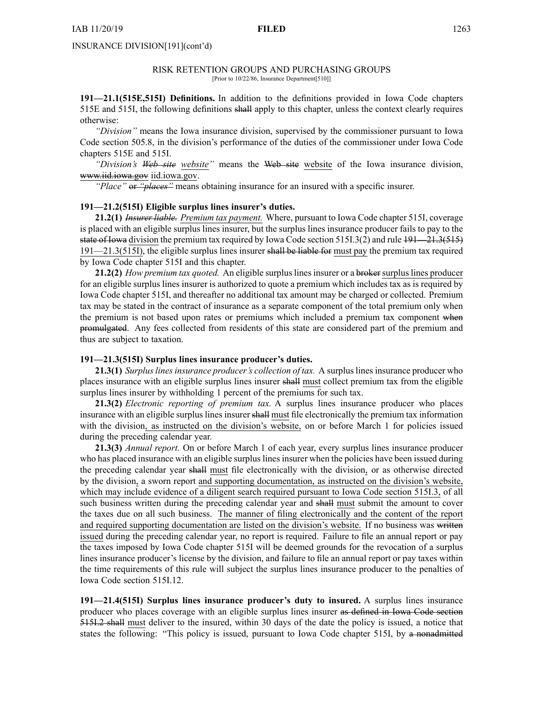# INSURANCE DIVISION[191](cont'd)

#### RISK RETENTION GROUPS AND PURCHASING GROUPS [Prior to 10/22/86, Insurance Department[510]]

**191—21.1(515E,515I) Definitions.** In addition to the definitions provided in Iowa Code chapters [515E](https://www.legis.iowa.gov/docs/ico/chapter/515E.pdf) and [515I](https://www.legis.iowa.gov/docs/ico/chapter/2016/515I.pdf), the following definitions shall apply to this chapter, unless the context clearly requires otherwise:

*"Division"* means the Iowa insurance division, supervised by the commissioner pursuan<sup>t</sup> to Iowa Code section [505.8](https://www.legis.iowa.gov/docs/ico/section/2016/505.8.pdf), in the division's performance of the duties of the commissioner under Iowa Code chapters [515E](https://www.legis.iowa.gov/docs/ico/chapter/2016/515E.pdf) and [515I](https://www.legis.iowa.gov/docs/ico/chapter/2016/515I.pdf).

*"Division's Web site website"* means the Web site website of the Iowa insurance division, [www.iid.iowa.gov](http://www.iid.iowa.gov) [iid.iowa.gov](http://iid.iowa.gov).

*"Place"* or *"places"* means obtaining insurance for an insured with <sup>a</sup> specific insurer.

# **191—21.2(515I) Eligible surplus lines insurer's duties.**

**21.2(1)** *Insurer liable. Premium tax payment.* Where, pursuan<sup>t</sup> to Iowa Code chapter [515I](https://www.legis.iowa.gov/docs/ico/chapter/2016/515I.pdf), coverage is placed with an eligible surplus lines insurer, but the surplus lines insurance producer fails to pay to the state of Iowa division the premium tax required by Iowa Code section [515I.3\(2\)](https://www.legis.iowa.gov/docs/ico/section/2016/515I.3.pdf) and rule 191—21.3(515)  $191-21.3(515I)$ , the eligible surplus lines insurer shall be liable for must pay the premium tax required by Iowa Code chapter [515I](https://www.legis.iowa.gov/docs/ico/chapter/2016/515I.pdf) and this chapter.

**21.2(2)** *How premium tax quoted.* An eligible surpluslinesinsurer or <sup>a</sup> brokersurpluslines producer for an eligible surplus lines insurer is authorized to quote <sup>a</sup> premium which includes tax as is required by Iowa Code chapter [515I](https://www.legis.iowa.gov/docs/ico/chapter/2016/515I.pdf), and thereafter no additional tax amount may be charged or collected. Premium tax may be stated in the contract of insurance as <sup>a</sup> separate componen<sup>t</sup> of the total premium only when the premium is not based upon rates or premiums which included <sup>a</sup> premium tax componen<sup>t</sup> when promulgated. Any fees collected from residents of this state are considered par<sup>t</sup> of the premium and thus are subject to taxation.

#### **191—21.3(515I) Surplus lines insurance producer's duties.**

**21.3(1)** *Surpluslinesinsurance producer's collection of tax.* A surpluslinesinsurance producer who places insurance with an eligible surplus lines insurer shall must collect premium tax from the eligible surplus lines insurer by withholding 1 percen<sup>t</sup> of the premiums for such tax.

**21.3(2)** *Electronic reporting of premium tax.* A surplus lines insurance producer who places insurance with an eligible surplus lines insurer shall must file electronically the premium tax information with the division, as instructed on the division's website, on or before March 1 for policies issued during the preceding calendar year.

**21.3(3)** *Annual report.* On or before March 1 of each year, every surplus lines insurance producer who has placed insurance with an eligible surplus lines insurer when the policies have been issued during the preceding calendar year shall must file electronically with the division, or as otherwise directed by the division, <sup>a</sup> sworn repor<sup>t</sup> and supporting documentation, as instructed on the division's website, which may include evidence of <sup>a</sup> diligent search required pursuan<sup>t</sup> to Iowa Code section [515I.3](https://www.legis.iowa.gov/docs/ico/section/515I.3.pdf), of all such business written during the preceding calendar year and shall must submit the amount to cover the taxes due on all such business. The manner of filing electronically and the content of the repor<sup>t</sup> and required supporting documentation are listed on the division's website. If no business was written issued during the preceding calendar year, no repor<sup>t</sup> is required. Failure to file an annual repor<sup>t</sup> or pay the taxes imposed by Iowa Code chapter [515I](https://www.legis.iowa.gov/docs/ico/chapter/2016/515I.pdf) will be deemed grounds for the revocation of <sup>a</sup> surplus lines insurance producer's license by the division, and failure to file an annual repor<sup>t</sup> or pay taxes within the time requirements of this rule will subject the surplus lines insurance producer to the penalties of Iowa Code section [515I.12](https://www.legis.iowa.gov/docs/ico/section/2016/515I.12.pdf).

**191—21.4(515I) Surplus lines insurance producer's duty to insured.** A surplus lines insurance producer who places coverage with an eligible surplus lines insurer as defined in Iowa Code section [515I.2](https://www.legis.iowa.gov/docs/ico/section/2016/515I.2.pdf) shall must deliver to the insured, within 30 days of the date the policy is issued, <sup>a</sup> notice that states the following: "This policy is issued, pursuant to Iowa Code chapter [515I](https://www.legis.iowa.gov/docs/ico/chapter/2016/515I.pdf), by a nonadmitted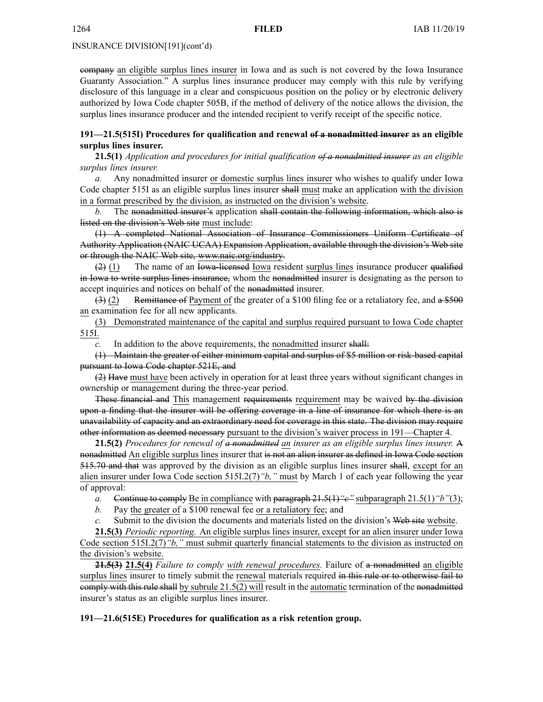INSURANCE DIVISION[191](cont'd)

company an eligible surplus lines insurer in Iowa and as such is not covered by the Iowa Insurance Guaranty Association." A surplus lines insurance producer may comply with this rule by verifying disclosure of this language in <sup>a</sup> clear and conspicuous position on the policy or by electronic delivery authorized by Iowa Code chapter [505B](https://www.legis.iowa.gov/docs/ico/chapter/2016/505B.pdf), if the method of delivery of the notice allows the division, the surplus lines insurance producer and the intended recipient to verify receipt of the specific notice.

# **191—21.5(515I) Procedures for qualification and renewal of <sup>a</sup> nonadmitted insurer as an eligible surplus lines insurer.**

**21.5(1)** *Application and procedures for initial qualification of <sup>a</sup> nonadmitted insurer as an eligible surplus lines insurer.*

*a.* Any nonadmitted insurer or domestic surplus lines insurer who wishes to qualify under Iowa Code chapter [515I](https://www.legis.iowa.gov/docs/ico/chapter/2016/515I.pdf) as an eligible surplus lines insurer shall must make an application with the division in <sup>a</sup> format prescribed by the division, as instructed on the division's website.

*b.* The nonadmitted insurer's application shall contain the following information, which also is listed on the division's Web site must include:

(1) A completed National Association of Insurance Commissioners Uniform Certificate of Authority Application (NAIC UCAA) Expansion Application, available through the division's Web site or through the NAIC Web site, <www.naic.org/industry>.

 $(2)$  (1) The name of an Iowa-licensed Iowa resident surplus lines insurance producer qualified in Iowa to write surplus lines insurance, whom the nonadmitted insurer is designating as the person to accep<sup>t</sup> inquiries and notices on behalf of the nonadmitted insurer.

(3) (2) Remittance of Payment of the greater of <sup>a</sup> \$100 filing fee or <sup>a</sup> retaliatory fee, and <sup>a</sup> \$500 an examination fee for all new applicants.

(3) Demonstrated maintenance of the capital and surplus required pursuan<sup>t</sup> to Iowa Code chapter [515I](https://www.legis.iowa.gov/docs/ico/chapter/515I.pdf).

*c.* In addition to the above requirements, the nonadmitted insurer shall:

(1) Maintain the greater of either minimum capital and surplus of \$5 million or risk-based capital pursuan<sup>t</sup> to Iowa Code chapter [521E](https://www.legis.iowa.gov/docs/ico/chapter/521E.pdf), and

(2) Have must have been actively in operation for at least three years without significant changes in ownership or managemen<sup>t</sup> during the three-year period.

These financial and This managemen<sup>t</sup> requirements requirement may be waived by the division upon <sup>a</sup> finding that the insurer will be offering coverage in <sup>a</sup> line of insurance for which there is an unavailability of capacity and an extraordinary need for coverage in this state. The division may require other information as deemed necessary pursuan<sup>t</sup> to the division's waiver process in 191—Chapter 4.

**21.5(2)** *Procedures for renewal of <sup>a</sup> nonadmitted an insurer as an eligible surplus lines insurer.* A nonadmitted An eligible surplus lines insurer that is not an alien insurer as defined in Iowa Code section [515.70](https://www.legis.iowa.gov/docs/ico/section/515.70.pdf) and that was approved by the division as an eligible surplus lines insurer shall, excep<sup>t</sup> for an alien insurer under Iowa Code section 515I.2(7)*"b,"* must by March 1 of each year following the year of approval:

*a.* Continue to comply Be in compliance with paragraph 21.5(1)*"c"* subparagraph 21.5(1)*"b"*(3);

*b.* Pay the greater of <sup>a</sup> \$100 renewal fee or <sup>a</sup> retaliatory fee; and

*c.* Submit to the division the documents and materials listed on the division's Web site website.

**21.5(3)** *Periodic reporting.* An eligible surplus lines insurer, excep<sup>t</sup> for an alien insurer under Iowa Code section [515I.2\(7\)](https://www.legis.iowa.gov/docs/ico/section/515I.2.pdf)*"b,"* must submit quarterly financial statements to the division as instructed on the division's website.

**21.5(3) 21.5(4)** *Failure to comply with renewal procedures.* Failure of <sup>a</sup> nonadmitted an eligible surplus lines insurer to timely submit the renewal materials required in this rule or to otherwise fail to comply with this rule shall by subrule 21.5(2) will result in the automatic termination of the nonadmitted insurer's status as an eligible surplus lines insurer.

# **191—21.6(515E) Procedures for qualification as <sup>a</sup> risk retention group.**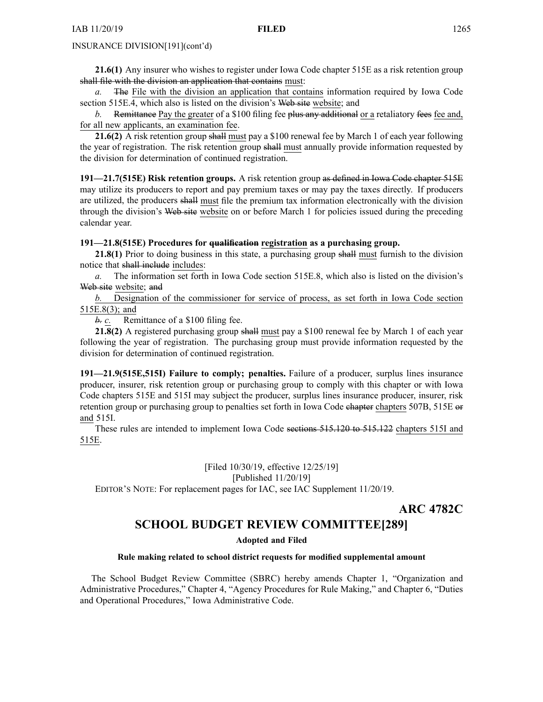# INSURANCE DIVISION[191](cont'd)

**21.6(1)** Any insurer who wishes to register under Iowa Code chapter [515E](https://www.legis.iowa.gov/docs/ico/chapter/2016/515E.pdf) as <sup>a</sup> risk retention group shall file with the division an application that contains must:

*a.* The File with the division an application that contains information required by Iowa Code section [515E.4](https://www.legis.iowa.gov/docs/ico/section/2016/515E.4.pdf), which also is listed on the division's Web site website; and

*b.* Remittance Pay the greater of <sup>a</sup> \$100 filing fee plus any additional or <sup>a</sup> retaliatory fees fee and, for all new applicants, an examination fee.

**21.6(2)** A risk retention group shall must pay <sup>a</sup> \$100 renewal fee by March 1 of each year following the year of registration. The risk retention group shall must annually provide information requested by the division for determination of continued registration.

**191—21.7(515E) Risk retention groups.** A risk retention group as defined in Iowa Code chapter [515E](https://www.legis.iowa.gov/docs/ico/chapter/2016/515E.pdf) may utilize its producers to repor<sup>t</sup> and pay premium taxes or may pay the taxes directly. If producers are utilized, the producers shall must file the premium tax information electronically with the division through the division's Web site website on or before March 1 for policies issued during the preceding calendar year.

# **191—21.8(515E) Procedures for qualification registration as <sup>a</sup> purchasing group.**

**21.8(1)** Prior to doing business in this state, <sup>a</sup> purchasing group shall must furnish to the division notice that shall include includes:

*a.* The information set forth in Iowa Code section [515E.8](https://www.legis.iowa.gov/docs/ico/section/515E.8.pdf), which also is listed on the division's Web site website; and

*b.* Designation of the commissioner for service of process, as set forth in Iowa Code section 515E.8(3); and

*b. c.* Remittance of <sup>a</sup> \$100 filing fee.

**21.8(2)** A registered purchasing group shall must pay <sup>a</sup> \$100 renewal fee by March 1 of each year following the year of registration. The purchasing group must provide information requested by the division for determination of continued registration.

**191—21.9(515E,515I) Failure to comply; penalties.** Failure of <sup>a</sup> producer, surplus lines insurance producer, insurer, risk retention group or purchasing group to comply with this chapter or with Iowa Code chapters [515E](https://www.legis.iowa.gov/docs/ico/chapter/515E.pdf) and [515I](https://www.legis.iowa.gov/docs/ico/chapter/2016/515I.pdf) may subject the producer, surplus lines insurance producer, insurer, risk retention group or purchasing group to penalties set forth in Iowa Code chapter chapters [507B](https://www.legis.iowa.gov/docs/ico/chapter/507B.pdf), [515E](https://www.legis.iowa.gov/docs/ico/chapter/2016/515E.pdf) or and [515I](https://www.legis.iowa.gov/docs/ico/chapter/2016/515I.pdf).

These rules are intended to implement Iowa Code sections [515.120](https://www.legis.iowa.gov/docs/ico/section/515.120-122.pdf) to 515.122 chapters [515I](https://www.legis.iowa.gov/docs/ico/chapter/515I.pdf) and [515E](https://www.legis.iowa.gov/docs/ico/chapter/515E.pdf).

> [Filed 10/30/19, effective 12/25/19] [Published 11/20/19]

EDITOR'<sup>S</sup> NOTE: For replacement pages for IAC, see IAC Supplement 11/20/19.

**ARC 4782C**

# **SCHOOL BUDGET REVIEW COMMITTEE[289]**

**Adopted and Filed**

# **Rule making related to school district requests for modified supplemental amount**

The School Budget Review Committee (SBRC) hereby amends Chapter 1, "Organization and Administrative Procedures," Chapter 4, "Agency Procedures for Rule Making," and Chapter 6, "Duties and Operational Procedures," Iowa Administrative Code.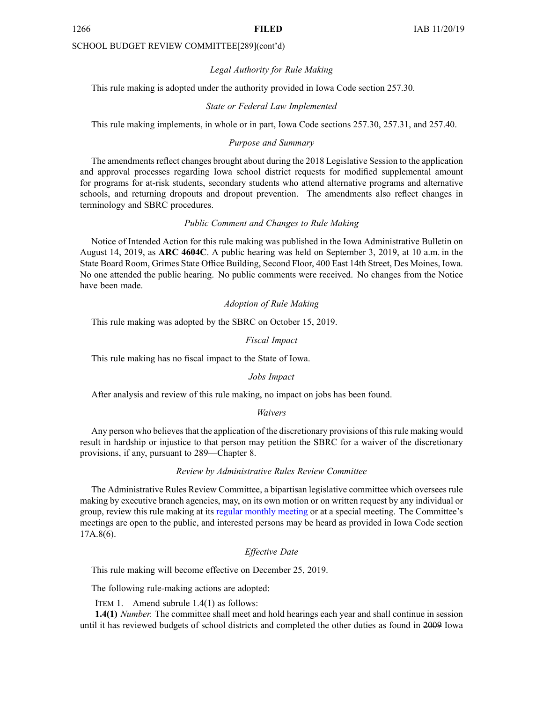### SCHOOL BUDGET REVIEW COMMITTEE[289](cont'd)

# *Legal Authority for Rule Making*

This rule making is adopted under the authority provided in Iowa Code section 257.30.

### *State or Federal Law Implemented*

This rule making implements, in whole or in part, Iowa Code sections 257.30, 257.31, and 257.40.

# *Purpose and Summary*

The amendments reflect changes brought about during the 2018 Legislative Session to the application and approval processes regarding Iowa school district requests for modified supplemental amount for programs for at-risk students, secondary students who attend alternative programs and alternative schools, and returning dropouts and dropout prevention. The amendments also reflect changes in terminology and SBRC procedures.

# *Public Comment and Changes to Rule Making*

Notice of Intended Action for this rule making was published in the Iowa Administrative Bulletin on August 14, 2019, as **ARC 4604C**. Apublic hearing was held on September 3, 2019, at 10 a.m. in the State Board Room, Grimes State Office Building, Second Floor, 400 East 14th Street, Des Moines, Iowa. No one attended the public hearing. No public comments were received. No changes from the Notice have been made.

# *Adoption of Rule Making*

This rule making was adopted by the SBRC on October 15, 2019.

# *Fiscal Impact*

This rule making has no fiscal impact to the State of Iowa.

### *Jobs Impact*

After analysis and review of this rule making, no impact on jobs has been found.

#### *Waivers*

Any person who believes that the application of the discretionary provisions of this rule making would result in hardship or injustice to that person may petition the SBRC for <sup>a</sup> waiver of the discretionary provisions, if any, pursuan<sup>t</sup> to 289—Chapter 8.

# *Review by Administrative Rules Review Committee*

The Administrative Rules Review Committee, <sup>a</sup> bipartisan legislative committee which oversees rule making by executive branch agencies, may, on its own motion or on written reques<sup>t</sup> by any individual or group, review this rule making at its regular [monthly](https://www.legis.iowa.gov/committees/meetings/meetingsListComm?groupID=705&ga=88) meeting or at <sup>a</sup> special meeting. The Committee's meetings are open to the public, and interested persons may be heard as provided in Iowa Code section 17A.8(6).

# *Effective Date*

This rule making will become effective on December 25, 2019.

The following rule-making actions are adopted:

ITEM 1. Amend subrule 1.4(1) as follows:

**1.4(1)** *Number.* The committee shall meet and hold hearings each year and shall continue in session until it has reviewed budgets of school districts and completed the other duties as found in 2009 Iowa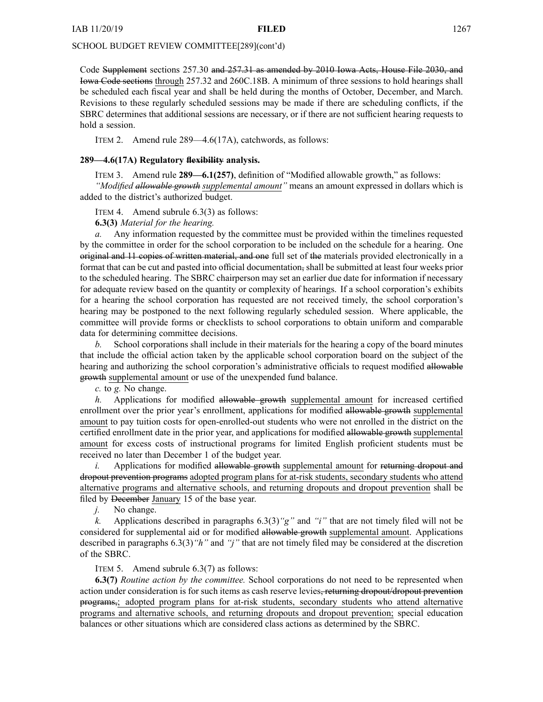# SCHOOL BUDGET REVIEW COMMITTEE[289](cont'd)

Code Supplement sections [257.30](https://www.legis.iowa.gov/docs/ico/section/2009/257.30.pdf) and [257.31](https://www.legis.iowa.gov/docs/ico/section/2009/257.31.pdf) as amended by 2010 Iowa Acts, House File 2030, and Iowa Code sections through [257.32](https://www.legis.iowa.gov/docs/ico/section/257.32.pdf) and [260C.18B](https://www.legis.iowa.gov/docs/ico/section/260C.18B.pdf). A minimum of three sessions to hold hearings shall be scheduled each fiscal year and shall be held during the months of October, December, and March. Revisions to these regularly scheduled sessions may be made if there are scheduling conflicts, if the SBRC determines that additional sessions are necessary, or if there are not sufficient hearing requests to hold <sup>a</sup> session.

ITEM 2. Amend rule 289—4.6(17A), catchwords, as follows:

# **289—4.6(17A) Regulatory flexibility analysis.**

ITEM 3. Amend rule **289—6.1(257)**, definition of "Modified allowable growth," as follows:

*"Modified allowable growth supplemental amount"* means an amount expressed in dollars which is added to the district's authorized budget.

ITEM 4. Amend subrule 6.3(3) as follows:

**6.3(3)** *Material for the hearing.*

*a.* Any information requested by the committee must be provided within the timelines requested by the committee in order for the school corporation to be included on the schedule for <sup>a</sup> hearing. One original and 11 copies of written material, and one full set of the materials provided electronically in <sup>a</sup> format that can be cut and pasted into official documentation, shall be submitted at least four weeks prior to the scheduled hearing. The SBRC chairperson may set an earlier due date for information if necessary for adequate review based on the quantity or complexity of hearings. If <sup>a</sup> school corporation's exhibits for <sup>a</sup> hearing the school corporation has requested are not received timely, the school corporation's hearing may be postponed to the next following regularly scheduled session. Where applicable, the committee will provide forms or checklists to school corporations to obtain uniform and comparable data for determining committee decisions.

*b.* School corporations shall include in their materials for the hearing <sup>a</sup> copy of the board minutes that include the official action taken by the applicable school corporation board on the subject of the hearing and authorizing the school corporation's administrative officials to request modified allowable growth supplemental amount or use of the unexpended fund balance.

*c.* to *g.* No change.

*h.* Applications for modified allowable growth supplemental amount for increased certified enrollment over the prior year's enrollment, applications for modified allowable growth supplemental amount to pay tuition costs for open-enrolled-out students who were not enrolled in the district on the certified enrollment date in the prior year, and applications for modified allowable growth supplemental amount for excess costs of instructional programs for limited English proficient students must be received no later than December 1 of the budget year.

*i.* Applications for modified allowable growth supplemental amount for returning dropout and dropout prevention programs adopted program plans for at-risk students, secondary students who attend alternative programs and alternative schools, and returning dropouts and dropout prevention shall be filed by December January 15 of the base year.

*j.* No change.

*k.* Applications described in paragraphs 6.3(3)*"g"* and *"i"* that are not timely filed will not be considered for supplemental aid or for modified allowable growth supplemental amount. Applications described in paragraphs 6.3(3)*"h"* and *"j"* that are not timely filed may be considered at the discretion of the SBRC.

# ITEM 5. Amend subrule 6.3(7) as follows:

**6.3(7)** *Routine action by the committee.* School corporations do not need to be represented when action under consideration is for such items as cash reserve levies, returning dropout/dropout prevention programs,; adopted program plans for at-risk students, secondary students who attend alternative programs and alternative schools, and returning dropouts and dropout prevention; special education balances or other situations which are considered class actions as determined by the SBRC.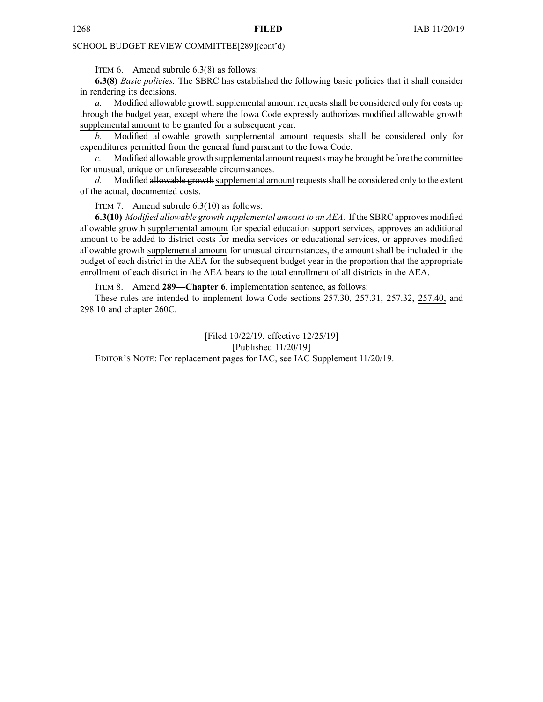# SCHOOL BUDGET REVIEW COMMITTEE[289](cont'd)

ITEM 6. Amend subrule 6.3(8) as follows:

**6.3(8)** *Basic policies.* The SBRC has established the following basic policies that it shall consider in rendering its decisions.

*a.* Modified allowable growth supplemental amount requests shall be considered only for costs up through the budget year, excep<sup>t</sup> where the Iowa Code expressly authorizes modified allowable growth supplemental amount to be granted for <sup>a</sup> subsequent year.

*b.* Modified allowable growth supplemental amount requests shall be considered only for expenditures permitted from the general fund pursuan<sup>t</sup> to the Iowa Code.

*c.* Modified allowable growth supplemental amount requests may be brought before the committee for unusual, unique or unforeseeable circumstances.

d. Modified allowable growth supplemental amount requests shall be considered only to the extent of the actual, documented costs.

ITEM 7. Amend subrule 6.3(10) as follows:

**6.3(10)** *Modified allowable growth supplemental amount to an AEA.* If the SBRC approves modified allowable growth supplemental amount for special education suppor<sup>t</sup> services, approves an additional amount to be added to district costs for media services or educational services, or approves modified allowable growth supplemental amount for unusual circumstances, the amount shall be included in the budget of each district in the AEA for the subsequent budget year in the proportion that the appropriate enrollment of each district in the AEA bears to the total enrollment of all districts in the AEA.

ITEM 8. Amend **289—Chapter 6**, implementation sentence, as follows:

These rules are intended to implement Iowa Code sections [257.30](https://www.legis.iowa.gov/docs/ico/section/257.30.pdf), [257.31](https://www.legis.iowa.gov/docs/ico/section/257.31.pdf), [257.32](https://www.legis.iowa.gov/docs/ico/section/257.32.pdf), [257.40](https://www.legis.iowa.gov/docs/ico/section/257.40.pdf), and [298.10](https://www.legis.iowa.gov/docs/ico/section/298.10.pdf) and chapter [260C](https://www.legis.iowa.gov/docs/ico/chapter/260C.pdf).

[Filed 10/22/19, effective 12/25/19] [Published 11/20/19] EDITOR'<sup>S</sup> NOTE: For replacement pages for IAC, see IAC Supplement 11/20/19.